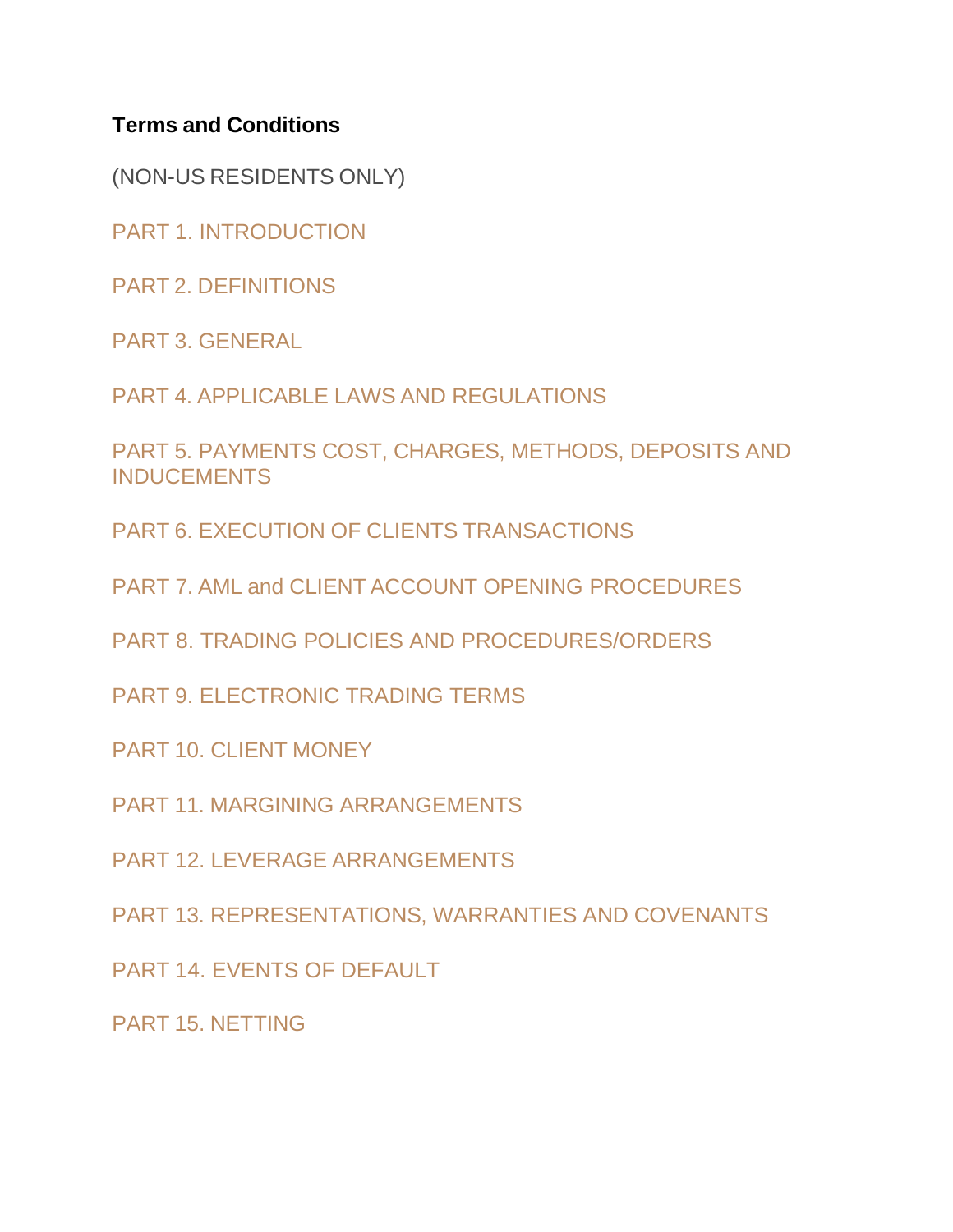### **Terms and Conditions**

(NON-US RESIDENTS ONLY)

PART 1. [INTROD](https://capital.com/terms-and-conditions#part_1)UCTION

PART 2. [DEFINITIONS](https://capital.com/terms-and-conditions#part_2)

PART 3. [GENERAL](https://capital.com/terms-and-conditions#part_3)

PART 4. APPLICABLE LAWS AND [REGULATIONS](https://capital.com/terms-and-conditions#part_4)

[PART 5. PAYMENTS COST, CHARGES, METHODS, DEPOSITS AND](https://capital.com/terms-and-conditions#part_5) [INDUCEMENTS](https://capital.com/terms-and-conditions#part_5)

PART 6. EXECUTION OF CLIENTS [TRANSACTIONS](https://capital.com/terms-and-conditions#part_6)

PART 7. AML and CLIENT ACCOUNT [OPENING PROCEDURES](https://capital.com/terms-and-conditions#part_7)

[PART 8. TRADING POLICIES AND PROCEDURES/ORDERS](https://capital.com/terms-and-conditions#part_8)

PART 9. [ELECTRONIC](https://capital.com/terms-and-conditions#part_9) TRADING TERMS

PART 10. CLIENT [MONEY](https://capital.com/terms-and-conditions#part_10)

[PART 11. MARGINING ARRANGEMENTS](https://capital.com/terms-and-conditions#part_11)

PART 12. LEVERAGE [ARRANGEMENTS](https://capital.com/terms-and-conditions#part_12)

[PART 13. REPRESENTATIONS, WARRANTIES AND COVENANTS](https://capital.com/terms-and-conditions#part_13)

PART 14. EVENTS OF [DEFAULT](https://capital.com/terms-and-conditions#part_14)

PART 15. [NETTING](https://capital.com/terms-and-conditions#part_15)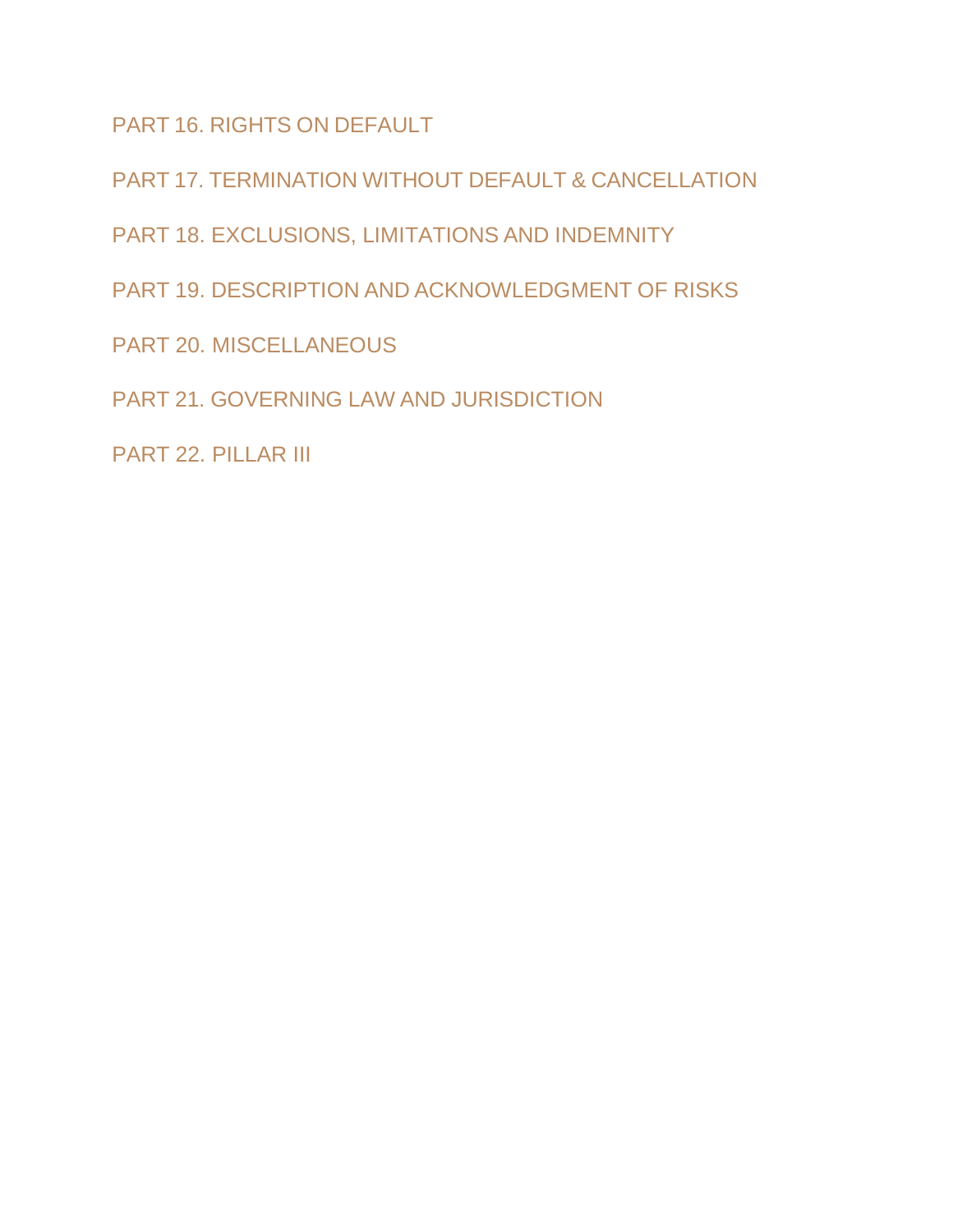PART 16. RIGHTS ON [DEFAULT](https://capital.com/terms-and-conditions#part_16)

PART 17. TERMINATION WITHOUT DEFAULT & [CANCELLATION](https://capital.com/terms-and-conditions#part_17)

PART 18. [EXCLUSIONS,](https://capital.com/terms-and-conditions#part_18) LIMITATIONS AND INDEMNITY

PART 19. DESCRIPTION AND [ACKNOWLEDGMENT](https://capital.com/terms-and-conditions#part_19) OF RISKS

PART 20. [MISCELLANEOUS](https://capital.com/terms-and-conditions#part_20)

PART 21. GOVERNING LAW AND [JURISDICTION](https://capital.com/terms-and-conditions#part_21)

PART 22. [PILLAR](https://capital.com/terms-and-conditions#part_22) III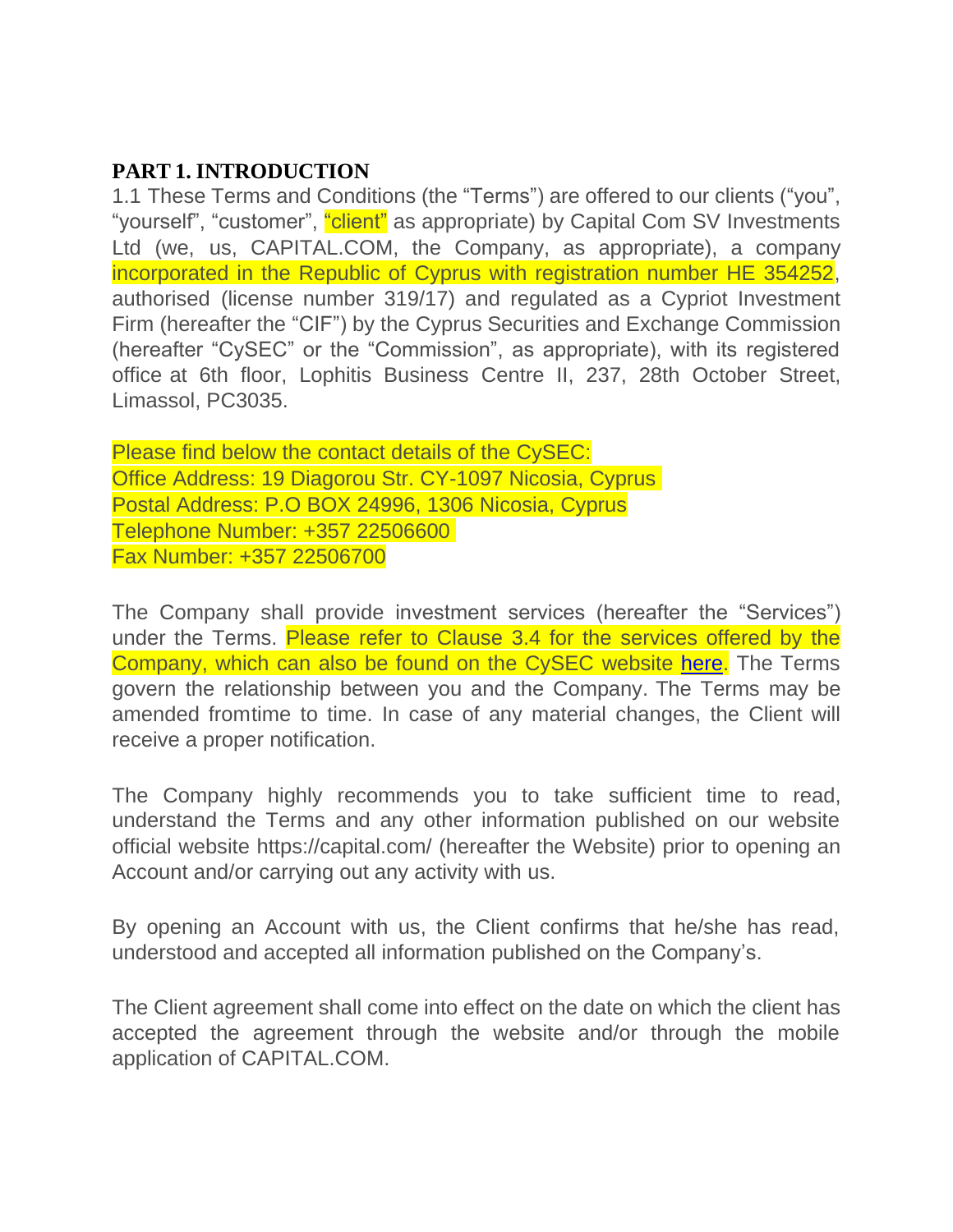#### **PART 1. INTRODUCTION**

1.1 These Terms and Conditions (the "Terms") are offered to our clients ("you", "yourself", "customer", "client" as appropriate) by Capital Com SV Investments Ltd (we, us, CAPITAL.COM, the Company, as appropriate), a company incorporated in the Republic of Cyprus with registration number HE 354252, authorised (license number 319/17) and regulated as a Cypriot Investment Firm (hereafter the "CIF") by the Cyprus Securities and Exchange Commission (hereafter "CySEC" or the "Commission", as appropriate), with its registered office at 6th floor, Lophitis Business Centre II, 237, 28th October Street, Limassol, PC3035.

Please find below the contact details of the CySEC: Office Address: 19 Diagorou Str. CY-1097 Nicosia, Cyprus Postal Address: P.O BOX 24996, 1306 Nicosia, Cyprus Telephone Number: +357 22506600 Fax Number: +357 22506700

The Company shall provide investment services (hereafter the "Services") under the Terms. Please refer to Clause 3.4 for the services offered by the Company, which can also be found on the CySEC website [here.](https://www.cysec.gov.cy/en-GB/entities/investment-firms/cypriot/42294/) The Terms govern the relationship between you and the Company. The Terms may be amended fromtime to time. In case of any material changes, the Client will receive a proper notification.

The Company highly recommends you to take sufficient time to read, understand the Terms and any other information published on our website official website<https://capital.com/> (hereafter the Website) prior to opening an Account and/or carrying out any activity with us.

By opening an Account with us, the Client confirms that he/she has read, understood and accepted all information published on the Company's.

The Client agreement shall come into effect on the date on which the client has accepted the agreement through the website and/or through the mobile application of CAPITAL.COM.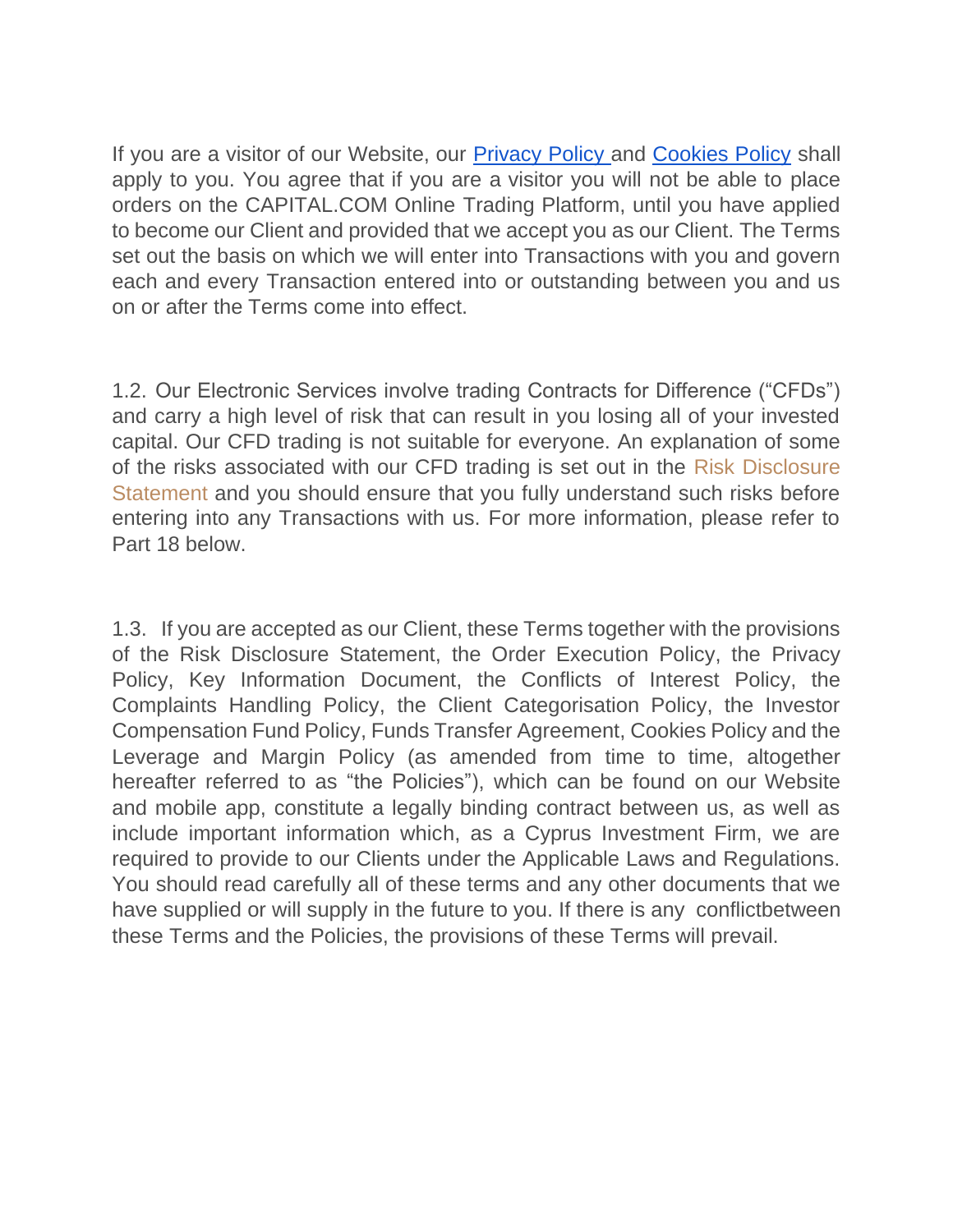If you are a visitor of our Website, our [Privacy Policy a](https://trade.capital.com/docs/privacy_policy_v6_1_cysec_capital_com.pdf)nd [Cookies Policy](https://trade.capital.com/docs/cookies_policy_cysec_20190826_capital_com.pdf) shall apply to you. You agree that if you are a visitor you will not be able to place orders on the CAPITAL.COM Online Trading Platform, until you have applied to become our Client and provided that we accept you as our Client. The Terms set out the basis on which we will enter into Transactions with you and govern each and every Transaction entered into or outstanding between you and us on or after the Terms come into effect.

1.2. Our Electronic Services involve trading Contracts for Difference ("CFDs") and carry a high level of risk that can result in you losing all of your invested capital. Our CFD trading is not suitable for everyone. An explanation of some of the risks associated with our CFD trading is set out in the [Risk Disclosure](https://capital.com/risk-disclosure-policy) [Statement](https://capital.com/risk-disclosure-policy) and you should ensure that you fully understand such risks before entering into any Transactions with us. For more information, please refer to Part 18 below.

1.3. If you are accepted as our Client, these Terms together with the provisions of the Risk Disclosure Statement, the Order Execution Policy, the Privacy Policy, Key Information Document, the Conflicts of Interest Policy, the Complaints Handling Policy, the Client Categorisation Policy, the Investor Compensation Fund Policy, Funds Transfer Agreement, Cookies Policy and the Leverage and Margin Policy (as amended from time to time, altogether hereafter referred to as "the Policies"), which can be found on our Website and mobile app, constitute a legally binding contract between us, as well as include important information which, as a Cyprus Investment Firm, we are required to provide to our Clients under the Applicable Laws and Regulations. You should read carefully all of these terms and any other documents that we have supplied or will supply in the future to you. If there is any conflictbetween these Terms and the Policies, the provisions of these Terms will prevail.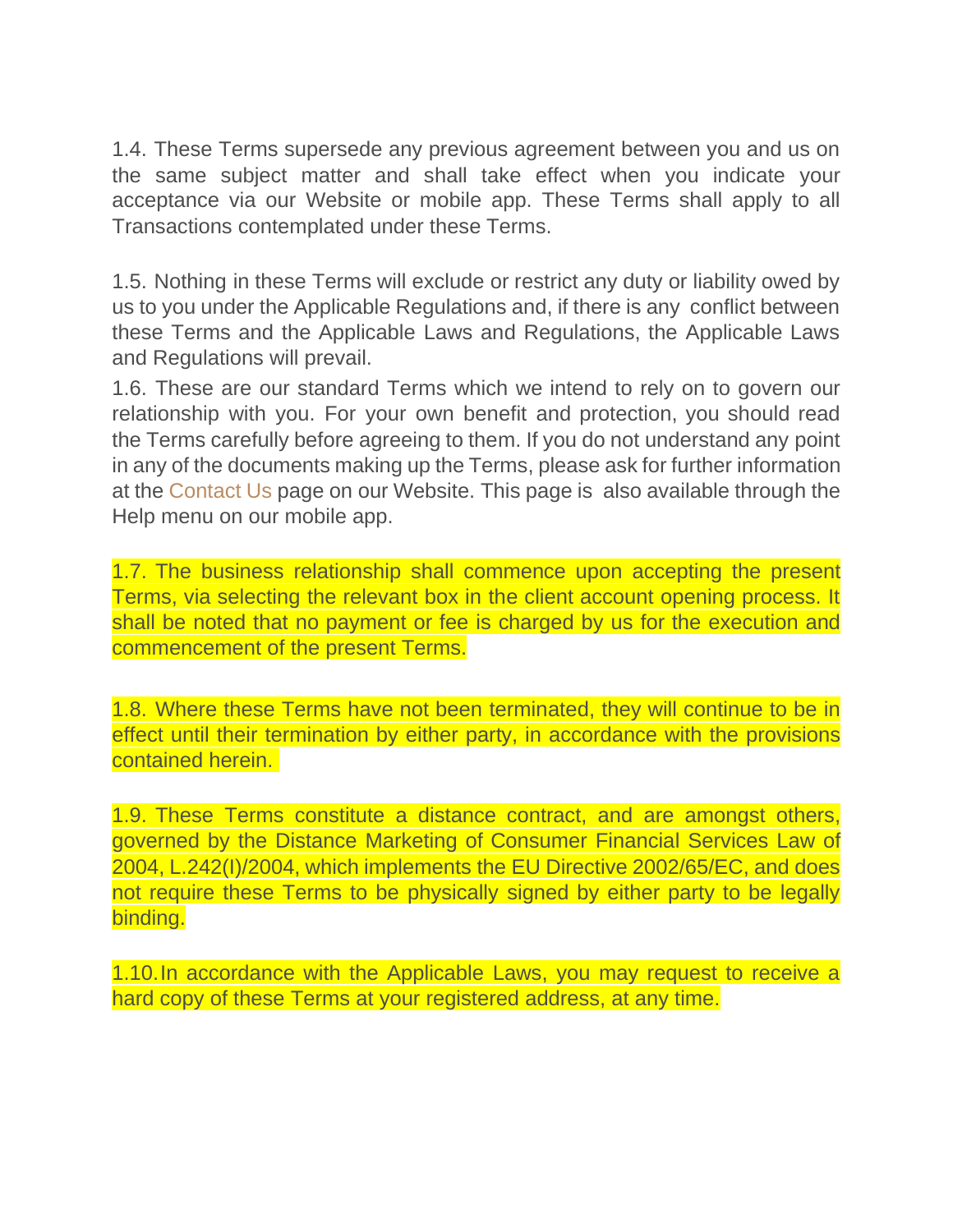1.4. These Terms supersede any previous agreement between you and us on the same subject matter and shall take effect when you indicate your acceptance via our Website or mobile app. These Terms shall apply to all Transactions contemplated under these Terms.

1.5. Nothing in these Terms will exclude or restrict any duty or liability owed by us to you under the Applicable Regulations and, if there is any conflict between these Terms and the Applicable Laws and Regulations, the Applicable Laws and Regulations will prevail.

1.6. These are our standard Terms which we intend to rely on to govern our relationship with you. For your own benefit and protection, you should read the Terms carefully before agreeing to them. If you do not understand any point in any of the documents making up the Terms, please ask for further information at the [Contact](https://capital.com/contact-us) Us page on our Website. This page is also available through the Help menu on our mobile app.

1.7. The business relationship shall commence upon accepting the present Terms, via selecting the relevant box in the client account opening process. It shall be noted that no payment or fee is charged by us for the execution and commencement of the present Terms.

1.8. Where these Terms have not been terminated, they will continue to be in effect until their termination by either party, in accordance with the provisions contained herein.

1.9. These Terms constitute a distance contract, and are amongst others, governed by the Distance Marketing of Consumer Financial Services Law of 2004, L.242(I)/2004, which implements the EU Directive 2002/65/EC, and does not require these Terms to be physically signed by either party to be legally binding.

1.10.In accordance with the Applicable Laws, you may request to receive a hard copy of these Terms at your registered address, at any time.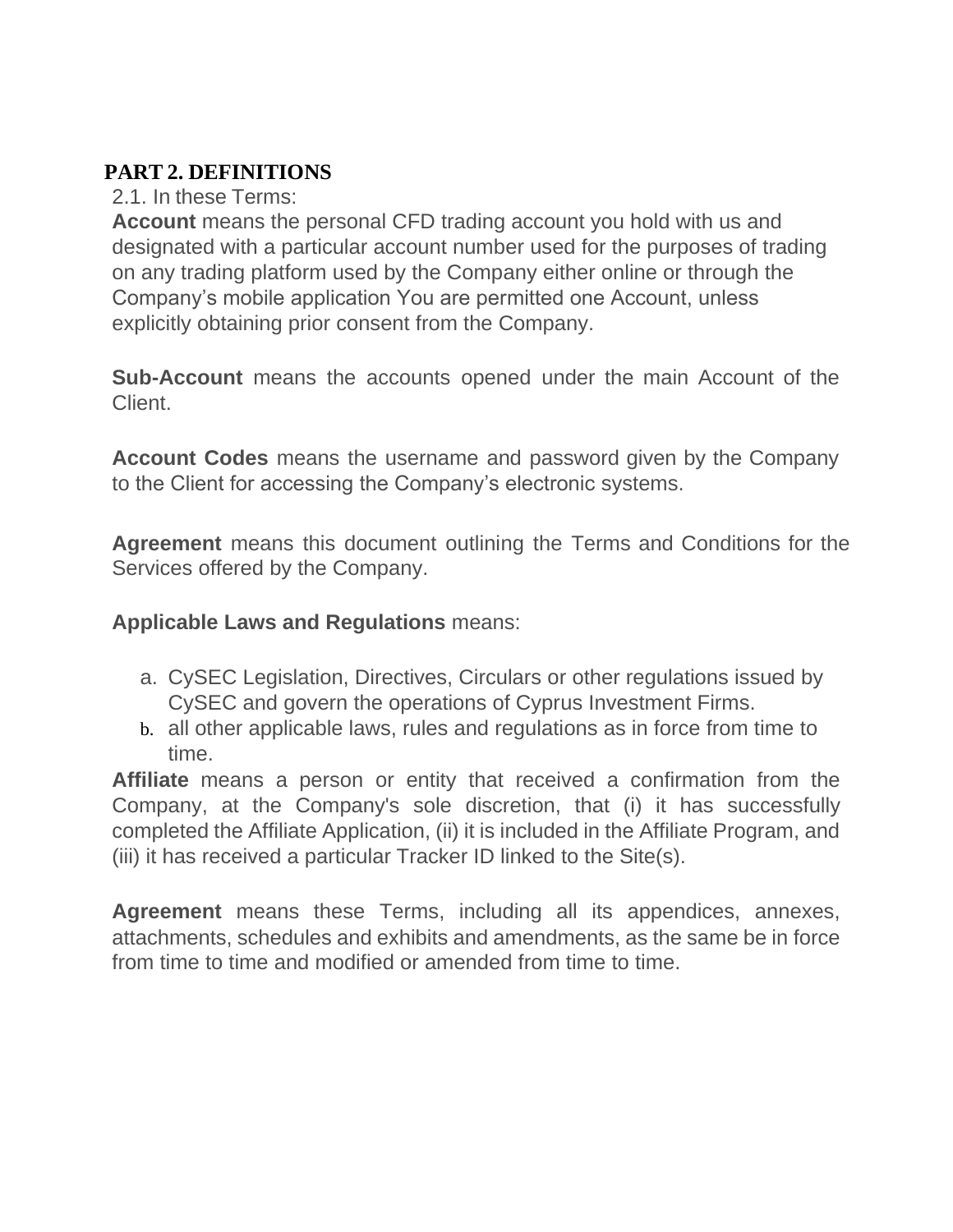### **PART 2. DEFINITIONS**

#### 2.1. In these Terms:

**Account** means the personal CFD trading account you hold with us and designated with a particular account number used for the purposes of trading on any trading platform used by the Company either online or through the Company's mobile application You are permitted one Account, unless explicitly obtaining prior consent from the Company.

**Sub-Account** means the accounts opened under the main Account of the Client.

**Account Codes** means the username and password given by the Company to the Client for accessing the Company's electronic systems.

**Agreement** means this document outlining the Terms and Conditions for the Services offered by the Company.

#### **Applicable Laws and Regulations** means:

- a. CySEC Legislation, Directives, Circulars or other regulations issued by CySEC and govern the operations of Cyprus Investment Firms.
- b. all other applicable laws, rules and regulations as in force from time to time.

**Affiliate** means a person or entity that received a confirmation from the Company, at the Company's sole discretion, that (i) it has successfully completed the Affiliate Application, (ii) it is included in the Affiliate Program, and (iii) it has received a particular Tracker ID linked to the Site(s).

**Agreement** means these Terms, including all its appendices, annexes, attachments, schedules and exhibits and amendments, as the same be in force from time to time and modified or amended from time to time.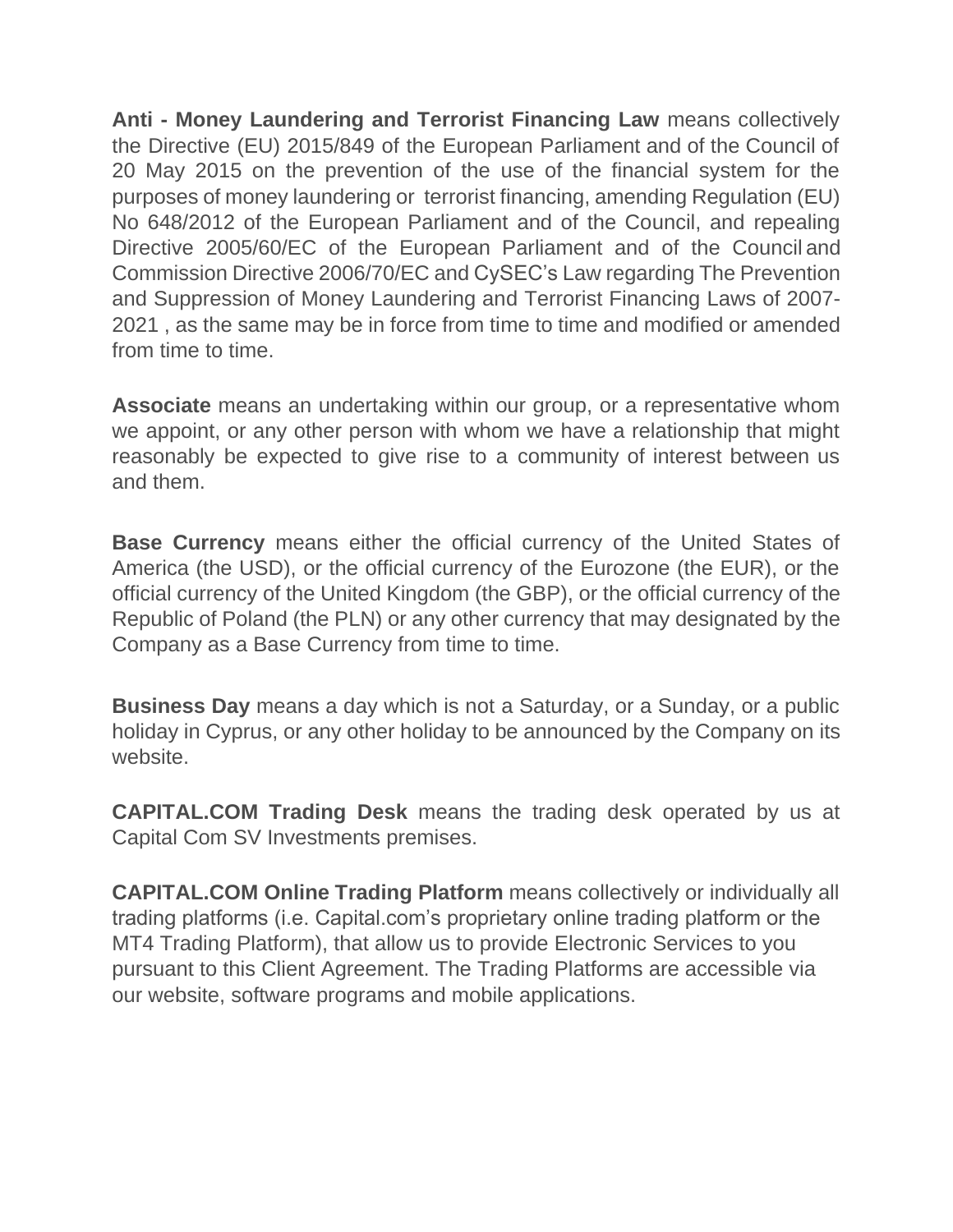**Anti - Money Laundering and Terrorist Financing Law** means collectively the Directive (EU) 2015/849 of the European Parliament and of the Council of 20 May 2015 on the prevention of the use of the financial system for the purposes of money laundering or terrorist financing, amending Regulation (EU) No 648/2012 of the European Parliament and of the Council, and repealing Directive 2005/60/EC of the European Parliament and of the Council and Commission Directive 2006/70/EC and CySEC's Law regarding The Prevention and Suppression of Money Laundering and Terrorist Financing Laws of 2007- 2021 , as the same may be in force from time to time and modified or amended from time to time.

**Associate** means an undertaking within our group, or a representative whom we appoint, or any other person with whom we have a relationship that might reasonably be expected to give rise to a community of interest between us and them.

**Base Currency** means either the official currency of the United States of America (the USD), or the official currency of the Eurozone (the EUR), or the official currency of the United Kingdom (the GBP), or the official currency of the Republic of Poland (the PLN) or any other currency that may designated by the Company as a Base Currency from time to time.

**Business Day** means a day which is not a Saturday, or a Sunday, or a public holiday in Cyprus, or any other holiday to be announced by the Company on its website.

**CAPITAL.COM Trading Desk** means the trading desk operated by us at Capital Com SV Investments premises.

**CAPITAL.COM Online Trading Platform** means collectively or individually all trading platforms (i.e. Capital.com's proprietary online trading platform or the MT4 Trading Platform), that allow us to provide Electronic Services to you pursuant to this Client Agreement. The Trading Platforms are accessible via our website, software programs and mobile applications.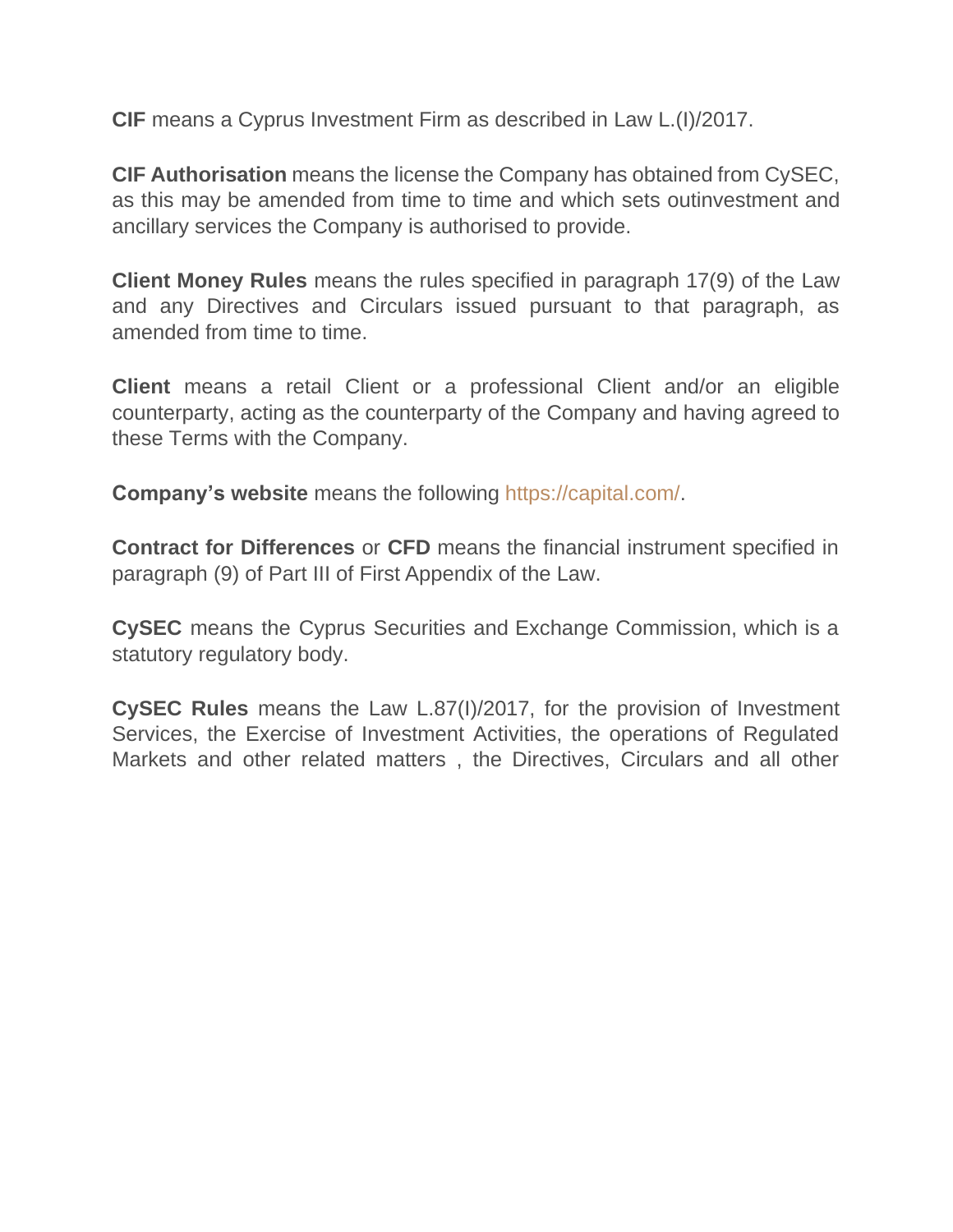**CIF** means a Cyprus Investment Firm as described in Law L.(I)/2017.

**CIF Authorisation** means the license the Company has obtained from CySEC, as this may be amended from time to time and which sets outinvestment and ancillary services the Company is authorised to provide.

**Client Money Rules** means the rules specified in paragraph 17(9) of the Law and any Directives and Circulars issued pursuant to that paragraph, as amended from time to time.

**Client** means a retail Client or a professional Client and/or an eligible counterparty, acting as the counterparty of the Company and having agreed to these Terms with the Company.

**Company's website** means the following [https://capital.com/.](https://capital.com/)

**Contract for Differences** or **CFD** means the financial instrument specified in paragraph (9) of Part III of First Appendix of the Law.

**CySEC** means the Cyprus Securities and Exchange Commission, which is a statutory regulatory body.

**CySEC Rules** means the Law L.87(I)/2017, for the provision of Investment Services, the Exercise of Investment Activities, the operations of Regulated Markets and other related matters , the Directives, Circulars and all other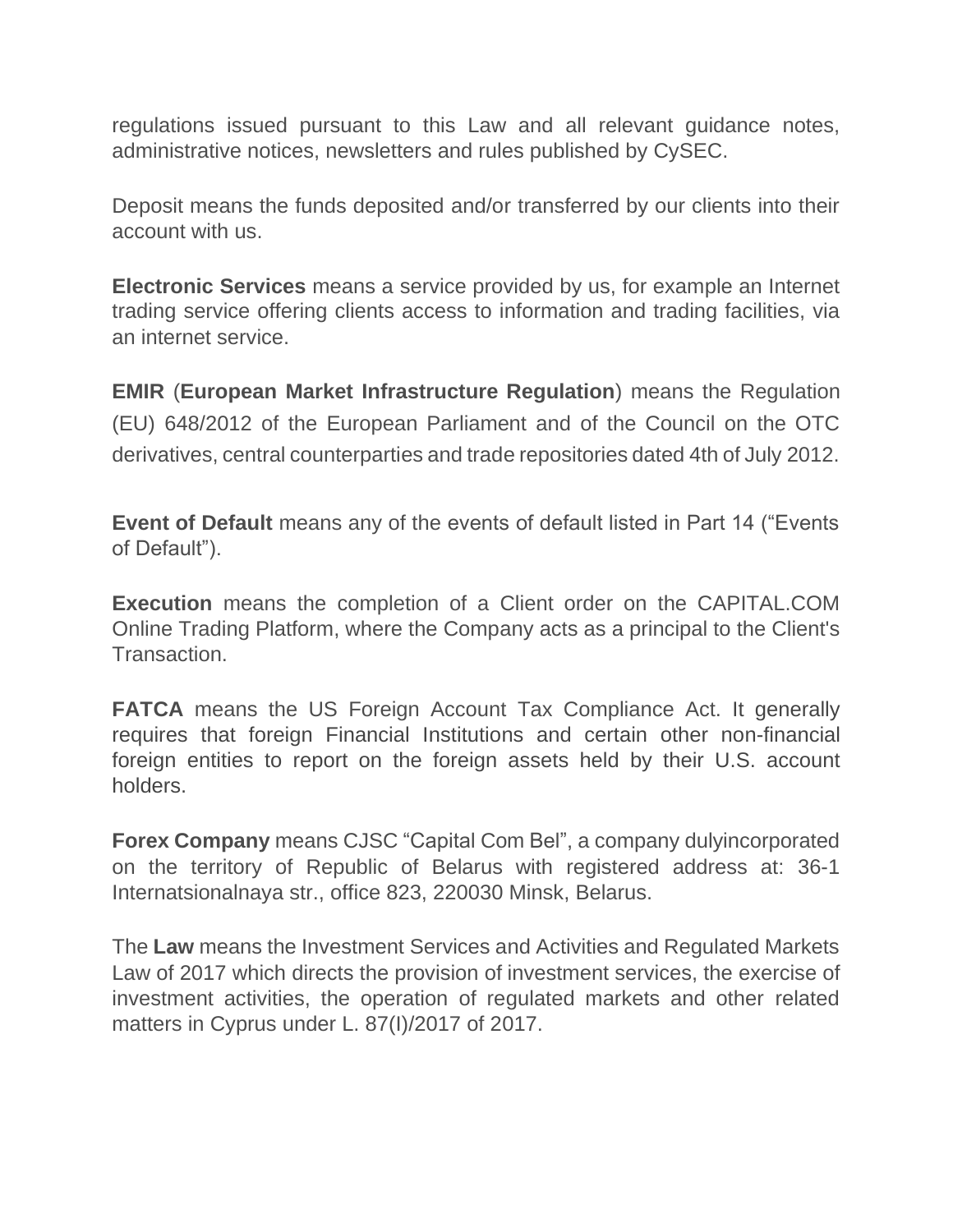regulations issued pursuant to this Law and all relevant guidance notes, administrative notices, newsletters and rules published by CySEC.

Deposit means the funds deposited and/or transferred by our clients into their account with us.

**Electronic Services** means a service provided by us, for example an Internet trading service offering clients access to information and trading facilities, via an internet service.

**EMIR** (**European Market Infrastructure Regulation**) means the Regulation (EU) 648/2012 of the European Parliament and of the Council on the OTC derivatives, central counterparties and trade repositories dated 4th of July 2012.

**Event of Default** means any of the events of default listed in Part 14 ("Events") of Default").

**Execution** means the completion of a Client order on the CAPITAL.COM Online Trading Platform, where the Company acts as a principal to the Client's **Transaction** 

**FATCA** means the US Foreign Account Tax Compliance Act. It generally requires that foreign Financial Institutions and certain other non-financial foreign entities to report on the foreign assets held by their U.S. account holders.

**Forex Company** means CJSC "Capital Com Bel", a company dulyincorporated on the territory of Republic of Belarus with registered address at: 36-1 Internatsionalnaya str., office 823, 220030 Minsk, Belarus.

The **Law** means the Investment Services and Activities and Regulated Markets Law of 2017 which directs the provision of investment services, the exercise of investment activities, the operation of regulated markets and other related matters in Cyprus under L. 87(I)/2017 of 2017.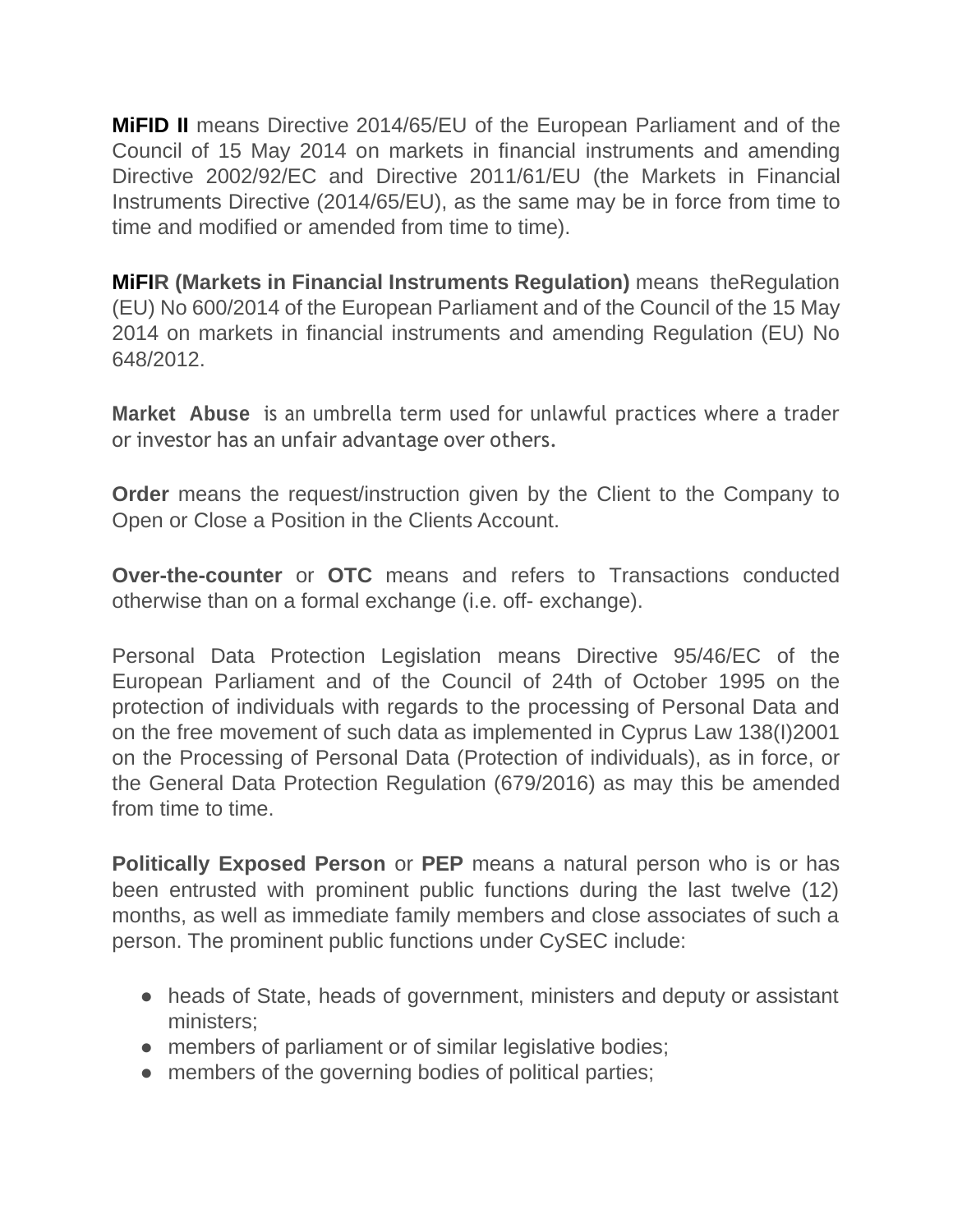**[MiFID](http://ec.europa.eu/finance/securities/isd/mifid/index_en.htm) II** means Directive 2014/65/EU of the European Parliament and of the Council of 15 May 2014 on markets in financial instruments and amending Directive 2002/92/EC and Directive 2011/61/EU (the Markets in Financial Instruments Directive (2014/65/EU), as the same may be in force from time to time and modified or amended from time to time).

**[MiFIR](http://ec.europa.eu/finance/securities/isd/mifid/index_en.htm) (Markets in Financial Instruments Regulation)** means theRegulation (EU) No 600/2014 of the European Parliament and of the Council of the 15 May 2014 on markets in financial instruments and amending Regulation (EU) No 648/2012.

**Market Abuse** is an umbrella term used for unlawful practices where a trader or investor has an unfair advantage over others.

**Order** means the request/instruction given by the Client to the Company to Open or Close a Position in the Clients Account.

**Over-the-counter** or **OTC** means and refers to Transactions conducted otherwise than on a formal exchange (i.e. off- exchange).

Personal Data Protection Legislation means Directive 95/46/EC of the European Parliament and of the Council of 24th of October 1995 on the protection of individuals with regards to the processing of Personal Data and on the free movement of such data as implemented in Cyprus Law 138(I)2001 on the Processing of Personal Data (Protection of individuals), as in force, or the General Data Protection Regulation (679/2016) as may this be amended from time to time.

**Politically Exposed Person** or **PEP** means a natural person who is or has been entrusted with prominent public functions during the last twelve (12) months, as well as immediate family members and close associates of such a person. The prominent public functions under CySEC include:

- heads of State, heads of government, ministers and deputy or assistant ministers;
- members of parliament or of similar legislative bodies;
- members of the governing bodies of political parties;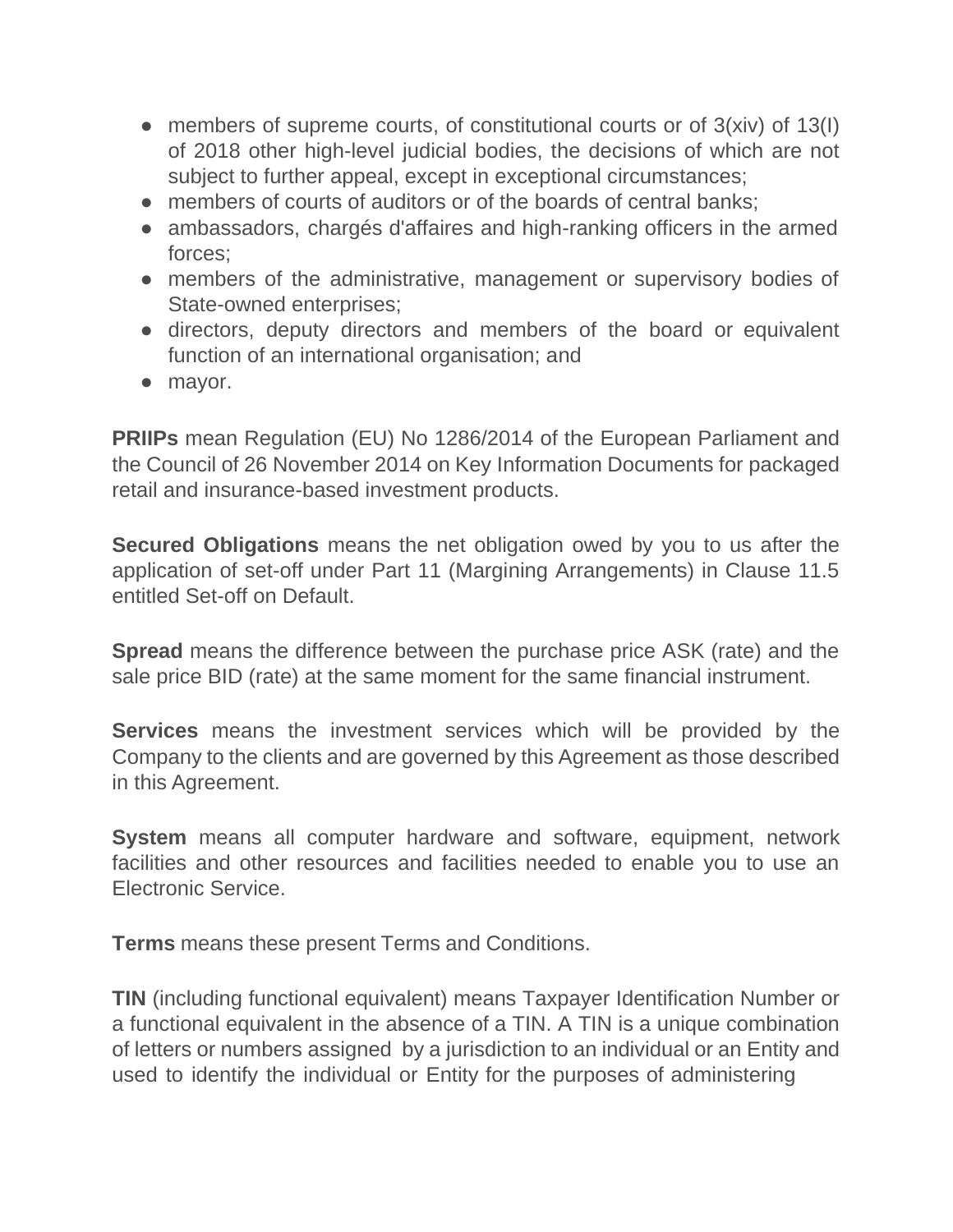- members of supreme courts, of constitutional courts or of  $3(xiv)$  of  $13(1)$ of 2018 other high-level judicial bodies, the decisions of which are not subject to further appeal, except in exceptional circumstances;
- members of courts of auditors or of the boards of central banks:
- ambassadors, chargés d'affaires and high-ranking officers in the armed forces;
- members of the administrative, management or supervisory bodies of State-owned enterprises;
- directors, deputy directors and members of the board or equivalent function of an international organisation; and
- mayor.

**PRIIPs** mean Regulation (EU) No 1286/2014 of the European Parliament and the Council of 26 November 2014 on Key Information Documents for packaged retail and insurance-based investment products.

**Secured Obligations** means the net obligation owed by you to us after the application of set-off under Part 11 (Margining Arrangements) in Clause 11.5 entitled Set-off on Default.

**Spread** means the difference between the purchase price ASK (rate) and the sale price BID (rate) at the same moment for the same financial instrument.

**Services** means the investment services which will be provided by the Company to the clients and are governed by this Agreement as those described in this Agreement.

**System** means all computer hardware and software, equipment, network facilities and other resources and facilities needed to enable you to use an Electronic Service.

**Terms** means these present Terms and Conditions.

**TIN** (including functional equivalent) means Taxpayer Identification Number or a functional equivalent in the absence of a TIN. A TIN is a unique combination of letters or numbers assigned by a jurisdiction to an individual or an Entity and used to identify the individual or Entity for the purposes of administering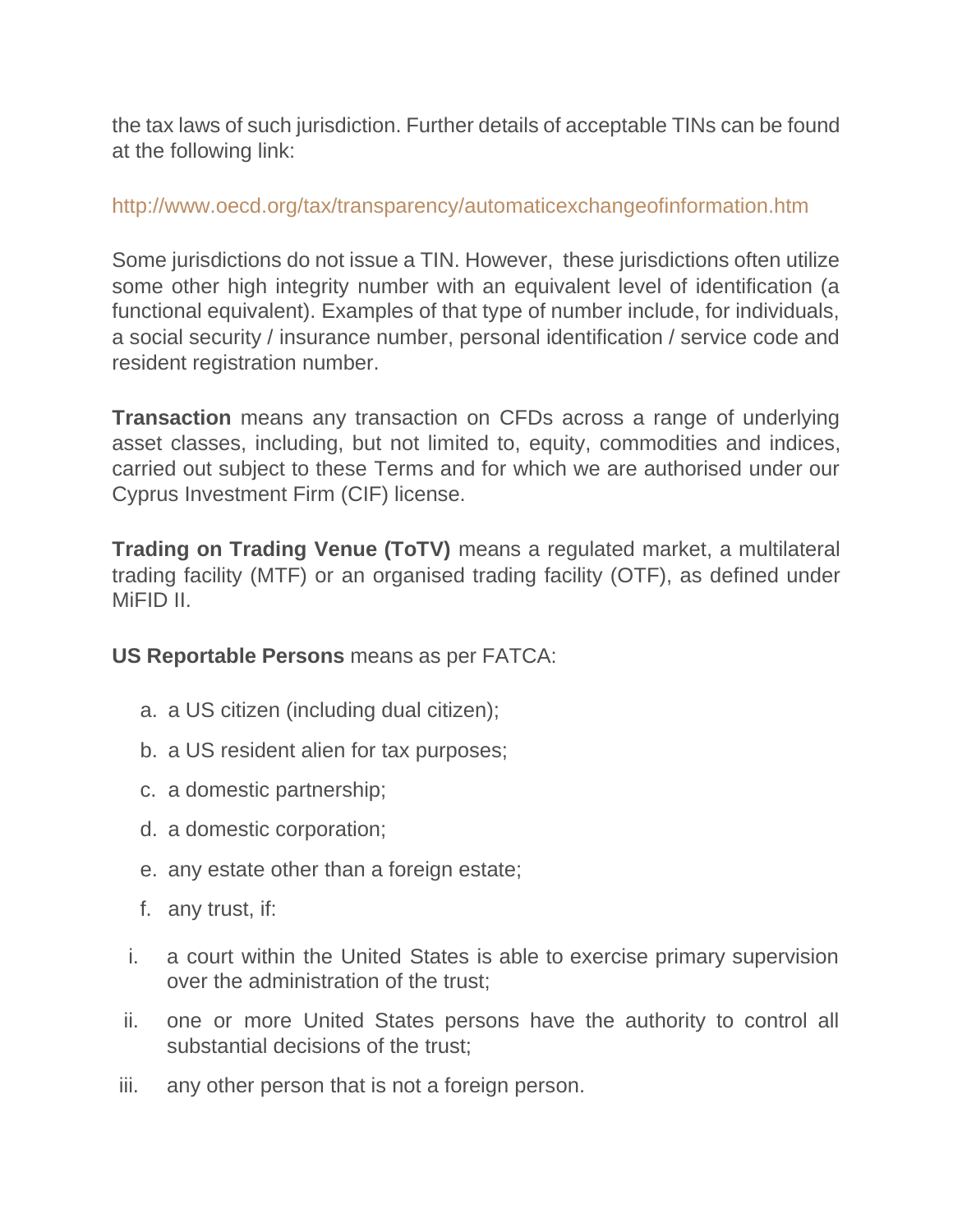the tax laws of such jurisdiction. Further details of acceptable TINs can be found at the following link:

#### <http://www.oecd.org/tax/transparency/automaticexchangeofinformation.htm>

Some jurisdictions do not issue a TIN. However, these jurisdictions often utilize some other high integrity number with an equivalent level of identification (a functional equivalent). Examples of that type of number include, for individuals, a social security / insurance number, personal identification / service code and resident registration number.

**Transaction** means any transaction on CFDs across a range of underlying asset classes, including, but not limited to, equity, commodities and indices, carried out subject to these Terms and for which we are authorised under our Cyprus Investment Firm (CIF) license.

**Trading on Trading Venue (ToTV)** means a regulated market, a multilateral trading facility (MTF) or an organised trading facility (OTF), as defined under MiFID II.

#### **US Reportable Persons** means as per FATCA:

- a. a US citizen (including dual citizen);
- b. a US resident alien for tax purposes;
- c. a domestic partnership;
- d. a domestic corporation;
- e. any estate other than a foreign estate;
- f. any trust, if:
- i. a court within the United States is able to exercise primary supervision over the administration of the trust;
- ii. one or more United States persons have the authority to control all substantial decisions of the trust;
- iii. any other person that is not a foreign person.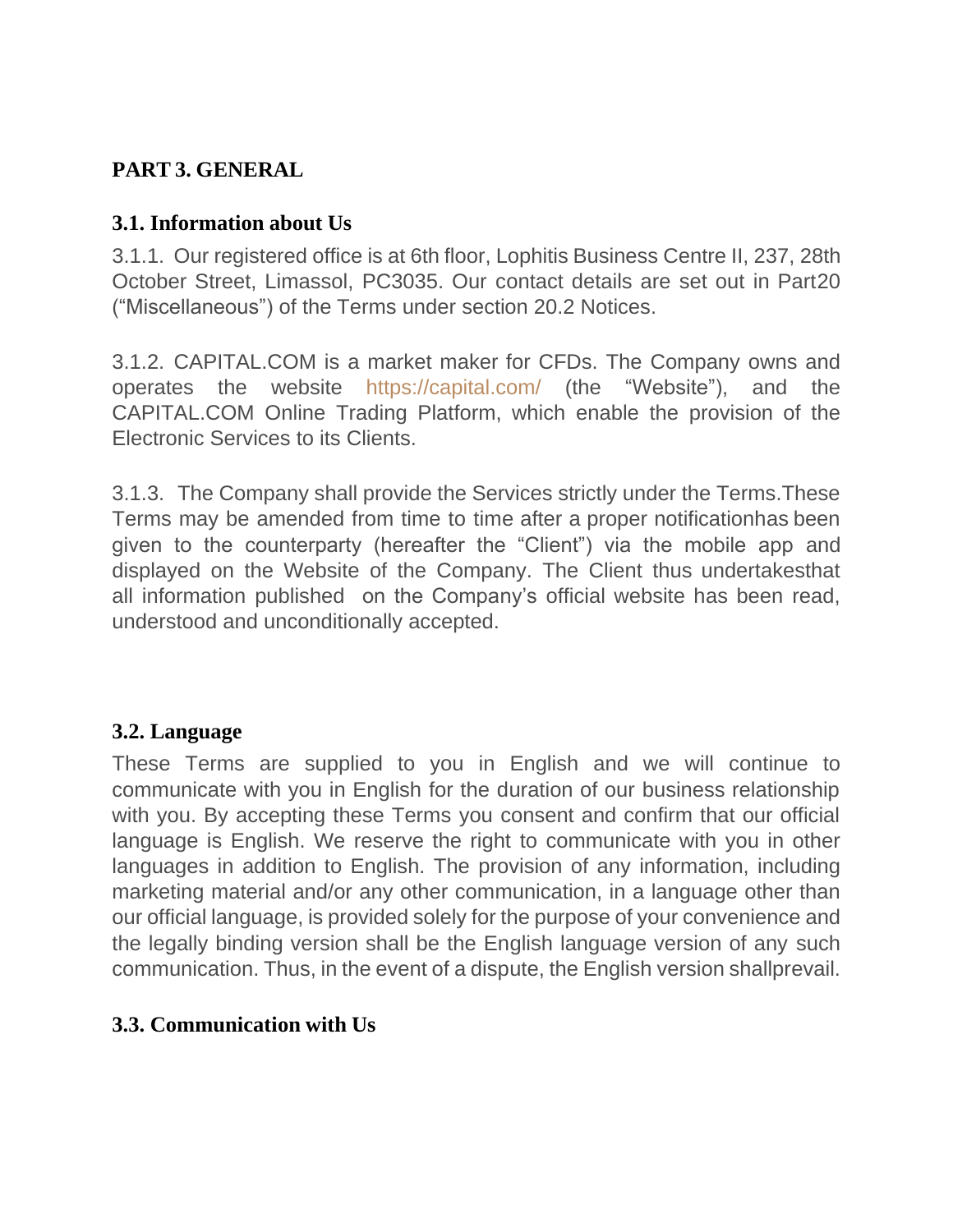# **PART 3. GENERAL**

#### **3.1. Information about Us**

3.1.1. Our registered office is at 6th floor, Lophitis Business Centre II, 237, 28th October Street, Limassol, PC3035. Our contact details are set out in Part20 ("Miscellaneous") of the Terms under section 20.2 Notices.

3.1.2. CAPITAL.COM is a market maker for CFDs. The Company owns and operates the website <https://capital.com/> (the "Website"), and the CAPITAL.COM Online Trading Platform, which enable the provision of the Electronic Services to its Clients.

3.1.3. The Company shall provide the Services strictly under the Terms.These Terms may be amended from time to time after a proper notificationhas been given to the counterparty (hereafter the "Client") via the mobile app and displayed on the Website of the Company. The Client thus undertakesthat all information published on the Company's official website has been read, understood and unconditionally accepted.

#### **3.2. Language**

These Terms are supplied to you in English and we will continue to communicate with you in English for the duration of our business relationship with you. By accepting these Terms you consent and confirm that our official language is English. We reserve the right to communicate with you in other languages in addition to English. The provision of any information, including marketing material and/or any other communication, in a language other than our official language, is provided solely for the purpose of your convenience and the legally binding version shall be the English language version of any such communication. Thus, in the event of a dispute, the English version shallprevail.

## **3.3. Communication with Us**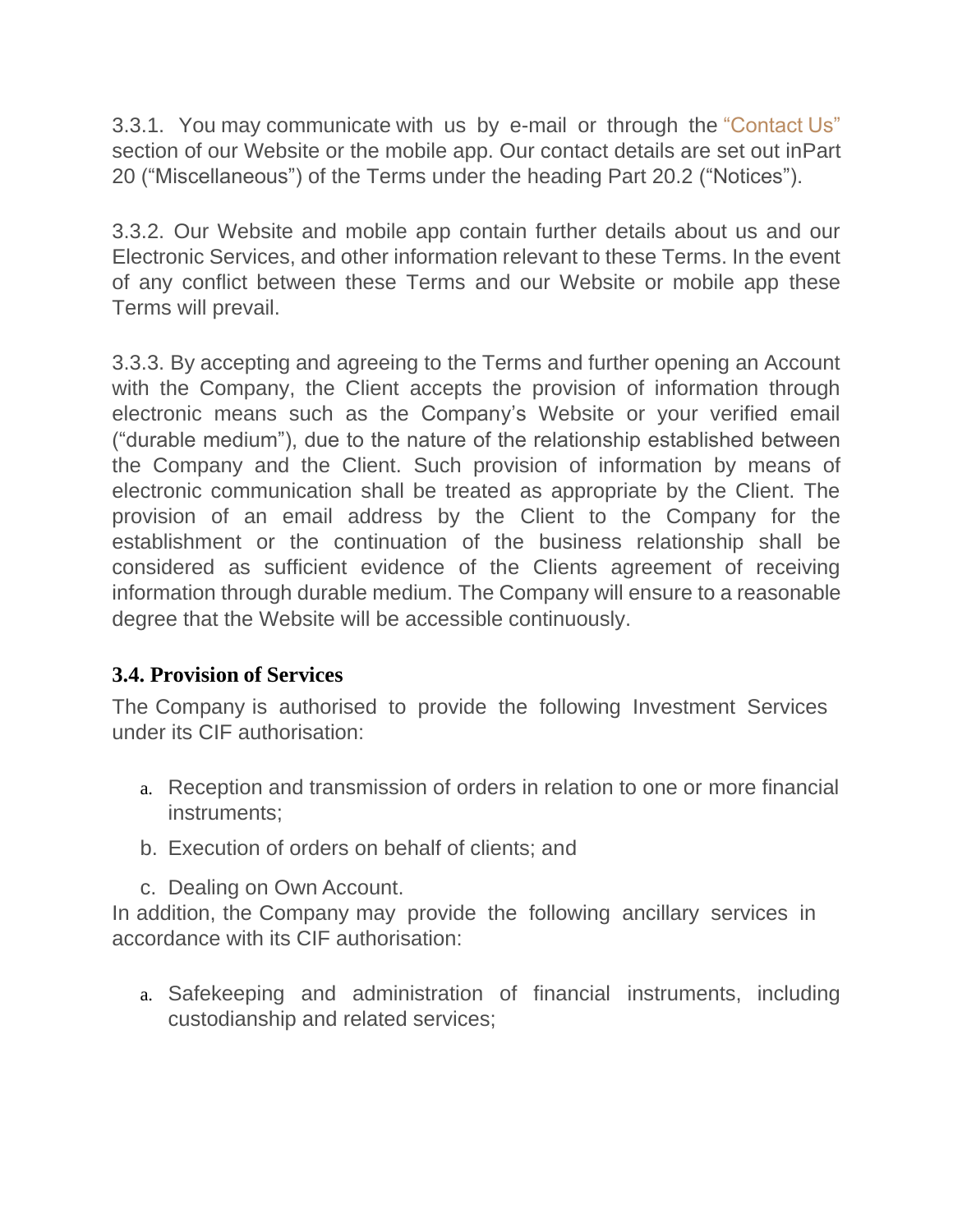3.3.1. You may communicate with us by e-mail or through the ["Contact](https://capital.com/contact-us) [Us"](https://capital.com/contact-us) section of our Website or the mobile app. Our contact details are set out inPart 20 ("Miscellaneous") of the Terms under the heading Part 20.2 ("Notices").

3.3.2. Our Website and mobile app contain further details about us and our Electronic Services, and other information relevant to these Terms. In the event of any conflict between these Terms and our Website or mobile app these Terms will prevail.

3.3.3. By accepting and agreeing to the Terms and further opening an Account with the Company, the Client accepts the provision of information through electronic means such as the Company's Website or your verified email ("durable medium"), due to the nature of the relationship established between the Company and the Client. Such provision of information by means of electronic communication shall be treated as appropriate by the Client. The provision of an email address by the Client to the Company for the establishment or the continuation of the business relationship shall be considered as sufficient evidence of the Clients agreement of receiving information through durable medium. The Company will ensure to a reasonable degree that the Website will be accessible continuously.

#### **3.4. Provision of Services**

The Company is authorised to provide the following Investment Services under its CIF authorisation:

- a. Reception and transmission of orders in relation to one or more financial instruments;
- b. Execution of orders on behalf of clients; and
- c. Dealing on Own Account.

In addition, the Company may provide the following ancillary services in accordance with its CIF authorisation:

a. Safekeeping and administration of financial instruments, including custodianship and related services;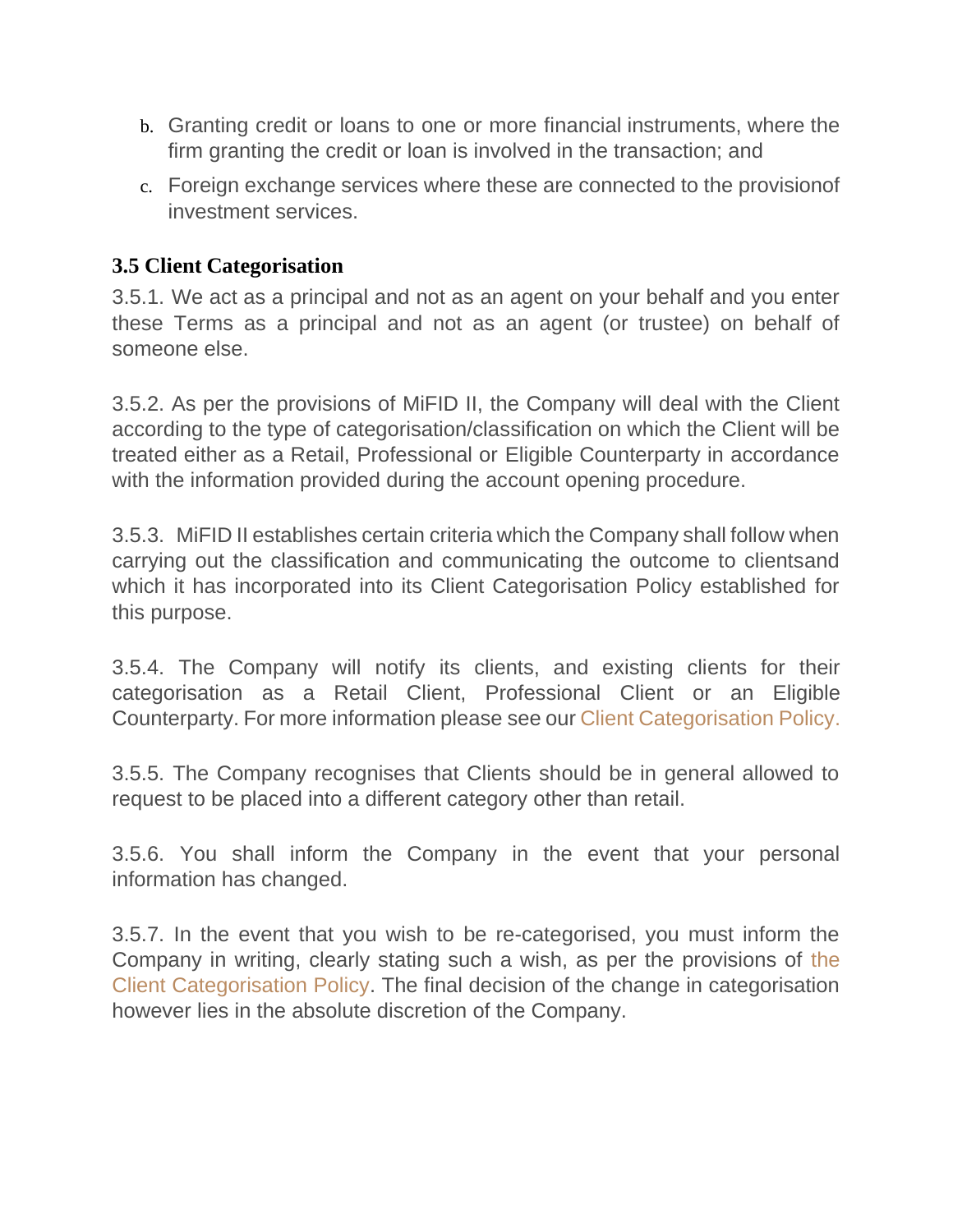- b. Granting credit or loans to one or more financial instruments, where the firm granting the credit or loan is involved in the transaction; and
- c. Foreign exchange services where these are connected to the provisionof investment services.

#### **3.5 Client Categorisation**

3.5.1. We act as a principal and not as an agent on your behalf and you enter these Terms as a principal and not as an agent (or trustee) on behalf of someone else.

3.5.2. As per the provisions of MiFID II, the Company will deal with the Client according to the type of categorisation/classification on which the Client will be treated either as a Retail, Professional or Eligible Counterparty in accordance with the information provided during the account opening procedure.

3.5.3. MiFID II establishes certain criteria which the Company shall follow when carrying out the classification and communicating the outcome to clientsand which it has incorporated into its Client Categorisation Policy established for this purpose.

3.5.4. The Company will notify its clients, and existing clients for their categorisation as a Retail Client, Professional Client or an Eligible Counterparty. For more information please see our Client [Categorisation](https://capital.com/customer-categorisation-policy) [Policy.](https://capital.com/customer-categorisation-policy)

3.5.5. The Company recognises that Clients should be in general allowed to request to be placed into a different category other than retail.

3.5.6. You shall inform the Company in the event that your personal information has changed.

3.5.7. In the event that you wish to be re-categorised, you must inform the Company in writing, clearly stating such a wish, as per the provisions of the [Client Categorisation Policy.](https://trade.capital.com/docs/client_categorisation_policy_v6_cysec_capital_com.pdf) The final decision of the change in categorisation however lies in the absolute discretion of the Company.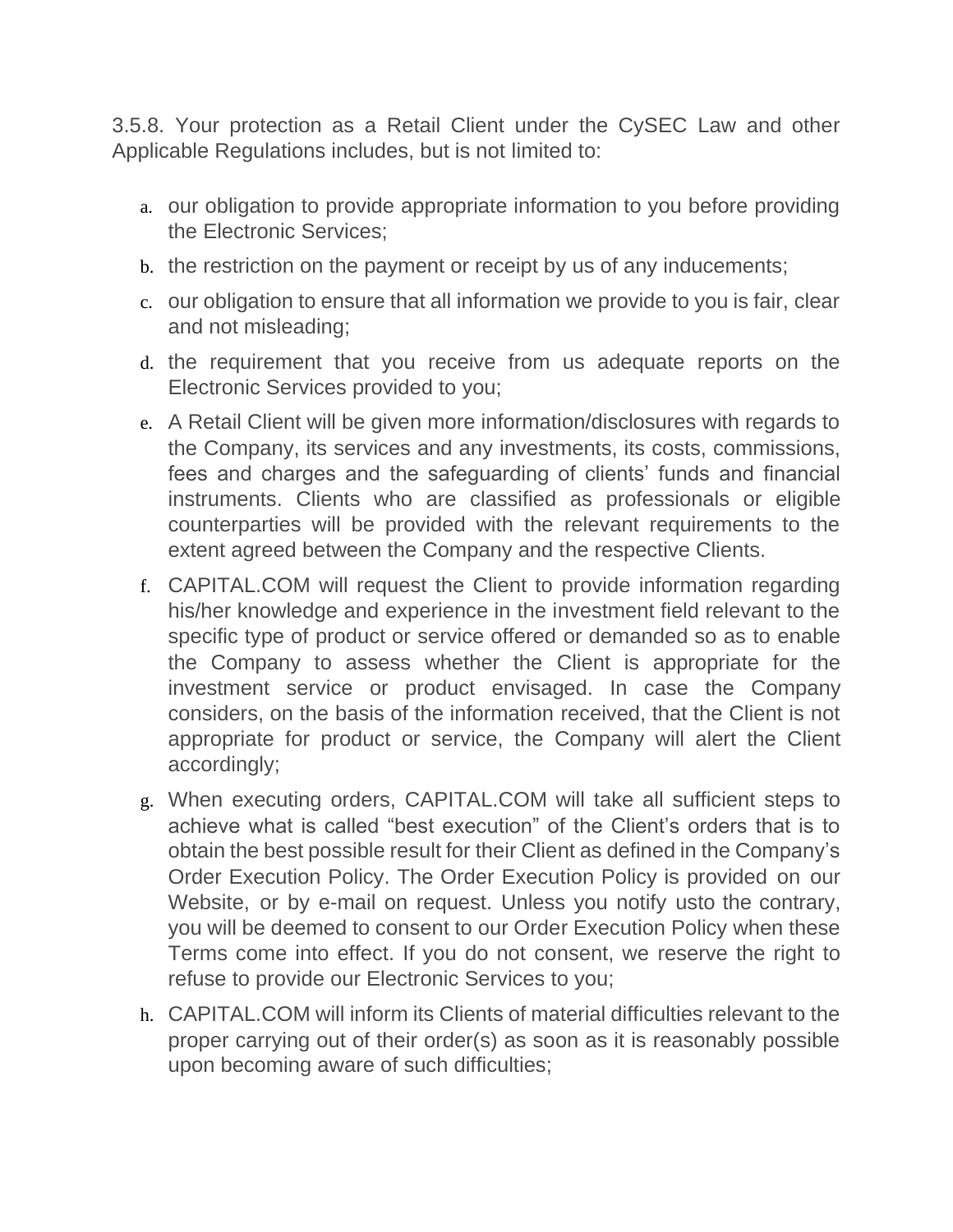3.5.8. Your protection as a Retail Client under the CySEC Law and other Applicable Regulations includes, but is not limited to:

- a. our obligation to provide appropriate information to you before providing the Electronic Services;
- b. the restriction on the payment or receipt by us of any inducements;
- c. our obligation to ensure that all information we provide to you is fair, clear and not misleading;
- d. the requirement that you receive from us adequate reports on the Electronic Services provided to you;
- e. A Retail Client will be given more information/disclosures with regards to the Company, its services and any investments, its costs, commissions, fees and charges and the safeguarding of clients' funds and financial instruments. Clients who are classified as professionals or eligible counterparties will be provided with the relevant requirements to the extent agreed between the Company and the respective Clients.
- f. CAPITAL.COM will request the Client to provide information regarding his/her knowledge and experience in the investment field relevant to the specific type of product or service offered or demanded so as to enable the Company to assess whether the Client is appropriate for the investment service or product envisaged. In case the Company considers, on the basis of the information received, that the Client is not appropriate for product or service, the Company will alert the Client accordingly;
- g. When executing orders, CAPITAL.COM will take all sufficient steps to achieve what is called "best execution" of the Client's orders that is to obtain the best possible result for their Client as defined in the Company's Order [Execution](https://capital.com/order-execution-policy) Policy. The Order Execution Policy is provided on our Website, or by e-mail on request. Unless you notify usto the contrary, you will be deemed to consent to our Order Execution Policy when these Terms come into effect. If you do not consent, we reserve the right to refuse to provide our Electronic Services to you;
- h. CAPITAL.COM will inform its Clients of material difficulties relevant to the proper carrying out of their order(s) as soon as it is reasonably possible upon becoming aware of such difficulties;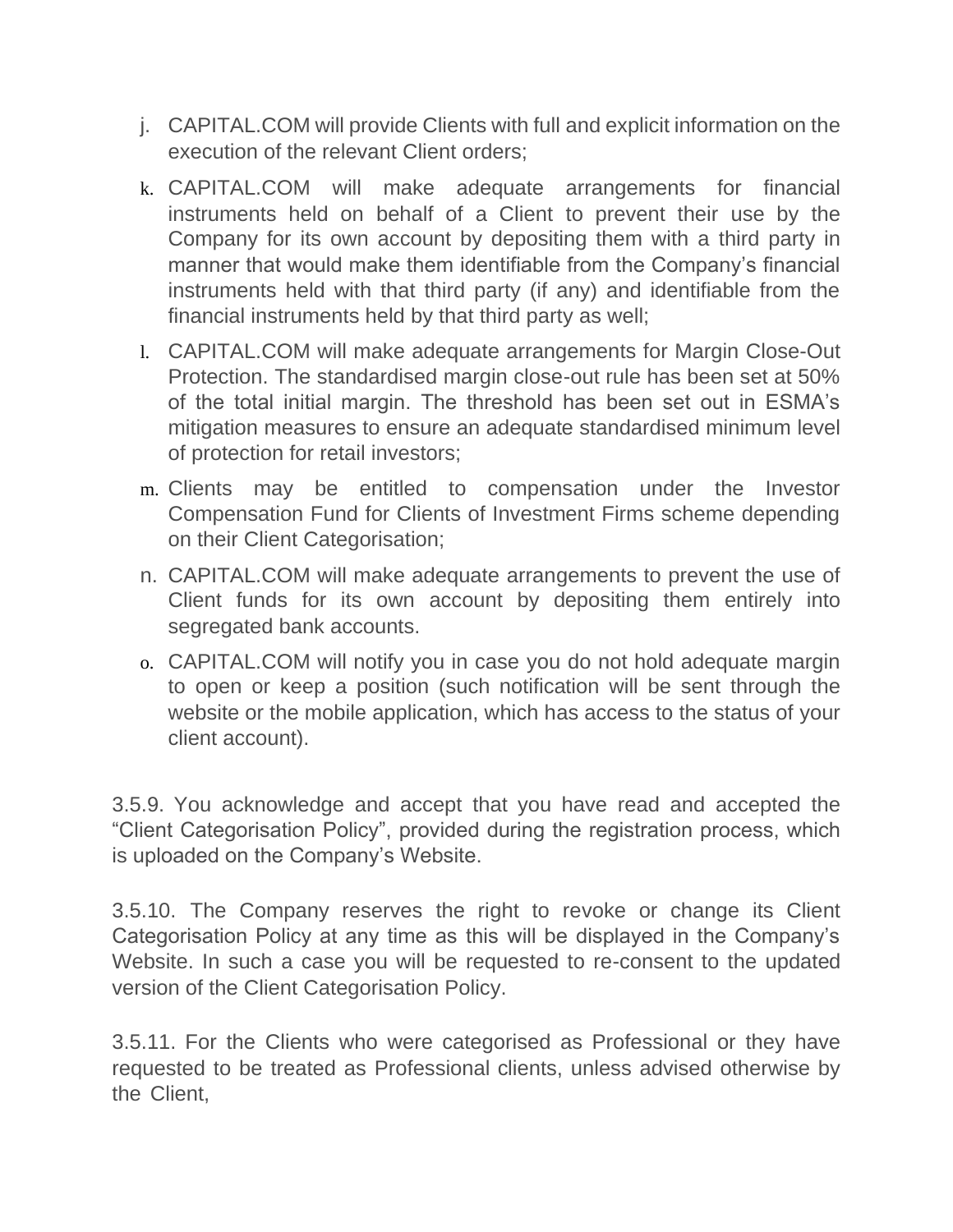- j. CAPITAL.COM will provide Clients with full and explicit information on the execution of the relevant Client orders;
- k. CAPITAL.COM will make adequate arrangements for financial instruments held on behalf of a Client to prevent their use by the Company for its own account by depositing them with a third party in manner that would make them identifiable from the Company's financial instruments held with that third party (if any) and identifiable from the financial instruments held by that third party as well;
- l. CAPITAL.COM will make adequate arrangements for Margin Close-Out Protection. The standardised margin close-out rule has been set at 50% of the total initial margin. The threshold has been set out in ESMA's mitigation measures to ensure an adequate standardised minimum level of protection for retail investors;
- m. Clients may be entitled to compensation under the Investor Compensation Fund for Clients of Investment Firms scheme depending on their Client Categorisation;
- n. CAPITAL.COM will make adequate arrangements to prevent the use of Client funds for its own account by depositing them entirely into segregated bank accounts.
- o. CAPITAL.COM will notify you in case you do not hold adequate margin to open or keep a position (such notification will be sent through the website or the mobile application, which has access to the status of your client account).

3.5.9. You acknowledge and accept that you have read and accepted the "Client Categorisation Policy", provided during the registration process, which is uploaded on the Company's Website.

3.5.10. The Company reserves the right to revoke or change its Client Categorisation Policy at any time as this will be displayed in the Company's Website. In such a case you will be requested to re-consent to the updated version of the Client Categorisation Policy.

3.5.11. For the Clients who were categorised as Professional or they have requested to be treated as Professional clients, unless advised otherwise by the Client,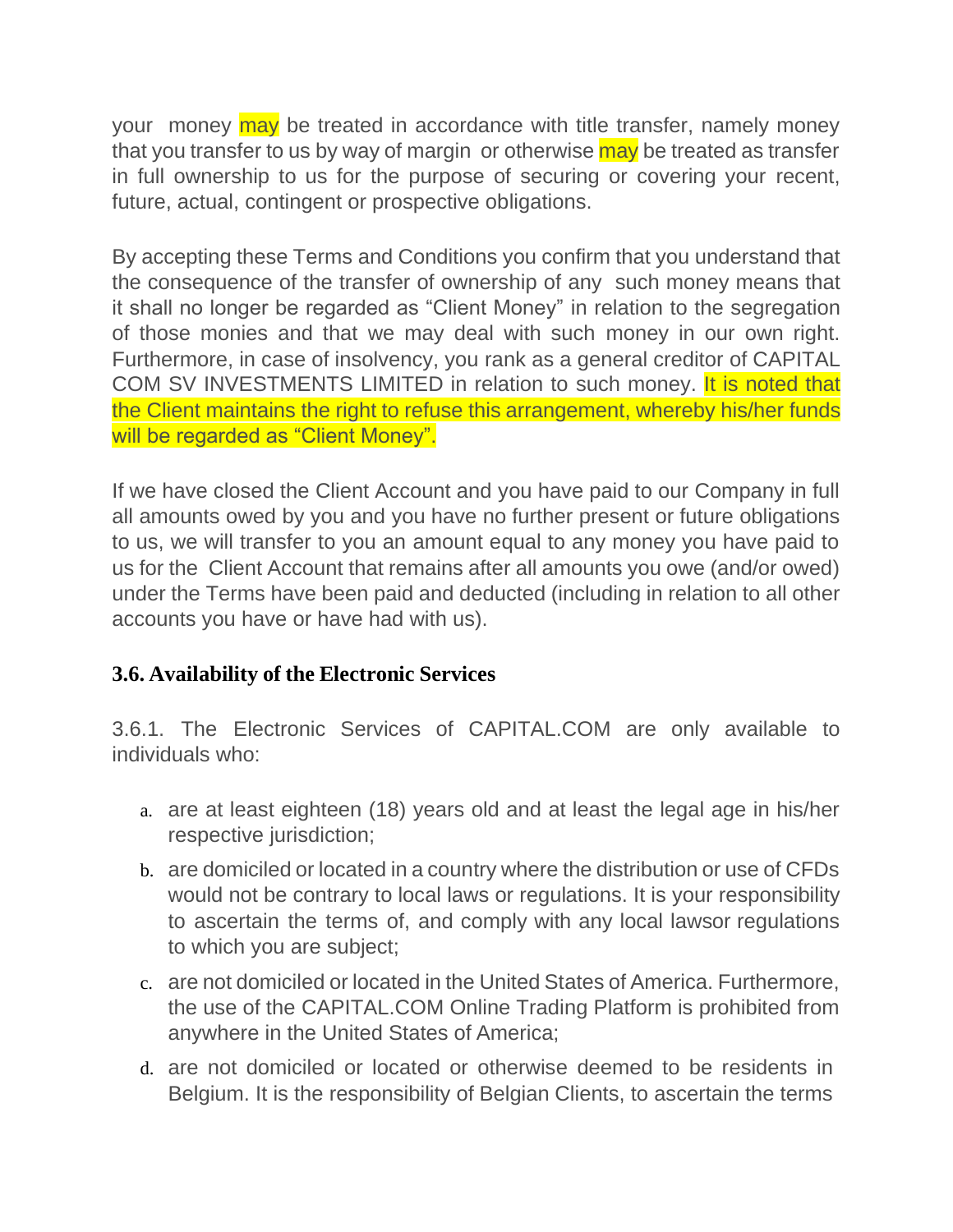your money may be treated in accordance with title transfer, namely money that you transfer to us by way of margin or otherwise may be treated as transfer in full ownership to us for the purpose of securing or covering your recent, future, actual, contingent or prospective obligations.

By accepting these Terms and Conditions you confirm that you understand that the consequence of the transfer of ownership of any such money means that it shall no longer be regarded as "Client Money" in relation to the segregation of those monies and that we may deal with such money in our own right. Furthermore, in case of insolvency, you rank as a general creditor of CAPITAL COM SV INVESTMENTS LIMITED in relation to such money. It is noted that the Client maintains the right to refuse this arrangement, whereby his/her funds will be regarded as "Client Money".

If we have closed the Client Account and you have paid to our Company in full all amounts owed by you and you have no further present or future obligations to us, we will transfer to you an amount equal to any money you have paid to us for the Client Account that remains after all amounts you owe (and/or owed) under the Terms have been paid and deducted (including in relation to all other accounts you have or have had with us).

## **3.6. Availability of the Electronic Services**

3.6.1. The Electronic Services of CAPITAL.COM are only available to individuals who:

- a. are at least eighteen (18) years old and at least the legal age in his/her respective jurisdiction;
- b. are domiciled or located in a country where the distribution or use of CFDs would not be contrary to local laws or regulations. It is your responsibility to ascertain the terms of, and comply with any local lawsor regulations to which you are subject;
- c. are not domiciled or located in the United States of America. Furthermore, the use of the CAPITAL.COM Online Trading Platform is prohibited from anywhere in the United States of America;
- d. are not domiciled or located or otherwise deemed to be residents in Belgium. It is the responsibility of Belgian Clients, to ascertain the terms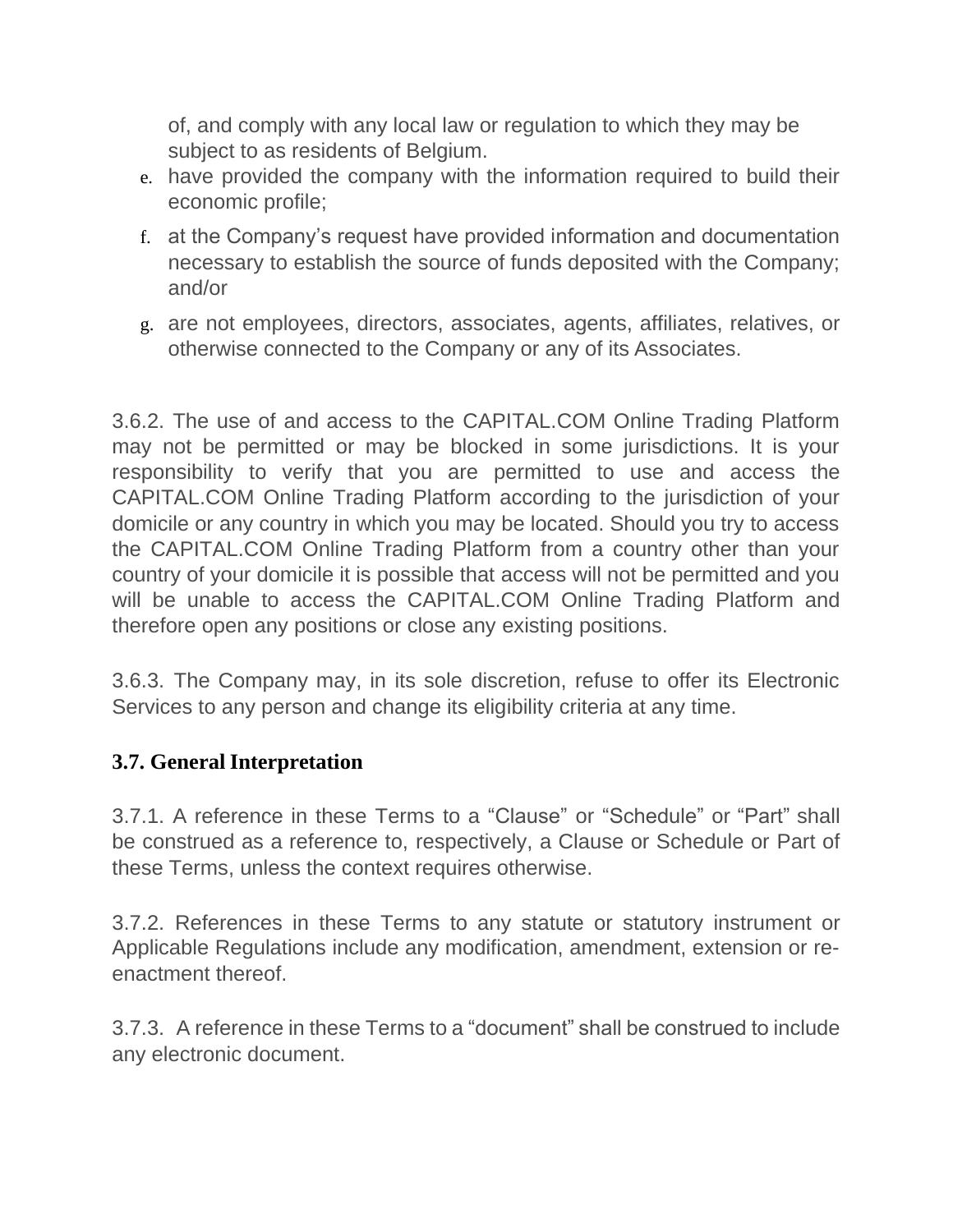of, and comply with any local law or regulation to which they may be subject to as residents of Belgium.

- e. have provided the company with the information required to build their economic profile;
- f. at the Company's request have provided information and documentation necessary to establish the source of funds deposited with the Company; and/or
- g. are not employees, directors, associates, agents, affiliates, relatives, or otherwise connected to the Company or any of its Associates.

3.6.2. The use of and access to the CAPITAL.COM Online Trading Platform may not be permitted or may be blocked in some jurisdictions. It is your responsibility to verify that you are permitted to use and access the CAPITAL.COM Online Trading Platform according to the jurisdiction of your domicile or any country in which you may be located. Should you try to access the CAPITAL.COM Online Trading Platform from a country other than your country of your domicile it is possible that access will not be permitted and you will be unable to access the CAPITAL.COM Online Trading Platform and therefore open any positions or close any existing positions.

3.6.3. The Company may, in its sole discretion, refuse to offer its Electronic Services to any person and change its eligibility criteria at any time.

#### **3.7. General Interpretation**

3.7.1. A reference in these Terms to a "Clause" or "Schedule" or "Part" shall be construed as a reference to, respectively, a Clause or Schedule or Part of these Terms, unless the context requires otherwise.

3.7.2. References in these Terms to any statute or statutory instrument or Applicable Regulations include any modification, amendment, extension or reenactment thereof.

3.7.3. A reference in these Terms to a "document" shall be construed to include any electronic document.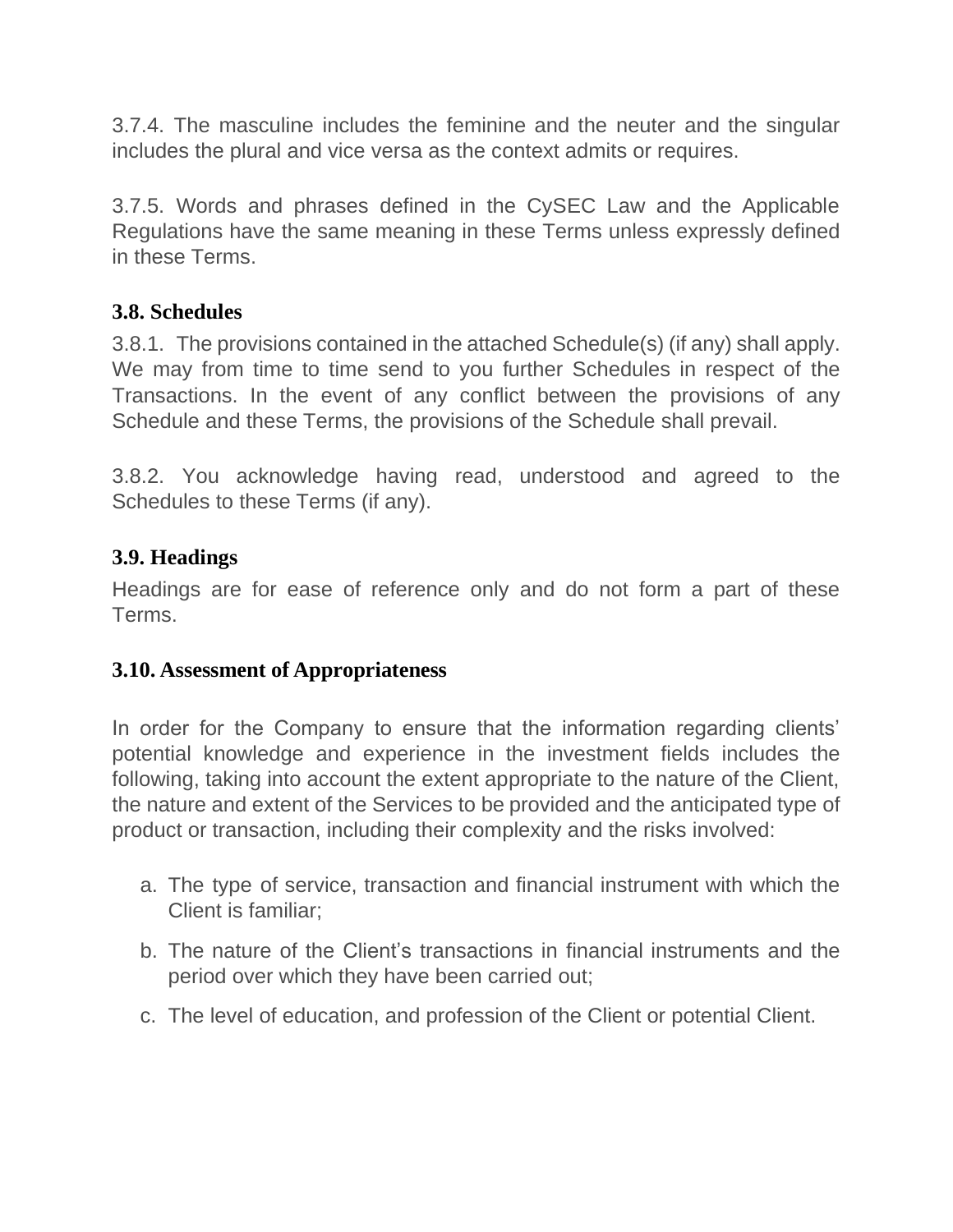3.7.4. The masculine includes the feminine and the neuter and the singular includes the plural and vice versa as the context admits or requires.

3.7.5. Words and phrases defined in the CySEC Law and the Applicable Regulations have the same meaning in these Terms unless expressly defined in these Terms.

#### **3.8. Schedules**

3.8.1. The provisions contained in the attached Schedule(s) (if any) shall apply. We may from time to time send to you further Schedules in respect of the Transactions. In the event of any conflict between the provisions of any Schedule and these Terms, the provisions of the Schedule shall prevail.

3.8.2. You acknowledge having read, understood and agreed to the Schedules to these Terms (if any).

#### **3.9. Headings**

Headings are for ease of reference only and do not form a part of these Terms.

#### **3.10. Assessment of Appropriateness**

In order for the Company to ensure that the information regarding clients' potential knowledge and experience in the investment fields includes the following, taking into account the extent appropriate to the nature of the Client, the nature and extent of the Services to be provided and the anticipated type of product or transaction, including their complexity and the risks involved:

- a. The type of service, transaction and financial instrument with which the Client is familiar;
- b. The nature of the Client's transactions in financial instruments and the period over which they have been carried out;
- c. The level of education, and profession of the Client or potential Client.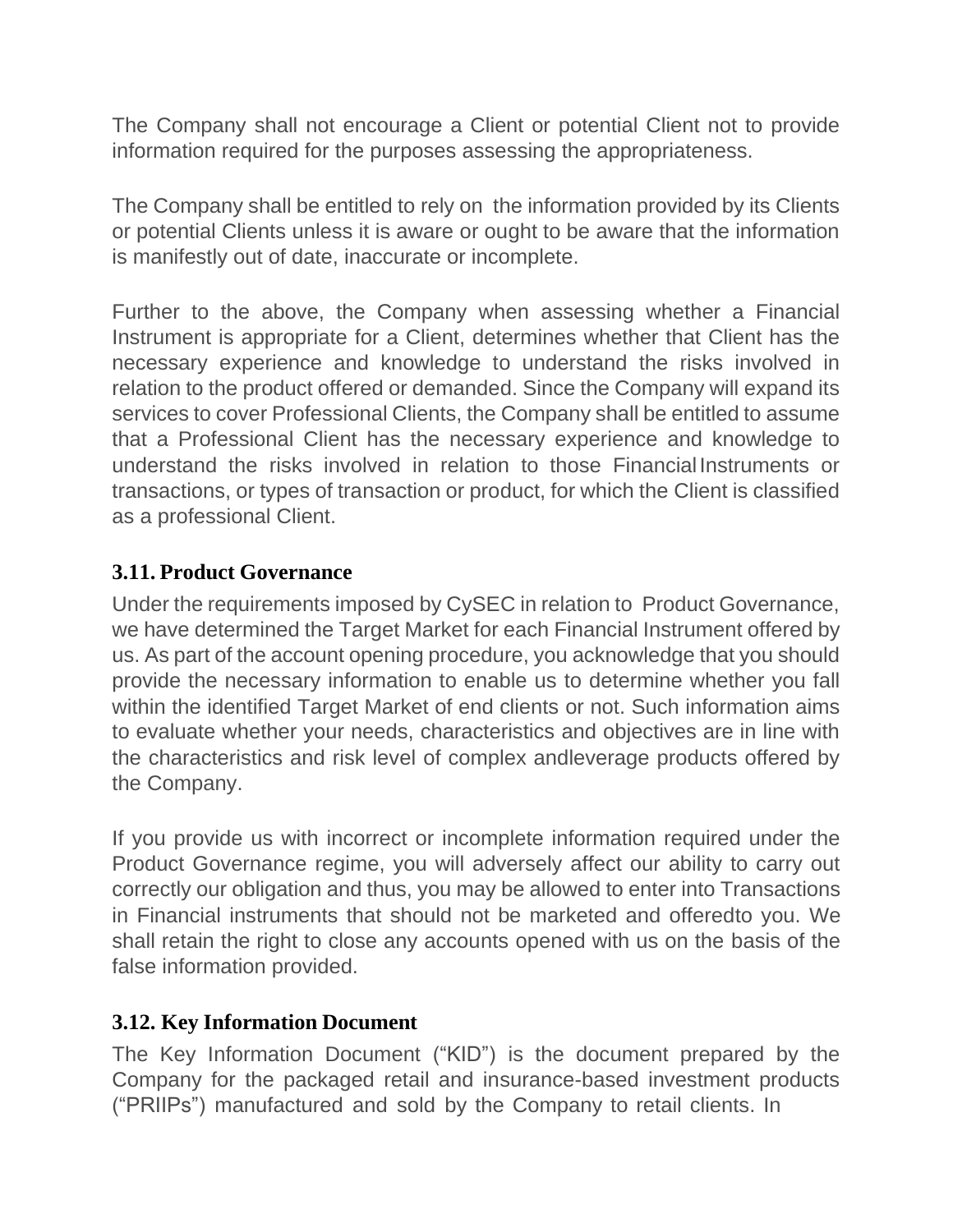The Company shall not encourage a Client or potential Client not to provide information required for the purposes assessing the appropriateness.

The Company shall be entitled to rely on the information provided by its Clients or potential Clients unless it is aware or ought to be aware that the information is manifestly out of date, inaccurate or incomplete.

Further to the above, the Company when assessing whether a Financial Instrument is appropriate for a Client, determines whether that Client has the necessary experience and knowledge to understand the risks involved in relation to the product offered or demanded. Since the Company will expand its services to cover Professional Clients, the Company shall be entitled to assume that a Professional Client has the necessary experience and knowledge to understand the risks involved in relation to those FinancialInstruments or transactions, or types of transaction or product, for which the Client is classified as a professional Client.

# **3.11. Product Governance**

Under the requirements imposed by CySEC in relation to Product Governance, we have determined the Target Market for each Financial Instrument offered by us. As part of the account opening procedure, you acknowledge that you should provide the necessary information to enable us to determine whether you fall within the identified Target Market of end clients or not. Such information aims to evaluate whether your needs, characteristics and objectives are in line with the characteristics and risk level of complex andleverage products offered by the Company.

If you provide us with incorrect or incomplete information required under the Product Governance regime, you will adversely affect our ability to carry out correctly our obligation and thus, you may be allowed to enter into Transactions in Financial instruments that should not be marketed and offeredto you. We shall retain the right to close any accounts opened with us on the basis of the false information provided.

## **3.12. Key Information Document**

The Key Information Document ("KID") is the document prepared by the Company for the packaged retail and insurance-based investment products ("PRIIPs") manufactured and sold by the Company to retail clients. In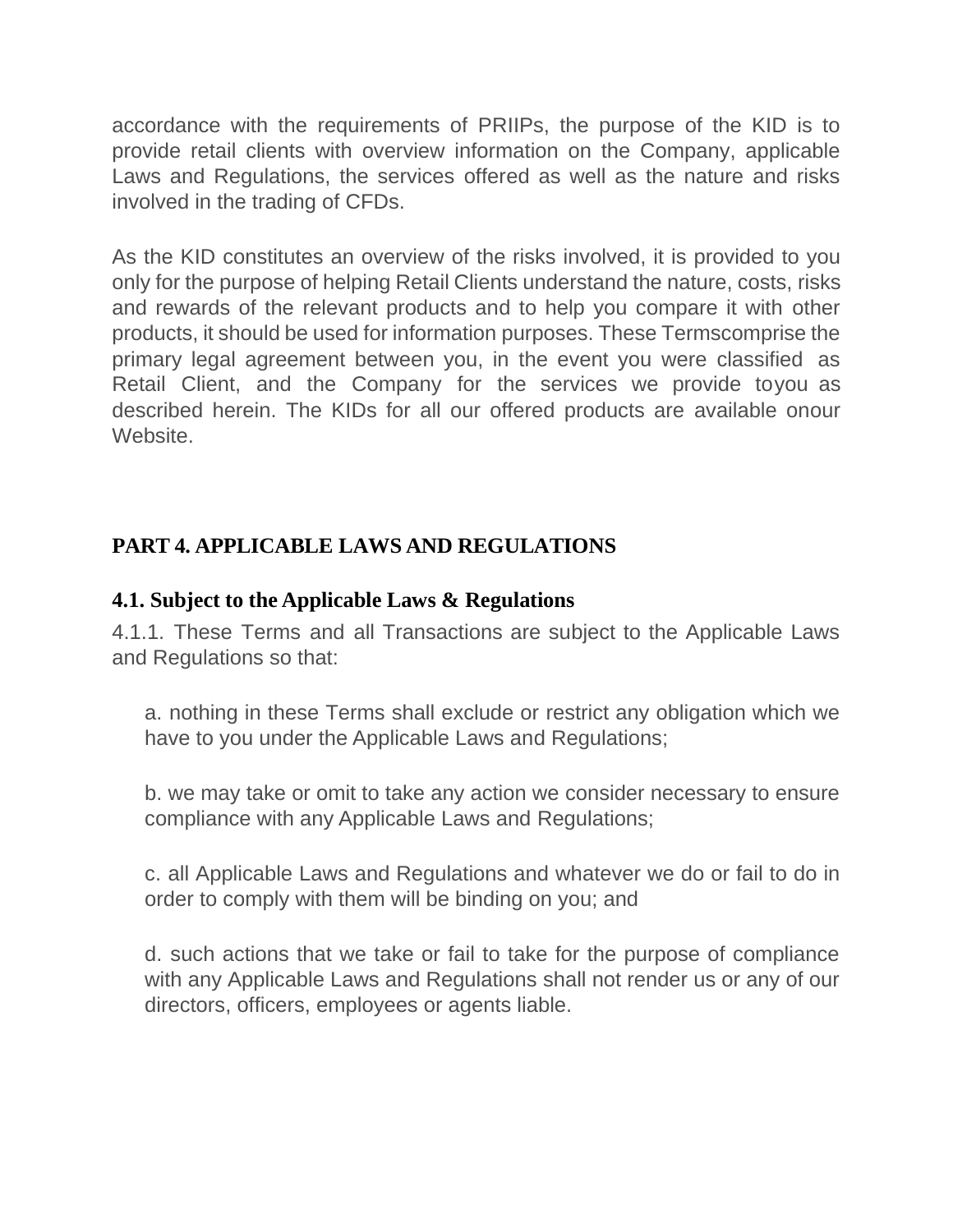accordance with the requirements of PRIIPs, the purpose of the KID is to provide retail clients with overview information on the Company, applicable Laws and Regulations, the services offered as well as the nature and risks involved in the trading of CFDs.

As the KID constitutes an overview of the risks involved, it is provided to you only for the purpose of helping Retail Clients understand the nature, costs, risks and rewards of the relevant products and to help you compare it with other products, it should be used for information purposes. These Termscomprise the primary legal agreement between you, in the event you were classified as Retail Client, and the Company for the services we provide toyou as described herein. The KIDs for all our offered products are available onour Website.

## **PART 4. APPLICABLE LAWS AND REGULATIONS**

#### **4.1. Subject to the Applicable Laws & Regulations**

4.1.1. These Terms and all Transactions are subject to the Applicable Laws and Regulations so that:

a. nothing in these Terms shall exclude or restrict any obligation which we have to you under the Applicable Laws and Regulations;

b. we may take or omit to take any action we consider necessary to ensure compliance with any Applicable Laws and Regulations;

c. all Applicable Laws and Regulations and whatever we do or fail to do in order to comply with them will be binding on you; and

d. such actions that we take or fail to take for the purpose of compliance with any Applicable Laws and Regulations shall not render us or any of our directors, officers, employees or agents liable.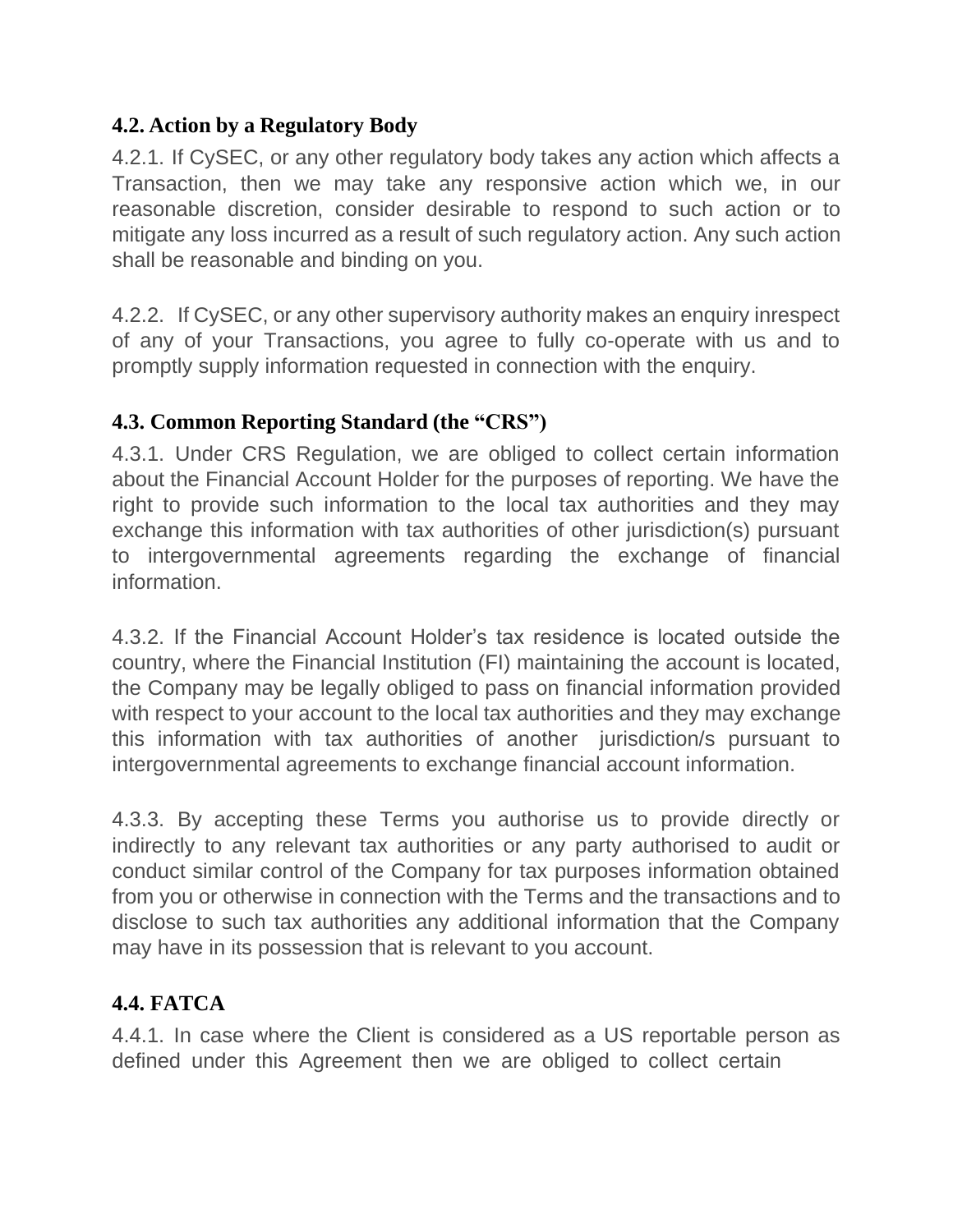## **4.2. Action by a Regulatory Body**

4.2.1. If CySEC, or any other regulatory body takes any action which affects a Transaction, then we may take any responsive action which we, in our reasonable discretion, consider desirable to respond to such action or to mitigate any loss incurred as a result of such regulatory action. Any such action shall be reasonable and binding on you.

4.2.2. If CySEC, or any other supervisory authority makes an enquiry inrespect of any of your Transactions, you agree to fully co-operate with us and to promptly supply information requested in connection with the enquiry.

# **4.3. Common Reporting Standard (the "CRS")**

4.3.1. Under CRS Regulation, we are obliged to collect certain information about the Financial Account Holder for the purposes of reporting. We have the right to provide such information to the local tax authorities and they may exchange this information with tax authorities of other jurisdiction(s) pursuant to intergovernmental agreements regarding the exchange of financial information.

4.3.2. If the Financial Account Holder's tax residence is located outside the country, where the Financial Institution (FI) maintaining the account is located, the Company may be legally obliged to pass on financial information provided with respect to your account to the local tax authorities and they may exchange this information with tax authorities of another jurisdiction/s pursuant to intergovernmental agreements to exchange financial account information.

4.3.3. By accepting these Terms you authorise us to provide directly or indirectly to any relevant tax authorities or any party authorised to audit or conduct similar control of the Company for tax purposes information obtained from you or otherwise in connection with the Terms and the transactions and to disclose to such tax authorities any additional information that the Company may have in its possession that is relevant to you account.

# **4.4. FATCA**

4.4.1. In case where the Client is considered as a US reportable person as defined under this Agreement then we are obliged to collect certain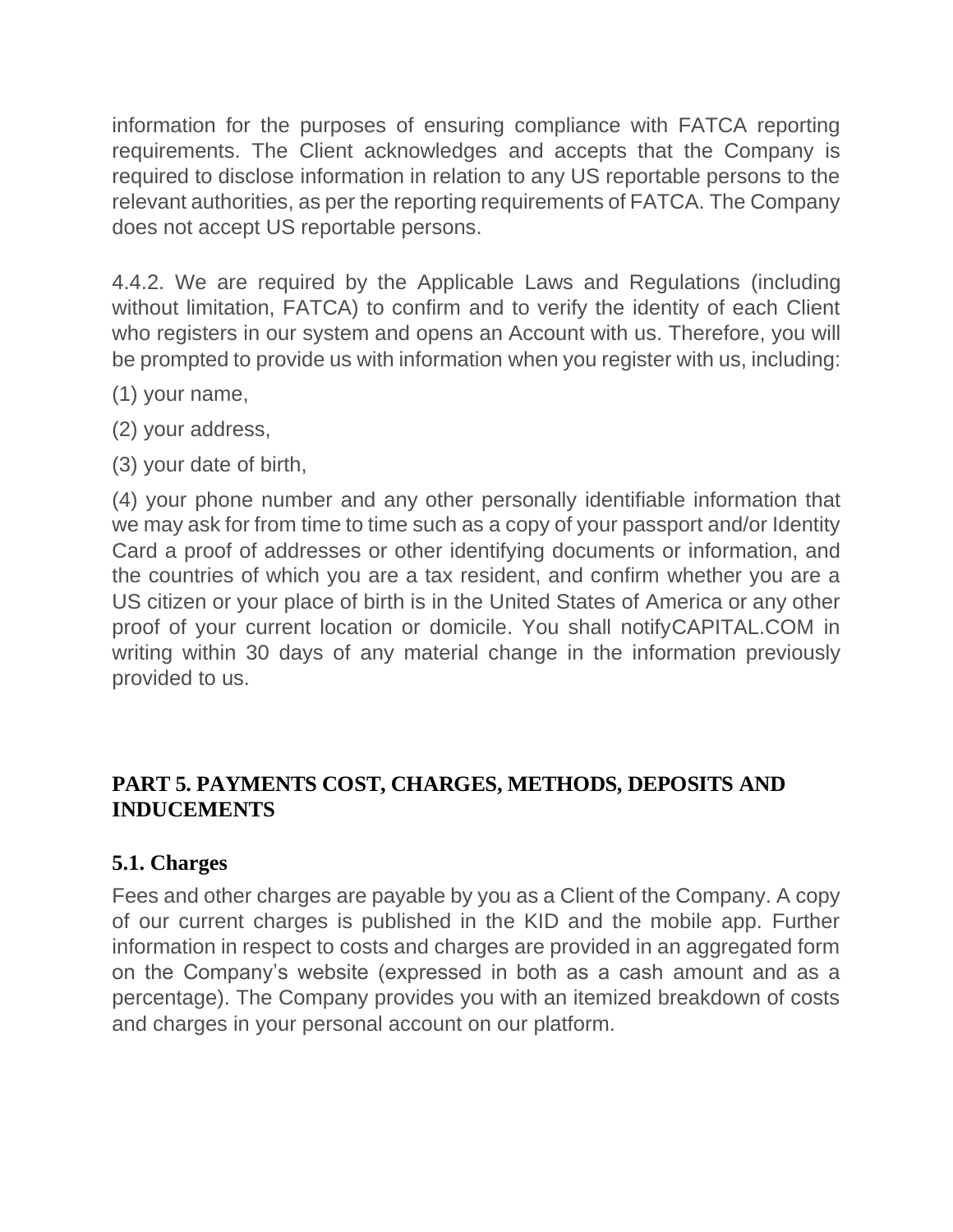information for the purposes of ensuring compliance with FATCA reporting requirements. The Client acknowledges and accepts that the Company is required to disclose information in relation to any US reportable persons to the relevant authorities, as per the reporting requirements of FATCA. The Company does not accept US reportable persons.

4.4.2. We are required by the Applicable Laws and Regulations (including without limitation, FATCA) to confirm and to verify the identity of each Client who registers in our system and opens an Account with us. Therefore, you will be prompted to provide us with information when you register with us, including:

- (1) your name,
- (2) your address,
- (3) your date of birth,

(4) your phone number and any other personally identifiable information that we may ask for from time to time such as a copy of your passport and/or Identity Card a proof of addresses or other identifying documents or information, and the countries of which you are a tax resident, and confirm whether you are a US citizen or your place of birth is in the United States of America or any other proof of your current location or domicile. You shall notifyCAPITAL.COM in writing within 30 days of any material change in the information previously provided to us.

#### **PART 5. PAYMENTS COST, CHARGES, METHODS, DEPOSITS AND INDUCEMENTS**

#### **5.1. Charges**

Fees and other charges are payable by you as a Client of the Company. A copy of our current charges is published in the KID and the mobile app. Further information in respect to costs and charges are provided in an aggregated form on the Company's website (expressed in both as a cash amount and as a percentage). The Company provides you with an itemized breakdown of costs and charges in your personal account on our platform.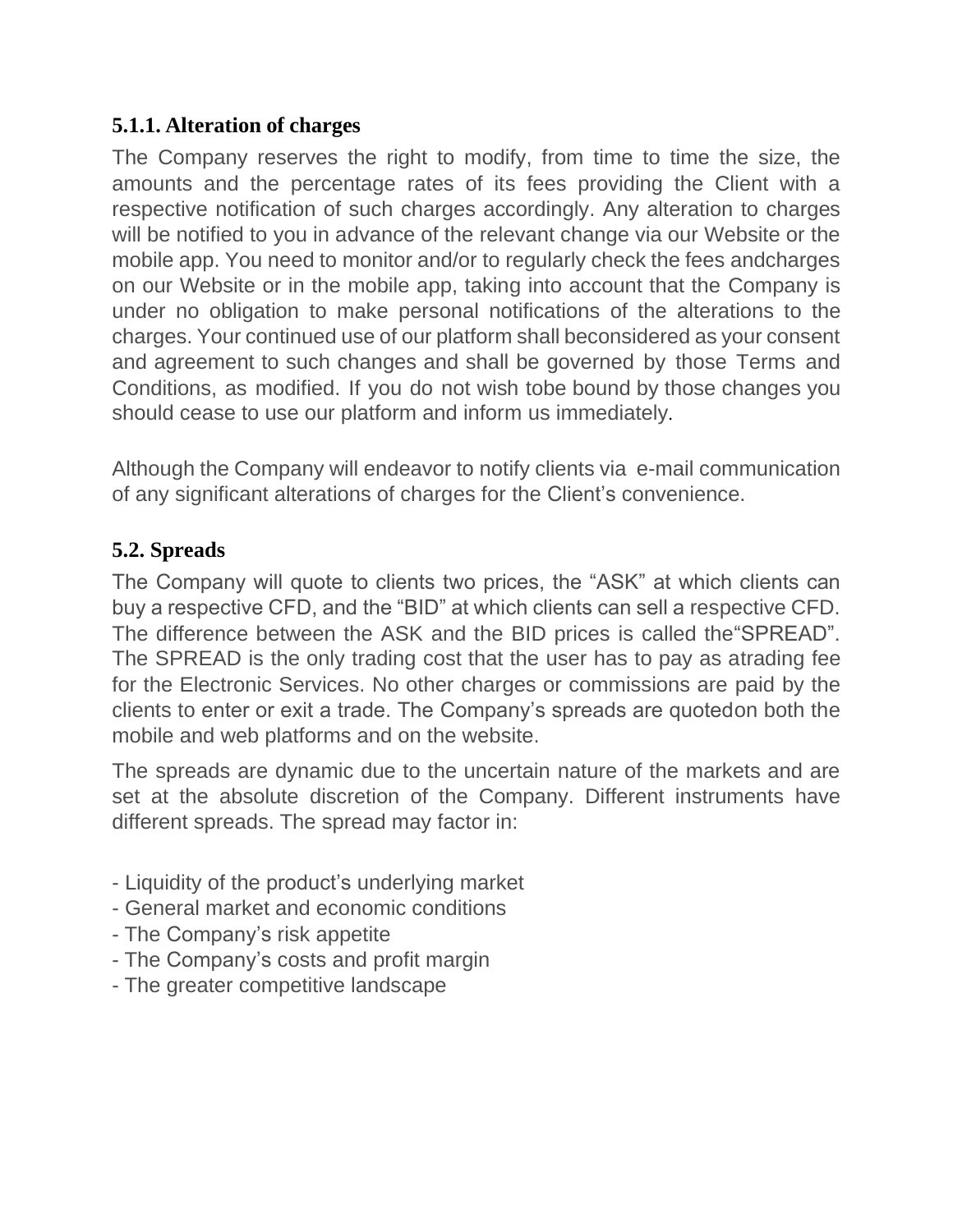### **5.1.1. Alteration of charges**

The Company reserves the right to modify, from time to time the size, the amounts and the percentage rates of its fees providing the Client with a respective notification of such charges accordingly. Any alteration to charges will be notified to you in advance of the relevant change via our Website or the mobile app. You need to monitor and/or to regularly check the fees andcharges on our Website or in the mobile app, taking into account that the Company is under no obligation to make personal notifications of the alterations to the charges. Your continued use of our platform shall beconsidered as your consent and agreement to such changes and shall be governed by those Terms and Conditions, as modified. If you do not wish tobe bound by those changes you should cease to use our platform and inform us immediately.

Although the Company will endeavor to notify clients via e-mail communication of any significant alterations of charges for the Client's convenience.

### **5.2. Spreads**

The Company will quote to clients two prices, the "ASK" at which clients can buy a respective CFD, and the "BID" at which clients can sell a respective CFD. The difference between the ASK and the BID prices is called the"SPREAD". The SPREAD is the only trading cost that the user has to pay as atrading fee for the Electronic Services. No other charges or commissions are paid by the clients to enter or exit a trade. The Company's spreads are quotedon both the mobile and web platforms and on the website.

The spreads are dynamic due to the uncertain nature of the markets and are set at the absolute discretion of the Company. Different instruments have different spreads. The spread may factor in:

- Liquidity of the product's underlying market
- General market and economic conditions
- The Company's risk appetite
- The Company's costs and profit margin
- The greater competitive landscape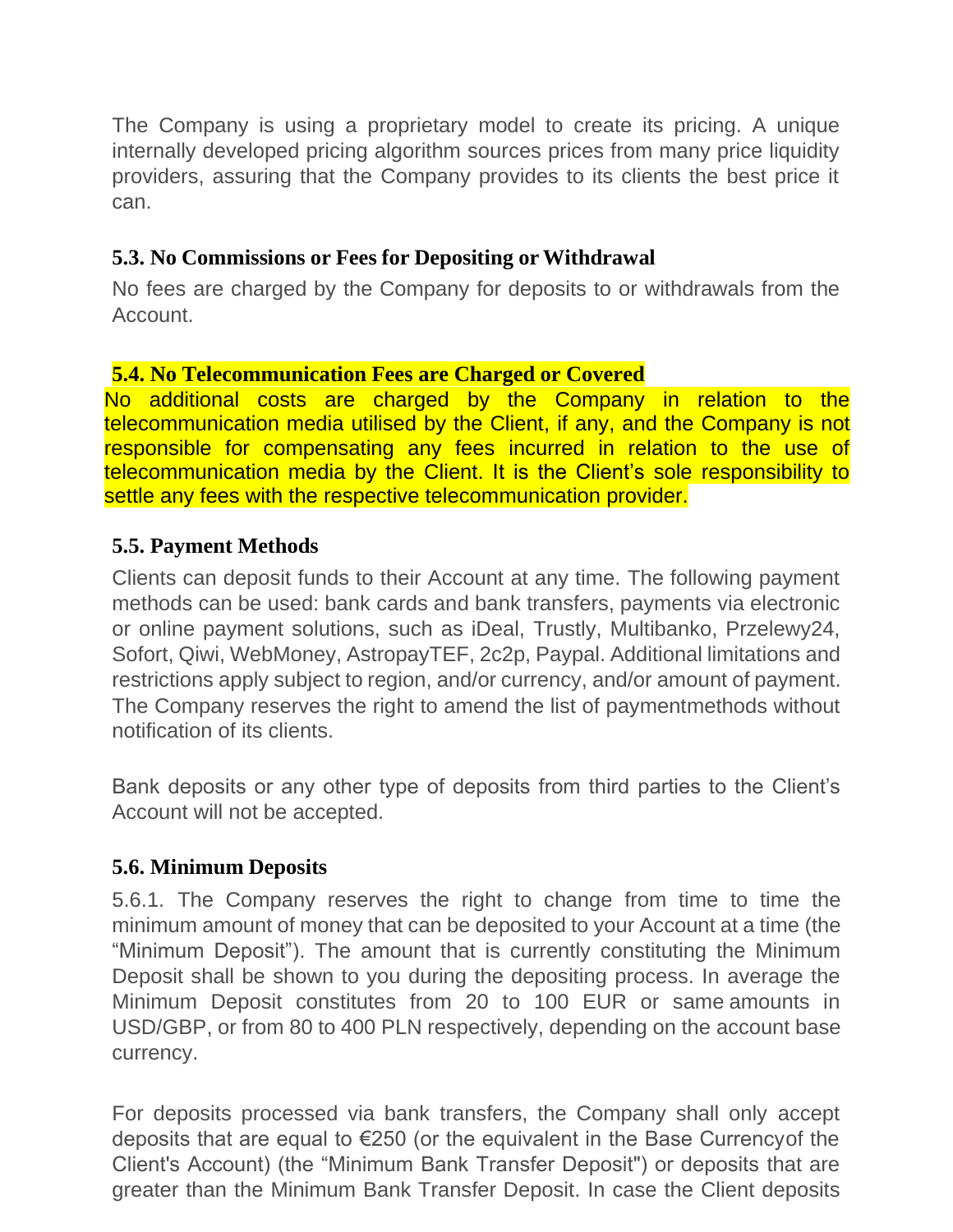The Company is using a proprietary model to create its pricing. A unique internally developed pricing algorithm sources prices from many price liquidity providers, assuring that the Company provides to its clients the best price it can.

#### **5.3. No Commissions or Fees for Depositing orWithdrawal**

No fees are charged by the Company for deposits to or withdrawals from the Account.

#### **5.4. No Telecommunication Fees are Charged or Covered**

No additional costs are charged by the Company in relation to the telecommunication media utilised by the Client, if any, and the Company is not responsible for compensating any fees incurred in relation to the use of telecommunication media by the Client. It is the Client's sole responsibility to settle any fees with the respective telecommunication provider.

### **5.5. Payment Methods**

Clients can deposit funds to their Account at any time. The following payment methods can be used: bank cards and bank transfers, payments via electronic or online payment solutions, such as iDeal, Trustly, Multibanko, Przelewy24, Sofort, Qiwi, WebMoney, AstropayTEF, 2c2p, Paypal. Additional limitations and restrictions apply subject to region, and/or currency, and/or amount of payment. The Company reserves the right to amend the list of paymentmethods without notification of its clients.

Bank deposits or any other type of deposits from third parties to the Client's Account will not be accepted.

#### **5.6. Minimum Deposits**

5.6.1. The Company reserves the right to change from time to time the minimum amount of money that can be deposited to your Account at a time (the "Minimum Deposit"). The amount that is currently constituting the Minimum Deposit shall be shown to you during the depositing process. In average the Minimum Deposit constitutes from 20 to 100 EUR or same amounts in USD/GBP, or from 80 to 400 PLN respectively, depending on the account base currency.

For deposits processed via bank transfers, the Company shall only accept deposits that are equal to €250 (or the equivalent in the Base Currencyof the Client's Account) (the "Minimum Bank Transfer Deposit") or deposits that are greater than the Minimum Bank Transfer Deposit. In case the Client deposits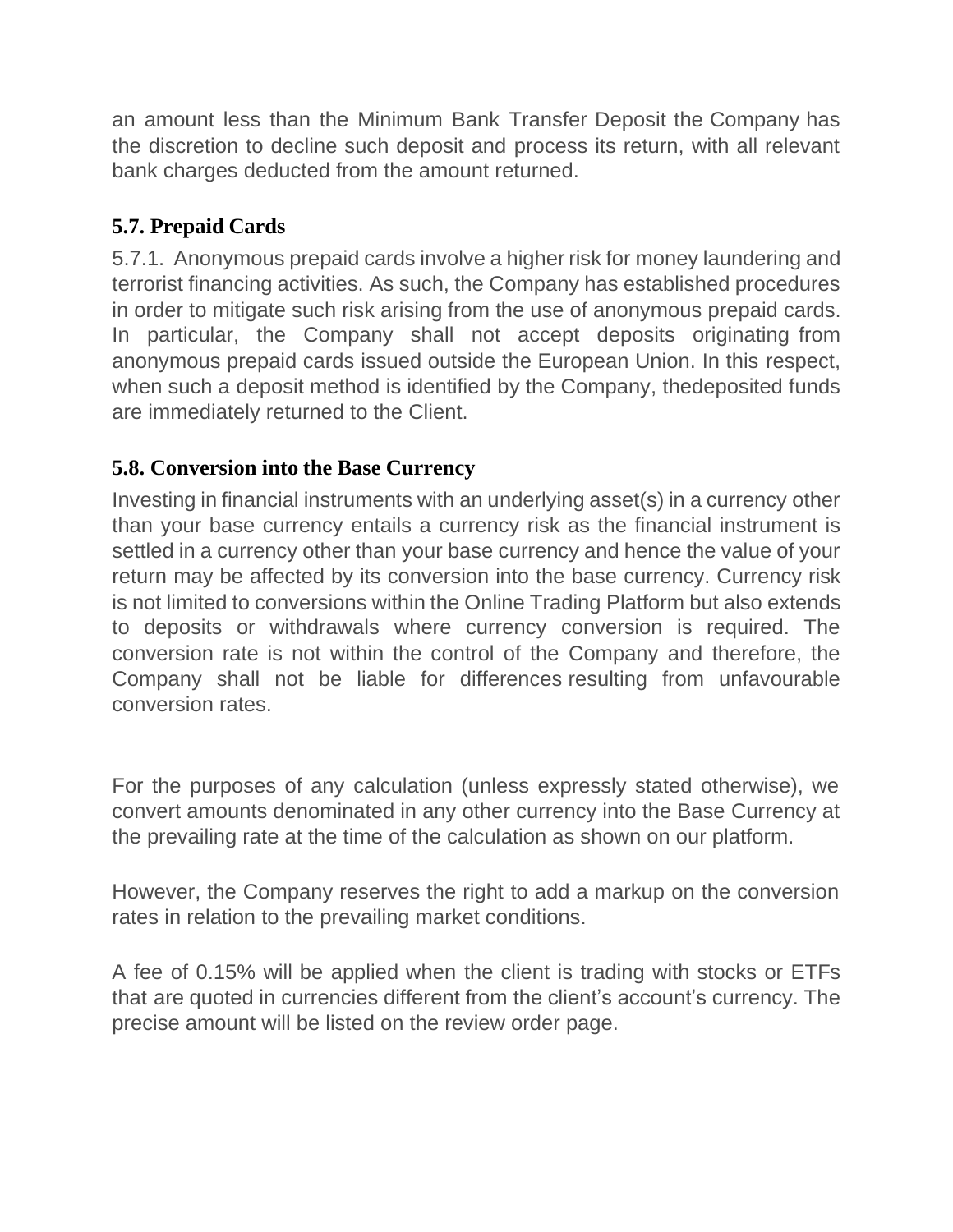an amount less than the Minimum Bank Transfer Deposit the Company has the discretion to decline such deposit and process its return, with all relevant bank charges deducted from the amount returned.

## **5.7. Prepaid Cards**

5.7.1. Anonymous prepaid cards involve a higher risk for money laundering and terrorist financing activities. As such, the Company has established procedures in order to mitigate such risk arising from the use of anonymous prepaid cards. In particular, the Company shall not accept deposits originating from anonymous prepaid cards issued outside the European Union. In this respect, when such a deposit method is identified by the Company, thedeposited funds are immediately returned to the Client.

#### **5.8. Conversion into the Base Currency**

Investing in financial instruments with an underlying asset(s) in a currency other than your base currency entails a currency risk as the financial instrument is settled in a currency other than your base currency and hence the value of your return may be affected by its conversion into the base currency. Currency risk is not limited to conversions within the Online Trading Platform but also extends to deposits or withdrawals where currency conversion is required. The conversion rate is not within the control of the Company and therefore, the Company shall not be liable for differences resulting from unfavourable conversion rates.

For the purposes of any calculation (unless expressly stated otherwise), we convert amounts denominated in any other currency into the Base Currency at the prevailing rate at the time of the calculation as shown on our platform.

However, the Company reserves the right to add a markup on the conversion rates in relation to the prevailing market conditions.

A fee of 0.15% will be applied when the client is trading with stocks or ETFs that are quoted in currencies different from the client's account's currency. The precise amount will be listed on the review order page.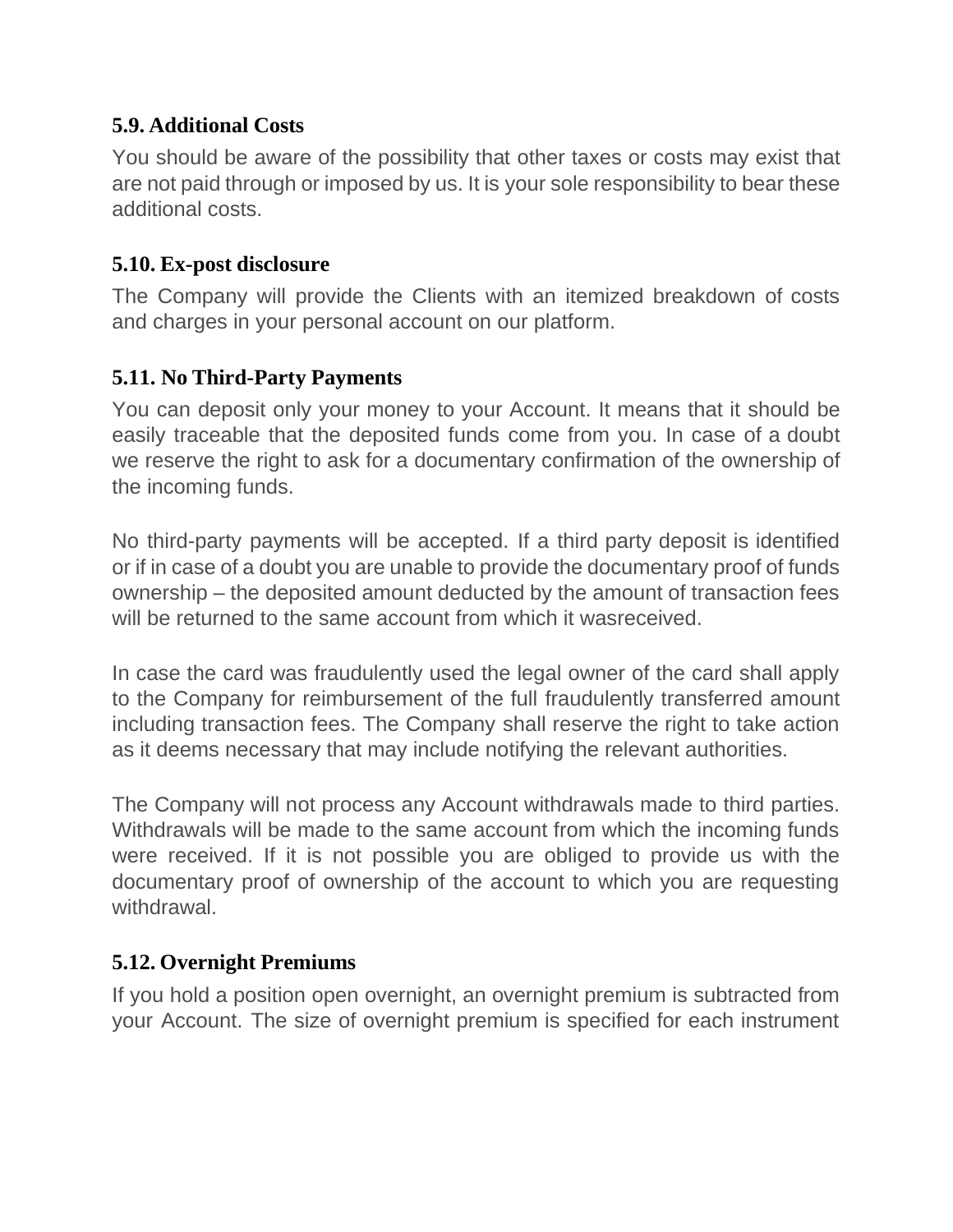### **5.9. Additional Costs**

You should be aware of the possibility that other taxes or costs may exist that are not paid through or imposed by us. It is your sole responsibility to bear these additional costs.

#### **5.10. Ex-post disclosure**

The Company will provide the Clients with an itemized breakdown of costs and charges in your personal account on our platform.

#### **5.11. No Third-Party Payments**

You can deposit only your money to your Account. It means that it should be easily traceable that the deposited funds come from you. In case of a doubt we reserve the right to ask for a documentary confirmation of the ownership of the incoming funds.

No third-party payments will be accepted. If a third party deposit is identified or if in case of a doubt you are unable to provide the documentary proof of funds ownership – the deposited amount deducted by the amount of transaction fees will be returned to the same account from which it wasreceived.

In case the card was fraudulently used the legal owner of the card shall apply to the Company for reimbursement of the full fraudulently transferred amount including transaction fees. The Company shall reserve the right to take action as it deems necessary that may include notifying the relevant authorities.

The Company will not process any Account withdrawals made to third parties. Withdrawals will be made to the same account from which the incoming funds were received. If it is not possible you are obliged to provide us with the documentary proof of ownership of the account to which you are requesting withdrawal.

#### **5.12. Overnight Premiums**

If you hold a position open overnight, an overnight premium is subtracted from your Account. The size of overnight premium is specified for each instrument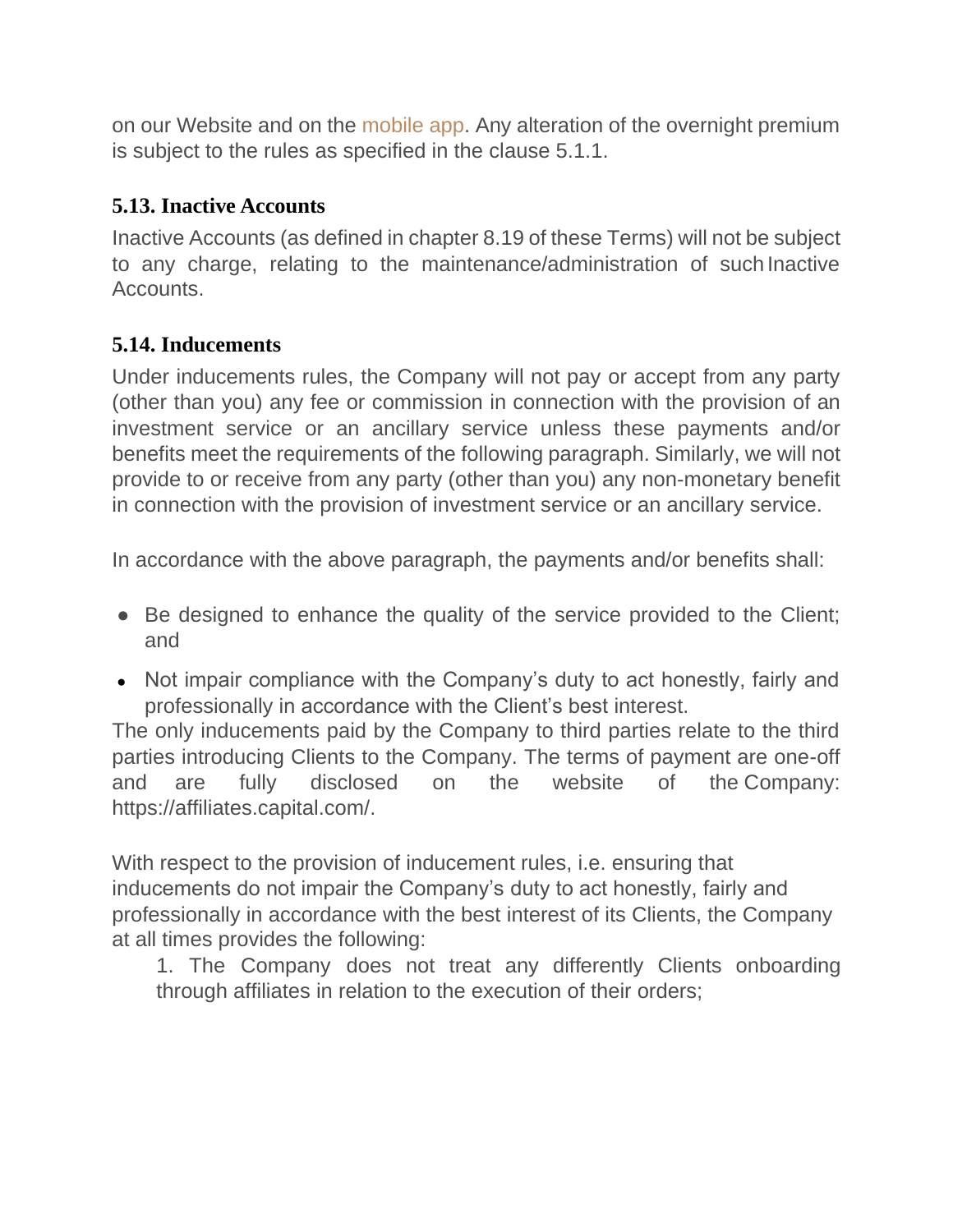on our Website and on the [mobile](https://capital.com/derivative-financial-instruments) app. Any alteration of the overnight premium is subject to the rules as specified in the clause 5.1.1.

#### **5.13. Inactive Accounts**

Inactive Accounts (as defined in chapter 8.19 of these Terms) will not be subject to any charge, relating to the maintenance/administration of such Inactive Accounts.

### **5.14. Inducements**

Under inducements rules, the Company will not pay or accept from any party (other than you) any fee or commission in connection with the provision of an investment service or an ancillary service unless these payments and/or benefits meet the requirements of the following paragraph. Similarly, we will not provide to or receive from any party (other than you) any non-monetary benefit in connection with the provision of investment service or an ancillary service.

In accordance with the above paragraph, the payments and/or benefits shall:

- Be designed to enhance the quality of the service provided to the Client; and
- Not impair compliance with the Company's duty to act honestly, fairly and professionally in accordance with the Client's best interest.

The only inducements paid by the Company to third parties relate to the third parties introducing Clients to the Company. The terms of payment are one-off and are fully disclosed on the website of the Company: [https://affiliates.capital.com/.](https://affiliates.capital.com/)

With respect to the provision of inducement rules, i.e. ensuring that inducements do not impair the Company's duty to act honestly, fairly and professionally in accordance with the best interest of its Clients, the Company at all times provides the following:

1. The Company does not treat any differently Clients onboarding through affiliates in relation to the execution of their orders;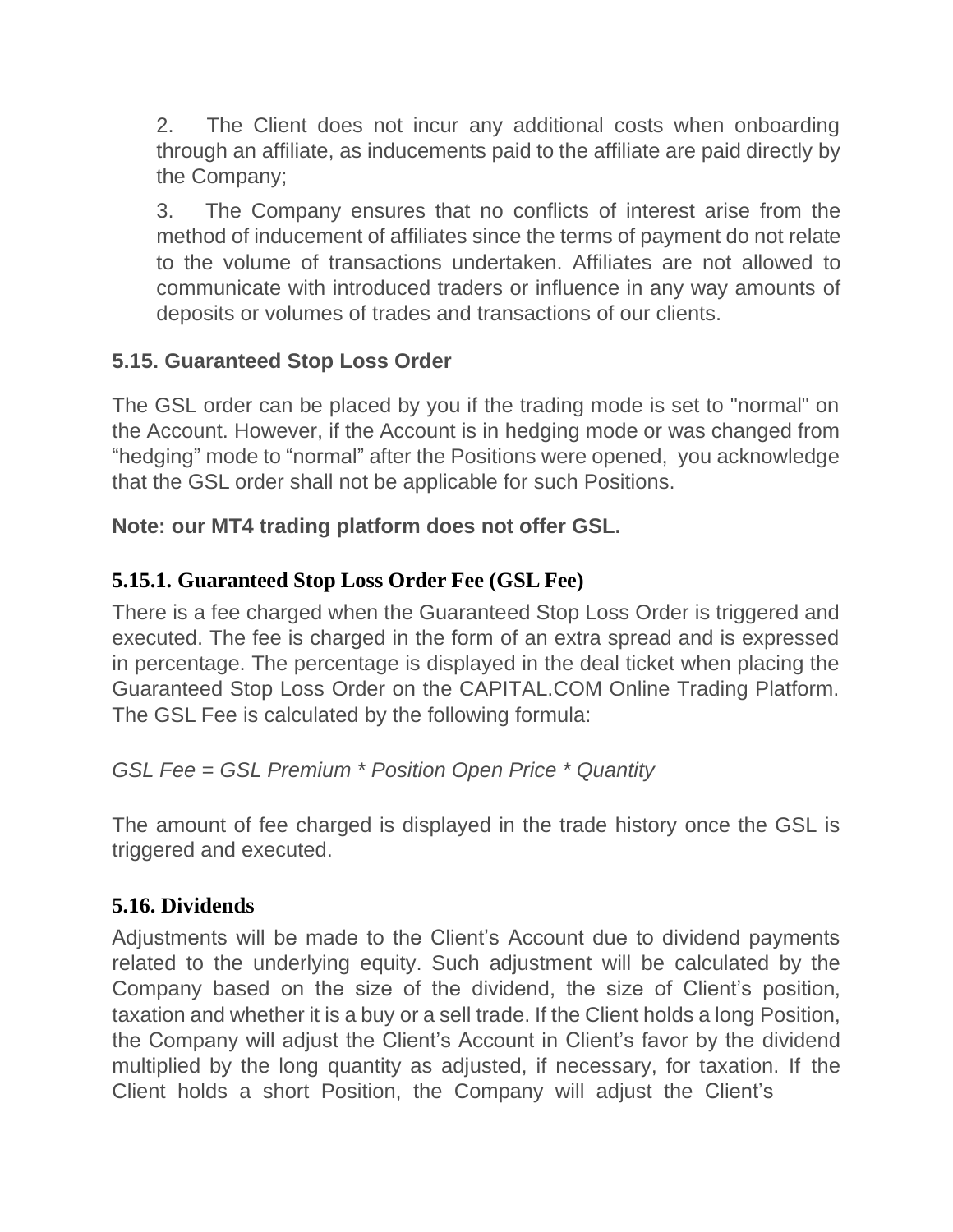2. The Client does not incur any additional costs when onboarding through an affiliate, as inducements paid to the affiliate are paid directly by the Company;

3. The Company ensures that no conflicts of interest arise from the method of inducement of affiliates since the terms of payment do not relate to the volume of transactions undertaken. Affiliates are not allowed to communicate with introduced traders or influence in any way amounts of deposits or volumes of trades and transactions of our clients.

## **5.15. Guaranteed Stop Loss Order**

The GSL order can be placed by you if the trading mode is set to "normal" on the Account. However, if the Account is in hedging mode or was changed from "hedging" mode to "normal" after the Positions were opened, you acknowledge that the GSL order shall not be applicable for such Positions.

### **Note: our MT4 trading platform does not offer GSL.**

# **5.15.1. Guaranteed Stop Loss Order Fee (GSL Fee)**

There is a fee charged when the Guaranteed Stop Loss Order is triggered and executed. The fee is charged in the form of an extra spread and is expressed in percentage. The percentage is displayed in the deal ticket when placing the Guaranteed Stop Loss Order on the CAPITAL.COM Online Trading Platform. The GSL Fee is calculated by the following formula:

## *GSL Fee = GSL Premium \* Position Open Price \* Quantity*

The amount of fee charged is displayed in the trade history once the GSL is triggered and executed.

## **5.16. Dividends**

Adjustments will be made to the Client's Account due to dividend payments related to the underlying equity. Such adjustment will be calculated by the Company based on the size of the dividend, the size of Client's position, taxation and whether it is a buy or a sell trade. If the Client holds a long Position, the Company will adjust the Client's Account in Client's favor by the dividend multiplied by the long quantity as adjusted, if necessary, for taxation. If the Client holds a short Position, the Company will adjust the Client's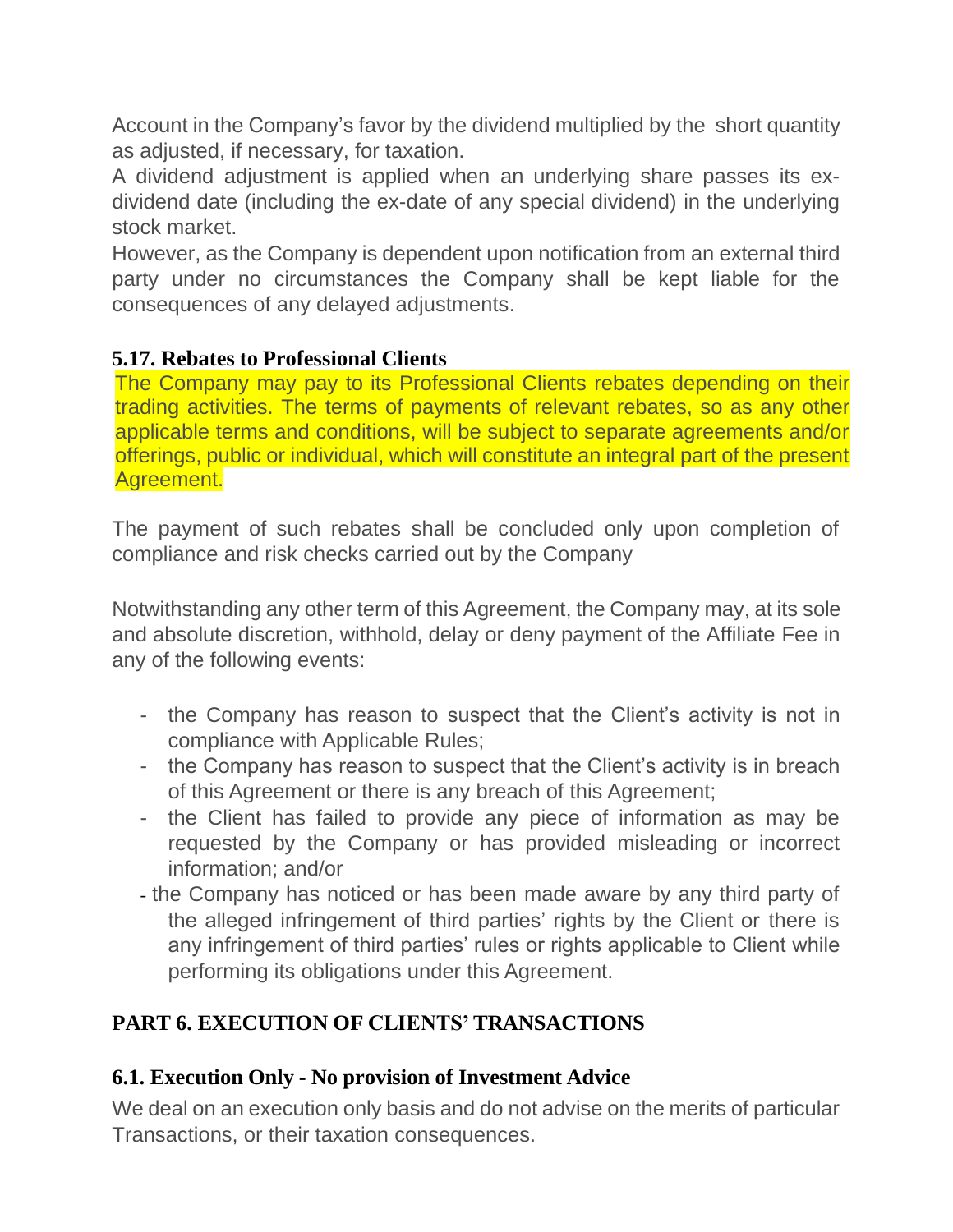Account in the Company's favor by the dividend multiplied by the short quantity as adjusted, if necessary, for taxation.

A dividend adjustment is applied when an underlying share passes its exdividend date (including the ex-date of any special dividend) in the underlying stock market.

However, as the Company is dependent upon notification from an external third party under no circumstances the Company shall be kept liable for the consequences of any delayed adjustments.

#### **5.17. Rebates to Professional Clients**

The Company may pay to its Professional Clients rebates depending on their trading activities. The terms of payments of relevant rebates, so as any other applicable terms and conditions, will be subject to separate agreements and/or offerings, public or individual, which will constitute an integral part of the present Agreement.

The payment of such rebates shall be concluded only upon completion of compliance and risk checks carried out by the Company

Notwithstanding any other term of this Agreement, the Company may, at its sole and absolute discretion, withhold, delay or deny payment of the Affiliate Fee in any of the following events:

- the Company has reason to suspect that the Client's activity is not in compliance with Applicable Rules;
- the Company has reason to suspect that the Client's activity is in breach of this Agreement or there is any breach of this Agreement;
- the Client has failed to provide any piece of information as may be requested by the Company or has provided misleading or incorrect information; and/or
- the Company has noticed or has been made aware by any third party of the alleged infringement of third parties' rights by the Client or there is any infringement of third parties' rules or rights applicable to Client while performing its obligations under this Agreement.

# **PART 6. EXECUTION OF CLIENTS' TRANSACTIONS**

## **6.1. Execution Only - No provision of Investment Advice**

We deal on an execution only basis and do not advise on the merits of particular Transactions, or their taxation consequences.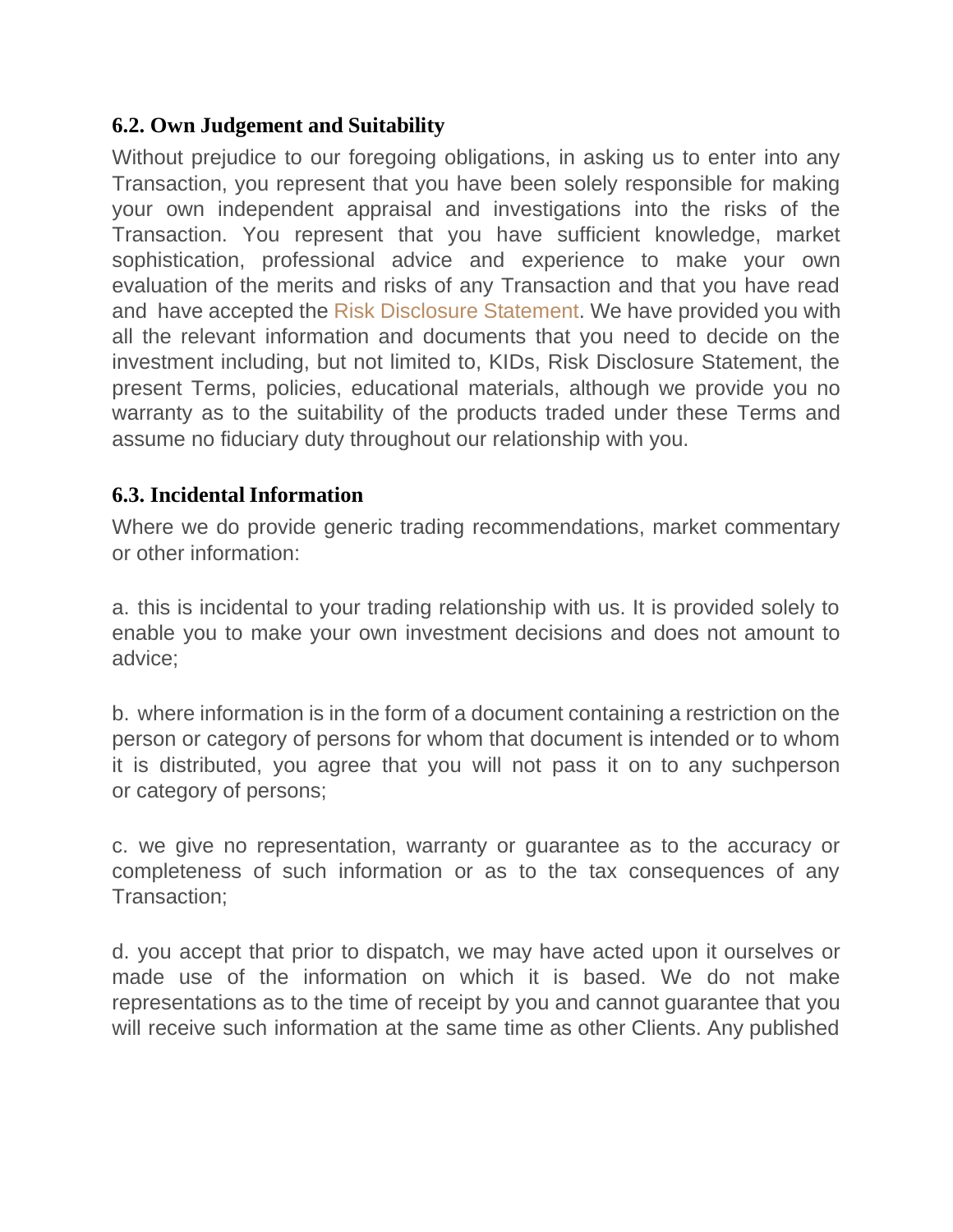## **6.2. Own Judgement and Suitability**

Without prejudice to our foregoing obligations, in asking us to enter into any Transaction, you represent that you have been solely responsible for making your own independent appraisal and investigations into the risks of the Transaction. You represent that you have sufficient knowledge, market sophistication, professional advice and experience to make your own evaluation of the merits and risks of any Transaction and that you have read and have accepted the [Risk Disclosure Statement.](https://capital.com/risk-disclosure-policy) We have provided you with all the relevant information and documents that you need to decide on the investment including, but not limited to, KIDs, Risk Disclosure Statement, the present Terms, policies, educational materials, although we provide you no warranty as to the suitability of the products traded under these Terms and assume no fiduciary duty throughout our relationship with you.

### **6.3. Incidental Information**

Where we do provide generic trading recommendations, market commentary or other information:

a. this is incidental to your trading relationship with us. It is provided solely to enable you to make your own investment decisions and does not amount to advice;

b. where information is in the form of a document containing a restriction on the person or category of persons for whom that document is intended or to whom it is distributed, you agree that you will not pass it on to any suchperson or category of persons;

c. we give no representation, warranty or guarantee as to the accuracy or completeness of such information or as to the tax consequences of any Transaction;

d. you accept that prior to dispatch, we may have acted upon it ourselves or made use of the information on which it is based. We do not make representations as to the time of receipt by you and cannot guarantee that you will receive such information at the same time as other Clients. Any published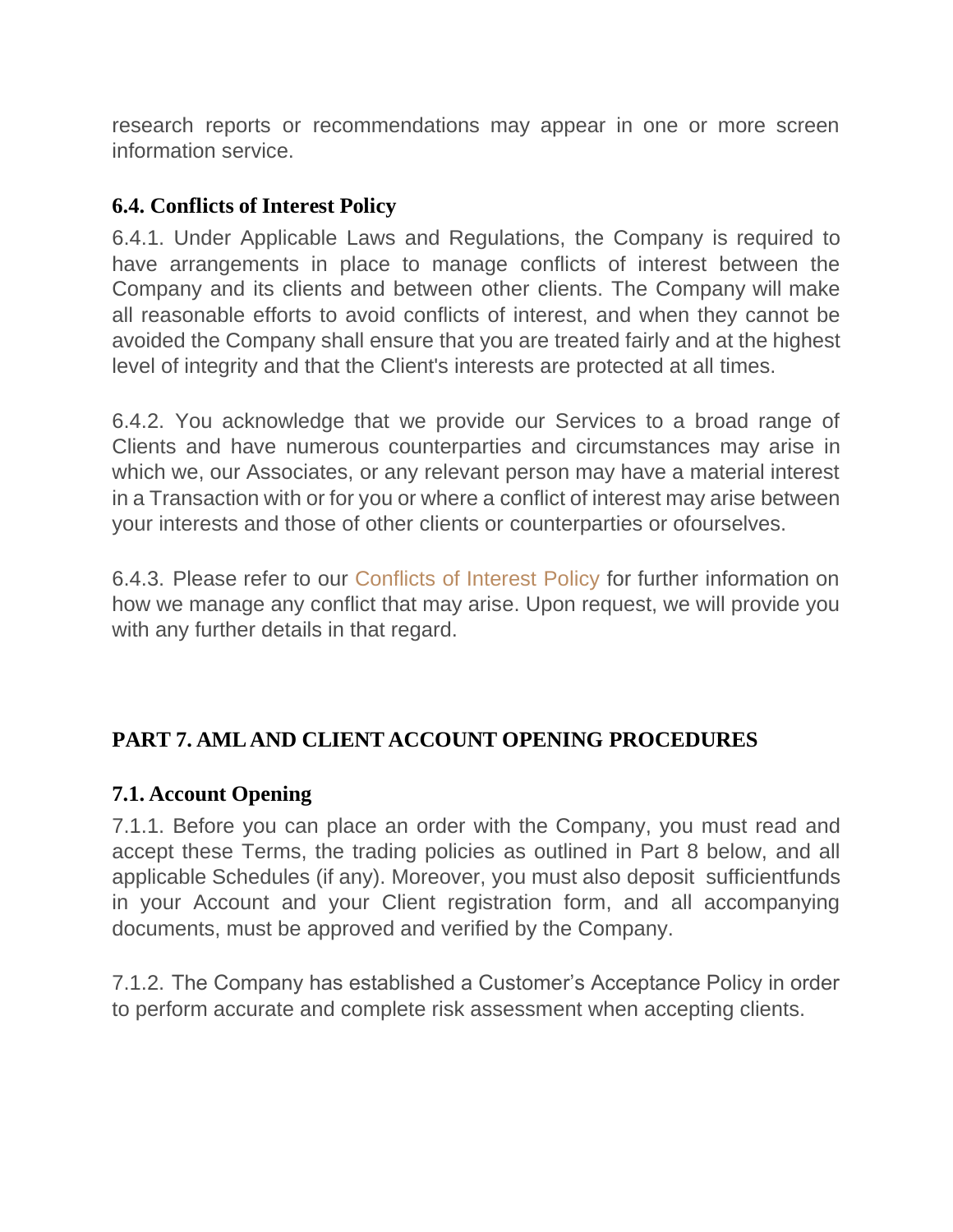research reports or recommendations may appear in one or more screen information service.

#### **6.4. Conflicts of Interest Policy**

6.4.1. Under Applicable Laws and Regulations, the Company is required to have arrangements in place to manage conflicts of interest between the Company and its clients and between other clients. The Company will make all reasonable efforts to avoid conflicts of interest, and when they cannot be avoided the Company shall ensure that you are treated fairly and at the highest level of integrity and that the Client's interests are protected at all times.

6.4.2. You acknowledge that we provide our Services to a broad range of Clients and have numerous counterparties and circumstances may arise in which we, our Associates, or any relevant person may have a material interest in a Transaction with or for you or where a conflict of interest may arise between your interests and those of other clients or counterparties or ofourselves.

6.4.3. Please refer to our [Conflicts of Interest Policy](https://capital.com/conflict-of-interest-policy) for further information on how we manage any conflict that may arise. Upon request, we will provide you with any further details in that regard.

## **PART 7. AMLAND CLIENT ACCOUNT OPENING PROCEDURES**

## **7.1. Account Opening**

7.1.1. Before you can place an order with the Company, you must read and accept these Terms, the trading policies as outlined in Part 8 below, and all applicable Schedules (if any). Moreover, you must also deposit sufficientfunds in your Account and your Client registration form, and all accompanying documents, must be approved and verified by the Company.

7.1.2. The Company has established a Customer's Acceptance Policy in order to perform accurate and complete risk assessment when accepting clients.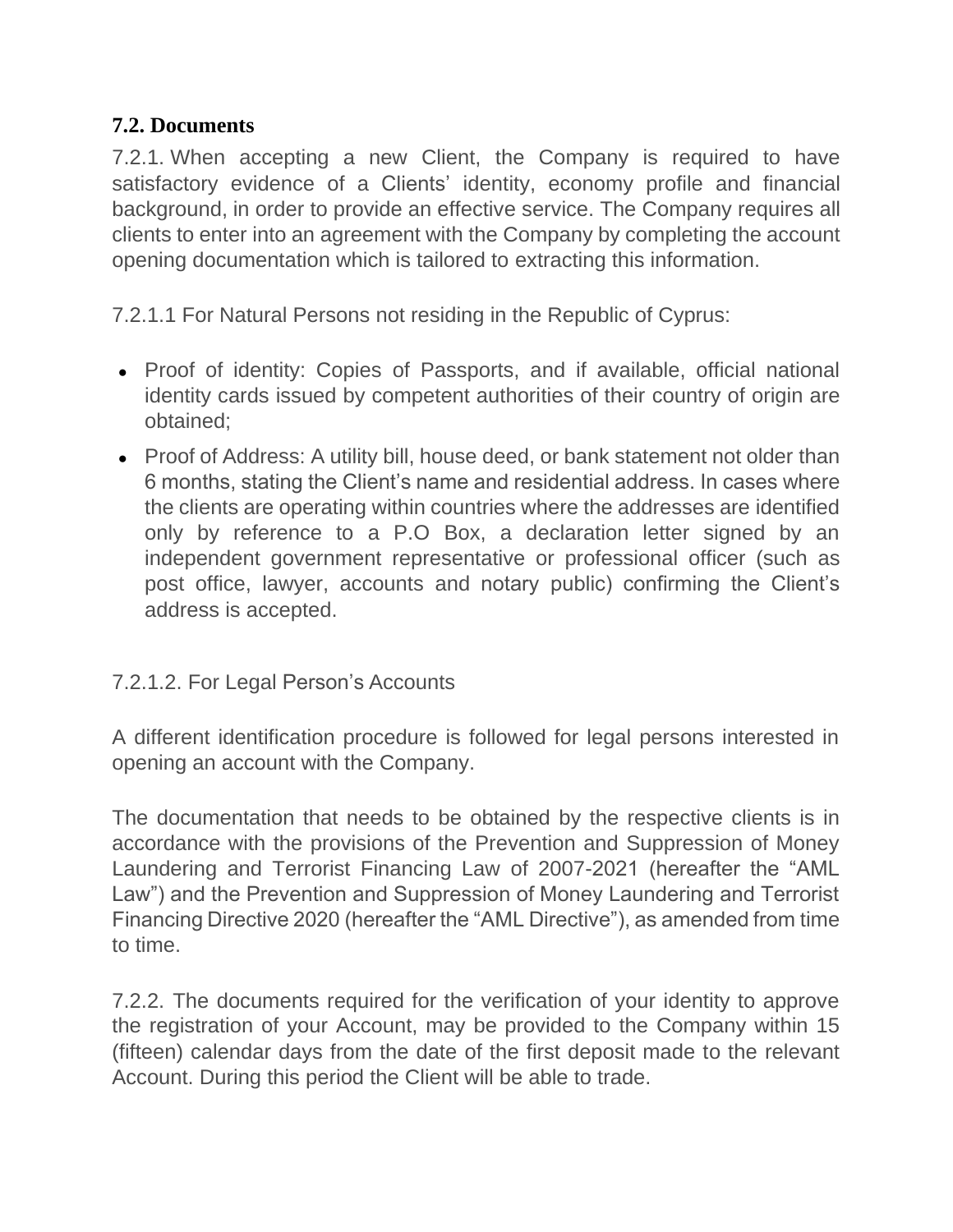### **7.2. Documents**

7.2.1. When accepting a new Client, the Company is required to have satisfactory evidence of a Clients' identity, economy profile and financial background, in order to provide an effective service. The Company requires all clients to enter into an agreement with the Company by completing the account opening documentation which is tailored to extracting this information.

7.2.1.1 For Natural Persons not residing in the Republic of Cyprus:

- Proof of identity: Copies of Passports, and if available, official national identity cards issued by competent authorities of their country of origin are obtained;
- Proof of Address: A utility bill, house deed, or bank statement not older than 6 months, stating the Client's name and residential address. In cases where the clients are operating within countries where the addresses are identified only by reference to a P.O Box, a declaration letter signed by an independent government representative or professional officer (such as post office, lawyer, accounts and notary public) confirming the Client's address is accepted.

## 7.2.1.2. For Legal Person's Accounts

A different identification procedure is followed for legal persons interested in opening an account with the Company.

The documentation that needs to be obtained by the respective clients is in accordance with the provisions of the Prevention and Suppression of Money Laundering and Terrorist Financing Law of 2007-2021 (hereafter the "AML Law") and the Prevention and Suppression of Money Laundering and Terrorist Financing Directive 2020 (hereafter the "AML Directive"), as amended from time to time.

7.2.2. The documents required for the verification of your identity to approve the registration of your Account, may be provided to the Company within 15 (fifteen) calendar days from the date of the first deposit made to the relevant Account. During this period the Client will be able to trade.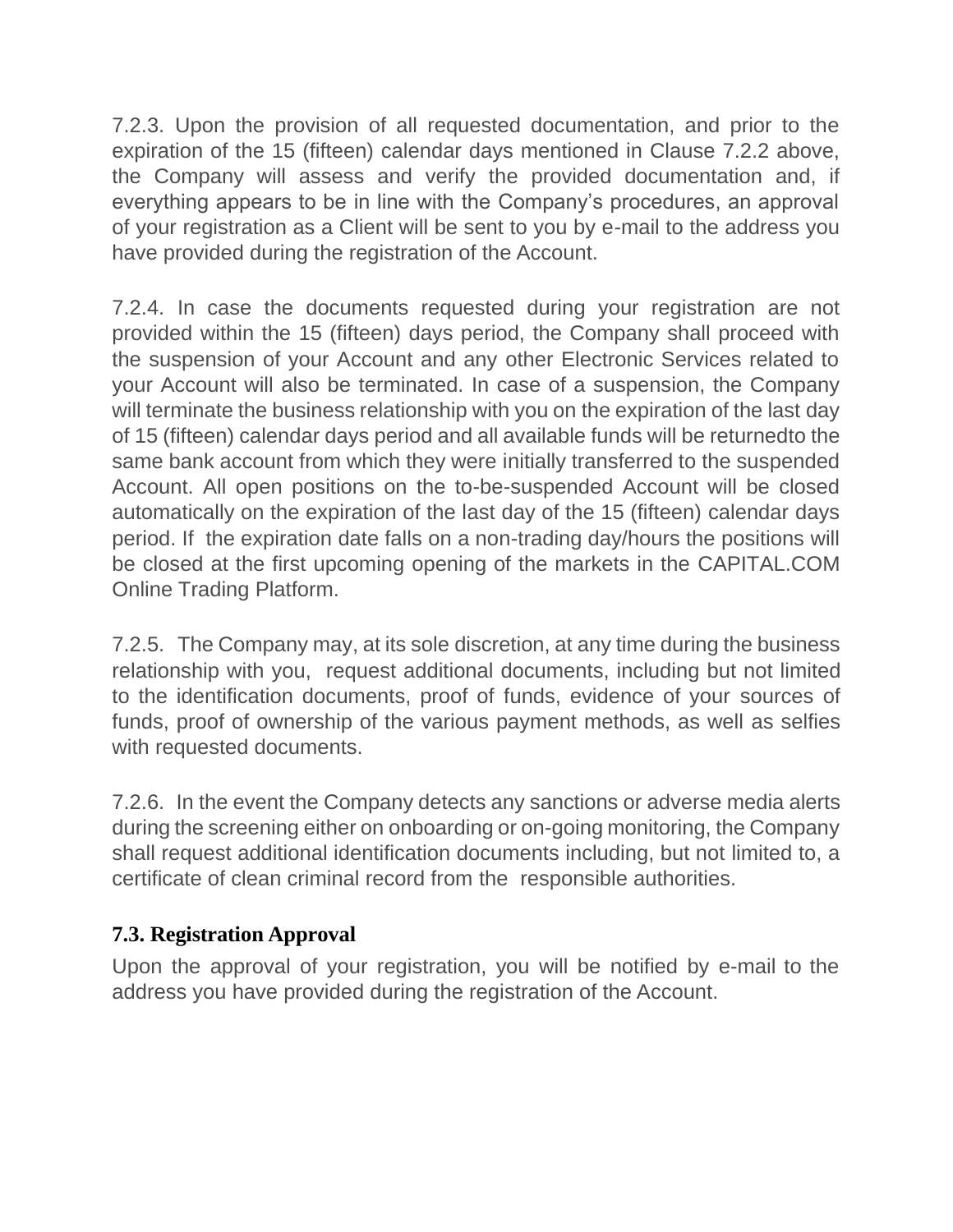7.2.3. Upon the provision of all requested documentation, and prior to the expiration of the 15 (fifteen) calendar days mentioned in Clause 7.2.2 above, the Company will assess and verify the provided documentation and, if everything appears to be in line with the Company's procedures, an approval of your registration as a Client will be sent to you by e-mail to the address you have provided during the registration of the Account.

7.2.4. In case the documents requested during your registration are not provided within the 15 (fifteen) days period, the Company shall proceed with the suspension of your Account and any other Electronic Services related to your Account will also be terminated. In case of a suspension, the Company will terminate the business relationship with you on the expiration of the last day of 15 (fifteen) calendar days period and all available funds will be returnedto the same bank account from which they were initially transferred to the suspended Account. All open positions on the to-be-suspended Account will be closed automatically on the expiration of the last day of the 15 (fifteen) calendar days period. If the expiration date falls on a non-trading day/hours the positions will be closed at the first upcoming opening of the markets in the CAPITAL.COM Online Trading Platform.

7.2.5. The Company may, at its sole discretion, at any time during the business relationship with you, request additional documents, including but not limited to the identification documents, proof of funds, evidence of your sources of funds, proof of ownership of the various payment methods, as well as selfies with requested documents.

7.2.6. In the event the Company detects any sanctions or adverse media alerts during the screening either on onboarding or on-going monitoring, the Company shall request additional identification documents including, but not limited to, a certificate of clean criminal record from the responsible authorities.

## **7.3. Registration Approval**

Upon the approval of your registration, you will be notified by e-mail to the address you have provided during the registration of the Account.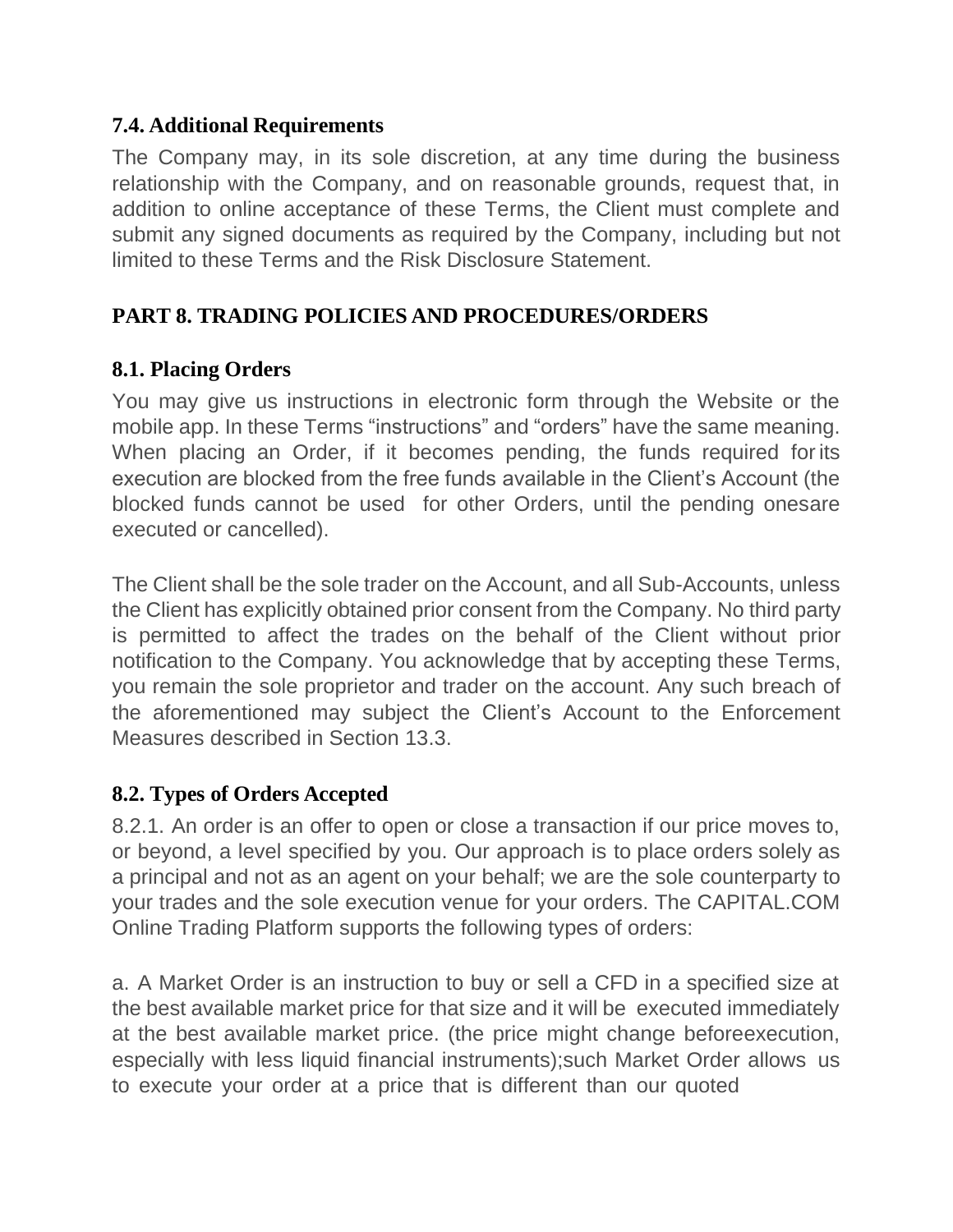### **7.4. Additional Requirements**

The Company may, in its sole discretion, at any time during the business relationship with the Company, and on reasonable grounds, request that, in addition to online acceptance of these Terms, the Client must complete and submit any signed documents as required by the Company, including but not limited to these Terms and the Risk Disclosure Statement.

# **PART 8. TRADING POLICIES AND PROCEDURES/ORDERS**

### **8.1. Placing Orders**

You may give us instructions in electronic form through the Website or the mobile app. In these Terms "instructions" and "orders" have the same meaning. When placing an Order, if it becomes pending, the funds required for its execution are blocked from the free funds available in the Client's Account (the blocked funds cannot be used for other Orders, until the pending onesare executed or cancelled).

The Client shall be the sole trader on the Account, and all Sub-Accounts, unless the Client has explicitly obtained prior consent from the Company. No third party is permitted to affect the trades on the behalf of the Client without prior notification to the Company. You acknowledge that by accepting these Terms, you remain the sole proprietor and trader on the account. Any such breach of the aforementioned may subject the Client's Account to the Enforcement Measures described in Section 13.3.

## **8.2. Types of Orders Accepted**

8.2.1. An order is an offer to open or close a transaction if our price moves to, or beyond, a level specified by you. Our approach is to place orders solely as a principal and not as an agent on your behalf; we are the sole counterparty to your trades and the sole execution venue for your orders. The CAPITAL.COM Online Trading Platform supports the following types of orders:

a. A Market Order is an instruction to buy or sell a CFD in a specified size at the best available market price for that size and it will be executed immediately at the best available market price. (the price might change beforeexecution, especially with less liquid financial instruments);such Market Order allows us to execute your order at a price that is different than our quoted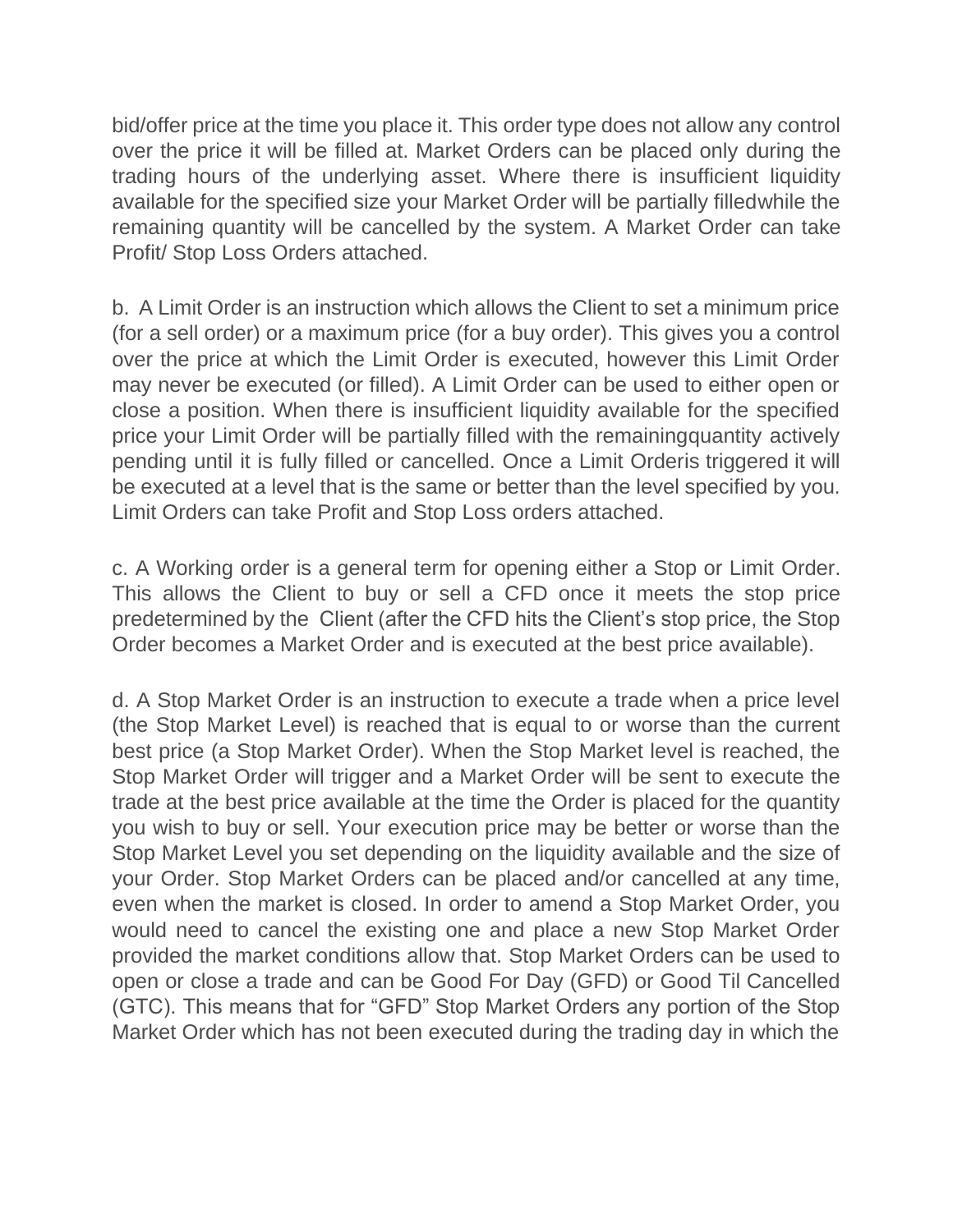bid/offer price at the time you place it. This order type does not allow any control over the price it will be filled at. Market Orders can be placed only during the trading hours of the underlying asset. Where there is insufficient liquidity available for the specified size your Market Order will be partially filledwhile the remaining quantity will be cancelled by the system. A Market Order can take Profit/ Stop Loss Orders attached.

b. A Limit Order is an instruction which allows the Client to set a minimum price (for a sell order) or a maximum price (for a buy order). This gives you a control over the price at which the Limit Order is executed, however this Limit Order may never be executed (or filled). A Limit Order can be used to either open or close a position. When there is insufficient liquidity available for the specified price your Limit Order will be partially filled with the remainingquantity actively pending until it is fully filled or cancelled. Once a Limit Orderis triggered it will be executed at a level that is the same or better than the level specified by you. Limit Orders can take Profit and Stop Loss orders attached.

c. A Working order is a general term for opening either a Stop or Limit Order. This allows the Client to buy or sell a CFD once it meets the stop price predetermined by the Client (after the CFD hits the Client's stop price, the Stop Order becomes a Market Order and is executed at the best price available).

d. A Stop Market Order is an instruction to execute a trade when a price level (the Stop Market Level) is reached that is equal to or worse than the current best price (a Stop Market Order). When the Stop Market level is reached, the Stop Market Order will trigger and a Market Order will be sent to execute the trade at the best price available at the time the Order is placed for the quantity you wish to buy or sell. Your execution price may be better or worse than the Stop Market Level you set depending on the liquidity available and the size of your Order. Stop Market Orders can be placed and/or cancelled at any time, even when the market is closed. In order to amend a Stop Market Order, you would need to cancel the existing one and place a new Stop Market Order provided the market conditions allow that. Stop Market Orders can be used to open or close a trade and can be Good For Day (GFD) or Good Til Cancelled (GTC). This means that for "GFD" Stop Market Orders any portion of the Stop Market Order which has not been executed during the trading day in which the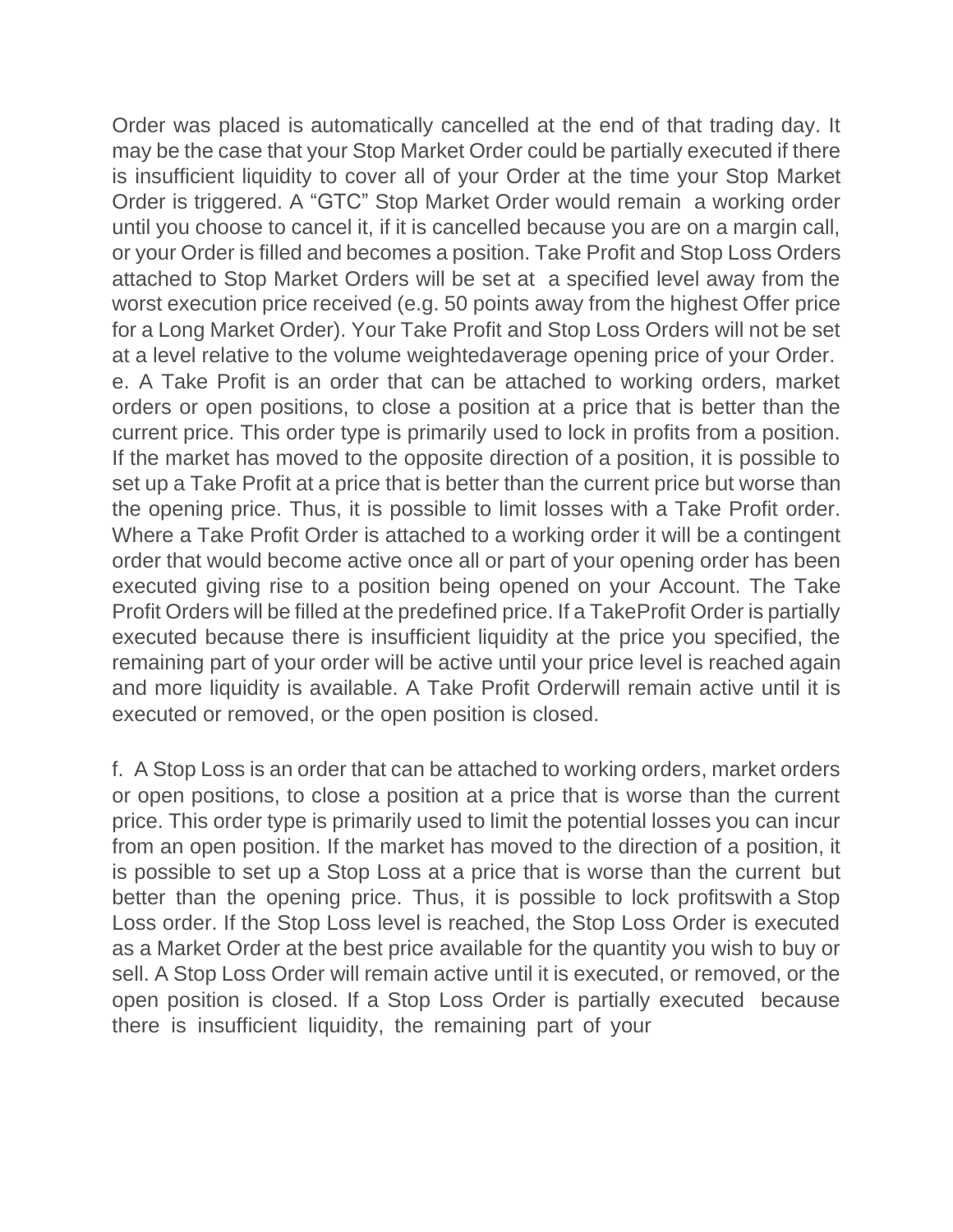Order was placed is automatically cancelled at the end of that trading day. It may be the case that your Stop Market Order could be partially executed if there is insufficient liquidity to cover all of your Order at the time your Stop Market Order is triggered. A "GTC" Stop Market Order would remain a working order until you choose to cancel it, if it is cancelled because you are on a margin call, or your Order is filled and becomes a position. Take Profit and Stop Loss Orders attached to Stop Market Orders will be set at a specified level away from the worst execution price received (e.g. 50 points away from the highest Offer price for a Long Market Order). Your Take Profit and Stop Loss Orders will not be set at a level relative to the volume weightedaverage opening price of your Order. e. A Take Profit is an order that can be attached to working orders, market orders or open positions, to close a position at a price that is better than the current price. This order type is primarily used to lock in profits from a position. If the market has moved to the opposite direction of a position, it is possible to set up a Take Profit at a price that is better than the current price but worse than the opening price. Thus, it is possible to limit losses with a Take Profit order. Where a Take Profit Order is attached to a working order it will be a contingent order that would become active once all or part of your opening order has been executed giving rise to a position being opened on your Account. The Take Profit Orders will be filled at the predefined price. If a TakeProfit Order is partially executed because there is insufficient liquidity at the price you specified, the remaining part of your order will be active until your price level is reached again and more liquidity is available. A Take Profit Orderwill remain active until it is executed or removed, or the open position is closed.

f. A Stop Loss is an order that can be attached to working orders, market orders or open positions, to close a position at a price that is worse than the current price. This order type is primarily used to limit the potential losses you can incur from an open position. If the market has moved to the direction of a position, it is possible to set up a Stop Loss at a price that is worse than the current but better than the opening price. Thus, it is possible to lock profitswith a Stop Loss order. If the Stop Loss level is reached, the Stop Loss Order is executed as a Market Order at the best price available for the quantity you wish to buy or sell. A Stop Loss Order will remain active until it is executed, or removed, or the open position is closed. If a Stop Loss Order is partially executed because there is insufficient liquidity, the remaining part of your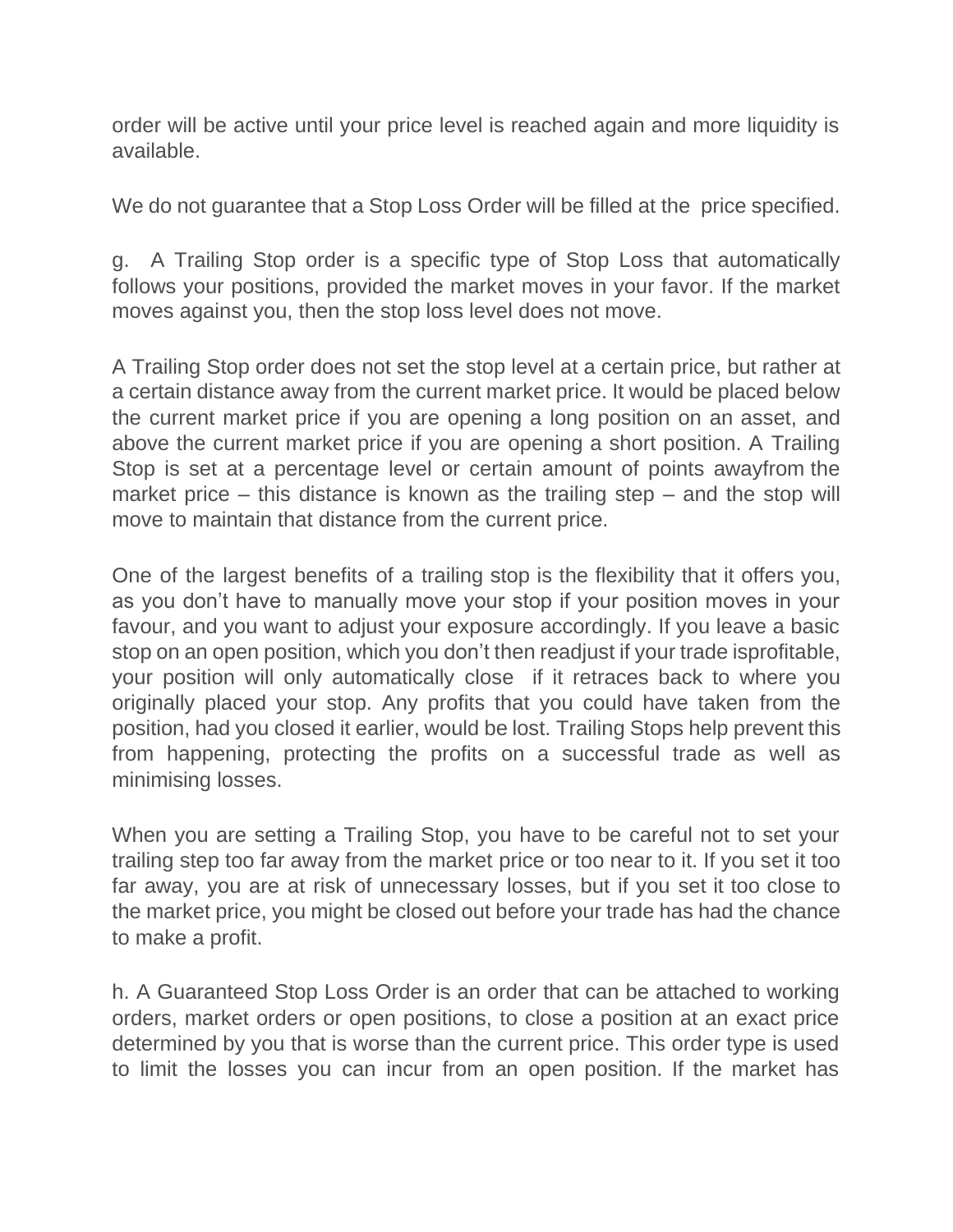order will be active until your price level is reached again and more liquidity is available.

We do not quarantee that a Stop Loss Order will be filled at the price specified.

g. A Trailing Stop order is a specific type of Stop Loss that automatically follows your positions, provided the market moves in your favor. If the market moves against you, then the stop loss level does not move.

A Trailing Stop order does not set the stop level at a certain price, but rather at a certain distance away from the current market price. It would be placed below the current market price if you are opening a long position on an asset, and above the current market price if you are opening a short position. A Trailing Stop is set at a percentage level or certain amount of points awayfrom the market price – this distance is known as the trailing step – and the stop will move to maintain that distance from the current price.

One of the largest benefits of a trailing stop is the flexibility that it offers you, as you don't have to manually move your stop if your position moves in your favour, and you want to adjust your exposure accordingly. If you leave a basic stop on an open position, which you don't then readjust if your trade isprofitable, your position will only automatically close if it retraces back to where you originally placed your stop. Any profits that you could have taken from the position, had you closed it earlier, would be lost. Trailing Stops help prevent this from happening, protecting the profits on a successful trade as well as minimising losses.

When you are setting a Trailing Stop, you have to be careful not to set your trailing step too far away from the market price or too near to it. If you set it too far away, you are at risk of unnecessary losses, but if you set it too close to the market price, you might be closed out before your trade has had the chance to make a profit.

h. A Guaranteed Stop Loss Order is an order that can be attached to working orders, market orders or open positions, to close a position at an exact price determined by you that is worse than the current price. This order type is used to limit the losses you can incur from an open position. If the market has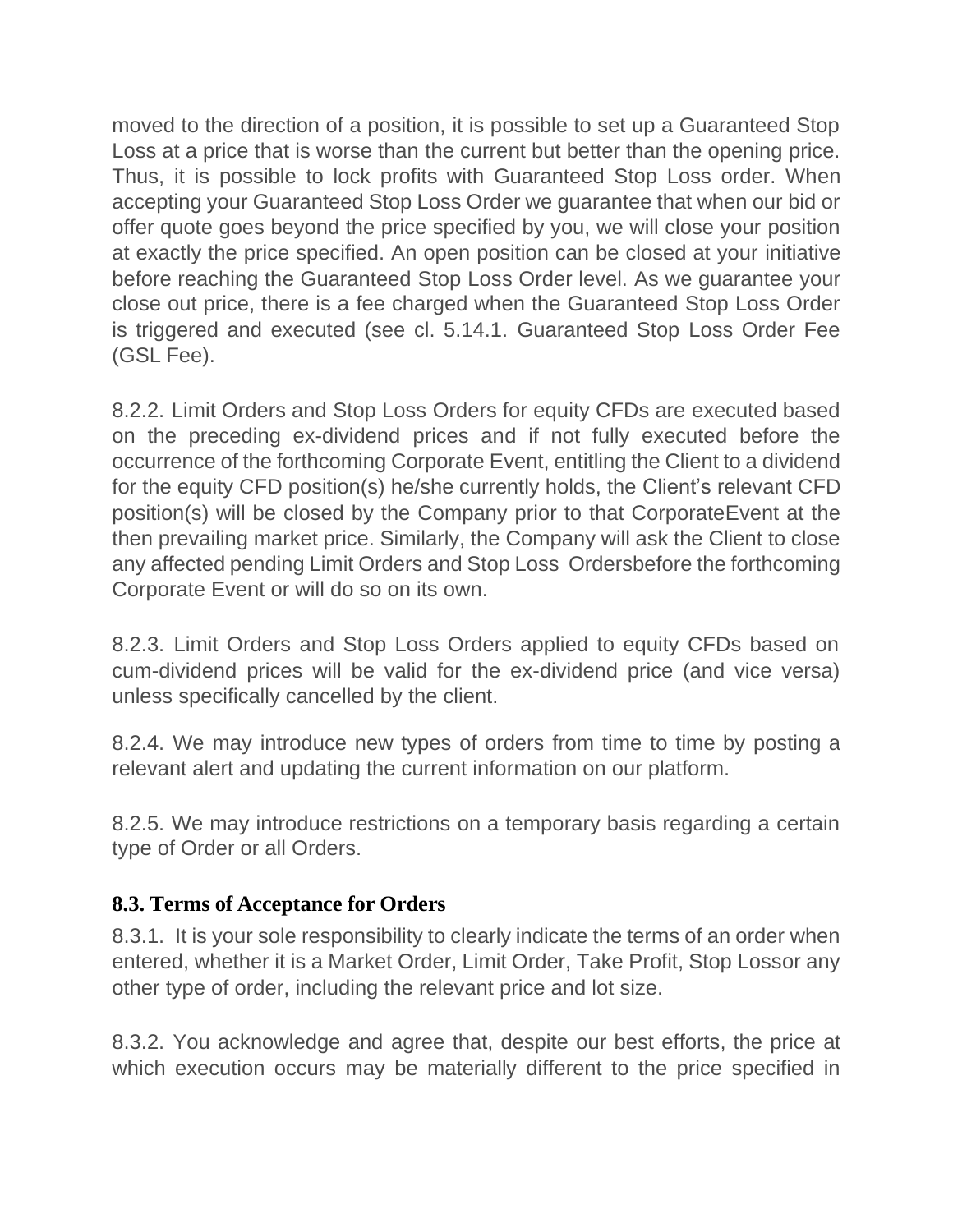moved to the direction of a position, it is possible to set up a Guaranteed Stop Loss at a price that is worse than the current but better than the opening price. Thus, it is possible to lock profits with Guaranteed Stop Loss order. When accepting your Guaranteed Stop Loss Order we guarantee that when our bid or offer quote goes beyond the price specified by you, we will close your position at exactly the price specified. An open position can be closed at your initiative before reaching the Guaranteed Stop Loss Order level. As we guarantee your close out price, there is a fee charged when the Guaranteed Stop Loss Order is triggered and executed (see cl. 5.14.1. Guaranteed Stop Loss Order Fee (GSL Fee).

8.2.2. Limit Orders and Stop Loss Orders for equity CFDs are executed based on the preceding ex-dividend prices and if not fully executed before the occurrence of the forthcoming Corporate Event, entitling the Client to a dividend for the equity CFD position(s) he/she currently holds, the Client's relevant CFD position(s) will be closed by the Company prior to that CorporateEvent at the then prevailing market price. Similarly, the Company will ask the Client to close any affected pending Limit Orders and Stop Loss Ordersbefore the forthcoming Corporate Event or will do so on its own.

8.2.3. Limit Orders and Stop Loss Orders applied to equity CFDs based on cum-dividend prices will be valid for the ex-dividend price (and vice versa) unless specifically cancelled by the client.

8.2.4. We may introduce new types of orders from time to time by posting a relevant alert and updating the current information on our platform.

8.2.5. We may introduce restrictions on a temporary basis regarding a certain type of Order or all Orders.

## **8.3. Terms of Acceptance for Orders**

8.3.1. It is your sole responsibility to clearly indicate the terms of an order when entered, whether it is a Market Order, Limit Order, Take Profit, Stop Lossor any other type of order, including the relevant price and lot size.

8.3.2. You acknowledge and agree that, despite our best efforts, the price at which execution occurs may be materially different to the price specified in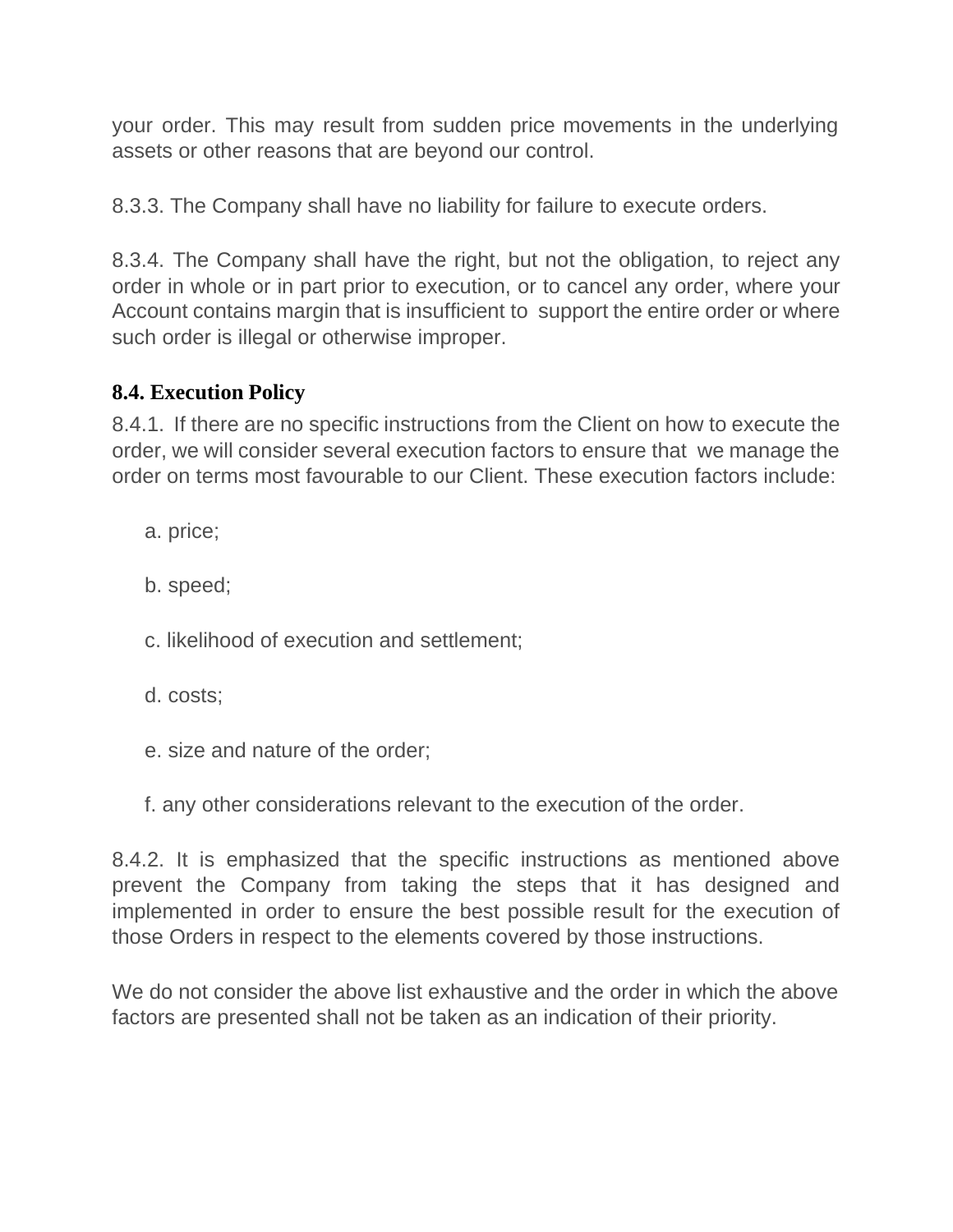your order. This may result from sudden price movements in the underlying assets or other reasons that are beyond our control.

8.3.3. The Company shall have no liability for failure to execute orders.

8.3.4. The Company shall have the right, but not the obligation, to reject any order in whole or in part prior to execution, or to cancel any order, where your Account contains margin that is insufficient to support the entire order or where such order is illegal or otherwise improper.

## **8.4. Execution Policy**

8.4.1. If there are no specific instructions from the Client on how to execute the order, we will consider several execution factors to ensure that we manage the order on terms most favourable to our Client. These execution factors include:

- a. price;
- b. speed;
- c. likelihood of execution and settlement;
- d. costs;
- e. size and nature of the order;
- f. any other considerations relevant to the execution of the order.

8.4.2. It is emphasized that the specific instructions as mentioned above prevent the Company from taking the steps that it has designed and implemented in order to ensure the best possible result for the execution of those Orders in respect to the elements covered by those instructions.

We do not consider the above list exhaustive and the order in which the above factors are presented shall not be taken as an indication of their priority.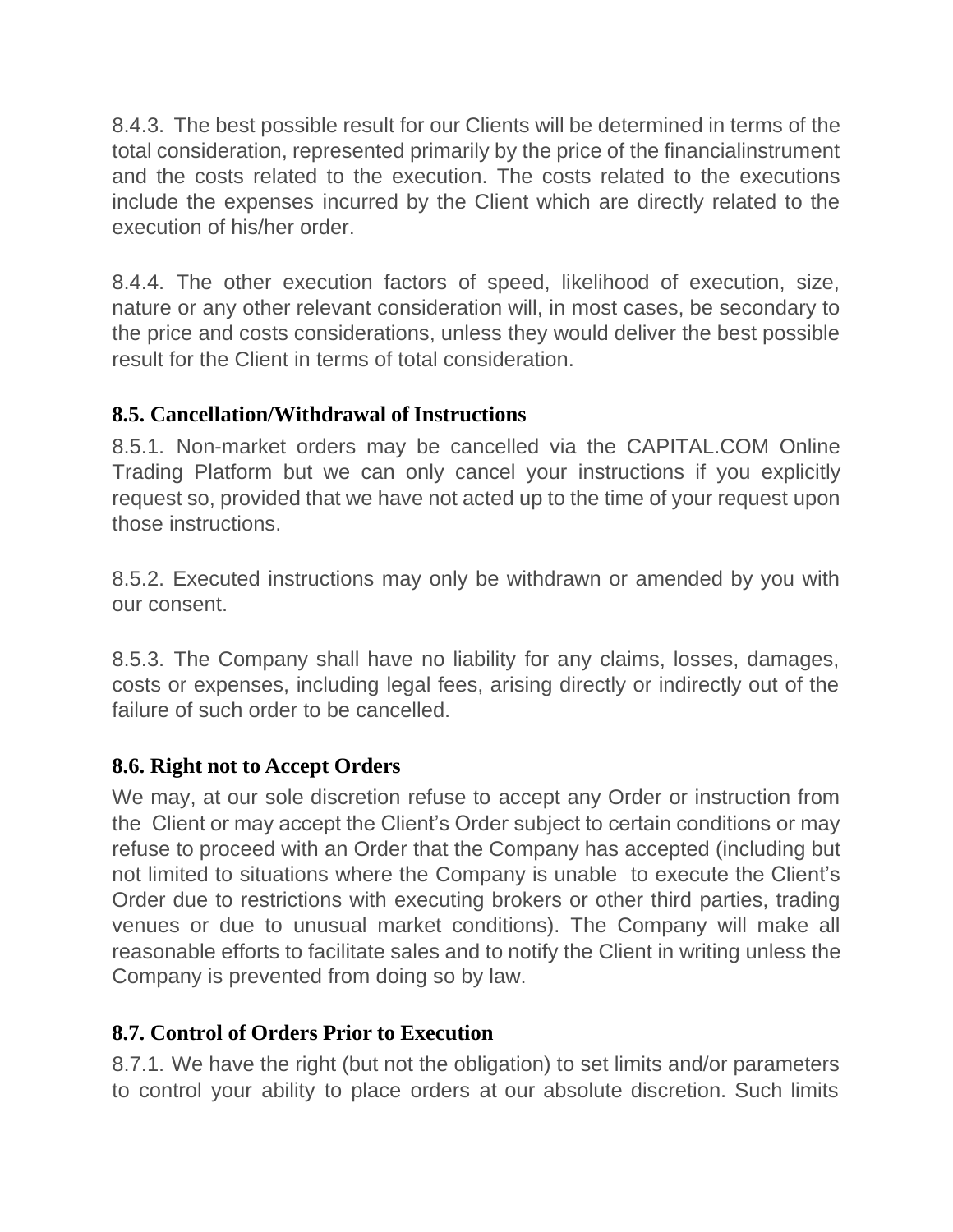8.4.3. The best possible result for our Clients will be determined in terms of the total consideration, represented primarily by the price of the financialinstrument and the costs related to the execution. The costs related to the executions include the expenses incurred by the Client which are directly related to the execution of his/her order.

8.4.4. The other execution factors of speed, likelihood of execution, size, nature or any other relevant consideration will, in most cases, be secondary to the price and costs considerations, unless they would deliver the best possible result for the Client in terms of total consideration.

### **8.5. Cancellation/Withdrawal of Instructions**

8.5.1. Non-market orders may be cancelled via the CAPITAL.COM Online Trading Platform but we can only cancel your instructions if you explicitly request so, provided that we have not acted up to the time of your request upon those instructions.

8.5.2. Executed instructions may only be withdrawn or amended by you with our consent.

8.5.3. The Company shall have no liability for any claims, losses, damages, costs or expenses, including legal fees, arising directly or indirectly out of the failure of such order to be cancelled.

## **8.6. Right not to Accept Orders**

We may, at our sole discretion refuse to accept any Order or instruction from the Client or may accept the Client's Order subject to certain conditions or may refuse to proceed with an Order that the Company has accepted (including but not limited to situations where the Company is unable to execute the Client's Order due to restrictions with executing brokers or other third parties, trading venues or due to unusual market conditions). The Company will make all reasonable efforts to facilitate sales and to notify the Client in writing unless the Company is prevented from doing so by law.

## **8.7. Control of Orders Prior to Execution**

8.7.1. We have the right (but not the obligation) to set limits and/or parameters to control your ability to place orders at our absolute discretion. Such limits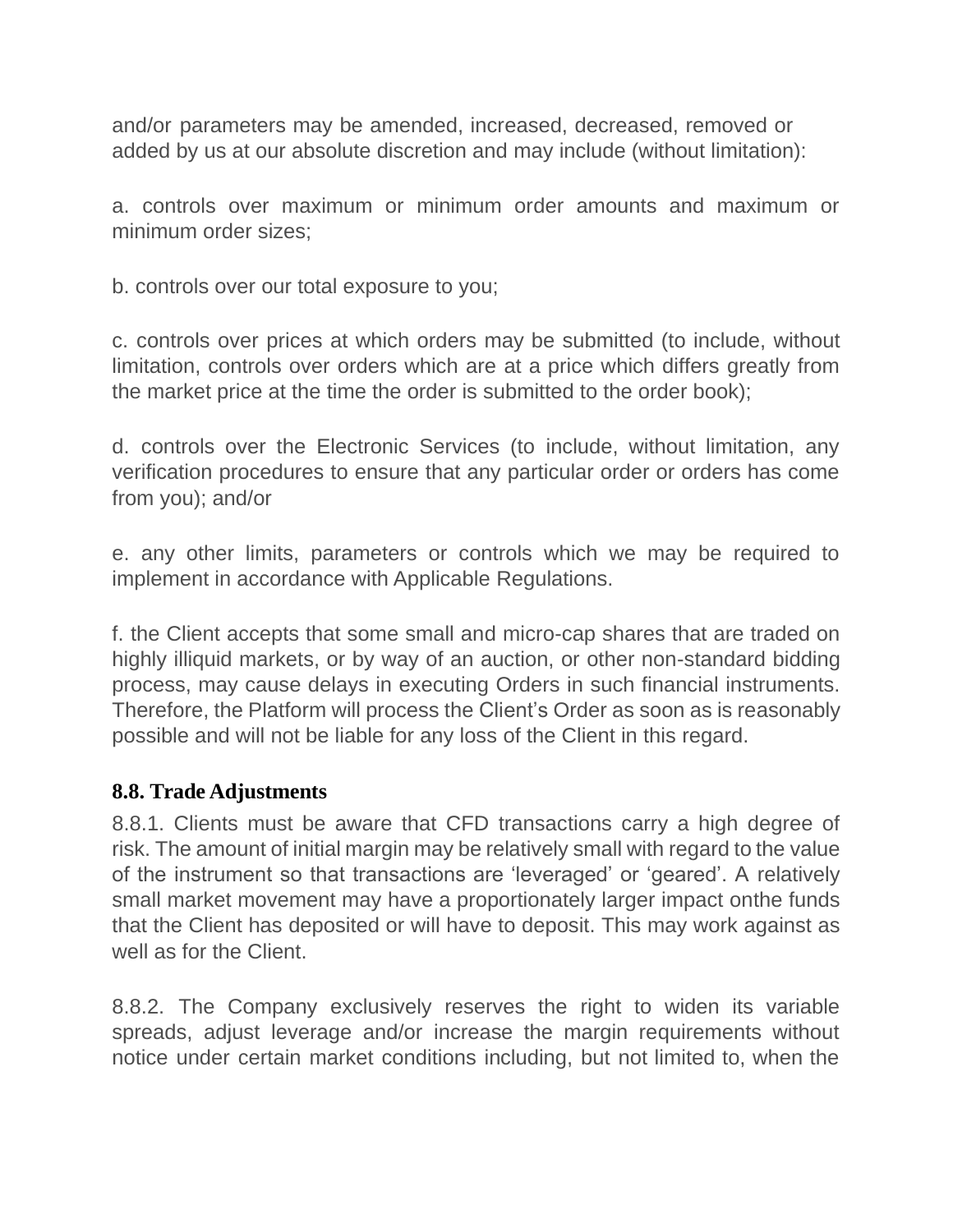and/or parameters may be amended, increased, decreased, removed or added by us at our absolute discretion and may include (without limitation):

a. controls over maximum or minimum order amounts and maximum or minimum order sizes;

b. controls over our total exposure to you;

c. controls over prices at which orders may be submitted (to include, without limitation, controls over orders which are at a price which differs greatly from the market price at the time the order is submitted to the order book);

d. controls over the Electronic Services (to include, without limitation, any verification procedures to ensure that any particular order or orders has come from you); and/or

e. any other limits, parameters or controls which we may be required to implement in accordance with Applicable Regulations.

f. the Client accepts that some small and micro-cap shares that are traded on highly illiquid markets, or by way of an auction, or other non-standard bidding process, may cause delays in executing Orders in such financial instruments. Therefore, the Platform will process the Client's Order as soon as is reasonably possible and will not be liable for any loss of the Client in this regard.

#### **8.8. Trade Adjustments**

8.8.1. Clients must be aware that CFD transactions carry a high degree of risk. The amount of initial margin may be relatively small with regard to the value of the instrument so that transactions are 'leveraged' or 'geared'. A relatively small market movement may have a proportionately larger impact onthe funds that the Client has deposited or will have to deposit. This may work against as well as for the Client.

8.8.2. The Company exclusively reserves the right to widen its variable spreads, adjust leverage and/or increase the margin requirements without notice under certain market conditions including, but not limited to, when the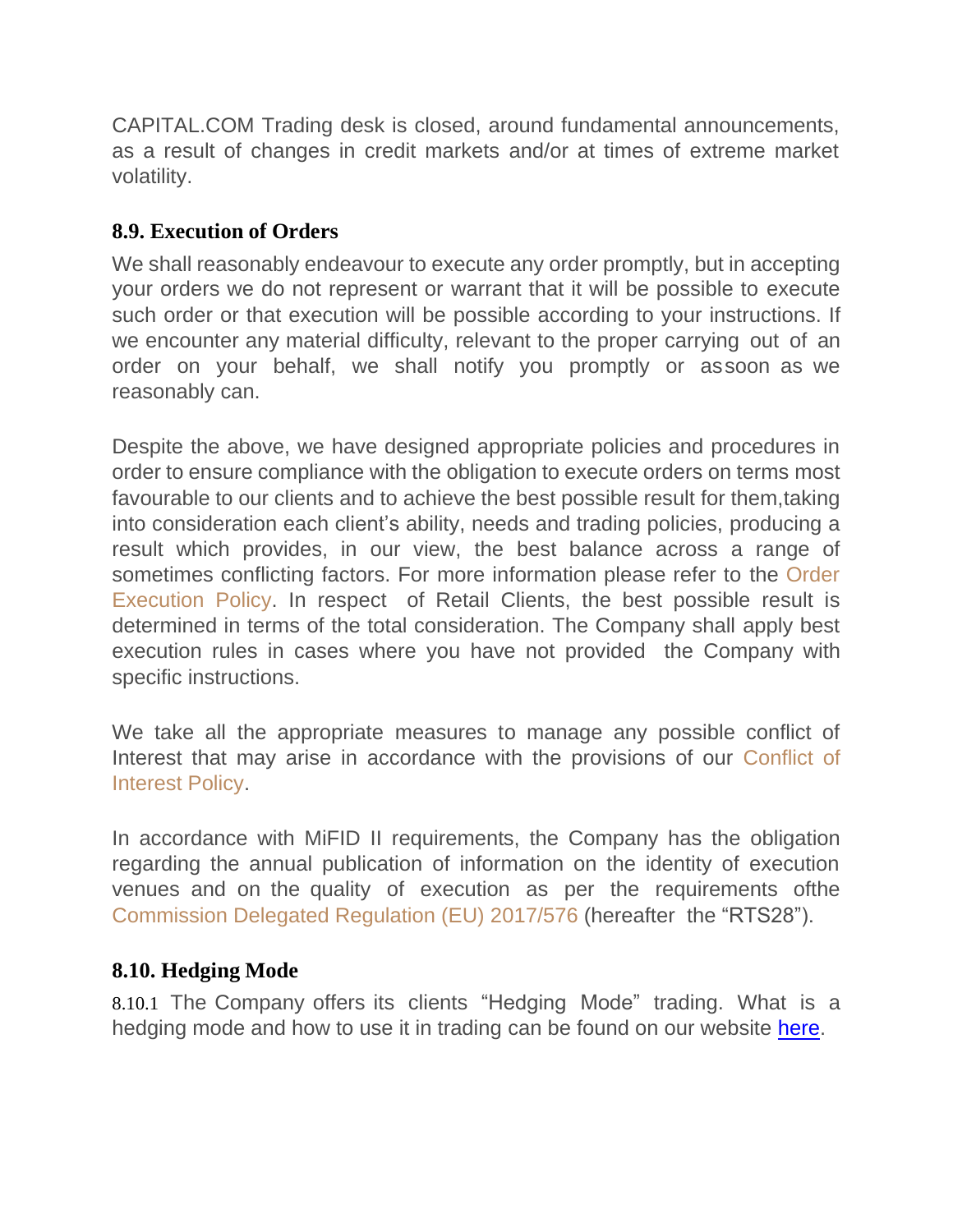CAPITAL.COM Trading desk is closed, around fundamental announcements, as a result of changes in credit markets and/or at times of extreme market volatility.

### **8.9. Execution of Orders**

We shall reasonably endeavour to execute any order promptly, but in accepting your orders we do not represent or warrant that it will be possible to execute such order or that execution will be possible according to your instructions. If we encounter any material difficulty, relevant to the proper carrying out of an order on your behalf, we shall notify you promptly or assoon as we reasonably can.

Despite the above, we have designed appropriate policies and procedures in order to ensure compliance with the obligation to execute orders on terms most favourable to our clients and to achieve the best possible result for them,taking into consideration each client's ability, needs and trading policies, producing a result which provides, in our view, the best balance across a range of sometimes conflicting factors. For more information please refer to the [Order](https://capital.com/order-execution-policy) [Execution](https://capital.com/order-execution-policy) Policy. In respect of Retail Clients, the best possible result is determined in terms of the total consideration. The Company shall apply best execution rules in cases where you have not provided the Company with specific instructions.

We take all the appropriate measures to manage any possible conflict of Interest that may arise in accordance with the provisions of our [Conflict of](https://capital.com/conflict-of-interest-policy) [Interest Policy.](https://capital.com/conflict-of-interest-policy)

In accordance with MiFID II requirements, the Company has the obligation regarding the annual publication of information on the identity of execution venues and on the quality of execution as per the requirements ofthe [Commission](https://eur-lex.europa.eu/legal-content/EN/TXT/PDF/?uri=CELEX%3A32017R0576&from=EN) Delegated Regulation (EU) 2017/576 (hereafter the "RTS28").

## **8.10. Hedging Mode**

8.10.1 The Company offers its clients "Hedging Mode" trading. What is a hedging mode and how to use it in trading can be found on our website [here.](https://capital.com/what-is-hedging-mode-and-how-to-use-it-in-trading)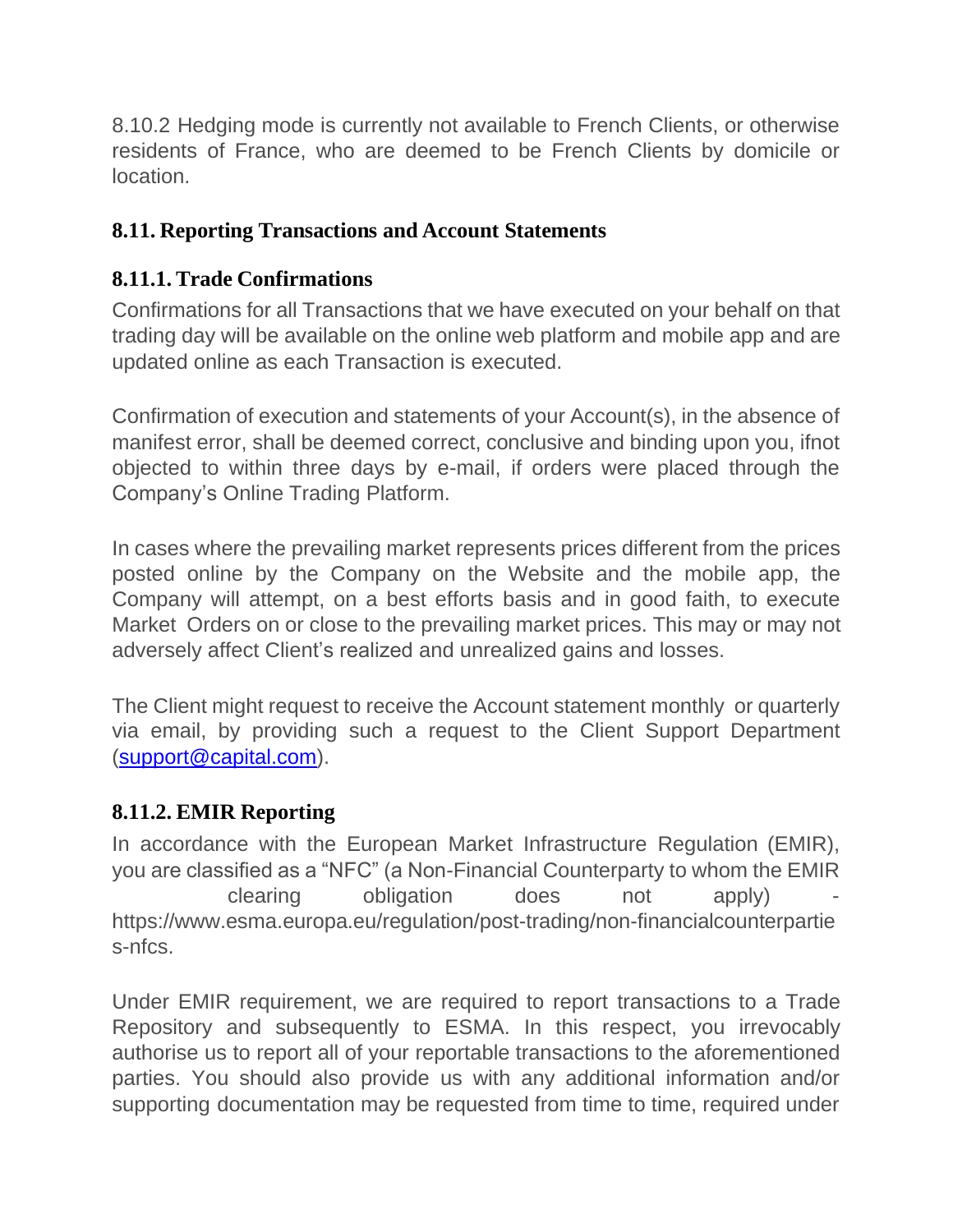8.10.2 Hedging mode is currently not available to French Clients, or otherwise residents of France, who are deemed to be French Clients by domicile or location.

### **8.11. Reporting Transactions and Account Statements**

#### **8.11.1. Trade Confirmations**

Confirmations for all Transactions that we have executed on your behalf on that trading day will be available on the online web platform and mobile app and are updated online as each Transaction is executed.

Confirmation of execution and statements of your Account(s), in the absence of manifest error, shall be deemed correct, conclusive and binding upon you, ifnot objected to within three days by e-mail, if orders were placed through the Company's Online Trading Platform.

In cases where the prevailing market represents prices different from the prices posted online by the Company on the Website and the mobile app, the Company will attempt, on a best efforts basis and in good faith, to execute Market Orders on or close to the prevailing market prices. This may or may not adversely affect Client's realized and unrealized gains and losses.

The Client might request to receive the Account statement monthly or quarterly via email, by providing such a request to the Client Support Department [\(support@capital.com\)](mailto:support@capital.com).

#### **8.11.2. EMIR Reporting**

In accordance with the European Market Infrastructure Regulation (EMIR), you are classified as a "NFC" (a Non-Financial Counterparty to whom the EMIR clearing obligation does not apply) [https://www.esma.europa.eu/regulation/post-trading/non-financialcounterpartie](http://www.esma.europa.eu/regulation/post-trading/non-financialcounterpartie) s-nfcs.

Under EMIR requirement, we are required to report transactions to a Trade Repository and subsequently to ESMA. In this respect, you irrevocably authorise us to report all of your reportable transactions to the aforementioned parties. You should also provide us with any additional information and/or supporting documentation may be requested from time to time, required under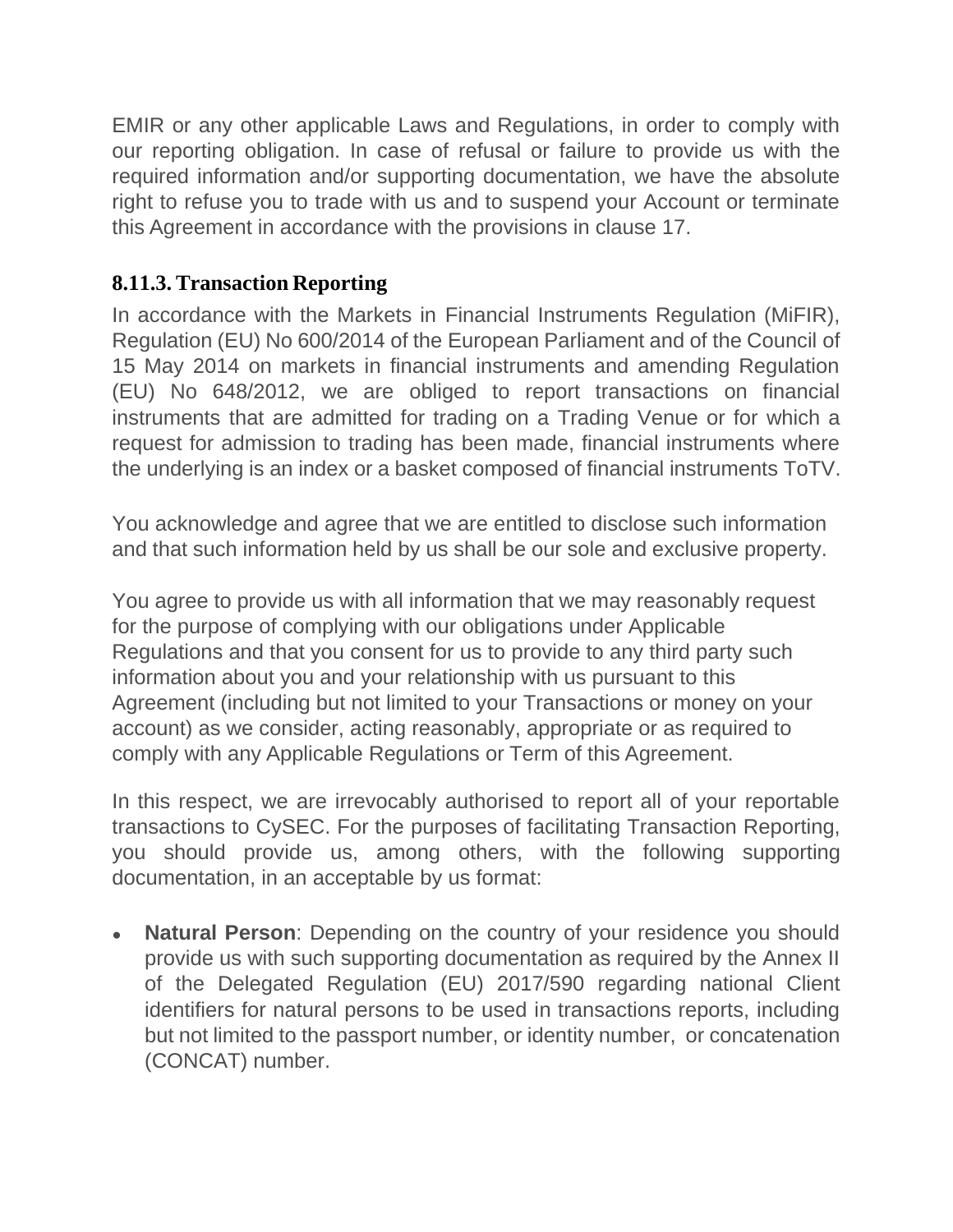EMIR or any other applicable Laws and Regulations, in order to comply with our reporting obligation. In case of refusal or failure to provide us with the required information and/or supporting documentation, we have the absolute right to refuse you to trade with us and to suspend your Account or terminate this Agreement in accordance with the provisions in clause 17.

## **8.11.3. Transaction Reporting**

In accordance with the Markets in Financial Instruments Regulation (MiFIR), Regulation (EU) No 600/2014 of the European Parliament and of the Council of 15 May 2014 on markets in financial instruments and amending Regulation (EU) No 648/2012, we are obliged to report transactions on financial instruments that are admitted for trading on a Trading Venue or for which a request for admission to trading has been made, financial instruments where the underlying is an index or a basket composed of financial instruments ToTV.

You acknowledge and agree that we are entitled to disclose such information and that such information held by us shall be our sole and exclusive property.

You agree to provide us with all information that we may reasonably request for the purpose of complying with our obligations under Applicable Regulations and that you consent for us to provide to any third party such information about you and your relationship with us pursuant to this Agreement (including but not limited to your Transactions or money on your account) as we consider, acting reasonably, appropriate or as required to comply with any Applicable Regulations or Term of this Agreement.

In this respect, we are irrevocably authorised to report all of your reportable transactions to CySEC. For the purposes of facilitating Transaction Reporting, you should provide us, among others, with the following supporting documentation, in an acceptable by us format:

• **Natural Person**: Depending on the country of your residence you should provide us with such supporting documentation as required by the Annex II of the Delegated Regulation (EU) 2017/590 regarding national Client identifiers for natural persons to be used in transactions reports, including but not limited to the passport number, or identity number, or concatenation (CONCAT) number.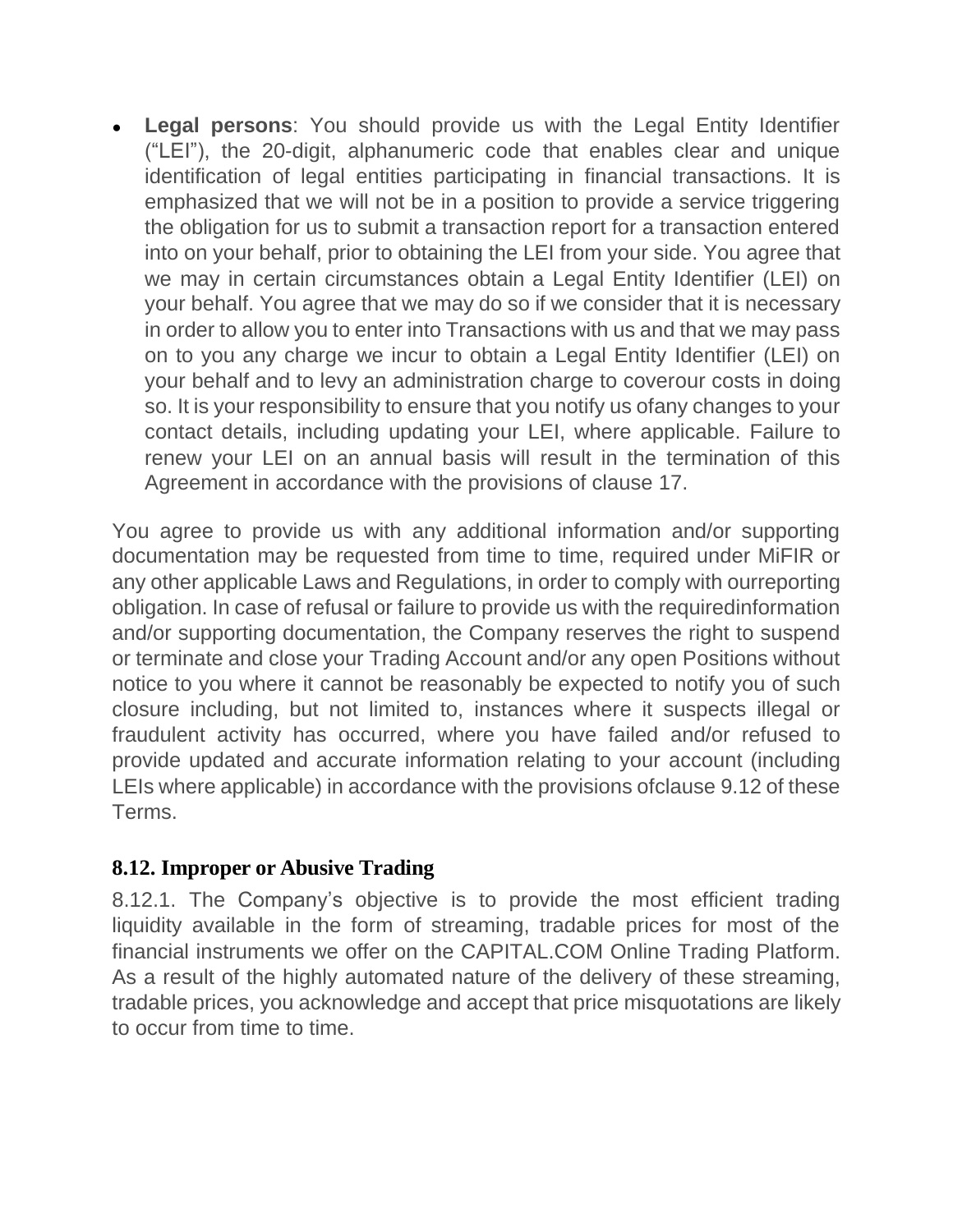● **Legal persons**: You should provide us with the Legal Entity Identifier ("LEI"), the 20-digit, alphanumeric code that enables clear and unique identification of legal entities participating in financial transactions. It is emphasized that we will not be in a position to provide a service triggering the obligation for us to submit a transaction report for a transaction entered into on your behalf, prior to obtaining the LEI from your side. You agree that we may in certain circumstances obtain a Legal Entity Identifier (LEI) on your behalf. You agree that we may do so if we consider that it is necessary in order to allow you to enter into Transactions with us and that we may pass on to you any charge we incur to obtain a Legal Entity Identifier (LEI) on your behalf and to levy an administration charge to coverour costs in doing so. It is your responsibility to ensure that you notify us ofany changes to your contact details, including updating your LEI, where applicable. Failure to renew your LEI on an annual basis will result in the termination of this Agreement in accordance with the provisions of clause 17.

You agree to provide us with any additional information and/or supporting documentation may be requested from time to time, required under MiFIR or any other applicable Laws and Regulations, in order to comply with ourreporting obligation. In case of refusal or failure to provide us with the requiredinformation and/or supporting documentation, the Company reserves the right to suspend or terminate and close your Trading Account and/or any open Positions without notice to you where it cannot be reasonably be expected to notify you of such closure including, but not limited to, instances where it suspects illegal or fraudulent activity has occurred, where you have failed and/or refused to provide updated and accurate information relating to your account (including LEIs where applicable) in accordance with the provisions ofclause 9.12 of these Terms.

## **8.12. Improper or Abusive Trading**

8.12.1. The Company's objective is to provide the most efficient trading liquidity available in the form of streaming, tradable prices for most of the financial instruments we offer on the CAPITAL.COM Online Trading Platform. As a result of the highly automated nature of the delivery of these streaming, tradable prices, you acknowledge and accept that price misquotations are likely to occur from time to time.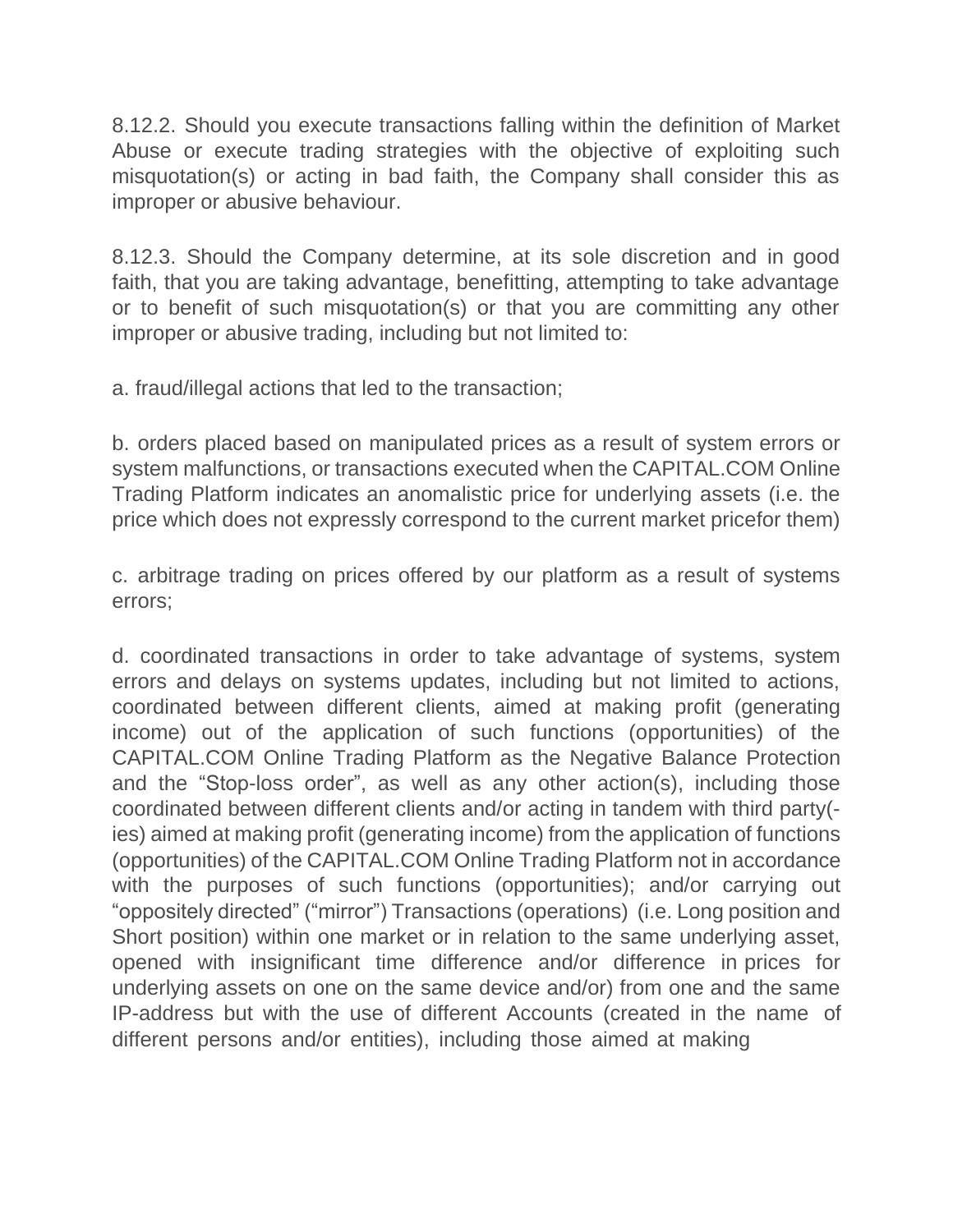8.12.2. Should you execute transactions falling within the definition of Market Abuse or execute trading strategies with the objective of exploiting such misquotation(s) or acting in bad faith, the Company shall consider this as improper or abusive behaviour.

8.12.3. Should the Company determine, at its sole discretion and in good faith, that you are taking advantage, benefitting, attempting to take advantage or to benefit of such misquotation(s) or that you are committing any other improper or abusive trading, including but not limited to:

a. fraud/illegal actions that led to the transaction;

b. orders placed based on manipulated prices as a result of system errors or system malfunctions, or transactions executed when the CAPITAL.COM Online Trading Platform indicates an anomalistic price for underlying assets (i.e. the price which does not expressly correspond to the current market pricefor them)

c. arbitrage trading on prices offered by our platform as a result of systems errors;

d. coordinated transactions in order to take advantage of systems, system errors and delays on systems updates, including but not limited to actions, coordinated between different clients, aimed at making profit (generating income) out of the application of such functions (opportunities) of the CAPITAL.COM Online Trading Platform as the Negative Balance Protection and the "Stop-loss order", as well as any other action(s), including those coordinated between different clients and/or acting in tandem with third party( ies) aimed at making profit (generating income) from the application of functions (opportunities) of the CAPITAL.COM Online Trading Platform not in accordance with the purposes of such functions (opportunities); and/or carrying out "oppositely directed" ("mirror") Transactions (operations) (i.e. Long position and Short position) within one market or in relation to the same underlying asset, opened with insignificant time difference and/or difference in prices for underlying assets on one on the same device and/or) from one and the same IP-address but with the use of different Accounts (created in the name of different persons and/or entities), including those aimed at making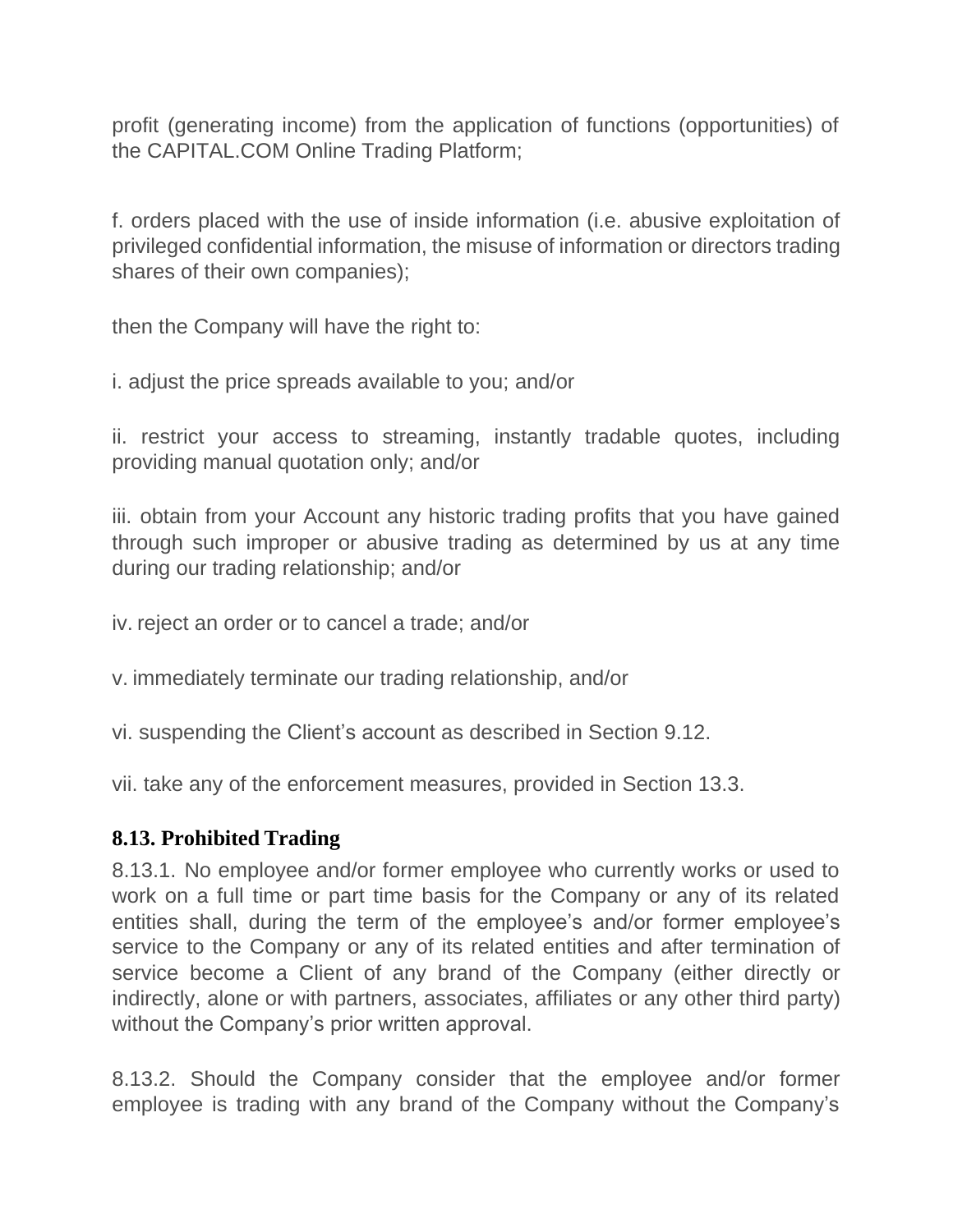profit (generating income) from the application of functions (opportunities) of the CAPITAL.COM Online Trading Platform;

f. orders placed with the use of inside information (i.e. abusive exploitation of privileged confidential information, the misuse of information or directors trading shares of their own companies);

then the Company will have the right to:

i. adjust the price spreads available to you; and/or

ii. restrict your access to streaming, instantly tradable quotes, including providing manual quotation only; and/or

iii. obtain from your Account any historic trading profits that you have gained through such improper or abusive trading as determined by us at any time during our trading relationship; and/or

iv. reject an order or to cancel a trade; and/or

v. immediately terminate our trading relationship, and/or

vi. suspending the Client's account as described in Section 9.12.

vii. take any of the enforcement measures, provided in Section 13.3.

#### **8.13. Prohibited Trading**

8.13.1. No employee and/or former employee who currently works or used to work on a full time or part time basis for the Company or any of its related entities shall, during the term of the employee's and/or former employee's service to the Company or any of its related entities and after termination of service become a Client of any brand of the Company (either directly or indirectly, alone or with partners, associates, affiliates or any other third party) without the Company's prior written approval.

8.13.2. Should the Company consider that the employee and/or former employee is trading with any brand of the Company without the Company's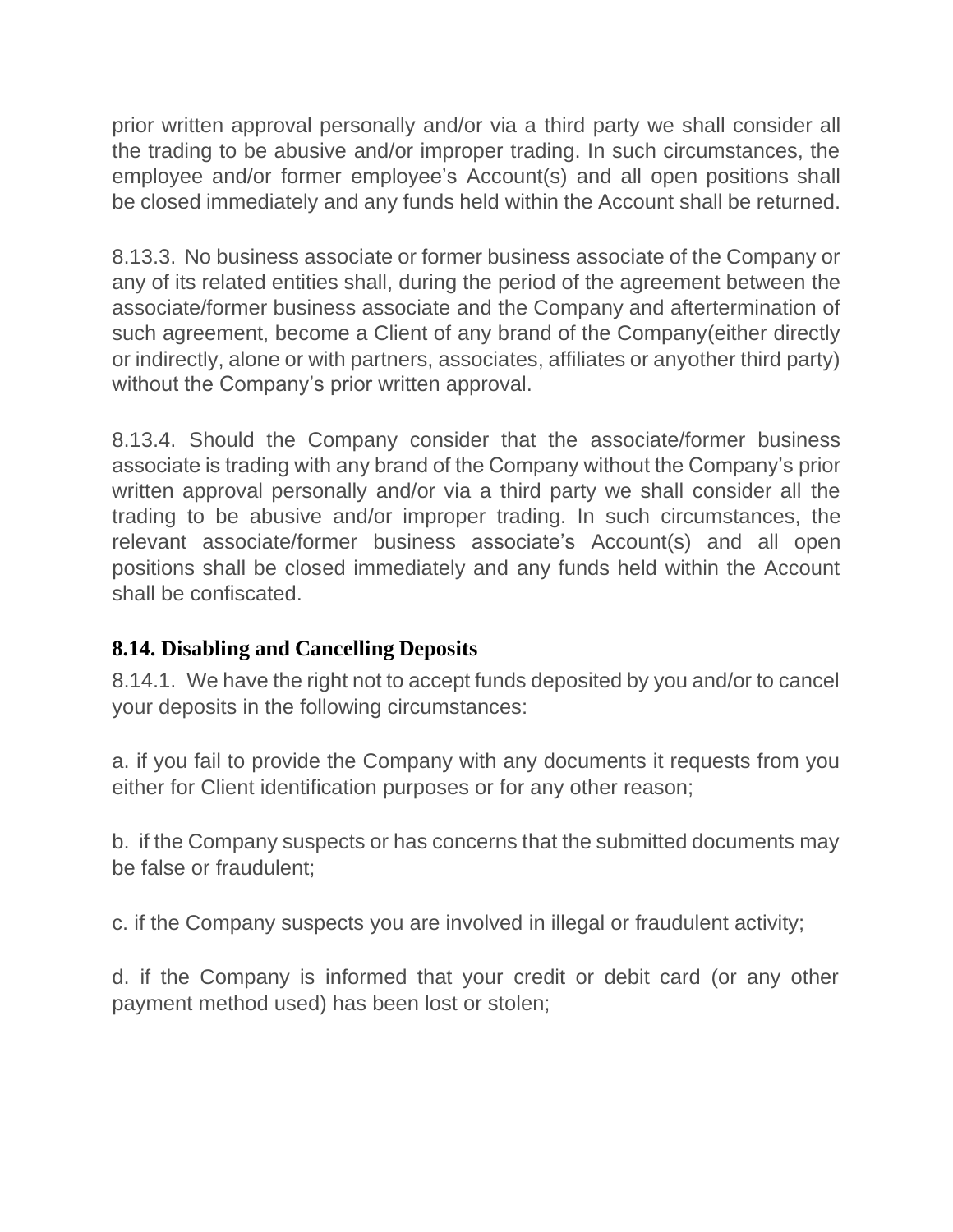prior written approval personally and/or via a third party we shall consider all the trading to be abusive and/or improper trading. In such circumstances, the employee and/or former employee's Account(s) and all open positions shall be closed immediately and any funds held within the Account shall be returned.

8.13.3. No business associate or former business associate of the Company or any of its related entities shall, during the period of the agreement between the associate/former business associate and the Company and aftertermination of such agreement, become a Client of any brand of the Company(either directly or indirectly, alone or with partners, associates, affiliates or anyother third party) without the Company's prior written approval.

8.13.4. Should the Company consider that the associate/former business associate is trading with any brand of the Company without the Company's prior written approval personally and/or via a third party we shall consider all the trading to be abusive and/or improper trading. In such circumstances, the relevant associate/former business associate's Account(s) and all open positions shall be closed immediately and any funds held within the Account shall be confiscated.

## **8.14. Disabling and Cancelling Deposits**

8.14.1. We have the right not to accept funds deposited by you and/or to cancel your deposits in the following circumstances:

a. if you fail to provide the Company with any documents it requests from you either for Client identification purposes or for any other reason;

b. if the Company suspects or has concerns that the submitted documents may be false or fraudulent;

c. if the Company suspects you are involved in illegal or fraudulent activity;

d. if the Company is informed that your credit or debit card (or any other payment method used) has been lost or stolen;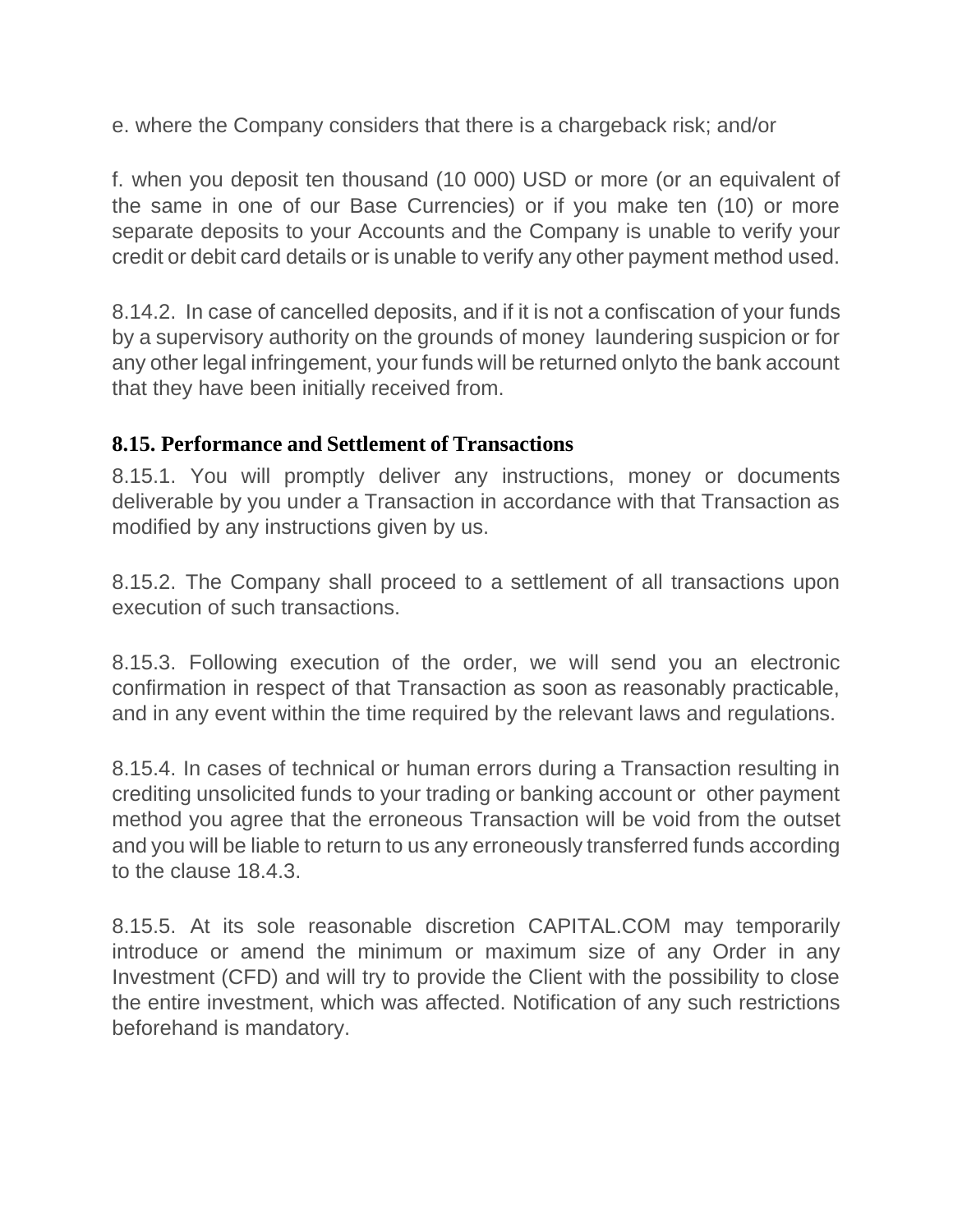e. where the Company considers that there is a chargeback risk; and/or

f. when you deposit ten thousand (10 000) USD or more (or an equivalent of the same in one of our Base Currencies) or if you make ten (10) or more separate deposits to your Accounts and the Company is unable to verify your credit or debit card details or is unable to verify any other payment method used.

8.14.2. In case of cancelled deposits, and if it is not a confiscation of your funds by a supervisory authority on the grounds of money laundering suspicion or for any other legal infringement, your funds will be returned onlyto the bank account that they have been initially received from.

#### **8.15. Performance and Settlement of Transactions**

8.15.1. You will promptly deliver any instructions, money or documents deliverable by you under a Transaction in accordance with that Transaction as modified by any instructions given by us.

8.15.2. The Company shall proceed to a settlement of all transactions upon execution of such transactions.

8.15.3. Following execution of the order, we will send you an electronic confirmation in respect of that Transaction as soon as reasonably practicable, and in any event within the time required by the relevant laws and regulations.

8.15.4. In cases of technical or human errors during a Transaction resulting in crediting unsolicited funds to your trading or banking account or other payment method you agree that the erroneous Transaction will be void from the outset and you will be liable to return to us any erroneously transferred funds according to the clause 18.4.3.

8.15.5. At its sole reasonable discretion CAPITAL.COM may temporarily introduce or amend the minimum or maximum size of any Order in any Investment (CFD) and will try to provide the Client with the possibility to close the entire investment, which was affected. Notification of any such restrictions beforehand is mandatory.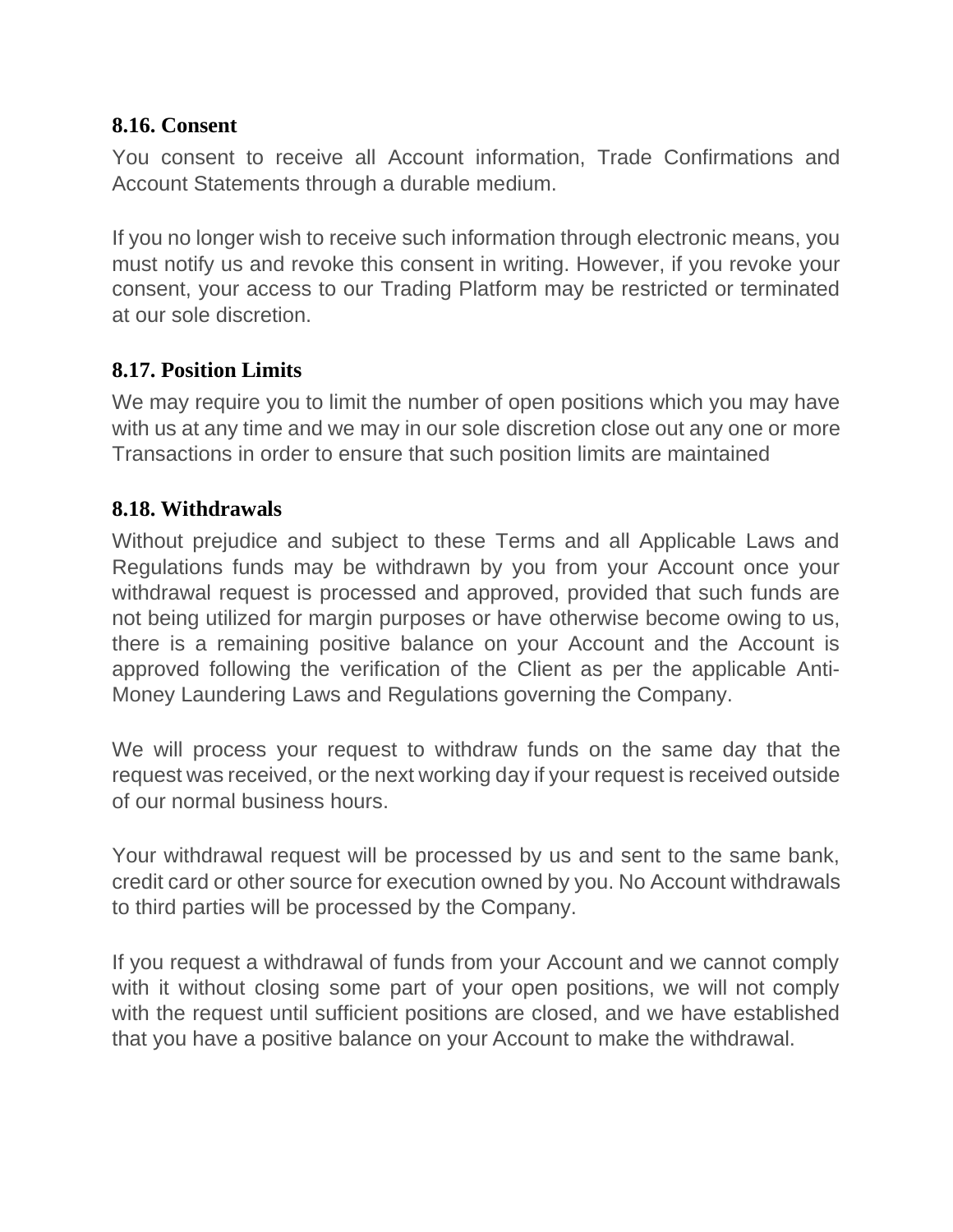#### **8.16. Consent**

You consent to receive all Account information, Trade Confirmations and Account Statements through a durable medium.

If you no longer wish to receive such information through electronic means, you must notify us and revoke this consent in writing. However, if you revoke your consent, your access to our Trading Platform may be restricted or terminated at our sole discretion.

#### **8.17. Position Limits**

We may require you to limit the number of open positions which you may have with us at any time and we may in our sole discretion close out any one or more Transactions in order to ensure that such position limits are maintained

### **8.18. Withdrawals**

Without prejudice and subject to these Terms and all Applicable Laws and Regulations funds may be withdrawn by you from your Account once your withdrawal request is processed and approved, provided that such funds are not being utilized for margin purposes or have otherwise become owing to us, there is a remaining positive balance on your Account and the Account is approved following the verification of the Client as per the applicable Anti-Money Laundering Laws and Regulations governing the Company.

We will process your request to withdraw funds on the same day that the request was received, or the next working day if your request is received outside of our normal business hours.

Your withdrawal request will be processed by us and sent to the same bank, credit card or other source for execution owned by you. No Account withdrawals to third parties will be processed by the Company.

If you request a withdrawal of funds from your Account and we cannot comply with it without closing some part of your open positions, we will not comply with the request until sufficient positions are closed, and we have established that you have a positive balance on your Account to make the withdrawal.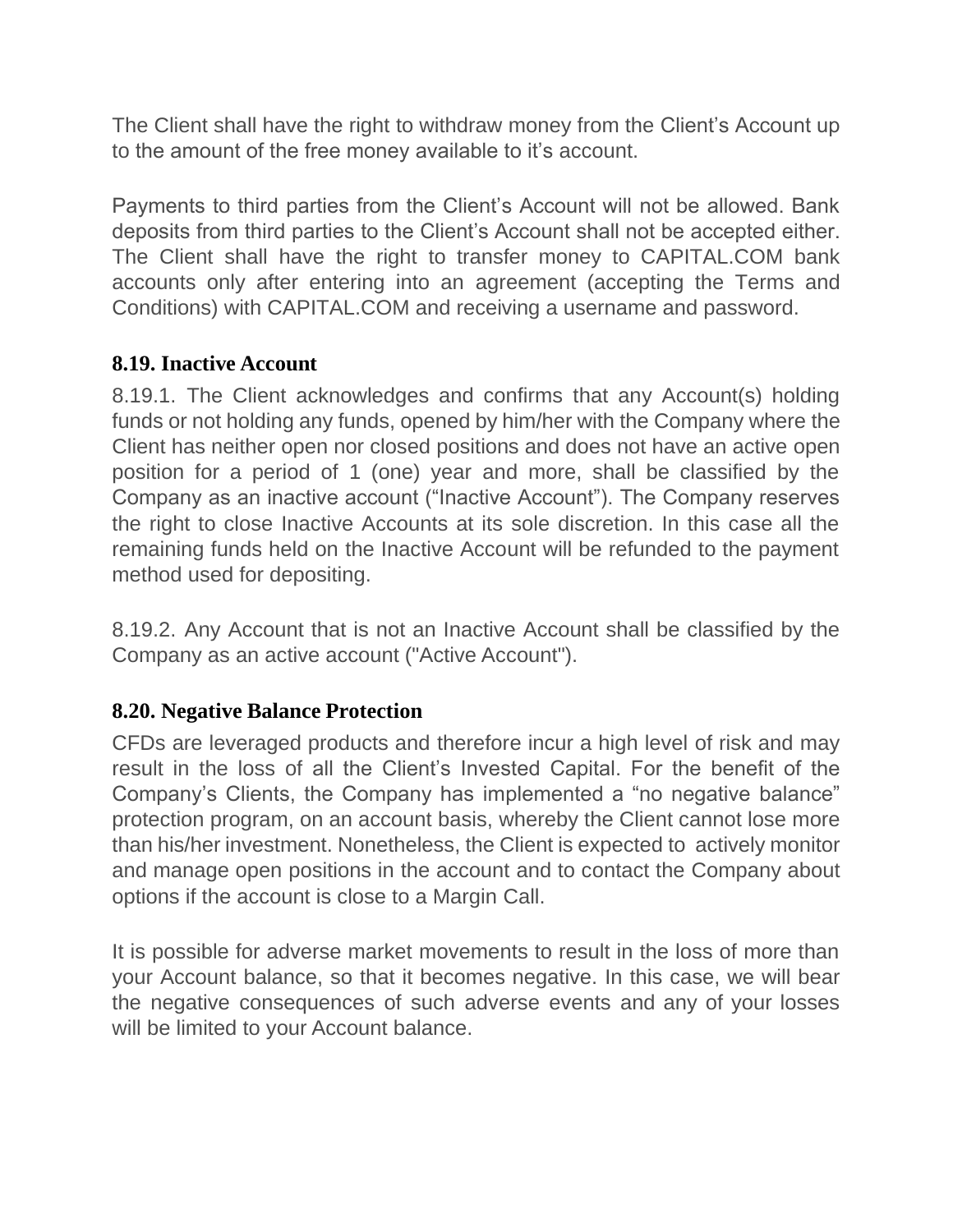The Client shall have the right to withdraw money from the Client's Account up to the amount of the free money available to it's account.

Payments to third parties from the Client's Account will not be allowed. Bank deposits from third parties to the Client's Account shall not be accepted either. The Client shall have the right to transfer money to CAPITAL.COM bank accounts only after entering into an agreement (accepting the Terms and Conditions) with CAPITAL.COM and receiving a username and password.

#### **8.19. Inactive Account**

8.19.1. The Client acknowledges and confirms that any Account(s) holding funds or not holding any funds, opened by him/her with the Company where the Client has neither open nor closed positions and does not have an active open position for a period of 1 (one) year and more, shall be classified by the Company as an inactive account ("Inactive Account"). The Company reserves the right to close Inactive Accounts at its sole discretion. In this case all the remaining funds held on the Inactive Account will be refunded to the payment method used for depositing.

8.19.2. Any Account that is not an Inactive Account shall be classified by the Company as an active account ("Active Account").

#### **8.20. Negative Balance Protection**

CFDs are leveraged products and therefore incur a high level of risk and may result in the loss of all the Client's Invested Capital. For the benefit of the Company's Clients, the Company has implemented a "no negative balance" protection program, on an account basis, whereby the Client cannot lose more than his/her investment. Nonetheless, the Client is expected to actively monitor and manage open positions in the account and to contact the Company about options if the account is close to a Margin Call.

It is possible for adverse market movements to result in the loss of more than your Account balance, so that it becomes negative. In this case, we will bear the negative consequences of such adverse events and any of your losses will be limited to your Account balance.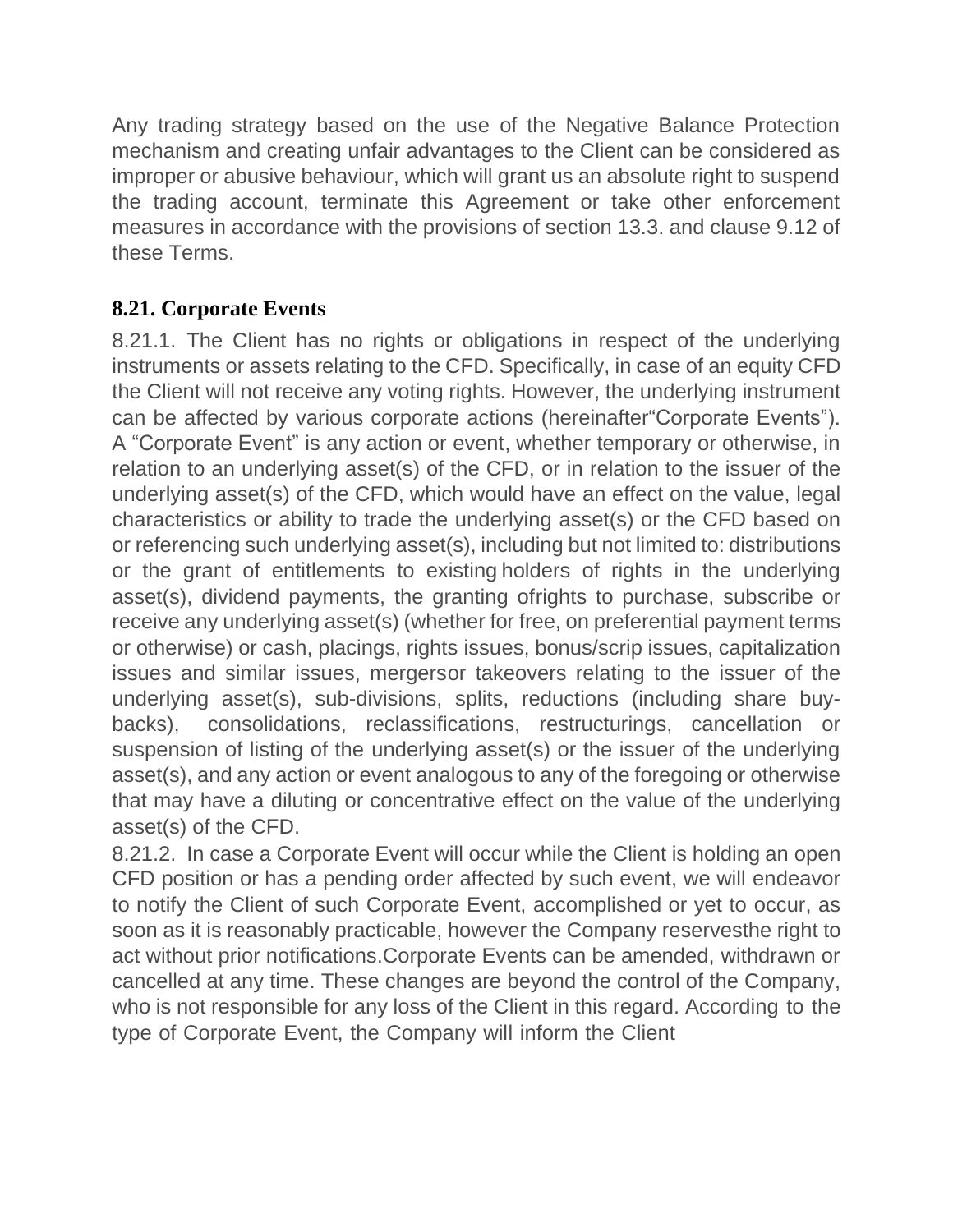Any trading strategy based on the use of the Negative Balance Protection mechanism and creating unfair advantages to the Client can be considered as improper or abusive behaviour, which will grant us an absolute right to suspend the trading account, terminate this Agreement or take other enforcement measures in accordance with the provisions of section 13.3. and clause 9.12 of these Terms.

## **8.21. Corporate Events**

8.21.1. The Client has no rights or obligations in respect of the underlying instruments or assets relating to the CFD. Specifically, in case of an equity CFD the Client will not receive any voting rights. However, the underlying instrument can be affected by various corporate actions (hereinafter"Corporate Events"). A "Corporate Event" is any action or event, whether temporary or otherwise, in relation to an underlying asset(s) of the CFD, or in relation to the issuer of the underlying asset(s) of the CFD, which would have an effect on the value, legal characteristics or ability to trade the underlying asset(s) or the CFD based on or referencing such underlying asset(s), including but not limited to: distributions or the grant of entitlements to existing holders of rights in the underlying asset(s), dividend payments, the granting ofrights to purchase, subscribe or receive any underlying asset(s) (whether for free, on preferential payment terms or otherwise) or cash, placings, rights issues, bonus/scrip issues, capitalization issues and similar issues, mergersor takeovers relating to the issuer of the underlying asset(s), sub-divisions, splits, reductions (including share buybacks), consolidations, reclassifications, restructurings, cancellation or suspension of listing of the underlying asset(s) or the issuer of the underlying asset(s), and any action or event analogous to any of the foregoing or otherwise that may have a diluting or concentrative effect on the value of the underlying asset(s) of the CFD.

8.21.2. In case a Corporate Event will occur while the Client is holding an open CFD position or has a pending order affected by such event, we will endeavor to notify the Client of such Corporate Event, accomplished or yet to occur, as soon as it is reasonably practicable, however the Company reservesthe right to act without prior notifications.Corporate Events can be amended, withdrawn or cancelled at any time. These changes are beyond the control of the Company, who is not responsible for any loss of the Client in this regard. According to the type of Corporate Event, the Company will inform the Client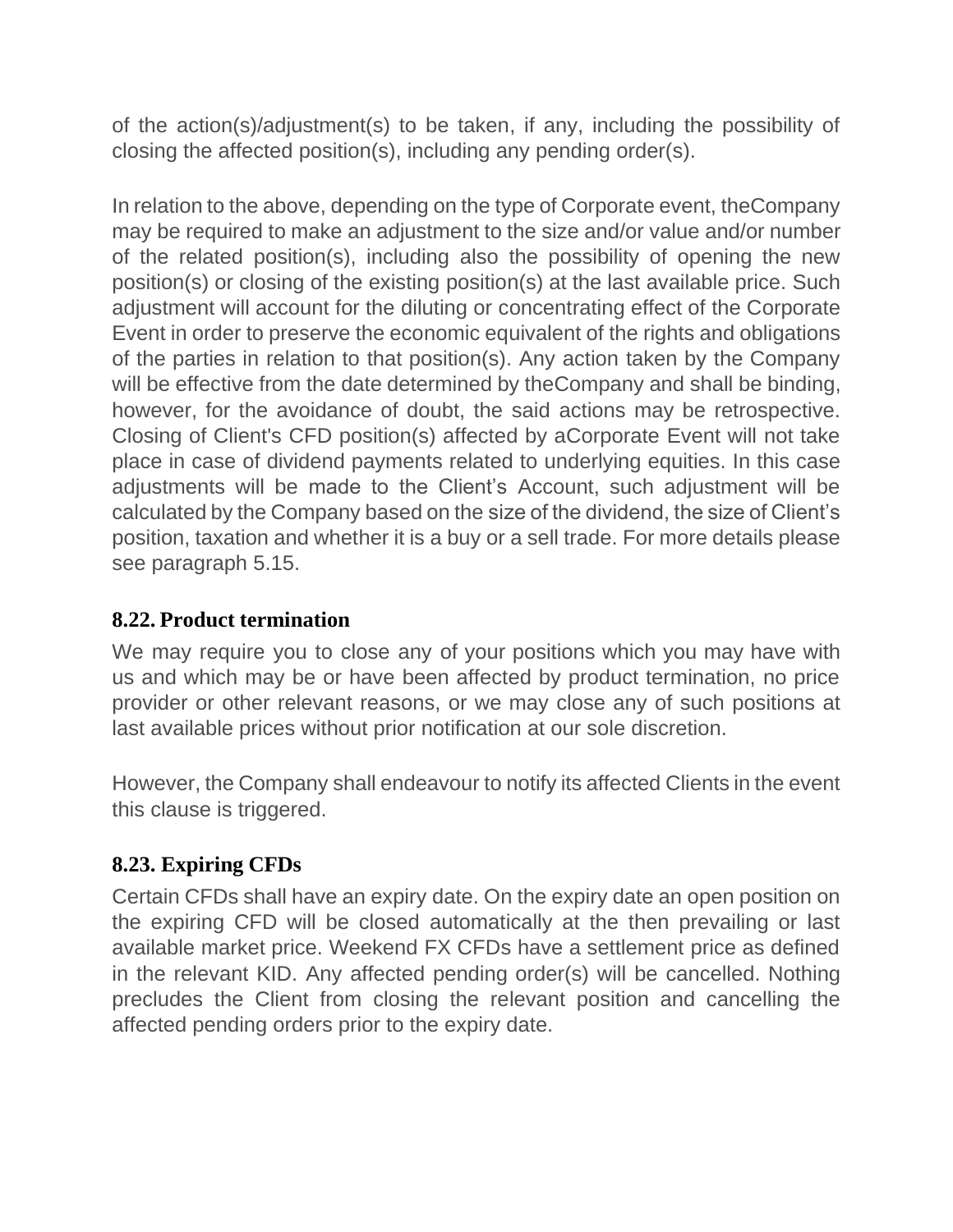of the action(s)/adjustment(s) to be taken, if any, including the possibility of closing the affected position(s), including any pending order(s).

In relation to the above, depending on the type of Corporate event, theCompany may be required to make an adjustment to the size and/or value and/or number of the related position(s), including also the possibility of opening the new position(s) or closing of the existing position(s) at the last available price. Such adjustment will account for the diluting or concentrating effect of the Corporate Event in order to preserve the economic equivalent of the rights and obligations of the parties in relation to that position(s). Any action taken by the Company will be effective from the date determined by the Company and shall be binding, however, for the avoidance of doubt, the said actions may be retrospective. Closing of Client's CFD position(s) affected by aCorporate Event will not take place in case of dividend payments related to underlying equities. In this case adjustments will be made to the Client's Account, such adjustment will be calculated by the Company based on the size of the dividend, the size of Client's position, taxation and whether it is a buy or a sell trade. For more details please see paragraph 5.15.

### **8.22. Product termination**

We may require you to close any of your positions which you may have with us and which may be or have been affected by product termination, no price provider or other relevant reasons, or we may close any of such positions at last available prices without prior notification at our sole discretion.

However, the Company shall endeavour to notify its affected Clients in the event this clause is triggered.

## **8.23. Expiring CFDs**

Certain CFDs shall have an expiry date. On the expiry date an open position on the expiring CFD will be closed automatically at the then prevailing or last available market price. Weekend FX CFDs have a settlement price as defined in the relevant KID. Any affected pending order(s) will be cancelled. Nothing precludes the Client from closing the relevant position and cancelling the affected pending orders prior to the expiry date.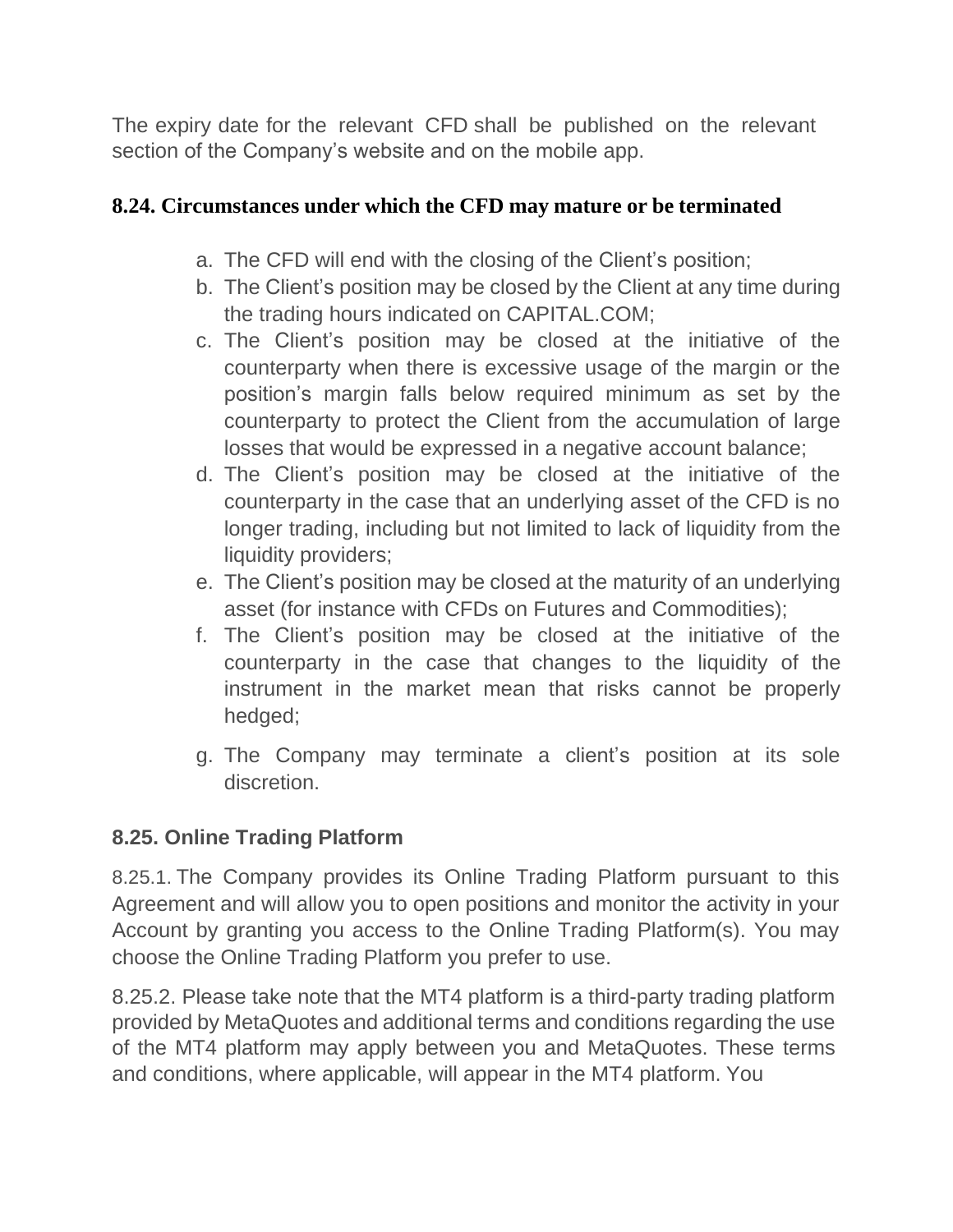The expiry date for the relevant CFD shall be published on the relevant section of the Company's website and on the mobile app.

### **8.24. Circumstances under which the CFD may mature or be terminated**

- a. The CFD will end with the closing of the Client's position;
- b. The Client's position may be closed by the Client at any time during the trading hours indicated on CAPITAL.COM;
- c. The Client's position may be closed at the initiative of the counterparty when there is excessive usage of the margin or the position's margin falls below required minimum as set by the counterparty to protect the Client from the accumulation of large losses that would be expressed in a negative account balance;
- d. The Client's position may be closed at the initiative of the counterparty in the case that an underlying asset of the CFD is no longer trading, including but not limited to lack of liquidity from the liquidity providers;
- e. The Client's position may be closed at the maturity of an underlying asset (for instance with CFDs on Futures and Commodities);
- f. The Client's position may be closed at the initiative of the counterparty in the case that changes to the liquidity of the instrument in the market mean that risks cannot be properly hedged;
- g. The Company may terminate a client's position at its sole discretion.

#### **8.25. Online Trading Platform**

8.25.1. The Company provides its Online Trading Platform pursuant to this Agreement and will allow you to open positions and monitor the activity in your Account by granting you access to the Online Trading Platform(s). You may choose the Online Trading Platform you prefer to use.

8.25.2. Please take note that the MT4 platform is a third-party trading platform provided by MetaQuotes and additional terms and conditions regarding the use of the MT4 platform may apply between you and MetaQuotes. These terms and conditions, where applicable, will appear in the MT4 platform. You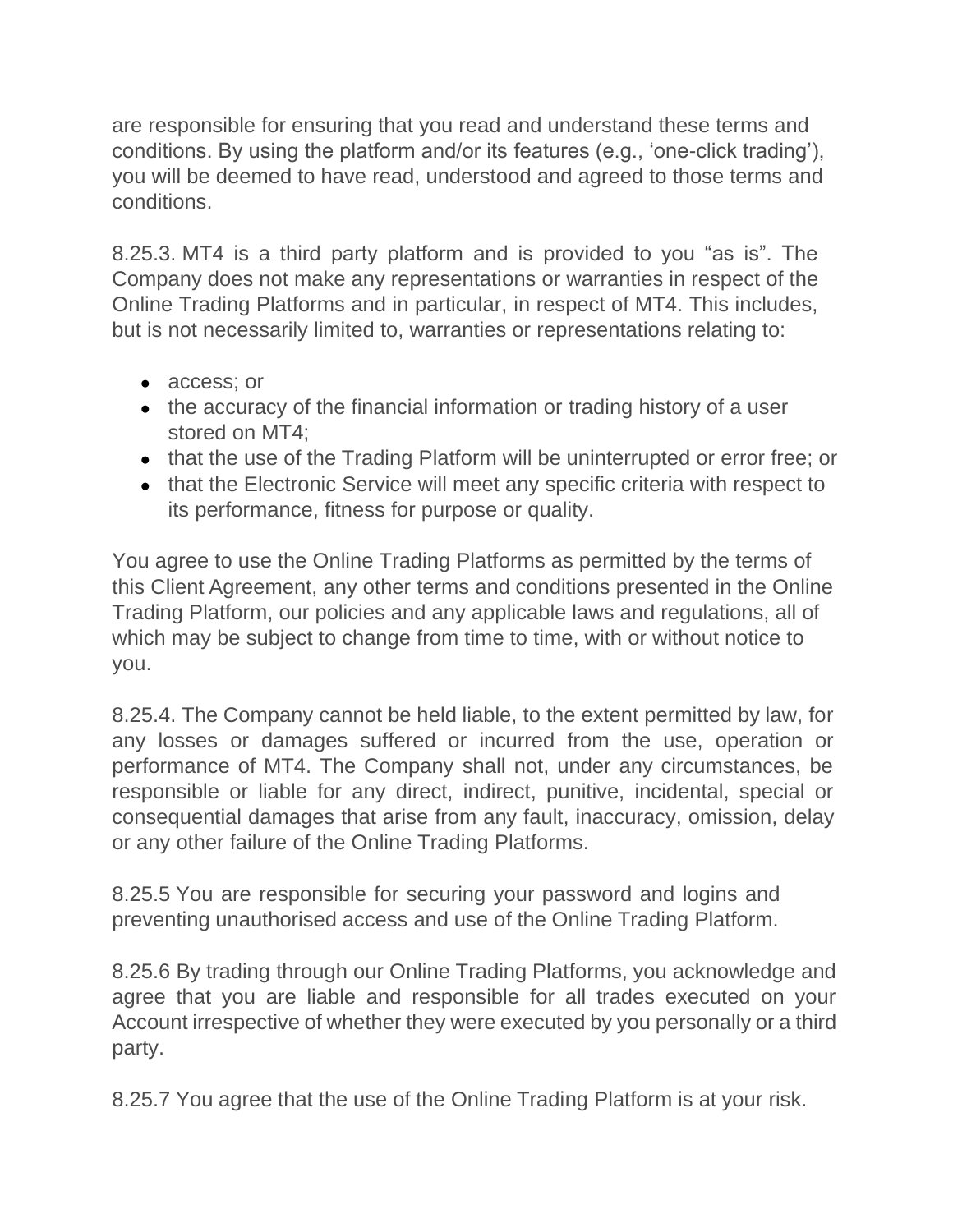are responsible for ensuring that you read and understand these terms and conditions. By using the platform and/or its features (e.g., 'one-click trading'), you will be deemed to have read, understood and agreed to those terms and conditions.

8.25.3. MT4 is a third party platform and is provided to you "as is". The Company does not make any representations or warranties in respect of the Online Trading Platforms and in particular, in respect of MT4. This includes, but is not necessarily limited to, warranties or representations relating to:

- access; or
- the accuracy of the financial information or trading history of a user stored on MT4;
- that the use of the Trading Platform will be uninterrupted or error free; or
- that the Electronic Service will meet any specific criteria with respect to its performance, fitness for purpose or quality.

You agree to use the Online Trading Platforms as permitted by the terms of this Client Agreement, any other terms and conditions presented in the Online Trading Platform, our policies and any applicable laws and regulations, all of which may be subject to change from time to time, with or without notice to you.

8.25.4. The Company cannot be held liable, to the extent permitted by law, for any losses or damages suffered or incurred from the use, operation or performance of MT4. The Company shall not, under any circumstances, be responsible or liable for any direct, indirect, punitive, incidental, special or consequential damages that arise from any fault, inaccuracy, omission, delay or any other failure of the Online Trading Platforms.

8.25.5 You are responsible for securing your password and logins and preventing unauthorised access and use of the Online Trading Platform.

8.25.6 By trading through our Online Trading Platforms, you acknowledge and agree that you are liable and responsible for all trades executed on your Account irrespective of whether they were executed by you personally or a third party.

8.25.7 You agree that the use of the Online Trading Platform is at your risk.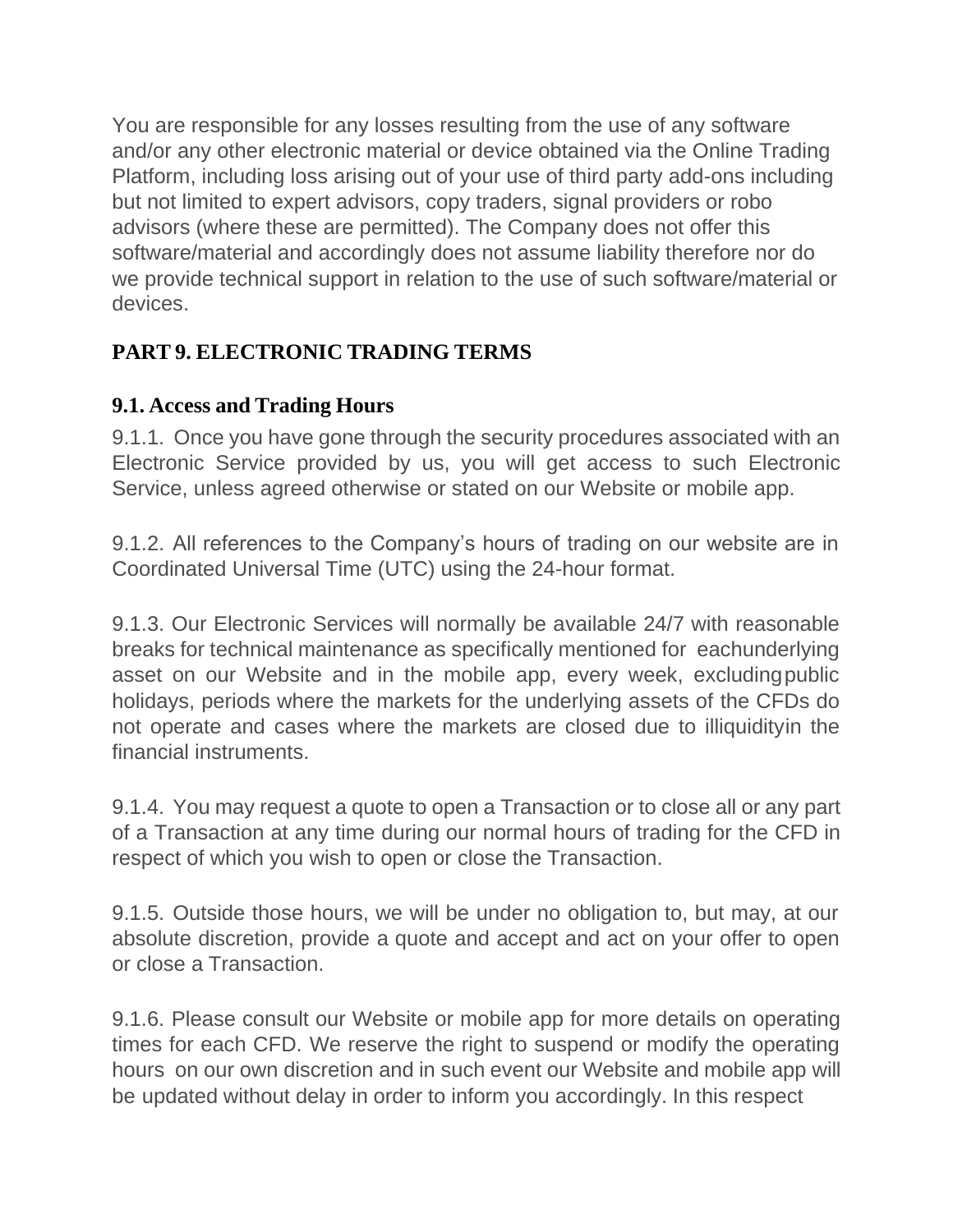You are responsible for any losses resulting from the use of any software and/or any other electronic material or device obtained via the Online Trading Platform, including loss arising out of your use of third party add-ons including but not limited to expert advisors, copy traders, signal providers or robo advisors (where these are permitted). The Company does not offer this software/material and accordingly does not assume liability therefore nor do we provide technical support in relation to the use of such software/material or devices.

# **PART 9. ELECTRONIC TRADING TERMS**

# **9.1. Access and Trading Hours**

9.1.1. Once you have gone through the security procedures associated with an Electronic Service provided by us, you will get access to such Electronic Service, unless agreed otherwise or stated on our Website or mobile app.

9.1.2. All references to the Company's hours of trading on our website are in Coordinated Universal Time (UTC) using the 24-hour format.

9.1.3. Our Electronic Services will normally be available 24/7 with reasonable breaks for technical maintenance as specifically mentioned for eachunderlying asset on our Website and in the mobile app, every week, excludingpublic holidays, periods where the markets for the underlying assets of the CFDs do not operate and cases where the markets are closed due to illiquidityin the financial instruments.

9.1.4. You may request a quote to open a Transaction or to close all or any part of a Transaction at any time during our normal hours of trading for the CFD in respect of which you wish to open or close the Transaction.

9.1.5. Outside those hours, we will be under no obligation to, but may, at our absolute discretion, provide a quote and accept and act on your offer to open or close a Transaction.

9.1.6. Please consult our Website or mobile app for more details on operating times for each CFD. We reserve the right to suspend or modify the operating hours on our own discretion and in such event our Website and mobile app will be updated without delay in order to inform you accordingly. In this respect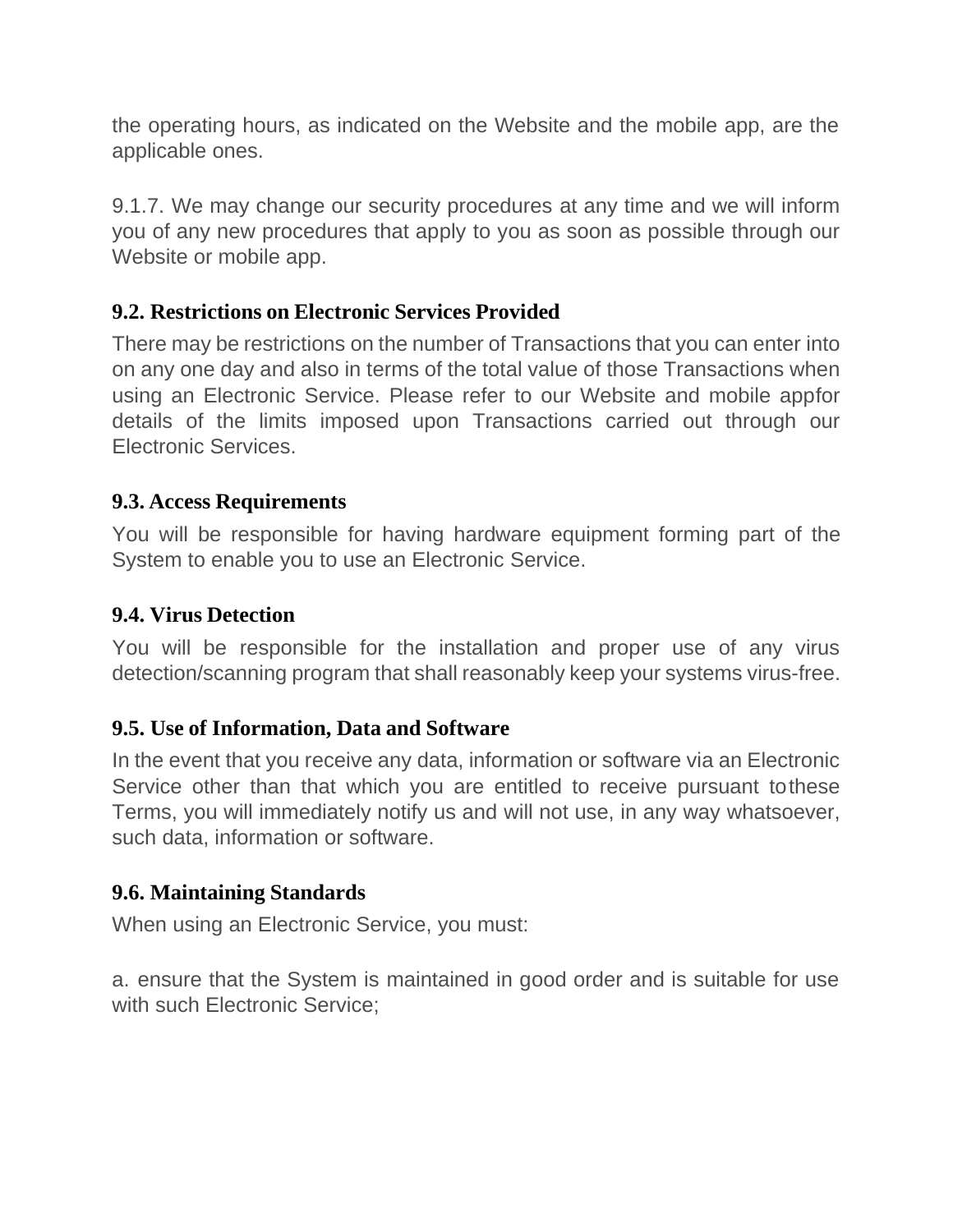the operating hours, as indicated on the Website and the mobile app, are the applicable ones.

9.1.7. We may change our security procedures at any time and we will inform you of any new procedures that apply to you as soon as possible through our Website or mobile app.

#### **9.2. Restrictions on Electronic Services Provided**

There may be restrictions on the number of Transactions that you can enter into on any one day and also in terms of the total value of those Transactions when using an Electronic Service. Please refer to our Website and mobile appfor details of the limits imposed upon Transactions carried out through our Electronic Services.

#### **9.3. Access Requirements**

You will be responsible for having hardware equipment forming part of the System to enable you to use an Electronic Service.

#### **9.4. Virus Detection**

You will be responsible for the installation and proper use of any virus detection/scanning program that shall reasonably keep your systems virus-free.

#### **9.5. Use of Information, Data and Software**

In the event that you receive any data, information or software via an Electronic Service other than that which you are entitled to receive pursuant tothese Terms, you will immediately notify us and will not use, in any way whatsoever, such data, information or software.

#### **9.6. Maintaining Standards**

When using an Electronic Service, you must:

a. ensure that the System is maintained in good order and is suitable for use with such Electronic Service;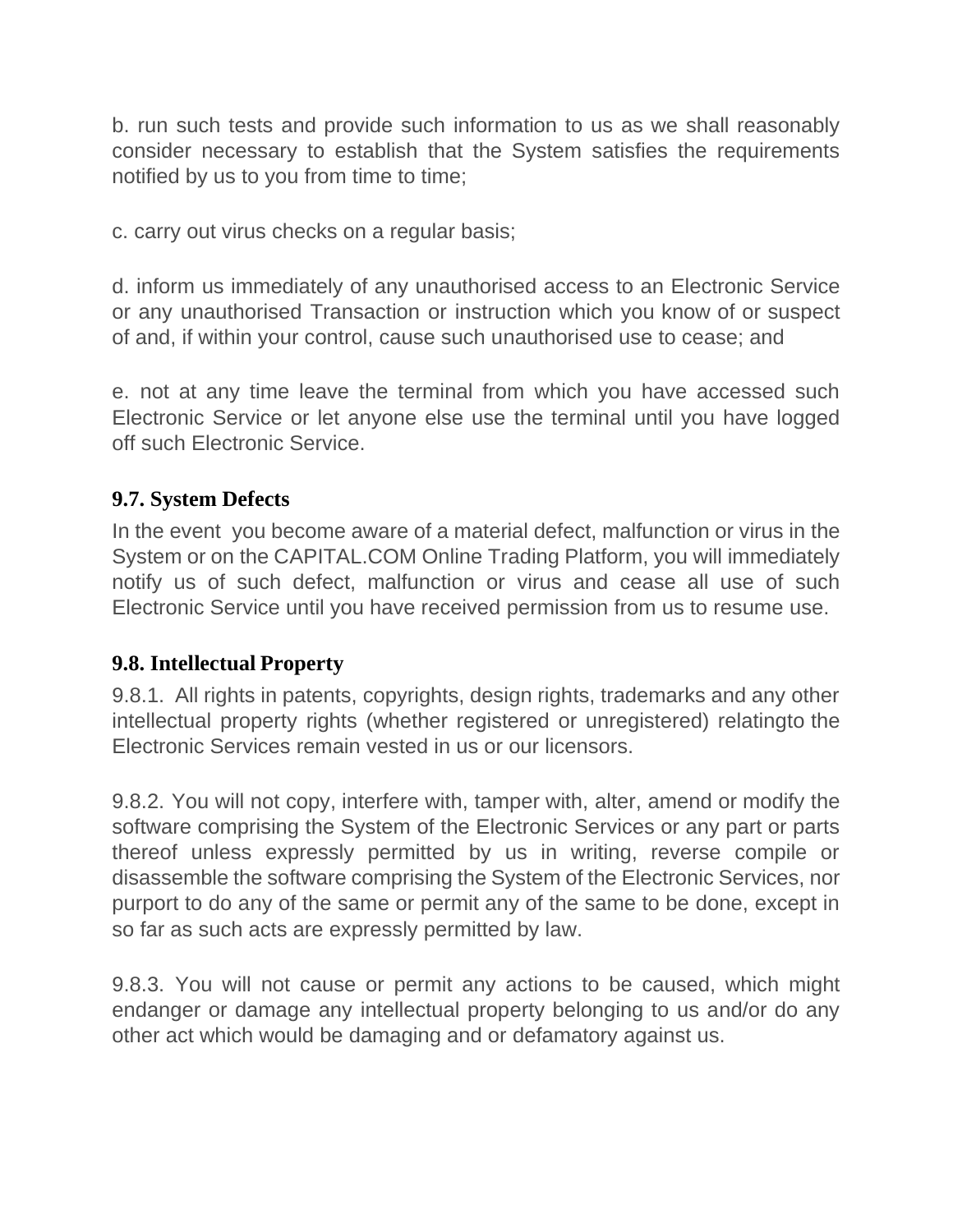b. run such tests and provide such information to us as we shall reasonably consider necessary to establish that the System satisfies the requirements notified by us to you from time to time;

c. carry out virus checks on a regular basis;

d. inform us immediately of any unauthorised access to an Electronic Service or any unauthorised Transaction or instruction which you know of or suspect of and, if within your control, cause such unauthorised use to cease; and

e. not at any time leave the terminal from which you have accessed such Electronic Service or let anyone else use the terminal until you have logged off such Electronic Service.

### **9.7. System Defects**

In the event you become aware of a material defect, malfunction or virus in the System or on the CAPITAL.COM Online Trading Platform, you will immediately notify us of such defect, malfunction or virus and cease all use of such Electronic Service until you have received permission from us to resume use.

#### **9.8. Intellectual Property**

9.8.1. All rights in patents, copyrights, design rights, trademarks and any other intellectual property rights (whether registered or unregistered) relatingto the Electronic Services remain vested in us or our licensors.

9.8.2. You will not copy, interfere with, tamper with, alter, amend or modify the software comprising the System of the Electronic Services or any part or parts thereof unless expressly permitted by us in writing, reverse compile or disassemble the software comprising the System of the Electronic Services, nor purport to do any of the same or permit any of the same to be done, except in so far as such acts are expressly permitted by law.

9.8.3. You will not cause or permit any actions to be caused, which might endanger or damage any intellectual property belonging to us and/or do any other act which would be damaging and or defamatory against us.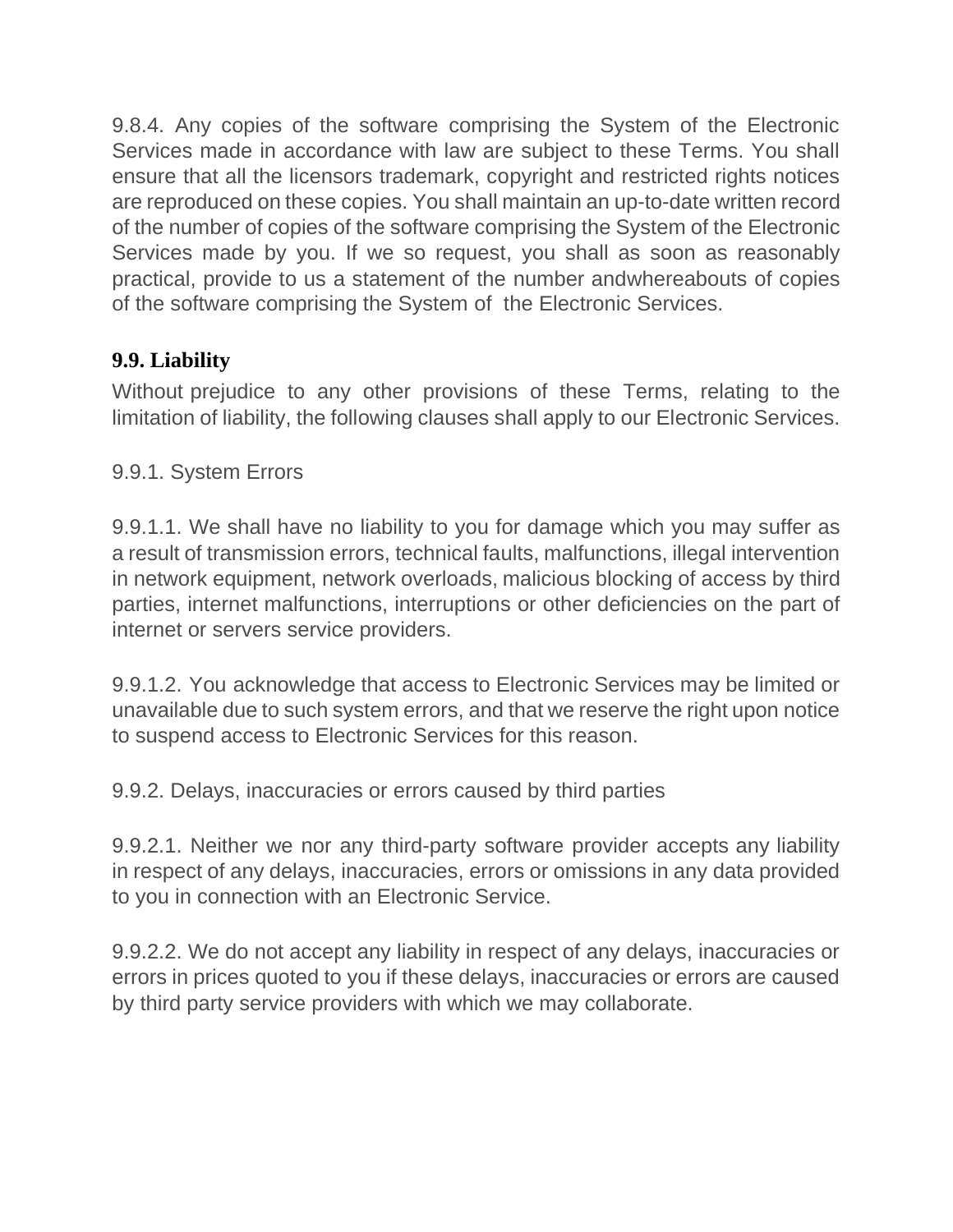9.8.4. Any copies of the software comprising the System of the Electronic Services made in accordance with law are subject to these Terms. You shall ensure that all the licensors trademark, copyright and restricted rights notices are reproduced on these copies. You shall maintain an up-to-date written record of the number of copies of the software comprising the System of the Electronic Services made by you. If we so request, you shall as soon as reasonably practical, provide to us a statement of the number andwhereabouts of copies of the software comprising the System of the Electronic Services.

## **9.9. Liability**

Without prejudice to any other provisions of these Terms, relating to the limitation of liability, the following clauses shall apply to our Electronic Services.

## 9.9.1. System Errors

9.9.1.1. We shall have no liability to you for damage which you may suffer as a result of transmission errors, technical faults, malfunctions, illegal intervention in network equipment, network overloads, malicious blocking of access by third parties, internet malfunctions, interruptions or other deficiencies on the part of internet or servers service providers.

9.9.1.2. You acknowledge that access to Electronic Services may be limited or unavailable due to such system errors, and that we reserve the right upon notice to suspend access to Electronic Services for this reason.

9.9.2. Delays, inaccuracies or errors caused by third parties

9.9.2.1. Neither we nor any third-party software provider accepts any liability in respect of any delays, inaccuracies, errors or omissions in any data provided to you in connection with an Electronic Service.

9.9.2.2. We do not accept any liability in respect of any delays, inaccuracies or errors in prices quoted to you if these delays, inaccuracies or errors are caused by third party service providers with which we may collaborate.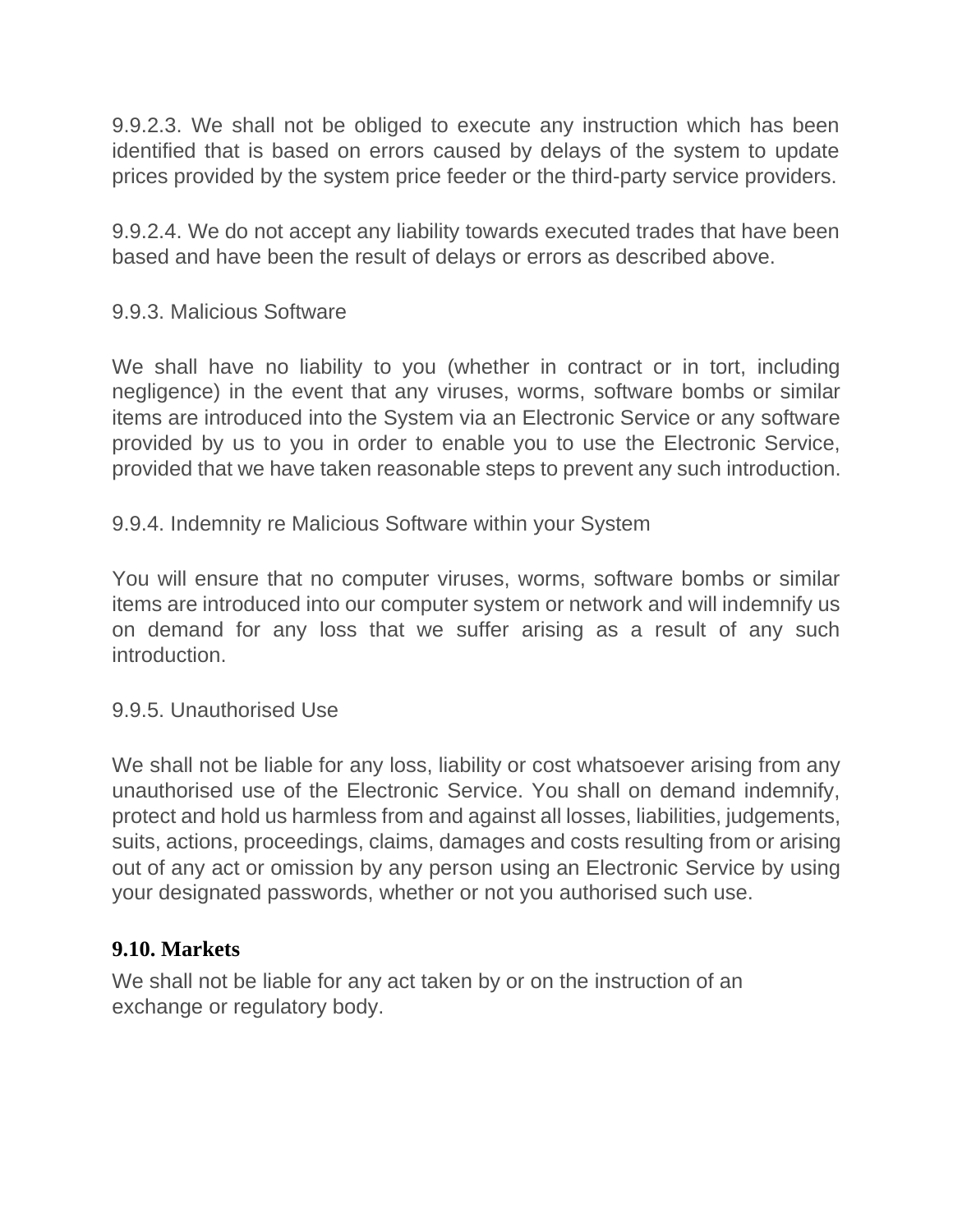9.9.2.3. We shall not be obliged to execute any instruction which has been identified that is based on errors caused by delays of the system to update prices provided by the system price feeder or the third-party service providers.

9.9.2.4. We do not accept any liability towards executed trades that have been based and have been the result of delays or errors as described above.

#### 9.9.3. Malicious Software

We shall have no liability to you (whether in contract or in tort, including negligence) in the event that any viruses, worms, software bombs or similar items are introduced into the System via an Electronic Service or any software provided by us to you in order to enable you to use the Electronic Service, provided that we have taken reasonable steps to prevent any such introduction.

#### 9.9.4. Indemnity re Malicious Software within your System

You will ensure that no computer viruses, worms, software bombs or similar items are introduced into our computer system or network and will indemnify us on demand for any loss that we suffer arising as a result of any such introduction.

#### 9.9.5. Unauthorised Use

We shall not be liable for any loss, liability or cost whatsoever arising from any unauthorised use of the Electronic Service. You shall on demand indemnify, protect and hold us harmless from and against all losses, liabilities, judgements, suits, actions, proceedings, claims, damages and costs resulting from or arising out of any act or omission by any person using an Electronic Service by using your designated passwords, whether or not you authorised such use.

#### **9.10. Markets**

We shall not be liable for any act taken by or on the instruction of an exchange or regulatory body.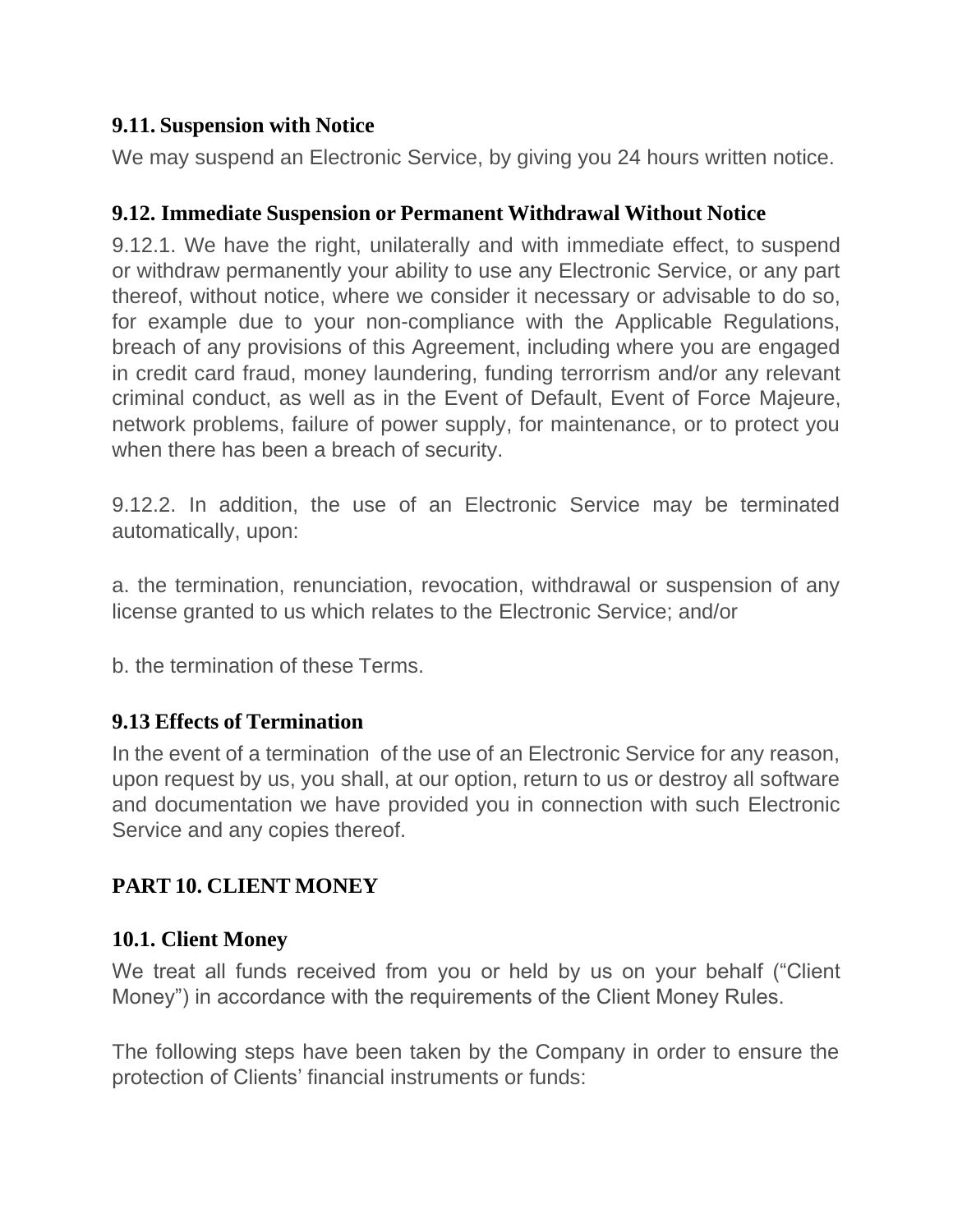### **9.11. Suspension with Notice**

We may suspend an Electronic Service, by giving you 24 hours written notice.

### **9.12. Immediate Suspension or Permanent Withdrawal Without Notice**

9.12.1. We have the right, unilaterally and with immediate effect, to suspend or withdraw permanently your ability to use any Electronic Service, or any part thereof, without notice, where we consider it necessary or advisable to do so, for example due to your non-compliance with the Applicable Regulations, breach of any provisions of this Agreement, including where you are engaged in credit card fraud, money laundering, funding terrorrism and/or any relevant criminal conduct, as well as in the Event of Default, Event of Force Majeure, network problems, failure of power supply, for maintenance, or to protect you when there has been a breach of security.

9.12.2. In addition, the use of an Electronic Service may be terminated automatically, upon:

a. the termination, renunciation, revocation, withdrawal or suspension of any license granted to us which relates to the Electronic Service; and/or

b. the termination of these Terms.

#### **9.13 Effects of Termination**

In the event of a termination of the use of an Electronic Service for any reason, upon request by us, you shall, at our option, return to us or destroy all software and documentation we have provided you in connection with such Electronic Service and any copies thereof.

#### **PART 10. CLIENT MONEY**

#### **10.1. Client Money**

We treat all funds received from you or held by us on your behalf ("Client") Money") in accordance with the requirements of the Client Money Rules.

The following steps have been taken by the Company in order to ensure the protection of Clients' financial instruments or funds: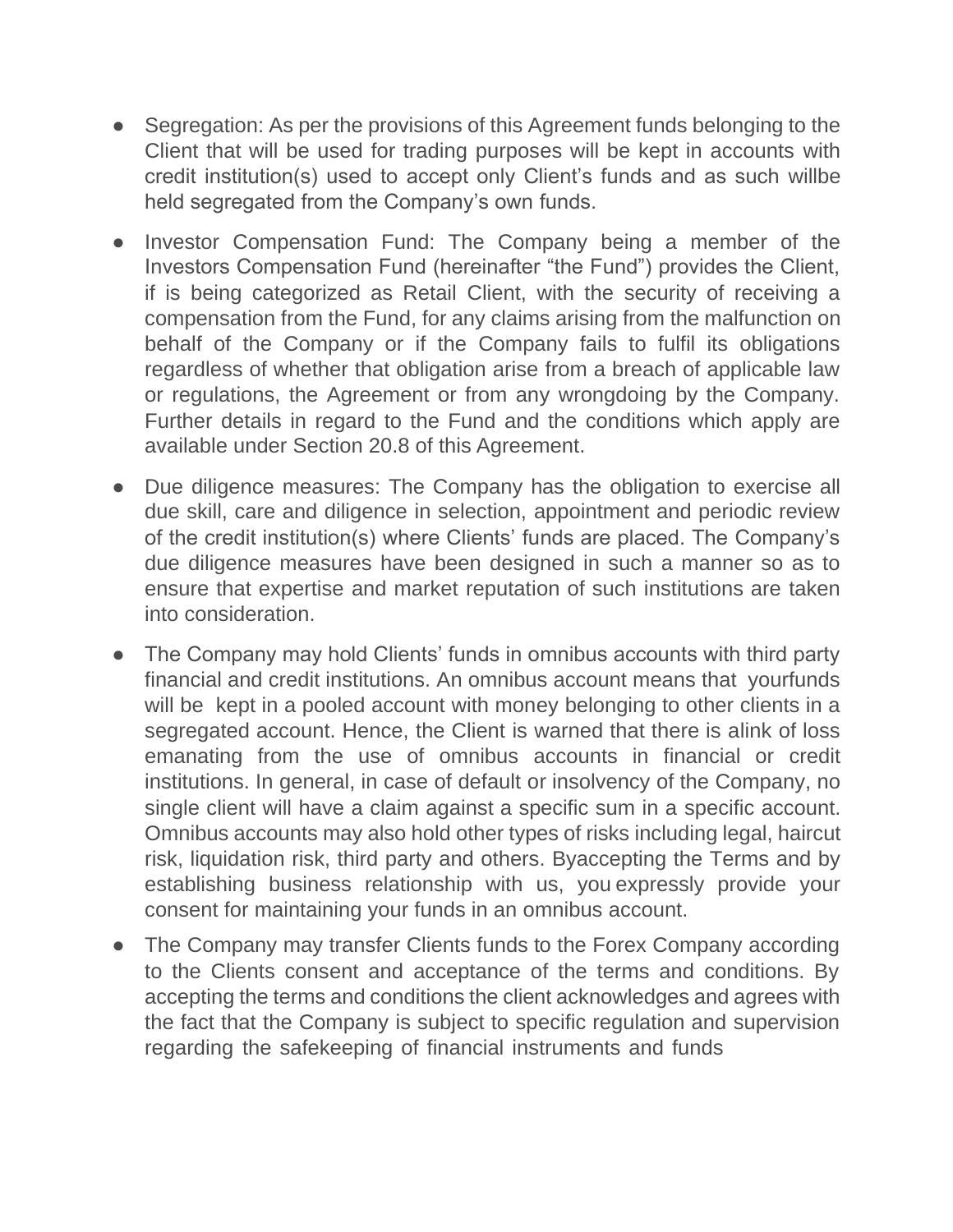- Segregation: As per the provisions of this Agreement funds belonging to the Client that will be used for trading purposes will be kept in accounts with credit institution(s) used to accept only Client's funds and as such willbe held segregated from the Company's own funds.
- Investor Compensation Fund: The Company being a member of the Investors Compensation Fund (hereinafter "the Fund") provides the Client, if is being categorized as Retail Client, with the security of receiving a compensation from the Fund, for any claims arising from the malfunction on behalf of the Company or if the Company fails to fulfil its obligations regardless of whether that obligation arise from a breach of applicable law or regulations, the Agreement or from any wrongdoing by the Company. Further details in regard to the Fund and the conditions which apply are available under Section 20.8 of this Agreement.
- Due diligence measures: The Company has the obligation to exercise all due skill, care and diligence in selection, appointment and periodic review of the credit institution(s) where Clients' funds are placed. The Company's due diligence measures have been designed in such a manner so as to ensure that expertise and market reputation of such institutions are taken into consideration.
- The Company may hold Clients' funds in omnibus accounts with third party financial and credit institutions. An omnibus account means that yourfunds will be kept in a pooled account with money belonging to other clients in a segregated account. Hence, the Client is warned that there is alink of loss emanating from the use of omnibus accounts in financial or credit institutions. In general, in case of default or insolvency of the Company, no single client will have a claim against a specific sum in a specific account. Omnibus accounts may also hold other types of risks including legal, haircut risk, liquidation risk, third party and others. Byaccepting the Terms and by establishing business relationship with us, you expressly provide your consent for maintaining your funds in an omnibus account.
- The Company may transfer Clients funds to the Forex Company according to the Clients consent and acceptance of the terms and conditions. By accepting the terms and conditions the client acknowledges and agrees with the fact that the Company is subject to specific regulation and supervision regarding the safekeeping of financial instruments and funds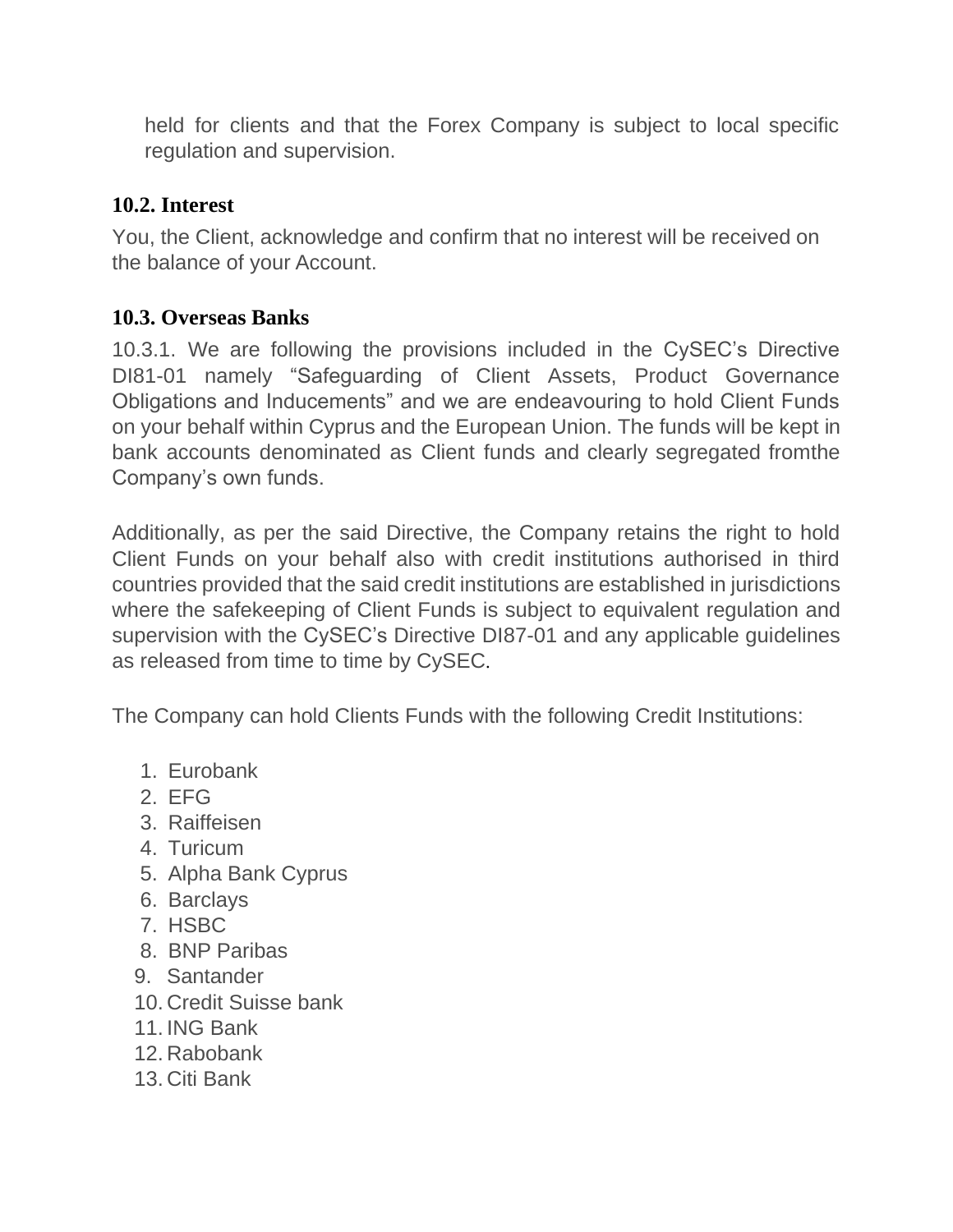held for clients and that the Forex Company is subject to local specific regulation and supervision.

### **10.2. Interest**

You, the Client, acknowledge and confirm that no interest will be received on the balance of your Account.

### **10.3. Overseas Banks**

10.3.1. We are following the provisions included in the CySEC's Directive DI81-01 namely "Safeguarding of Client Assets, Product Governance Obligations and Inducements" and we are endeavouring to hold Client Funds on your behalf within Cyprus and the European Union. The funds will be kept in bank accounts denominated as Client funds and clearly segregated fromthe Company's own funds.

Additionally, as per the said Directive, the Company retains the right to hold Client Funds on your behalf also with credit institutions authorised in third countries provided that the said credit institutions are established in jurisdictions where the safekeeping of Client Funds is subject to equivalent regulation and supervision with the CySEC's Directive DI87-01 and any applicable guidelines as released from time to time by CySEC.

The Company can hold Clients Funds with the following Credit Institutions:

- 1. Eurobank
- 2. EFG
- 3. Raiffeisen
- 4. Turicum
- 5. Alpha Bank Cyprus
- 6. Barclays
- 7. HSBC
- 8. BNP Paribas
- 9. Santander
- 10. Credit Suisse bank
- 11. ING Bank
- 12. Rabobank
- 13. Citi Bank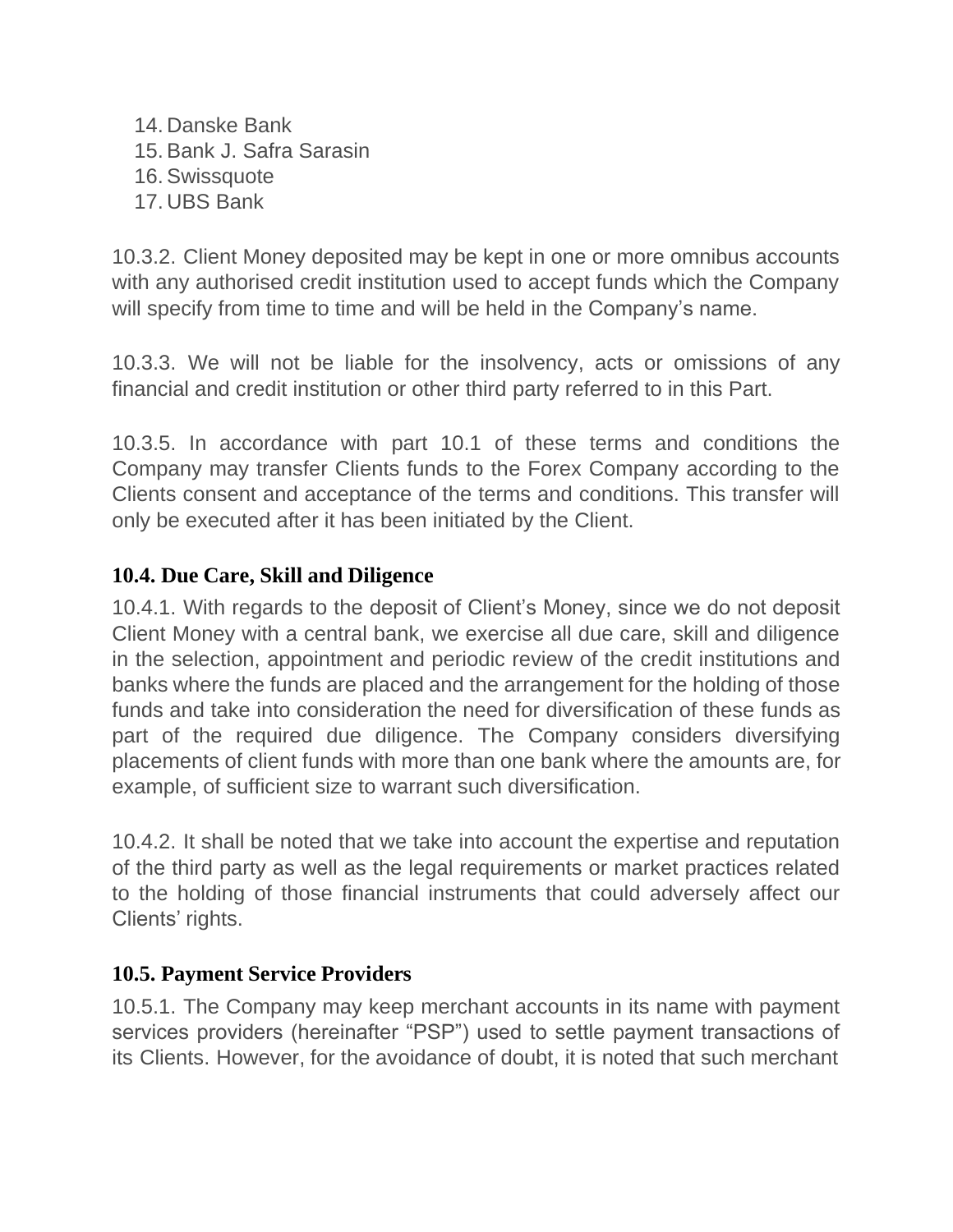14. Danske Bank 15. Bank J. Safra Sarasin 16. Swissquote 17. UBS Bank

10.3.2. Client Money deposited may be kept in one or more omnibus accounts with any authorised credit institution used to accept funds which the Company will specify from time to time and will be held in the Company's name.

10.3.3. We will not be liable for the insolvency, acts or omissions of any financial and credit institution or other third party referred to in this Part.

10.3.5. In accordance with part 10.1 of these terms and conditions the Company may transfer Clients funds to the Forex Company according to the Clients consent and acceptance of the terms and conditions. This transfer will only be executed after it has been initiated by the Client.

## **10.4. Due Care, Skill and Diligence**

10.4.1. With regards to the deposit of Client's Money, since we do not deposit Client Money with a central bank, we exercise all due care, skill and diligence in the selection, appointment and periodic review of the credit institutions and banks where the funds are placed and the arrangement for the holding of those funds and take into consideration the need for diversification of these funds as part of the required due diligence. The Company considers diversifying placements of client funds with more than one bank where the amounts are, for example, of sufficient size to warrant such diversification.

10.4.2. It shall be noted that we take into account the expertise and reputation of the third party as well as the legal requirements or market practices related to the holding of those financial instruments that could adversely affect our Clients' rights.

## **10.5. Payment Service Providers**

10.5.1. The Company may keep merchant accounts in its name with payment services providers (hereinafter "PSP") used to settle payment transactions of its Clients. However, for the avoidance of doubt, it is noted that such merchant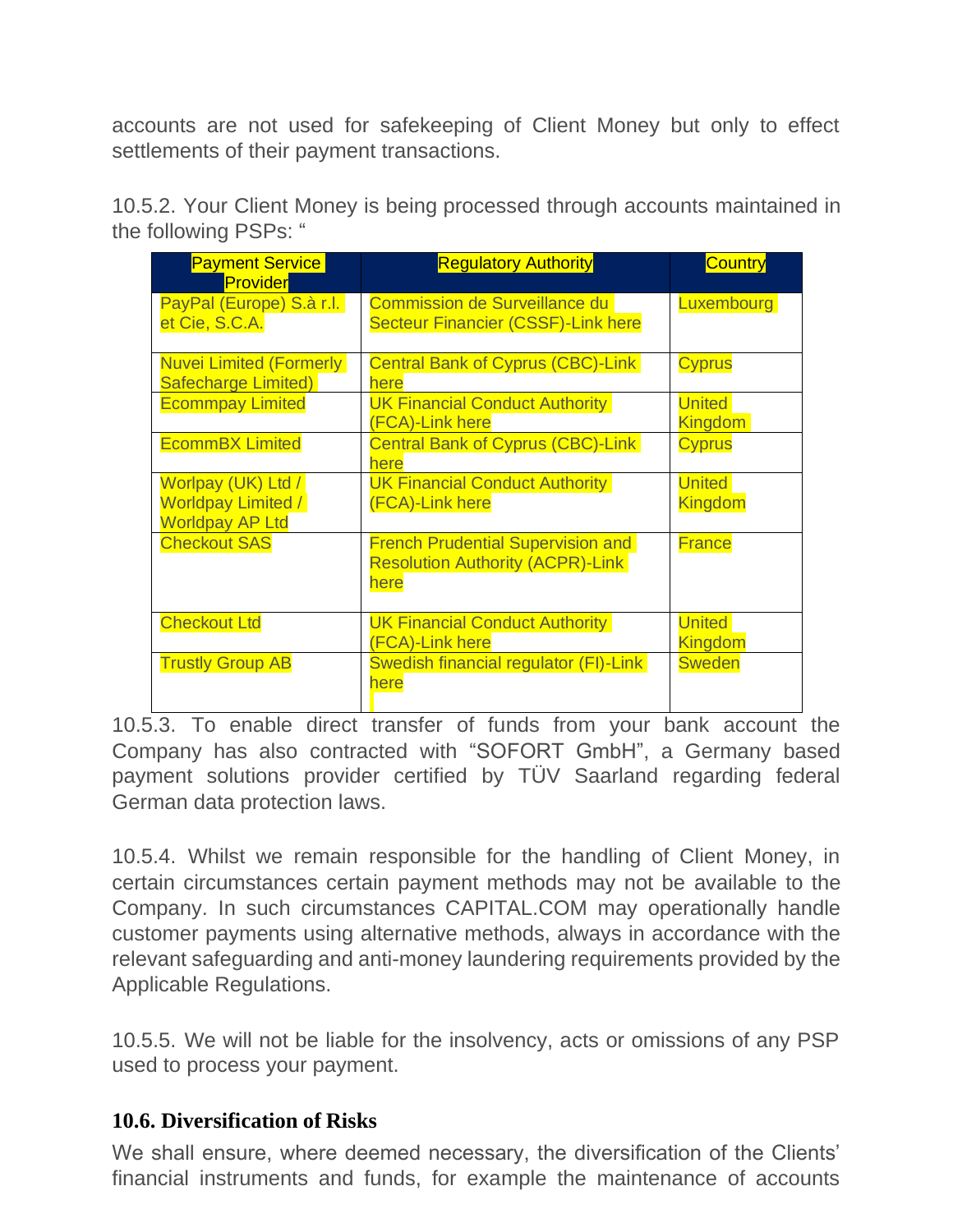accounts are not used for safekeeping of Client Money but only to effect settlements of their payment transactions.

10.5.2. Your Client Money is being processed through accounts maintained in the following PSPs: "

| <b>Payment Service</b><br><b>Provider</b>                                 | <b>Regulatory Authority</b>                                                                 | <b>Country</b>                  |
|---------------------------------------------------------------------------|---------------------------------------------------------------------------------------------|---------------------------------|
| PayPal (Europe) S.à r.l.<br>et Cie, S.C.A.                                | Commission de Surveillance du<br><b>Secteur Financier (CSSF)-Link here</b>                  | Luxembourg                      |
| <b>Nuvei Limited (Formerly</b><br><b>Safecharge Limited)</b>              | <b>Central Bank of Cyprus (CBC)-Link</b><br>here                                            | <b>Cyprus</b>                   |
| <b>Ecommpay Limited</b>                                                   | <b>UK Financial Conduct Authority</b><br>(FCA)-Link here                                    | <b>United</b><br><b>Kingdom</b> |
| <b>EcommBX Limited</b>                                                    | <b>Central Bank of Cyprus (CBC)-Link</b><br>here                                            | <b>Cyprus</b>                   |
| Worlpay (UK) Ltd /<br><b>Worldpay Limited /</b><br><b>Worldpay AP Ltd</b> | <b>UK Financial Conduct Authority</b><br>(FCA)-Link here                                    | <b>United</b><br><b>Kingdom</b> |
| <b>Checkout SAS</b>                                                       | <b>French Prudential Supervision and</b><br><b>Resolution Authority (ACPR)-Link</b><br>here | <b>France</b>                   |
| <b>Checkout Ltd</b>                                                       | <b>UK Financial Conduct Authority</b><br>(FCA)-Link here                                    | <b>United</b><br><b>Kingdom</b> |
| <b>Trustly Group AB</b>                                                   | Swedish financial regulator (FI)-Link<br>here                                               | <b>Sweden</b>                   |

10.5.3. To enable direct transfer of funds from your bank account the Company has also contracted with "SOFORT GmbH", a Germany based payment solutions provider certified by TÜV Saarland regarding federal German data protection laws.

10.5.4. Whilst we remain responsible for the handling of Client Money, in certain circumstances certain payment methods may not be available to the Company. In such circumstances CAPITAL.COM may operationally handle customer payments using alternative methods, always in accordance with the relevant safeguarding and anti-money laundering requirements provided by the Applicable Regulations.

10.5.5. We will not be liable for the insolvency, acts or omissions of any PSP used to process your payment.

#### **10.6. Diversification of Risks**

We shall ensure, where deemed necessary, the diversification of the Clients' financial instruments and funds, for example the maintenance of accounts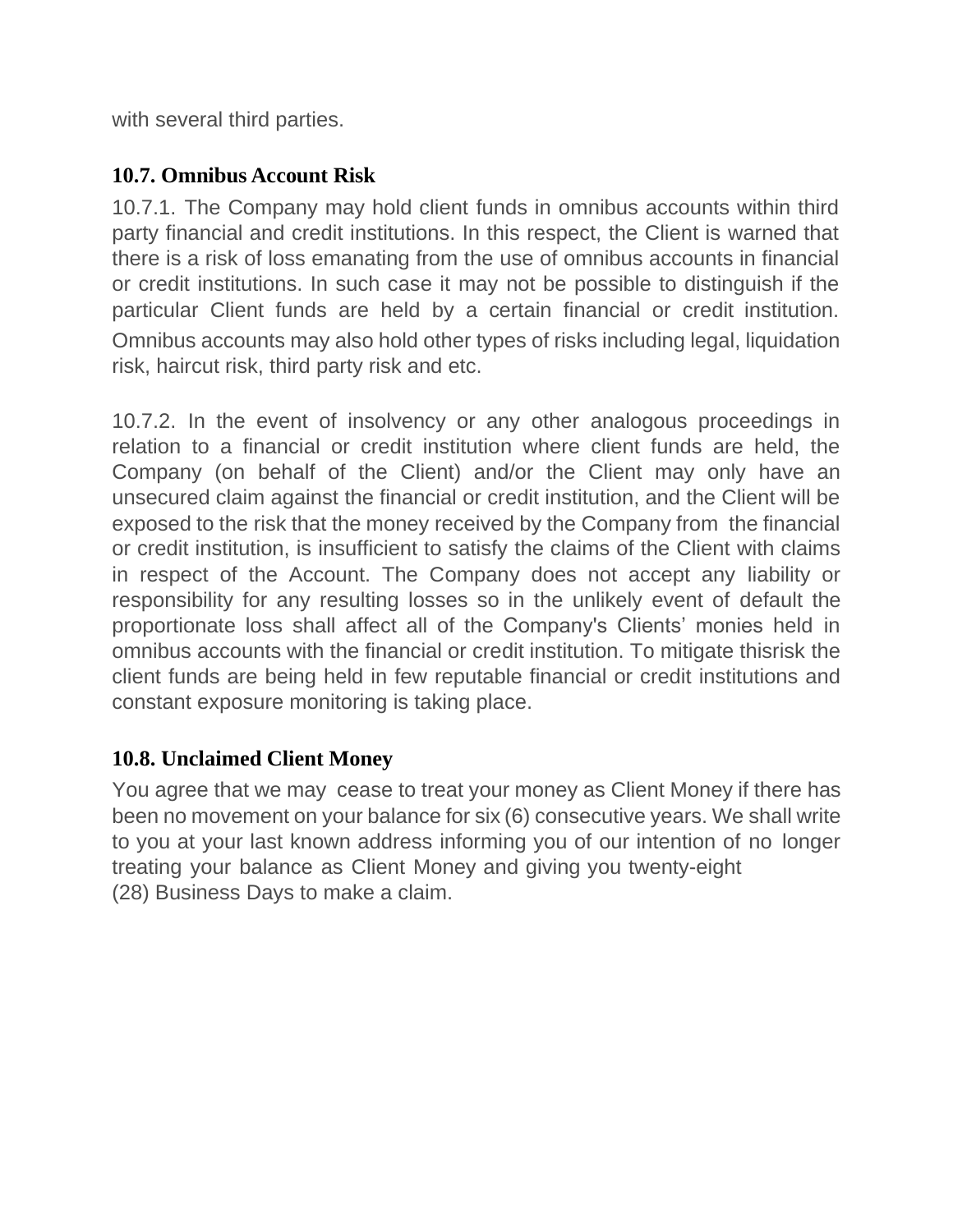with several third parties.

#### **10.7. Omnibus Account Risk**

10.7.1. The Company may hold client funds in omnibus accounts within third party financial and credit institutions. In this respect, the Client is warned that there is a risk of loss emanating from the use of omnibus accounts in financial or credit institutions. In such case it may not be possible to distinguish if the particular Client funds are held by a certain financial or credit institution. Omnibus accounts may also hold other types of risks including legal, liquidation risk, haircut risk, third party risk and etc.

10.7.2. In the event of insolvency or any other analogous proceedings in relation to a financial or credit institution where client funds are held, the Company (on behalf of the Client) and/or the Client may only have an unsecured claim against the financial or credit institution, and the Client will be exposed to the risk that the money received by the Company from the financial or credit institution, is insufficient to satisfy the claims of the Client with claims in respect of the Account. The Company does not accept any liability or responsibility for any resulting losses so in the unlikely event of default the proportionate loss shall affect all of the Company's Clients' monies held in omnibus accounts with the financial or credit institution. To mitigate thisrisk the client funds are being held in few reputable financial or credit institutions and constant exposure monitoring is taking place.

#### **10.8. Unclaimed Client Money**

You agree that we may cease to treat your money as Client Money if there has been no movement on your balance for six (6) consecutive years. We shall write to you at your last known address informing you of our intention of no longer treating your balance as Client Money and giving you twenty-eight (28) Business Days to make a claim.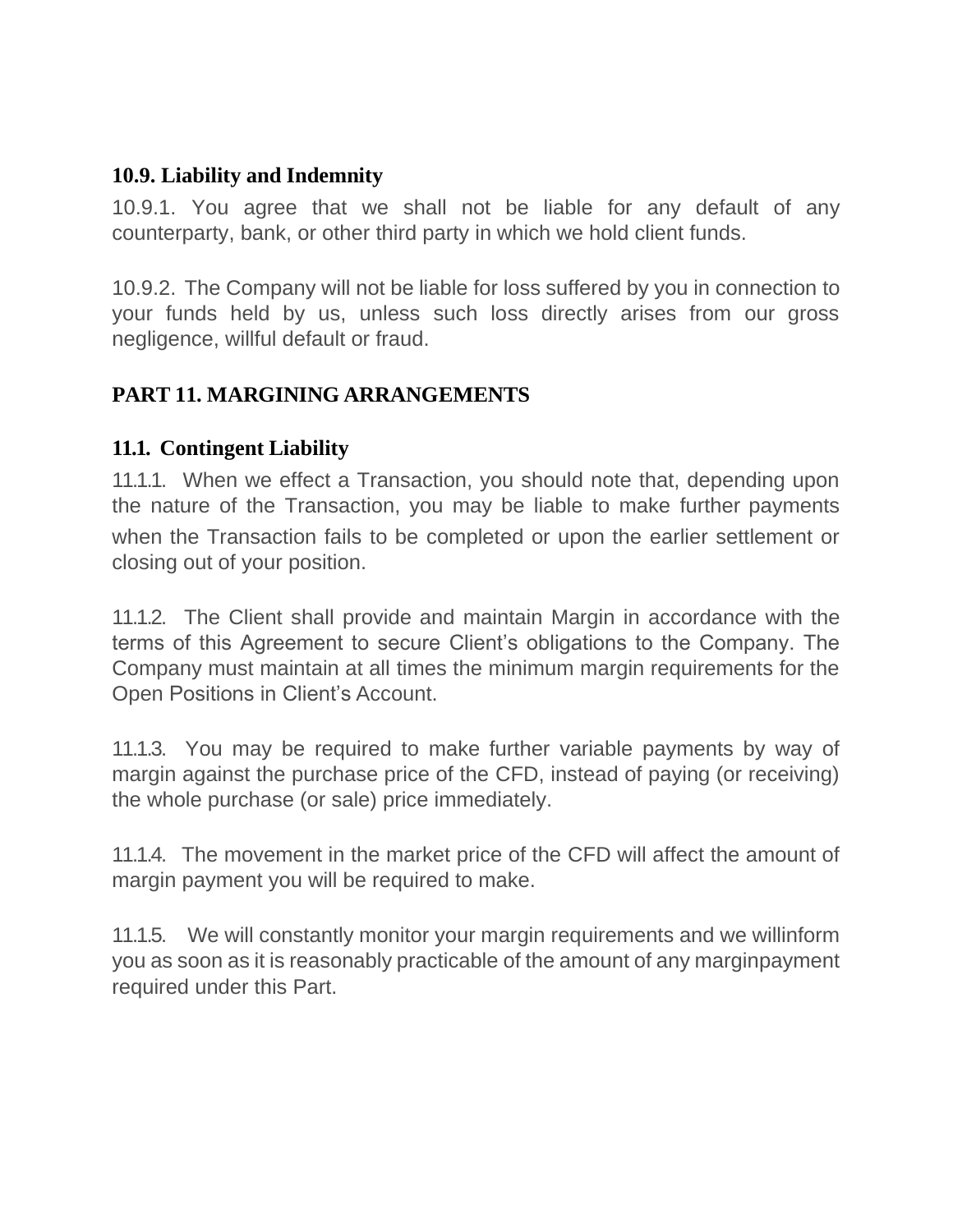#### **10.9. Liability and Indemnity**

10.9.1. You agree that we shall not be liable for any default of any counterparty, bank, or other third party in which we hold client funds.

10.9.2. The Company will not be liable for loss suffered by you in connection to your funds held by us, unless such loss directly arises from our gross negligence, willful default or fraud.

## **PART 11. MARGINING ARRANGEMENTS**

## **11.1. Contingent Liability**

11.1.1. When we effect a Transaction, you should note that, depending upon the nature of the Transaction, you may be liable to make further payments when the Transaction fails to be completed or upon the earlier settlement or closing out of your position.

11.1.2. The Client shall provide and maintain Margin in accordance with the terms of this Agreement to secure Client's obligations to the Company. The Company must maintain at all times the minimum margin requirements for the Open Positions in Client's Account.

11.1.3. You may be required to make further variable payments by way of margin against the purchase price of the CFD, instead of paying (or receiving) the whole purchase (or sale) price immediately.

11.1.4. The movement in the market price of the CFD will affect the amount of margin payment you will be required to make.

11.1.5. We will constantly monitor your margin requirements and we willinform you as soon as it is reasonably practicable of the amount of any marginpayment required under this Part.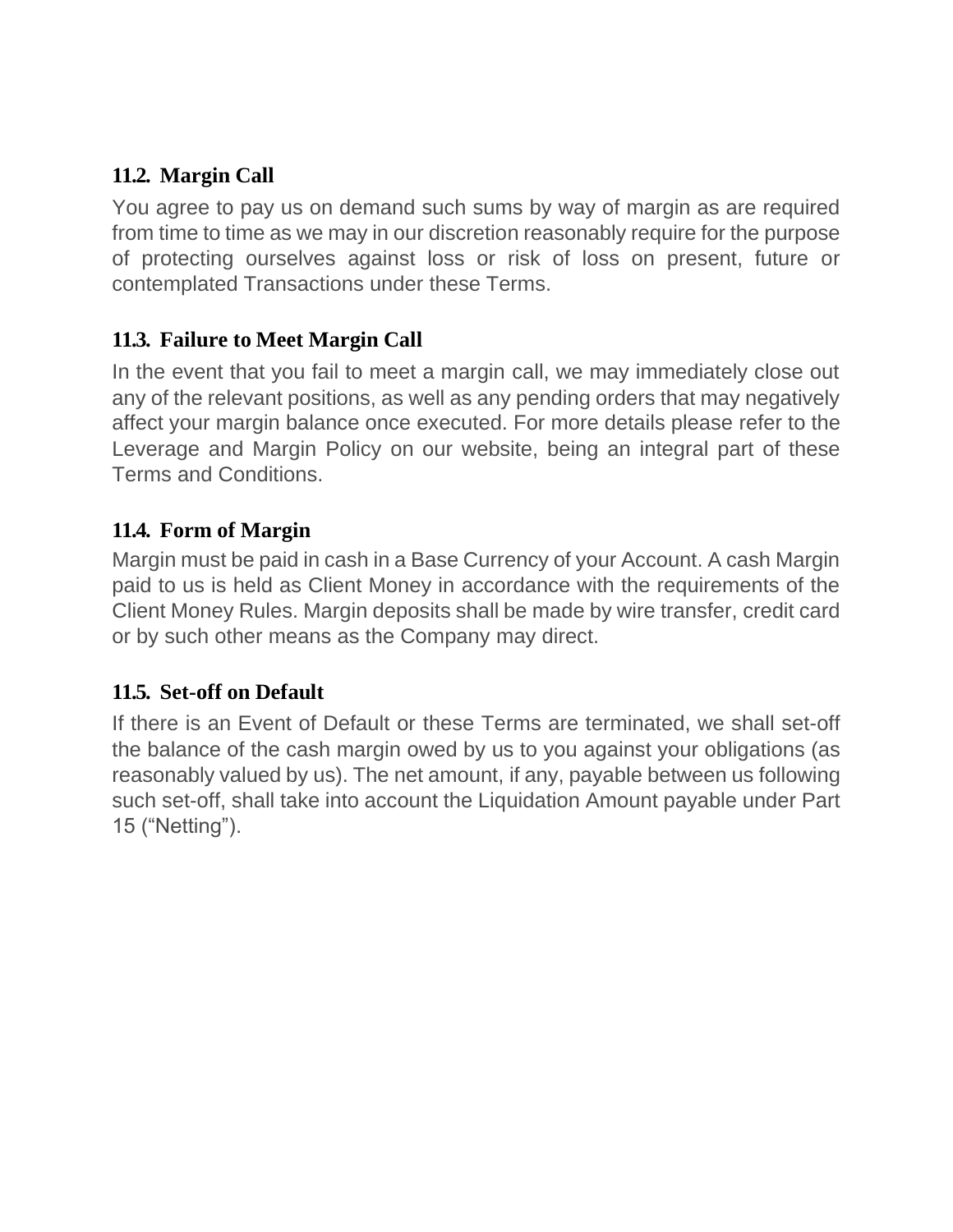## **11.2. Margin Call**

You agree to pay us on demand such sums by way of margin as are required from time to time as we may in our discretion reasonably require for the purpose of protecting ourselves against loss or risk of loss on present, future or contemplated Transactions under these Terms.

## **11.3. Failure to Meet Margin Call**

In the event that you fail to meet a margin call, we may immediately close out any of the relevant positions, as well as any pending orders that may negatively affect your margin balance once executed. For more details please refer to the Leverage and Margin Policy on our website, being an integral part of these Terms and Conditions.

## **11.4. Form of Margin**

Margin must be paid in cash in a Base Currency of your Account. A cash Margin paid to us is held as Client Money in accordance with the requirements of the Client Money Rules. Margin deposits shall be made by wire transfer, credit card or by such other means as the Company may direct.

## **11.5. Set-off on Default**

If there is an Event of Default or these Terms are terminated, we shall set-off the balance of the cash margin owed by us to you against your obligations (as reasonably valued by us). The net amount, if any, payable between us following such set-off, shall take into account the Liquidation Amount payable under Part 15 ("Netting").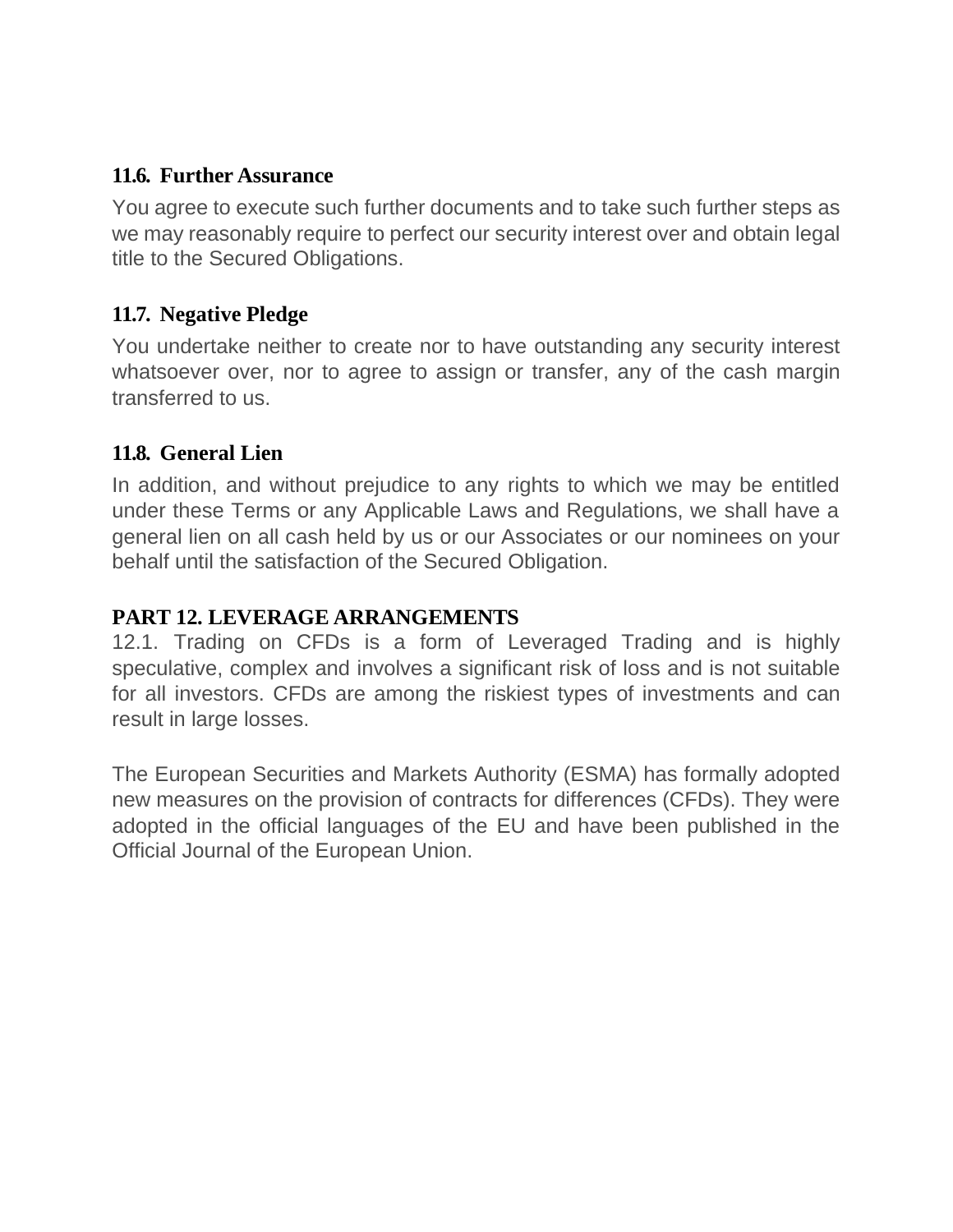#### **11.6. Further Assurance**

You agree to execute such further documents and to take such further steps as we may reasonably require to perfect our security interest over and obtain legal title to the Secured Obligations.

#### **11.7. Negative Pledge**

You undertake neither to create nor to have outstanding any security interest whatsoever over, nor to agree to assign or transfer, any of the cash margin transferred to us.

#### **11.8. General Lien**

In addition, and without prejudice to any rights to which we may be entitled under these Terms or any Applicable Laws and Regulations, we shall have a general lien on all cash held by us or our Associates or our nominees on your behalf until the satisfaction of the Secured Obligation.

#### **PART 12. LEVERAGE ARRANGEMENTS**

12.1. Trading on CFDs is a form of Leveraged Trading and is highly speculative, complex and involves a significant risk of loss and is not suitable for all investors. CFDs are among the riskiest types of investments and can result in large losses.

The European Securities and Markets Authority (ESMA) has formally adopted new measures on the provision of contracts for differences (CFDs). They were adopted in the official languages of the EU and have been published in the Official Journal of the European Union.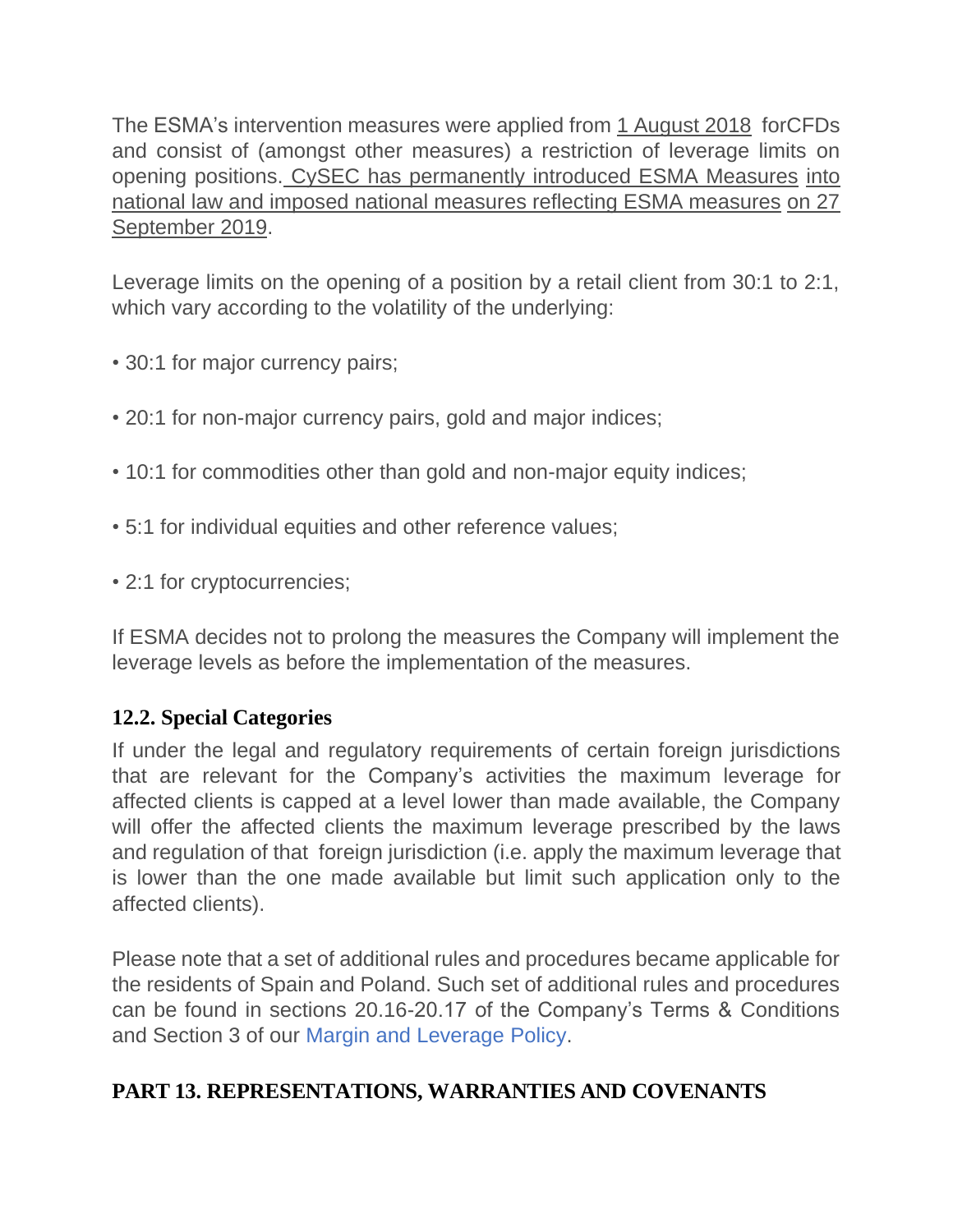The ESMA's intervention measures were applied from 1 August 2018 forCFDs and consist of (amongst other measures) a restriction of leverage limits on opening positions. CySEC has permanently introduced ESMA Measures into national law and imposed national measures reflecting ESMA measures on 27 September 2019.

Leverage limits on the opening of a position by a retail client from 30:1 to 2:1, which vary according to the volatility of the underlying:

- 30:1 for major currency pairs;
- 20:1 for non-major currency pairs, gold and major indices;
- 10:1 for commodities other than gold and non-major equity indices;
- 5:1 for individual equities and other reference values;
- 2:1 for cryptocurrencies;

If ESMA decides not to prolong the measures the Company will implement the leverage levels as before the implementation of the measures.

## **12.2. Special Categories**

If under the legal and regulatory requirements of certain foreign jurisdictions that are relevant for the Company's activities the maximum leverage for affected clients is capped at a level lower than made available, the Company will offer the affected clients the maximum leverage prescribed by the laws and regulation of that foreign jurisdiction (i.e. apply the maximum leverage that is lower than the one made available but limit such application only to the affected clients).

Please note that a set of additional rules and procedures became applicable for the residents of Spain and Poland. Such set of additional rules and procedures can be found in sections 20.16-20.17 of the Company's Terms & Conditions and Section 3 of our Margin and Leverage Policy.

# **PART 13. REPRESENTATIONS, WARRANTIES AND COVENANTS**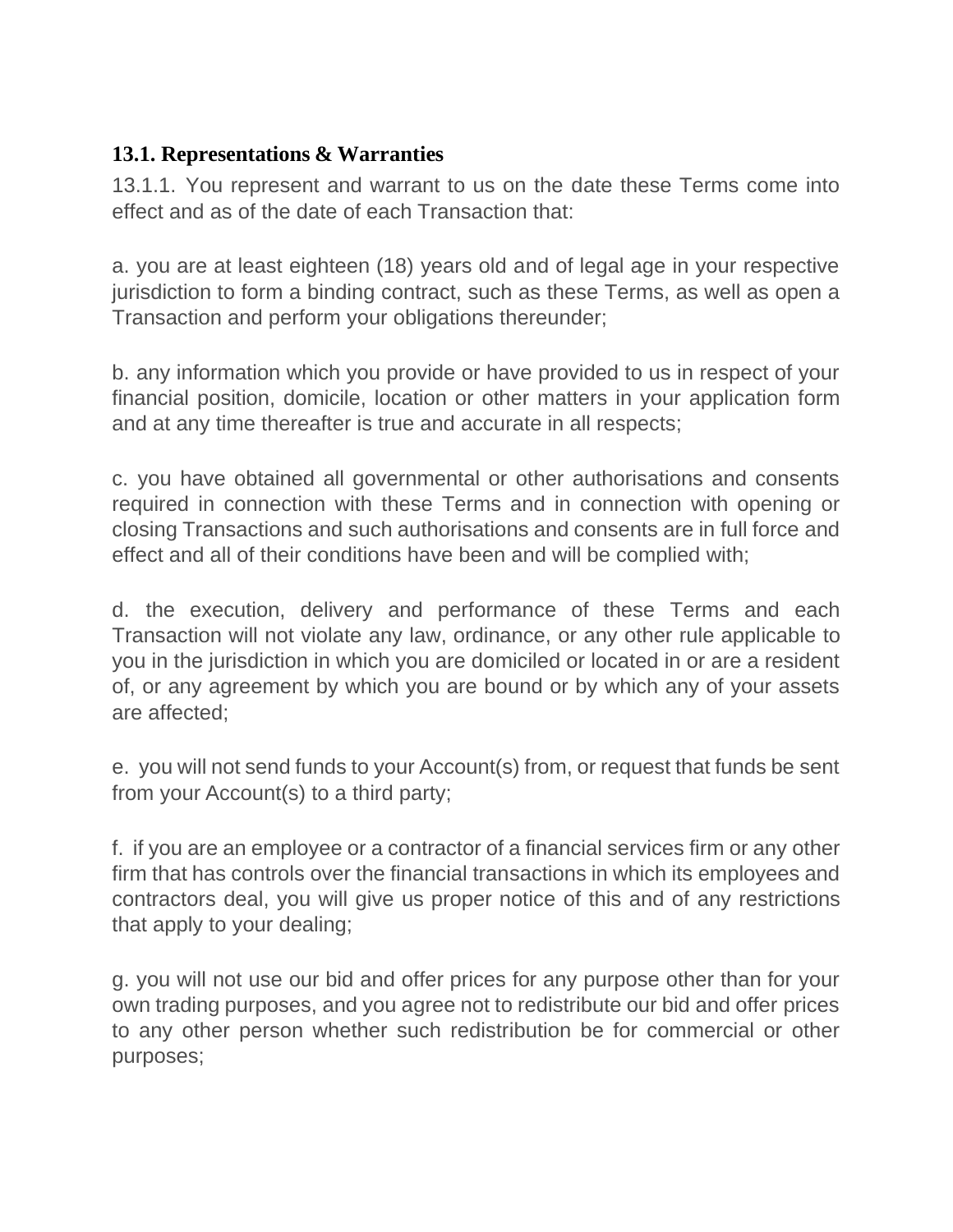### **13.1. Representations & Warranties**

13.1.1. You represent and warrant to us on the date these Terms come into effect and as of the date of each Transaction that:

a. you are at least eighteen (18) years old and of legal age in your respective jurisdiction to form a binding contract, such as these Terms, as well as open a Transaction and perform your obligations thereunder;

b. any information which you provide or have provided to us in respect of your financial position, domicile, location or other matters in your application form and at any time thereafter is true and accurate in all respects;

c. you have obtained all governmental or other authorisations and consents required in connection with these Terms and in connection with opening or closing Transactions and such authorisations and consents are in full force and effect and all of their conditions have been and will be complied with;

d. the execution, delivery and performance of these Terms and each Transaction will not violate any law, ordinance, or any other rule applicable to you in the jurisdiction in which you are domiciled or located in or are a resident of, or any agreement by which you are bound or by which any of your assets are affected;

e. you will not send funds to your Account(s) from, or request that funds be sent from your Account(s) to a third party;

f. if you are an employee or a contractor of a financial services firm or any other firm that has controls over the financial transactions in which its employees and contractors deal, you will give us proper notice of this and of any restrictions that apply to your dealing;

g. you will not use our bid and offer prices for any purpose other than for your own trading purposes, and you agree not to redistribute our bid and offer prices to any other person whether such redistribution be for commercial or other purposes;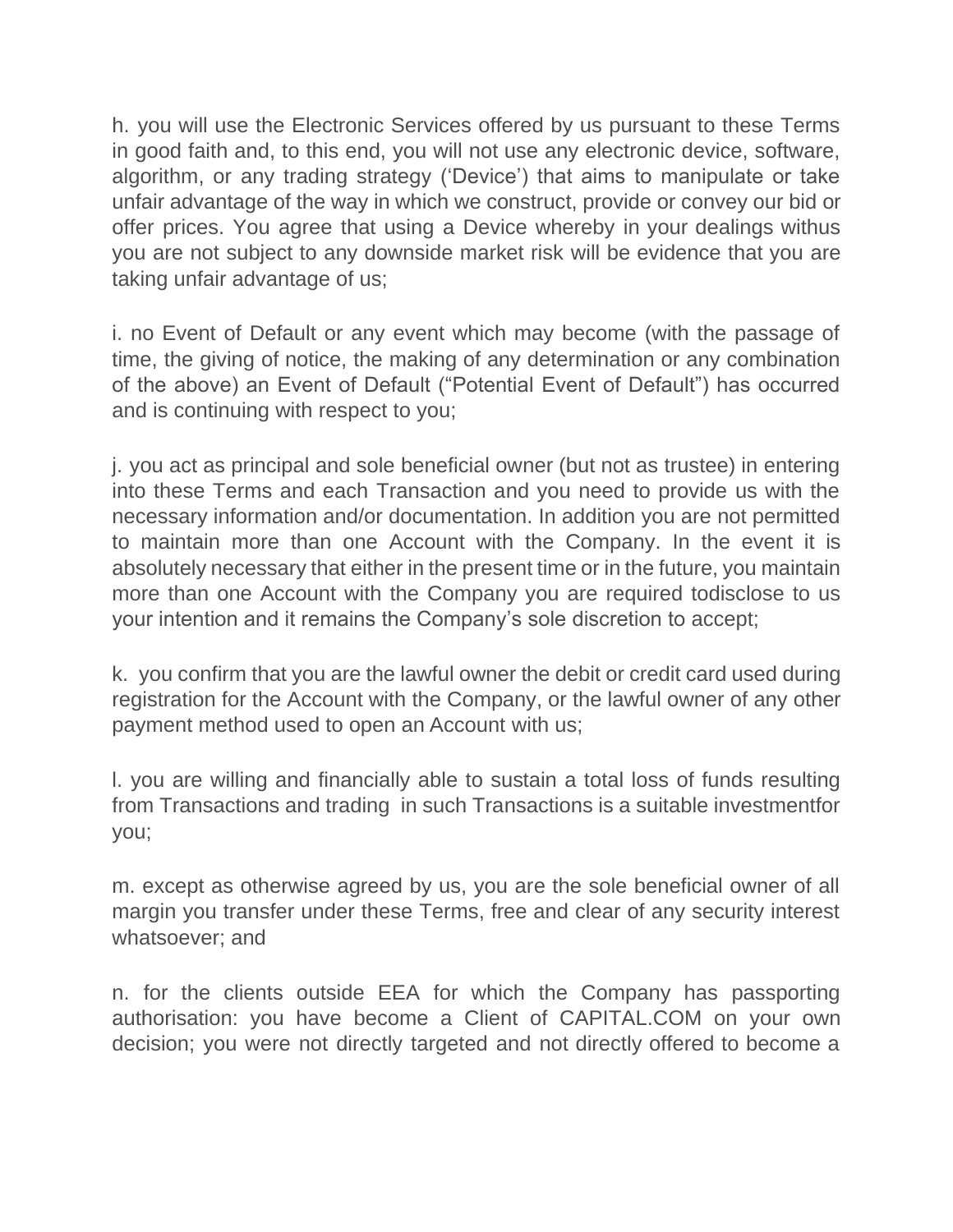h. you will use the Electronic Services offered by us pursuant to these Terms in good faith and, to this end, you will not use any electronic device, software, algorithm, or any trading strategy ('Device') that aims to manipulate or take unfair advantage of the way in which we construct, provide or convey our bid or offer prices. You agree that using a Device whereby in your dealings withus you are not subject to any downside market risk will be evidence that you are taking unfair advantage of us;

i. no Event of Default or any event which may become (with the passage of time, the giving of notice, the making of any determination or any combination of the above) an Event of Default ("Potential Event of Default") has occurred and is continuing with respect to you;

j. you act as principal and sole beneficial owner (but not as trustee) in entering into these Terms and each Transaction and you need to provide us with the necessary information and/or documentation. In addition you are not permitted to maintain more than one Account with the Company. In the event it is absolutely necessary that either in the present time or in the future, you maintain more than one Account with the Company you are required todisclose to us your intention and it remains the Company's sole discretion to accept;

k. you confirm that you are the lawful owner the debit or credit card used during registration for the Account with the Company, or the lawful owner of any other payment method used to open an Account with us;

l. you are willing and financially able to sustain a total loss of funds resulting from Transactions and trading in such Transactions is a suitable investmentfor you;

m. except as otherwise agreed by us, you are the sole beneficial owner of all margin you transfer under these Terms, free and clear of any security interest whatsoever; and

n. for the clients outside EEA for which the Company has passporting authorisation: you have become a Client of CAPITAL.COM on your own decision; you were not directly targeted and not directly offered to become a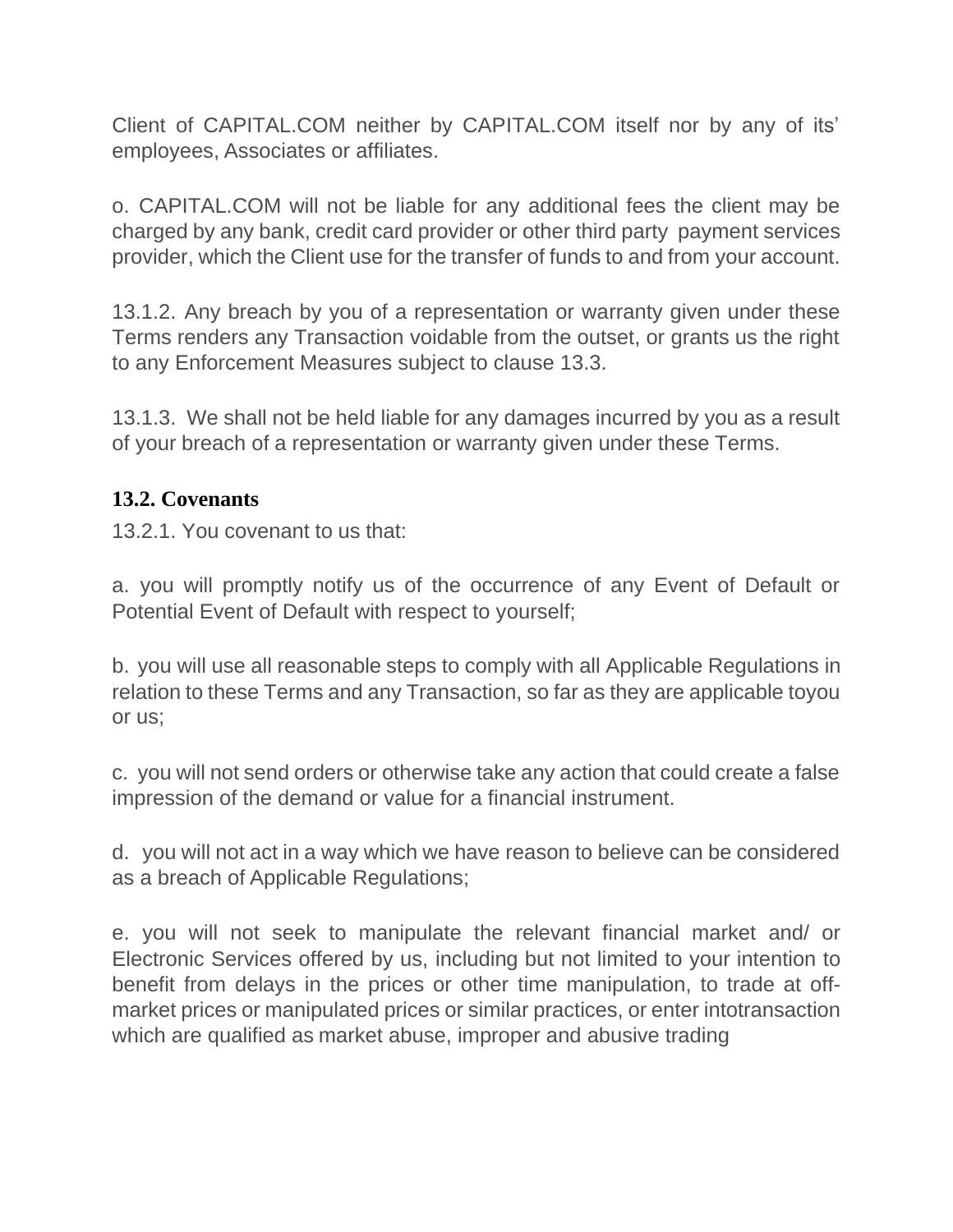Client of CAPITAL.COM neither by CAPITAL.COM itself nor by any of its' employees, Associates or affiliates.

o. CAPITAL.COM will not be liable for any additional fees the client may be charged by any bank, credit card provider or other third party payment services provider, which the Client use for the transfer of funds to and from your account.

13.1.2. Any breach by you of a representation or warranty given under these Terms renders any Transaction voidable from the outset, or grants us the right to any Enforcement Measures subject to clause 13.3.

13.1.3. We shall not be held liable for any damages incurred by you as a result of your breach of a representation or warranty given under these Terms.

### **13.2. Covenants**

13.2.1. You covenant to us that:

a. you will promptly notify us of the occurrence of any Event of Default or Potential Event of Default with respect to yourself;

b. you will use all reasonable steps to comply with all Applicable Regulations in relation to these Terms and any Transaction, so far as they are applicable toyou or us;

c. you will not send orders or otherwise take any action that could create a false impression of the demand or value for a financial instrument.

d. you will not act in a way which we have reason to believe can be considered as a breach of Applicable Regulations;

e. you will not seek to manipulate the relevant financial market and/ or Electronic Services offered by us, including but not limited to your intention to benefit from delays in the prices or other time manipulation, to trade at offmarket prices or manipulated prices or similar practices, or enter intotransaction which are qualified as market abuse, improper and abusive trading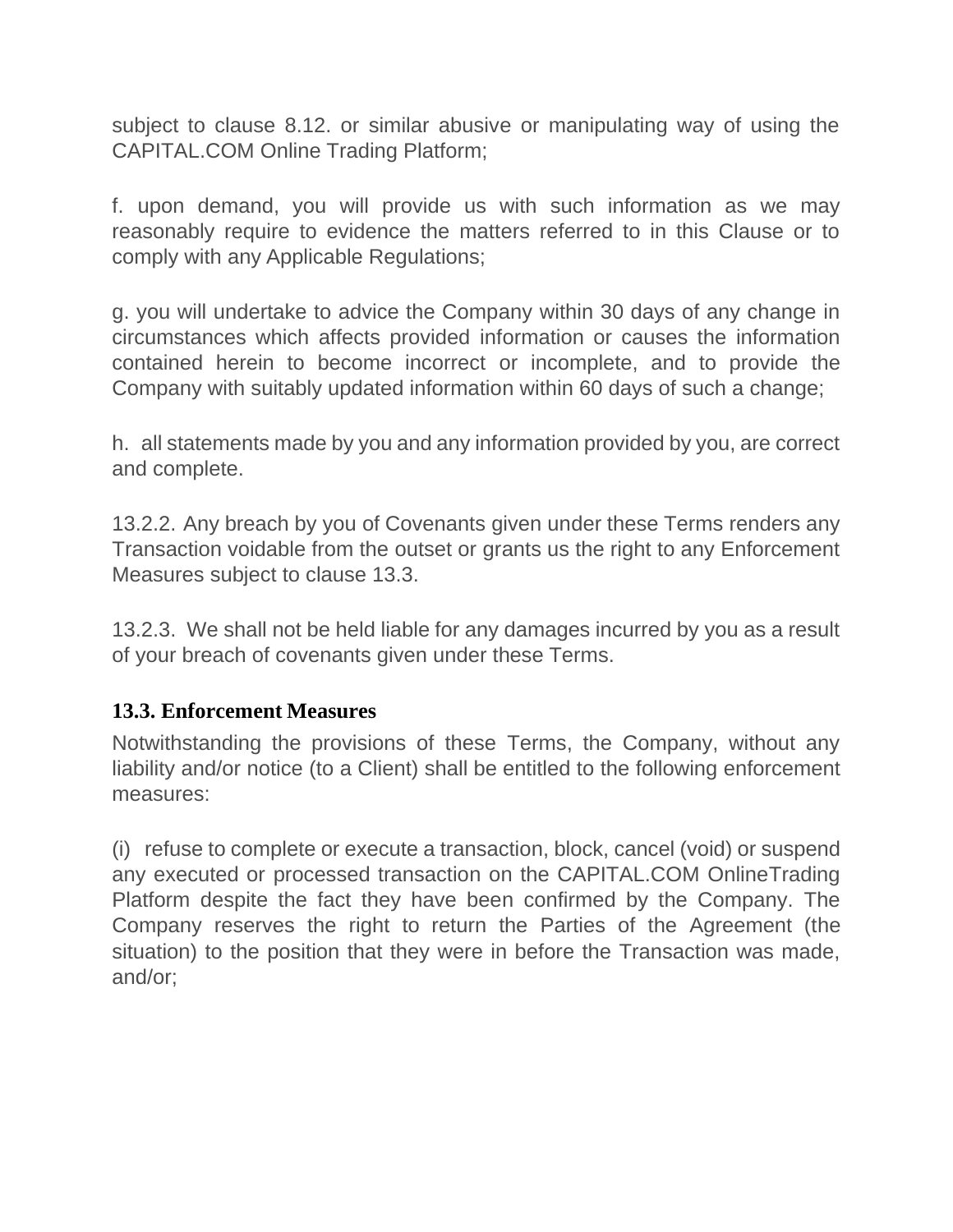subject to clause 8.12. or similar abusive or manipulating way of using the CAPITAL.COM Online Trading Platform;

f. upon demand, you will provide us with such information as we may reasonably require to evidence the matters referred to in this Clause or to comply with any Applicable Regulations;

g. you will undertake to advice the Company within 30 days of any change in circumstances which affects provided information or causes the information contained herein to become incorrect or incomplete, and to provide the Company with suitably updated information within 60 days of such a change;

h. all statements made by you and any information provided by you, are correct and complete.

13.2.2. Any breach by you of Covenants given under these Terms renders any Transaction voidable from the outset or grants us the right to any Enforcement Measures subject to clause 13.3.

13.2.3. We shall not be held liable for any damages incurred by you as a result of your breach of covenants given under these Terms.

### **13.3. Enforcement Measures**

Notwithstanding the provisions of these Terms, the Company, without any liability and/or notice (to a Client) shall be entitled to the following enforcement measures:

(i) refuse to complete or execute a transaction, block, cancel (void) or suspend any executed or processed transaction on the CAPITAL.COM OnlineTrading Platform despite the fact they have been confirmed by the Company. The Company reserves the right to return the Parties of the Agreement (the situation) to the position that they were in before the Transaction was made, and/or;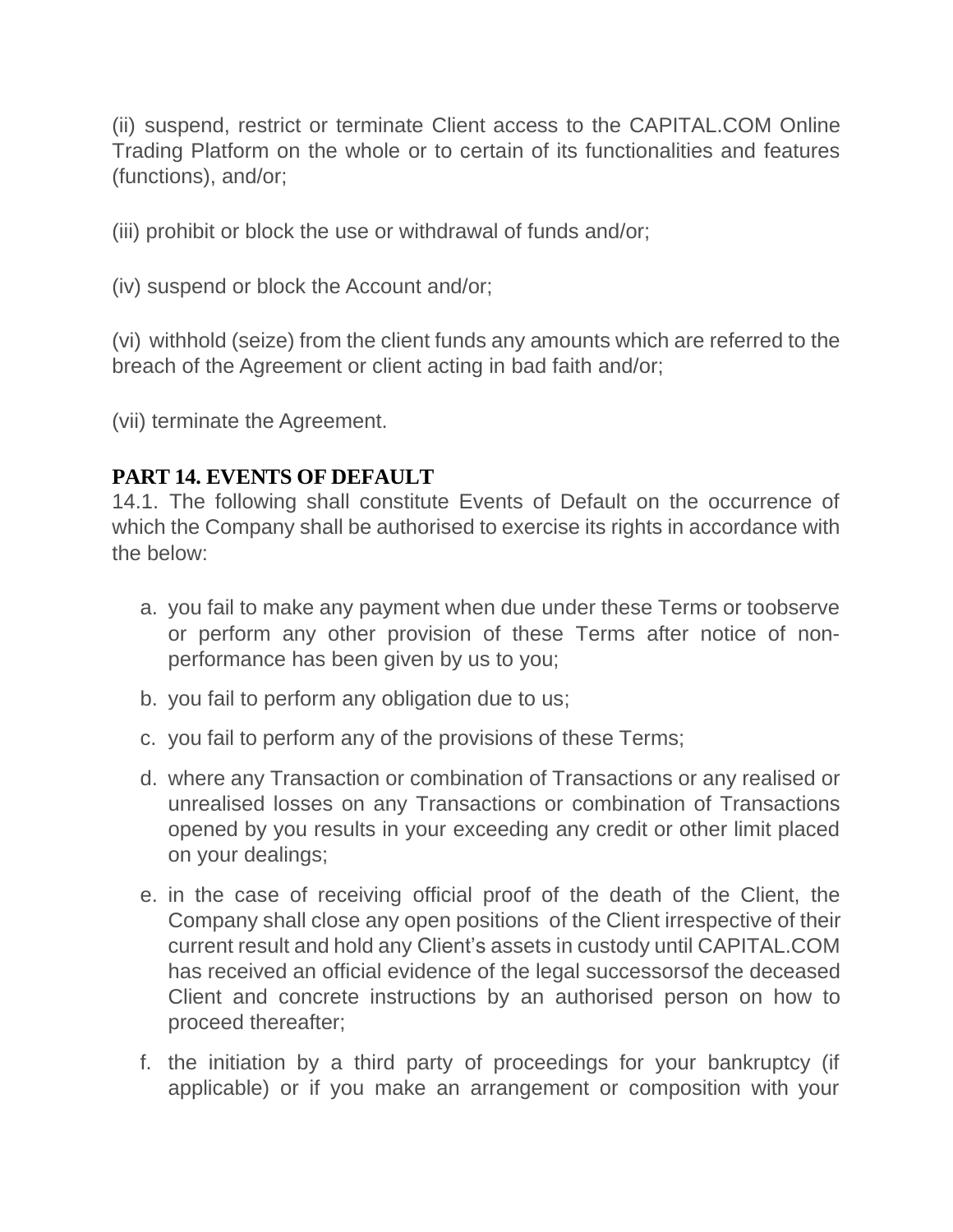(ii) suspend, restrict or terminate Client access to the CAPITAL.COM Online Trading Platform on the whole or to certain of its functionalities and features (functions), and/or;

(iii) prohibit or block the use or withdrawal of funds and/or;

(iv) suspend or block the Account and/or;

(vi) withhold (seize) from the client funds any amounts which are referred to the breach of the Agreement or client acting in bad faith and/or;

(vii) terminate the Agreement.

## **PART 14. EVENTS OF DEFAULT**

14.1. The following shall constitute Events of Default on the occurrence of which the Company shall be authorised to exercise its rights in accordance with the below:

- a. you fail to make any payment when due under these Terms or toobserve or perform any other provision of these Terms after notice of nonperformance has been given by us to you;
- b. you fail to perform any obligation due to us;
- c. you fail to perform any of the provisions of these Terms;
- d. where any Transaction or combination of Transactions or any realised or unrealised losses on any Transactions or combination of Transactions opened by you results in your exceeding any credit or other limit placed on your dealings;
- e. in the case of receiving official proof of the death of the Client, the Company shall close any open positions of the Client irrespective of their current result and hold any Client's assets in custody until CAPITAL.COM has received an official evidence of the legal successorsof the deceased Client and concrete instructions by an authorised person on how to proceed thereafter;
- f. the initiation by a third party of proceedings for your bankruptcy (if applicable) or if you make an arrangement or composition with your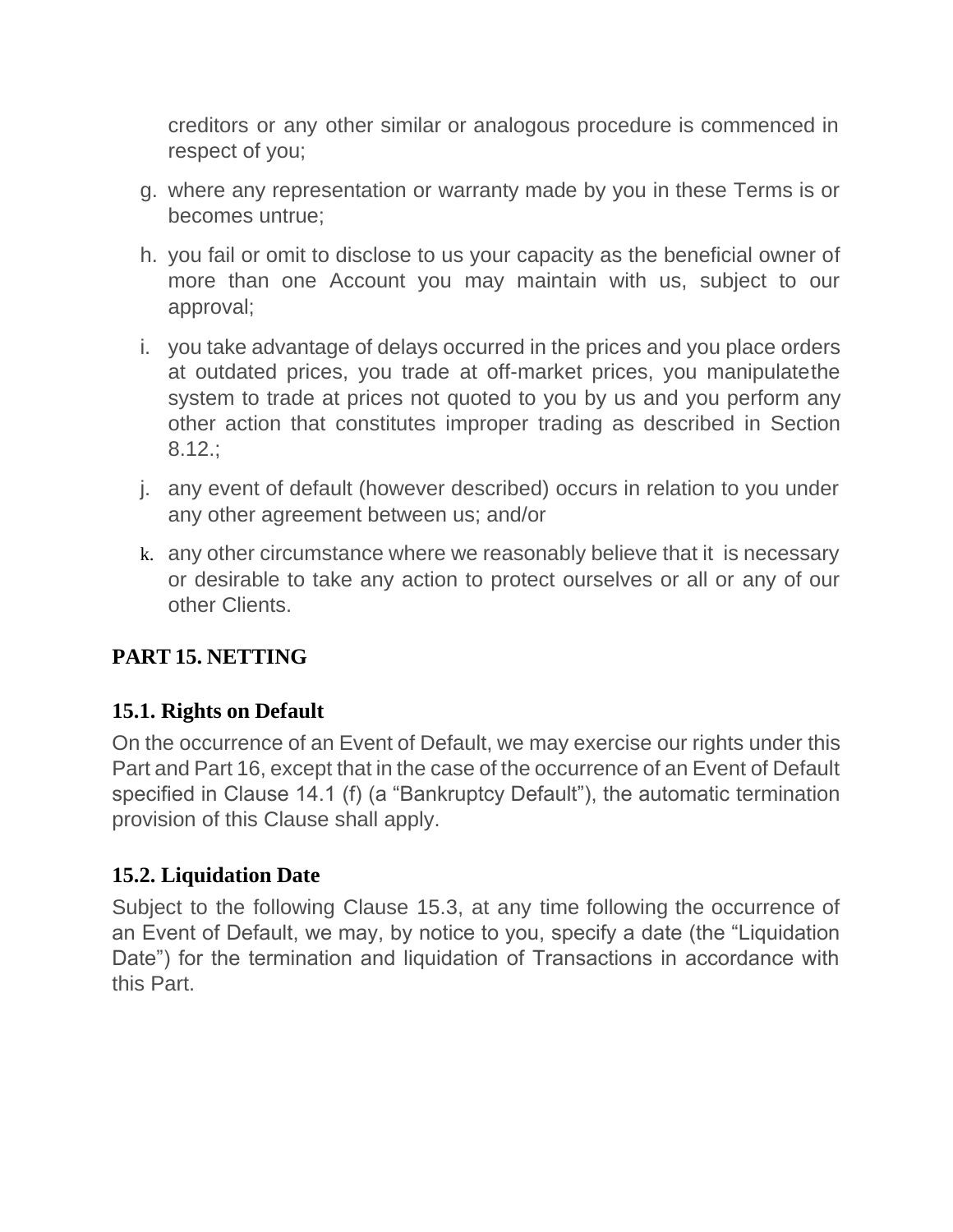creditors or any other similar or analogous procedure is commenced in respect of you;

- g. where any representation or warranty made by you in these Terms is or becomes untrue;
- h. you fail or omit to disclose to us your capacity as the beneficial owner of more than one Account you may maintain with us, subject to our approval;
- i. you take advantage of delays occurred in the prices and you place orders at outdated prices, you trade at off-market prices, you manipulatethe system to trade at prices not quoted to you by us and you perform any other action that constitutes improper trading as described in Section 8.12.;
- j. any event of default (however described) occurs in relation to you under any other agreement between us; and/or
- k. any other circumstance where we reasonably believe that it is necessary or desirable to take any action to protect ourselves or all or any of our other Clients.

## **PART 15. NETTING**

## **15.1. Rights on Default**

On the occurrence of an Event of Default, we may exercise our rights under this Part and Part 16, except that in the case of the occurrence of an Event of Default specified in Clause 14.1 (f) (a "Bankruptcy Default"), the automatic termination provision of this Clause shall apply.

## **15.2. Liquidation Date**

Subject to the following Clause 15.3, at any time following the occurrence of an Event of Default, we may, by notice to you, specify a date (the "Liquidation Date") for the termination and liquidation of Transactions in accordance with this Part.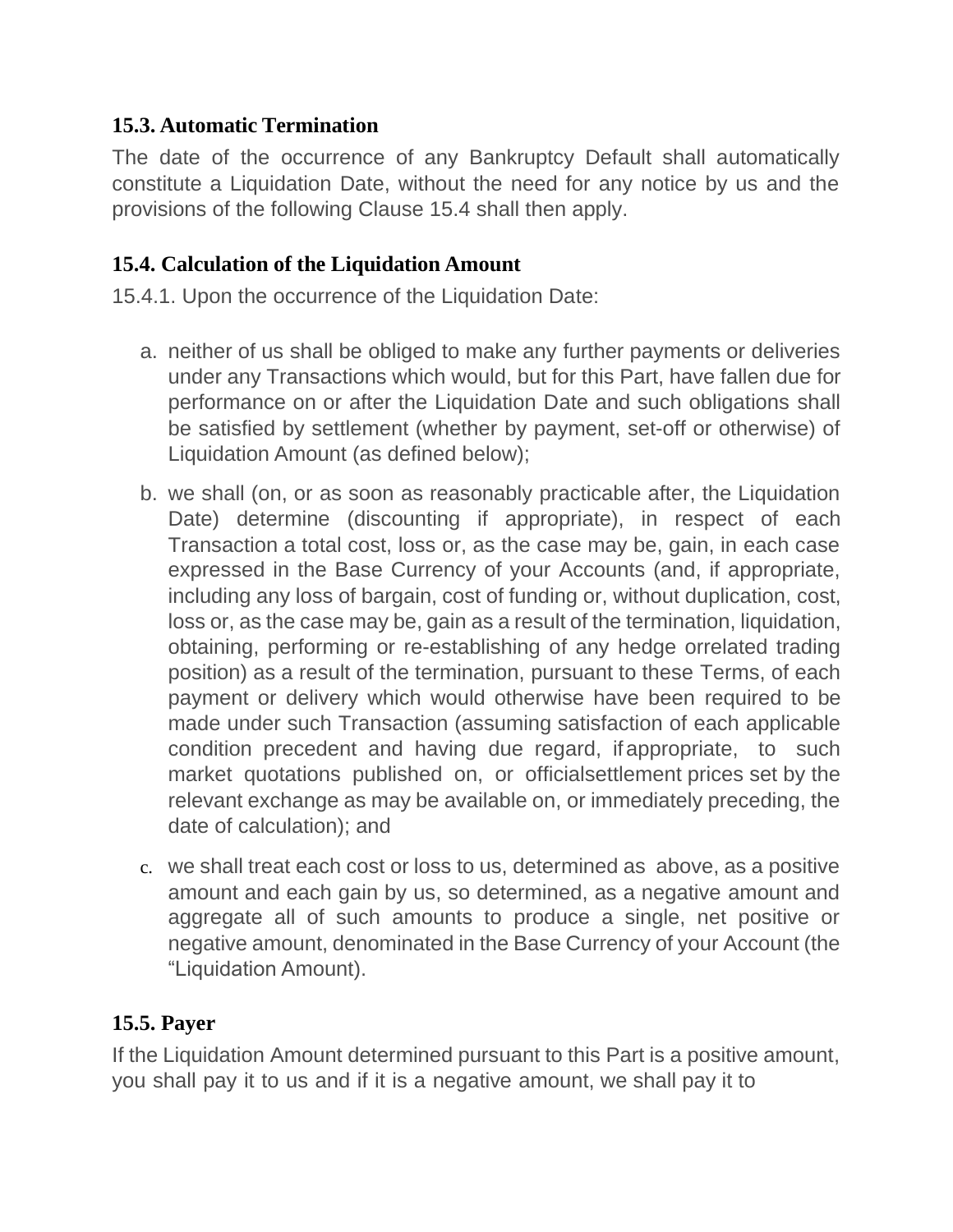## **15.3. Automatic Termination**

The date of the occurrence of any Bankruptcy Default shall automatically constitute a Liquidation Date, without the need for any notice by us and the provisions of the following Clause 15.4 shall then apply.

### **15.4. Calculation of the Liquidation Amount**

15.4.1. Upon the occurrence of the Liquidation Date:

- a. neither of us shall be obliged to make any further payments or deliveries under any Transactions which would, but for this Part, have fallen due for performance on or after the Liquidation Date and such obligations shall be satisfied by settlement (whether by payment, set-off or otherwise) of Liquidation Amount (as defined below);
- b. we shall (on, or as soon as reasonably practicable after, the Liquidation Date) determine (discounting if appropriate), in respect of each Transaction a total cost, loss or, as the case may be, gain, in each case expressed in the Base Currency of your Accounts (and, if appropriate, including any loss of bargain, cost of funding or, without duplication, cost, loss or, as the case may be, gain as a result of the termination, liquidation, obtaining, performing or re-establishing of any hedge orrelated trading position) as a result of the termination, pursuant to these Terms, of each payment or delivery which would otherwise have been required to be made under such Transaction (assuming satisfaction of each applicable condition precedent and having due regard, ifappropriate, to such market quotations published on, or officialsettlement prices set by the relevant exchange as may be available on, or immediately preceding, the date of calculation); and
- c. we shall treat each cost or loss to us, determined as above, as a positive amount and each gain by us, so determined, as a negative amount and aggregate all of such amounts to produce a single, net positive or negative amount, denominated in the Base Currency of your Account (the "Liquidation Amount).

## **15.5. Payer**

If the Liquidation Amount determined pursuant to this Part is a positive amount, you shall pay it to us and if it is a negative amount, we shall pay it to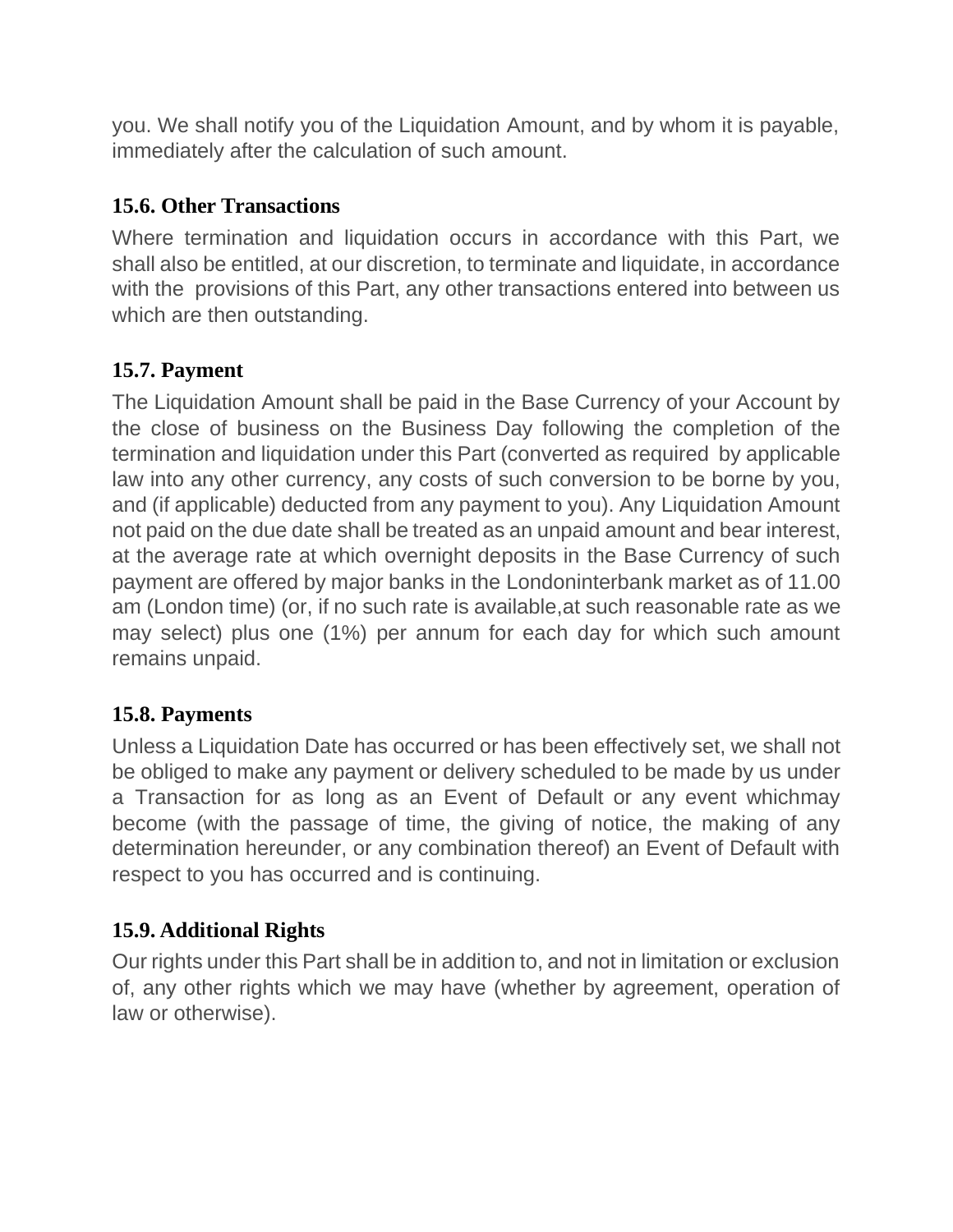you. We shall notify you of the Liquidation Amount, and by whom it is payable, immediately after the calculation of such amount.

### **15.6. Other Transactions**

Where termination and liquidation occurs in accordance with this Part, we shall also be entitled, at our discretion, to terminate and liquidate, in accordance with the provisions of this Part, any other transactions entered into between us which are then outstanding.

### **15.7. Payment**

The Liquidation Amount shall be paid in the Base Currency of your Account by the close of business on the Business Day following the completion of the termination and liquidation under this Part (converted as required by applicable law into any other currency, any costs of such conversion to be borne by you, and (if applicable) deducted from any payment to you). Any Liquidation Amount not paid on the due date shall be treated as an unpaid amount and bear interest, at the average rate at which overnight deposits in the Base Currency of such payment are offered by major banks in the Londoninterbank market as of 11.00 am (London time) (or, if no such rate is available,at such reasonable rate as we may select) plus one (1%) per annum for each day for which such amount remains unpaid.

### **15.8. Payments**

Unless a Liquidation Date has occurred or has been effectively set, we shall not be obliged to make any payment or delivery scheduled to be made by us under a Transaction for as long as an Event of Default or any event whichmay become (with the passage of time, the giving of notice, the making of any determination hereunder, or any combination thereof) an Event of Default with respect to you has occurred and is continuing.

## **15.9. Additional Rights**

Our rights under this Part shall be in addition to, and not in limitation or exclusion of, any other rights which we may have (whether by agreement, operation of law or otherwise).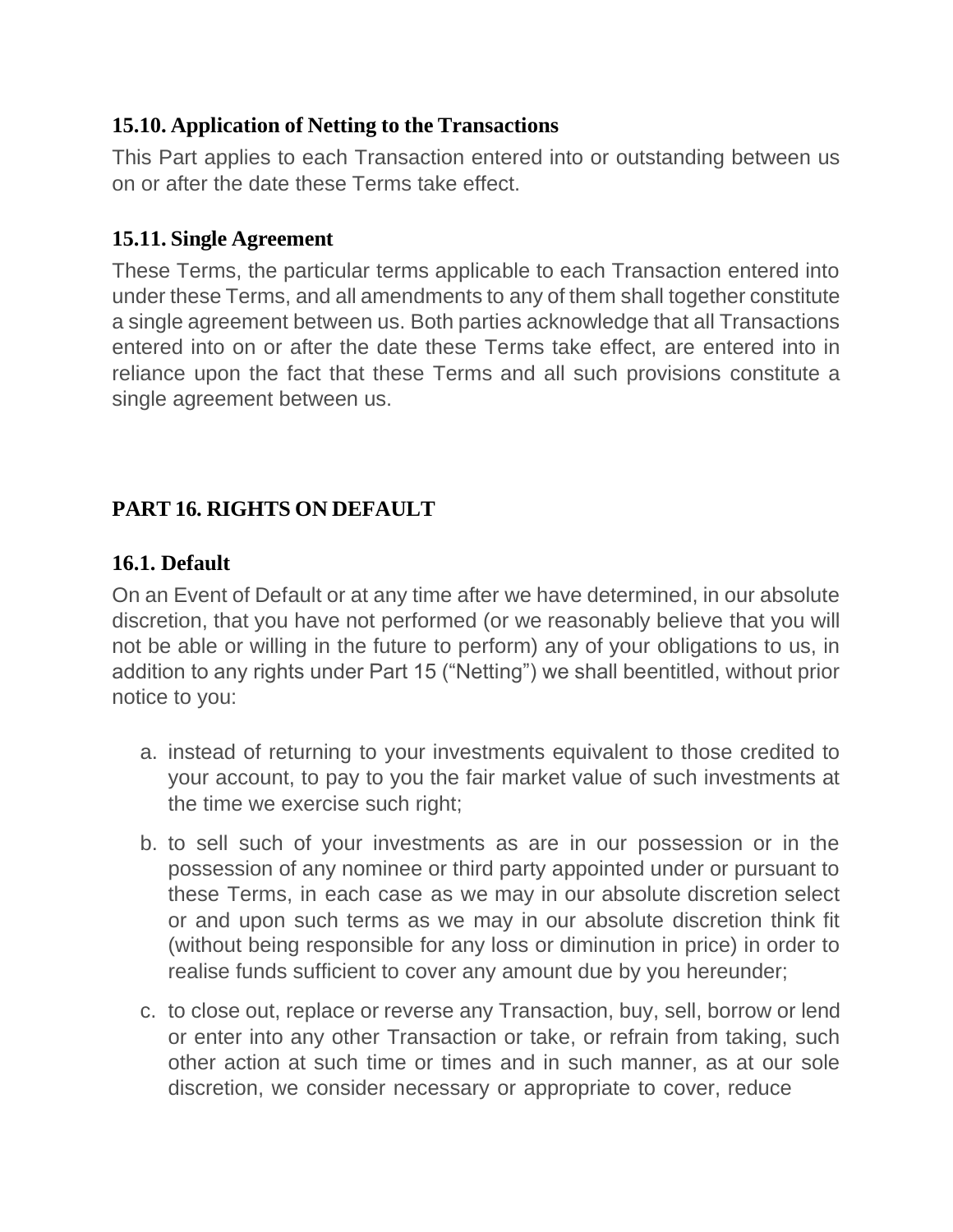### **15.10. Application of Netting to the Transactions**

This Part applies to each Transaction entered into or outstanding between us on or after the date these Terms take effect.

#### **15.11. Single Agreement**

These Terms, the particular terms applicable to each Transaction entered into under these Terms, and all amendments to any of them shall together constitute a single agreement between us. Both parties acknowledge that all Transactions entered into on or after the date these Terms take effect, are entered into in reliance upon the fact that these Terms and all such provisions constitute a single agreement between us.

## **PART 16. RIGHTS ON DEFAULT**

### **16.1. Default**

On an Event of Default or at any time after we have determined, in our absolute discretion, that you have not performed (or we reasonably believe that you will not be able or willing in the future to perform) any of your obligations to us, in addition to any rights under Part 15 ("Netting") we shall beentitled, without prior notice to you:

- a. instead of returning to your investments equivalent to those credited to your account, to pay to you the fair market value of such investments at the time we exercise such right;
- b. to sell such of your investments as are in our possession or in the possession of any nominee or third party appointed under or pursuant to these Terms, in each case as we may in our absolute discretion select or and upon such terms as we may in our absolute discretion think fit (without being responsible for any loss or diminution in price) in order to realise funds sufficient to cover any amount due by you hereunder;
- c. to close out, replace or reverse any Transaction, buy, sell, borrow or lend or enter into any other Transaction or take, or refrain from taking, such other action at such time or times and in such manner, as at our sole discretion, we consider necessary or appropriate to cover, reduce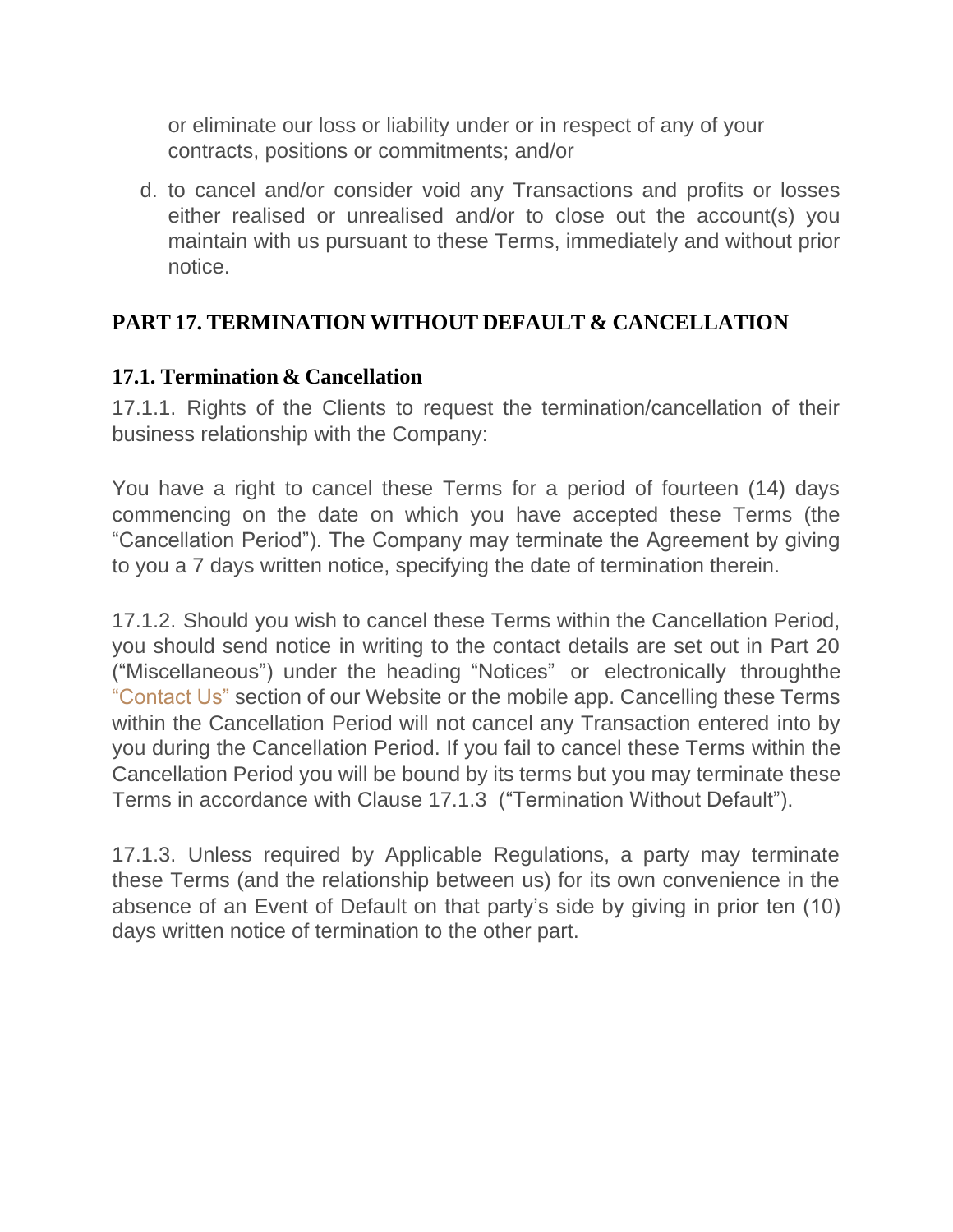or eliminate our loss or liability under or in respect of any of your contracts, positions or commitments; and/or

d. to cancel and/or consider void any Transactions and profits or losses either realised or unrealised and/or to close out the account(s) you maintain with us pursuant to these Terms, immediately and without prior notice.

## **PART 17. TERMINATION WITHOUT DEFAULT & CANCELLATION**

### **17.1. Termination & Cancellation**

17.1.1. Rights of the Clients to request the termination/cancellation of their business relationship with the Company:

You have a right to cancel these Terms for a period of fourteen (14) days commencing on the date on which you have accepted these Terms (the "Cancellation Period"). The Company may terminate the Agreement by giving to you a 7 days written notice, specifying the date of termination therein.

17.1.2. Should you wish to cancel these Terms within the Cancellation Period, you should send notice in writing to the contact details are set out in Part 20 ("Miscellaneous") under the heading "Notices" or electronically throughthe ["Contact Us"](https://capital.com/contact-us) section of our Website or the mobile app. Cancelling these Terms within the Cancellation Period will not cancel any Transaction entered into by you during the Cancellation Period. If you fail to cancel these Terms within the Cancellation Period you will be bound by its terms but you may terminate these Terms in accordance with Clause 17.1.3 ("Termination Without Default").

17.1.3. Unless required by Applicable Regulations, a party may terminate these Terms (and the relationship between us) for its own convenience in the absence of an Event of Default on that party's side by giving in prior ten (10) days written notice of termination to the other part.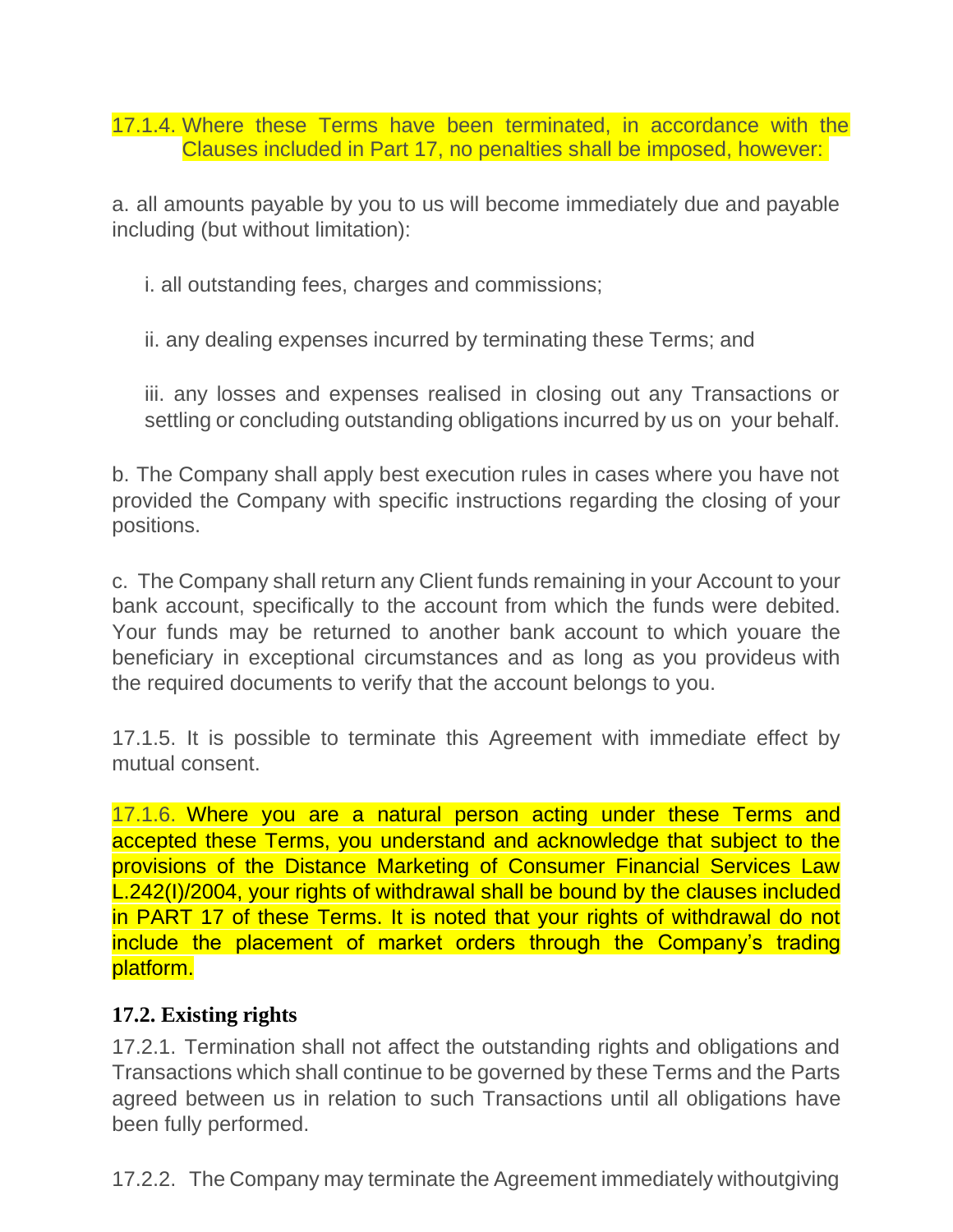17.1.4. Where these Terms have been terminated, in accordance with the Clauses included in Part 17, no penalties shall be imposed, however:

a. all amounts payable by you to us will become immediately due and payable including (but without limitation):

i. all outstanding fees, charges and commissions;

ii. any dealing expenses incurred by terminating these Terms; and

iii. any losses and expenses realised in closing out any Transactions or settling or concluding outstanding obligations incurred by us on your behalf.

b. The Company shall apply best execution rules in cases where you have not provided the Company with specific instructions regarding the closing of your positions.

c. The Company shall return any Client funds remaining in your Account to your bank account, specifically to the account from which the funds were debited. Your funds may be returned to another bank account to which youare the beneficiary in exceptional circumstances and as long as you provideus with the required documents to verify that the account belongs to you.

17.1.5. It is possible to terminate this Agreement with immediate effect by mutual consent.

17.1.6. Where you are a natural person acting under these Terms and accepted these Terms, you understand and acknowledge that subject to the provisions of the Distance Marketing of Consumer Financial Services Law L.242(I)/2004, your rights of withdrawal shall be bound by the clauses included in PART 17 of these Terms. It is noted that your rights of withdrawal do not include the placement of market orders through the Company's trading platform.

## **17.2. Existing rights**

17.2.1. Termination shall not affect the outstanding rights and obligations and Transactions which shall continue to be governed by these Terms and the Parts agreed between us in relation to such Transactions until all obligations have been fully performed.

17.2.2. The Company may terminate the Agreement immediately withoutgiving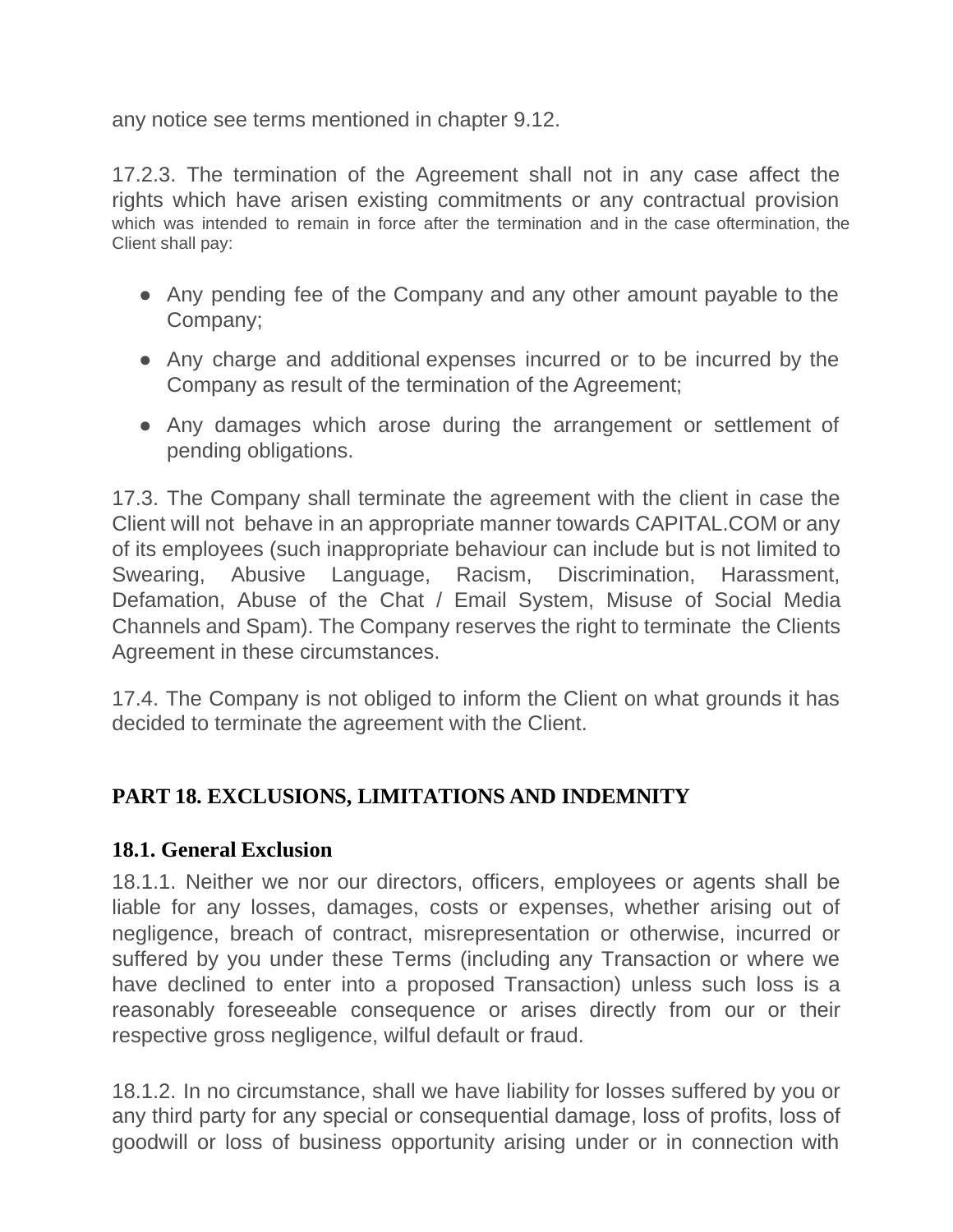any notice see terms mentioned in chapter 9.12.

17.2.3. The termination of the Agreement shall not in any case affect the rights which have arisen existing commitments or any contractual provision which was intended to remain in force after the termination and in the case oftermination, the Client shall pay:

- Any pending fee of the Company and any other amount payable to the Company;
- Any charge and additional expenses incurred or to be incurred by the Company as result of the termination of the Agreement;
- Any damages which arose during the arrangement or settlement of pending obligations.

17.3. The Company shall terminate the agreement with the client in case the Client will not behave in an appropriate manner towards CAPITAL.COM or any of its employees (such inappropriate behaviour can include but is not limited to Swearing, Abusive Language, Racism, Discrimination, Harassment, Defamation, Abuse of the Chat / Email System, Misuse of Social Media Channels and Spam). The Company reserves the right to terminate the Clients Agreement in these circumstances.

17.4. The Company is not obliged to inform the Client on what grounds it has decided to terminate the agreement with the Client.

### **PART 18. EXCLUSIONS, LIMITATIONS AND INDEMNITY**

### **18.1. General Exclusion**

18.1.1. Neither we nor our directors, officers, employees or agents shall be liable for any losses, damages, costs or expenses, whether arising out of negligence, breach of contract, misrepresentation or otherwise, incurred or suffered by you under these Terms (including any Transaction or where we have declined to enter into a proposed Transaction) unless such loss is a reasonably foreseeable consequence or arises directly from our or their respective gross negligence, wilful default or fraud.

18.1.2. In no circumstance, shall we have liability for losses suffered by you or any third party for any special or consequential damage, loss of profits, loss of goodwill or loss of business opportunity arising under or in connection with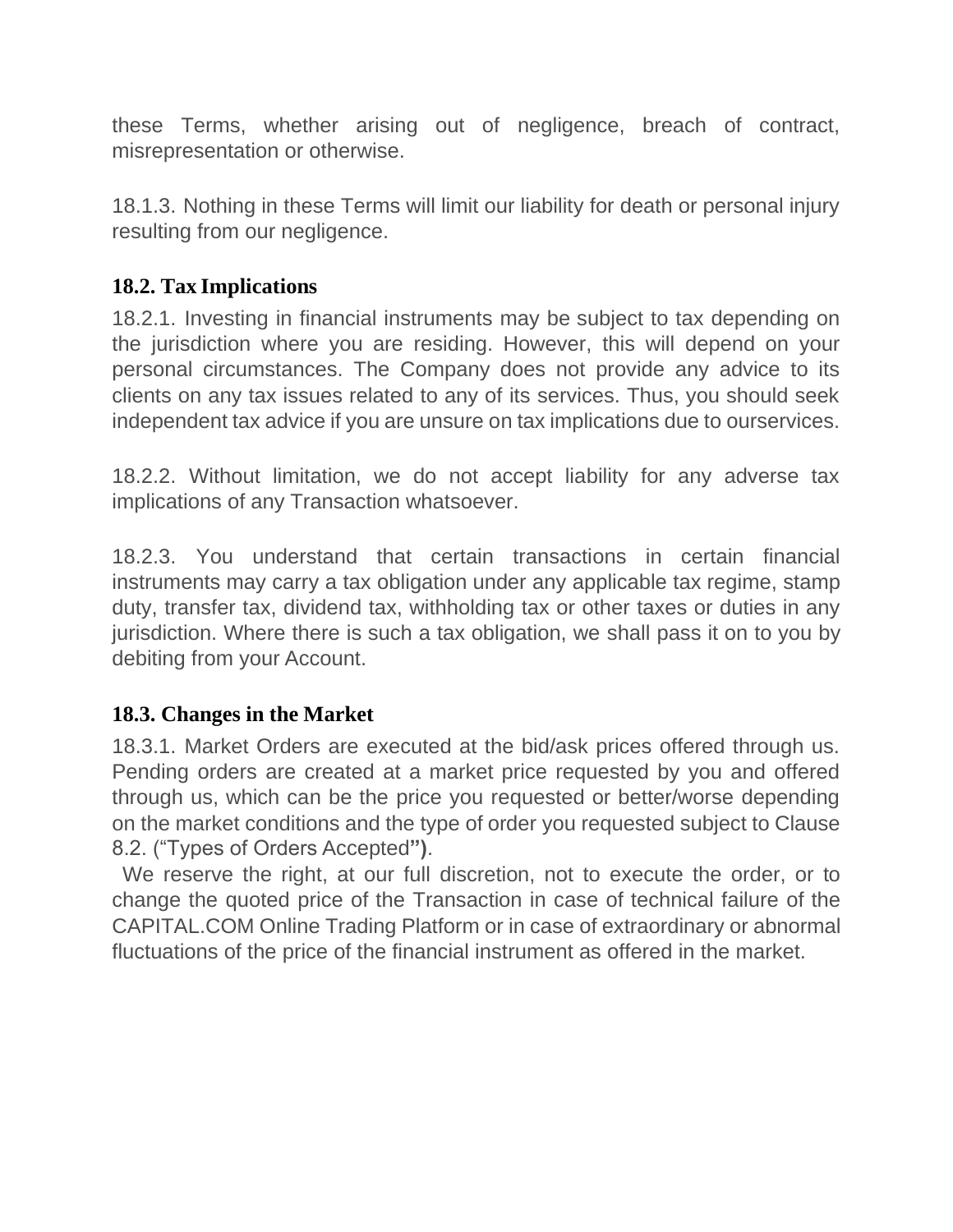these Terms, whether arising out of negligence, breach of contract, misrepresentation or otherwise.

18.1.3. Nothing in these Terms will limit our liability for death or personal injury resulting from our negligence.

### **18.2. Tax Implications**

18.2.1. Investing in financial instruments may be subject to tax depending on the jurisdiction where you are residing. However, this will depend on your personal circumstances. The Company does not provide any advice to its clients on any tax issues related to any of its services. Thus, you should seek independent tax advice if you are unsure on tax implications due to ourservices.

18.2.2. Without limitation, we do not accept liability for any adverse tax implications of any Transaction whatsoever.

18.2.3. You understand that certain transactions in certain financial instruments may carry a tax obligation under any applicable tax regime, stamp duty, transfer tax, dividend tax, withholding tax or other taxes or duties in any jurisdiction. Where there is such a tax obligation, we shall pass it on to you by debiting from your Account.

### **18.3. Changes in the Market**

18.3.1. Market Orders are executed at the bid/ask prices offered through us. Pending orders are created at a market price requested by you and offered through us, which can be the price you requested or better/worse depending on the market conditions and the type of order you requested subject to Clause 8.2. ("Types of Orders Accepted**")**.

We reserve the right, at our full discretion, not to execute the order, or to change the quoted price of the Transaction in case of technical failure of the CAPITAL.COM Online Trading Platform or in case of extraordinary or abnormal fluctuations of the price of the financial instrument as offered in the market.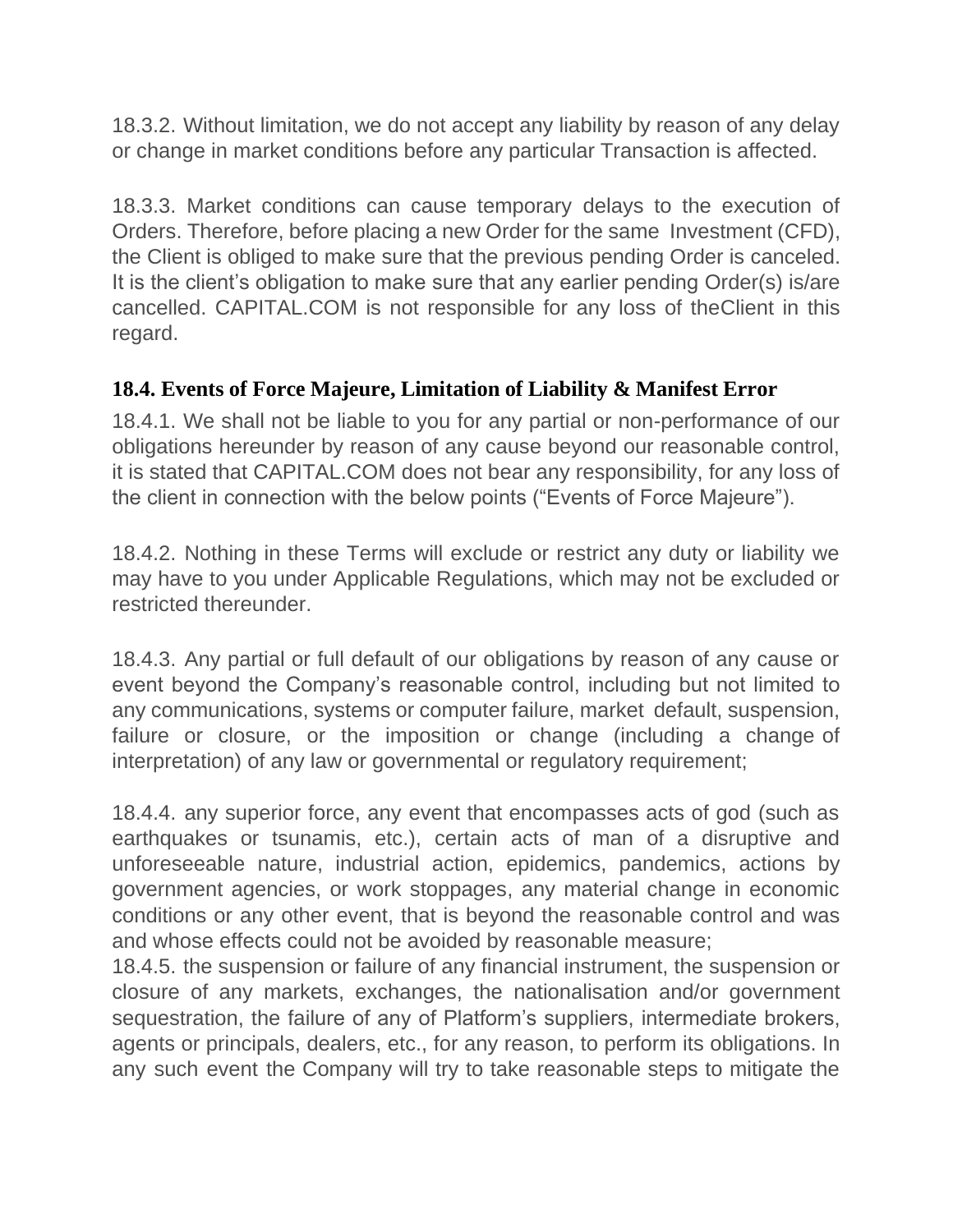18.3.2. Without limitation, we do not accept any liability by reason of any delay or change in market conditions before any particular Transaction is affected.

18.3.3. Market conditions can cause temporary delays to the execution of Orders. Therefore, before placing a new Order for the same Investment (CFD), the Client is obliged to make sure that the previous pending Order is canceled. It is the client's obligation to make sure that any earlier pending Order(s) is/are cancelled. CAPITAL.COM is not responsible for any loss of theClient in this regard.

### **18.4. Events of Force Majeure, Limitation of Liability & Manifest Error**

18.4.1. We shall not be liable to you for any partial or non-performance of our obligations hereunder by reason of any cause beyond our reasonable control, it is stated that CAPITAL.COM does not bear any responsibility, for any loss of the client in connection with the below points ("Events of Force Majeure").

18.4.2. Nothing in these Terms will exclude or restrict any duty or liability we may have to you under Applicable Regulations, which may not be excluded or restricted thereunder.

18.4.3. Any partial or full default of our obligations by reason of any cause or event beyond the Company's reasonable control, including but not limited to any communications, systems or computer failure, market default, suspension, failure or closure, or the imposition or change (including a change of interpretation) of any law or governmental or regulatory requirement;

18.4.4. any superior force, any event that encompasses acts of god (such as earthquakes or tsunamis, etc.), certain acts of man of a disruptive and unforeseeable nature, industrial action, epidemics, pandemics, actions by government agencies, or work stoppages, any material change in economic conditions or any other event, that is beyond the reasonable control and was and whose effects could not be avoided by reasonable measure;

18.4.5. the suspension or failure of any financial instrument, the suspension or closure of any markets, exchanges, the nationalisation and/or government sequestration, the failure of any of Platform's suppliers, intermediate brokers, agents or principals, dealers, etc., for any reason, to perform its obligations. In any such event the Company will try to take reasonable steps to mitigate the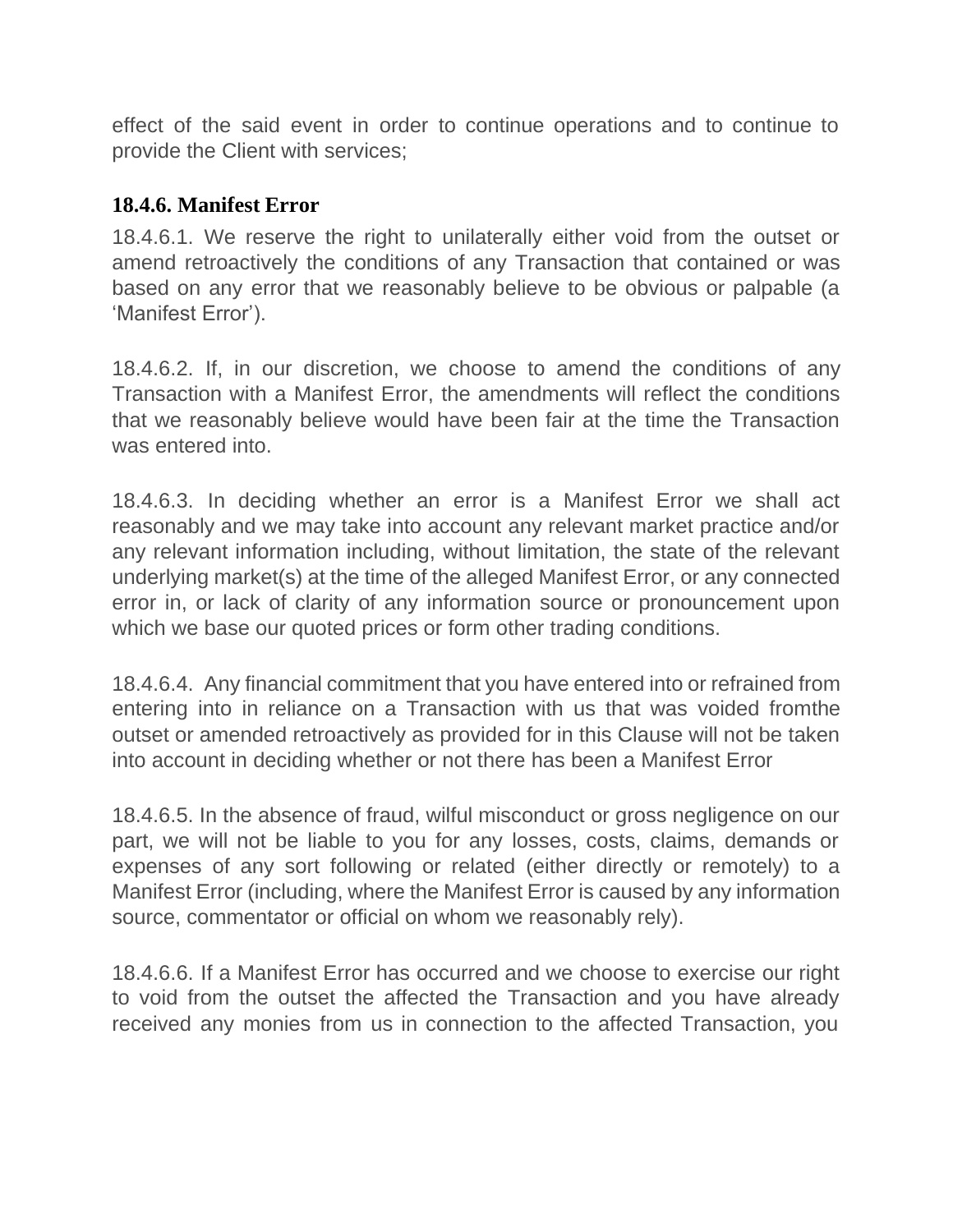effect of the said event in order to continue operations and to continue to provide the Client with services;

#### **18.4.6. Manifest Error**

18.4.6.1. We reserve the right to unilaterally either void from the outset or amend retroactively the conditions of any Transaction that contained or was based on any error that we reasonably believe to be obvious or palpable (a 'Manifest Error').

18.4.6.2. If, in our discretion, we choose to amend the conditions of any Transaction with a Manifest Error, the amendments will reflect the conditions that we reasonably believe would have been fair at the time the Transaction was entered into.

18.4.6.3. In deciding whether an error is a Manifest Error we shall act reasonably and we may take into account any relevant market practice and/or any relevant information including, without limitation, the state of the relevant underlying market(s) at the time of the alleged Manifest Error, or any connected error in, or lack of clarity of any information source or pronouncement upon which we base our quoted prices or form other trading conditions.

18.4.6.4. Any financial commitment that you have entered into or refrained from entering into in reliance on a Transaction with us that was voided fromthe outset or amended retroactively as provided for in this Clause will not be taken into account in deciding whether or not there has been a Manifest Error

18.4.6.5. In the absence of fraud, wilful misconduct or gross negligence on our part, we will not be liable to you for any losses, costs, claims, demands or expenses of any sort following or related (either directly or remotely) to a Manifest Error (including, where the Manifest Error is caused by any information source, commentator or official on whom we reasonably rely).

18.4.6.6. If a Manifest Error has occurred and we choose to exercise our right to void from the outset the affected the Transaction and you have already received any monies from us in connection to the affected Transaction, you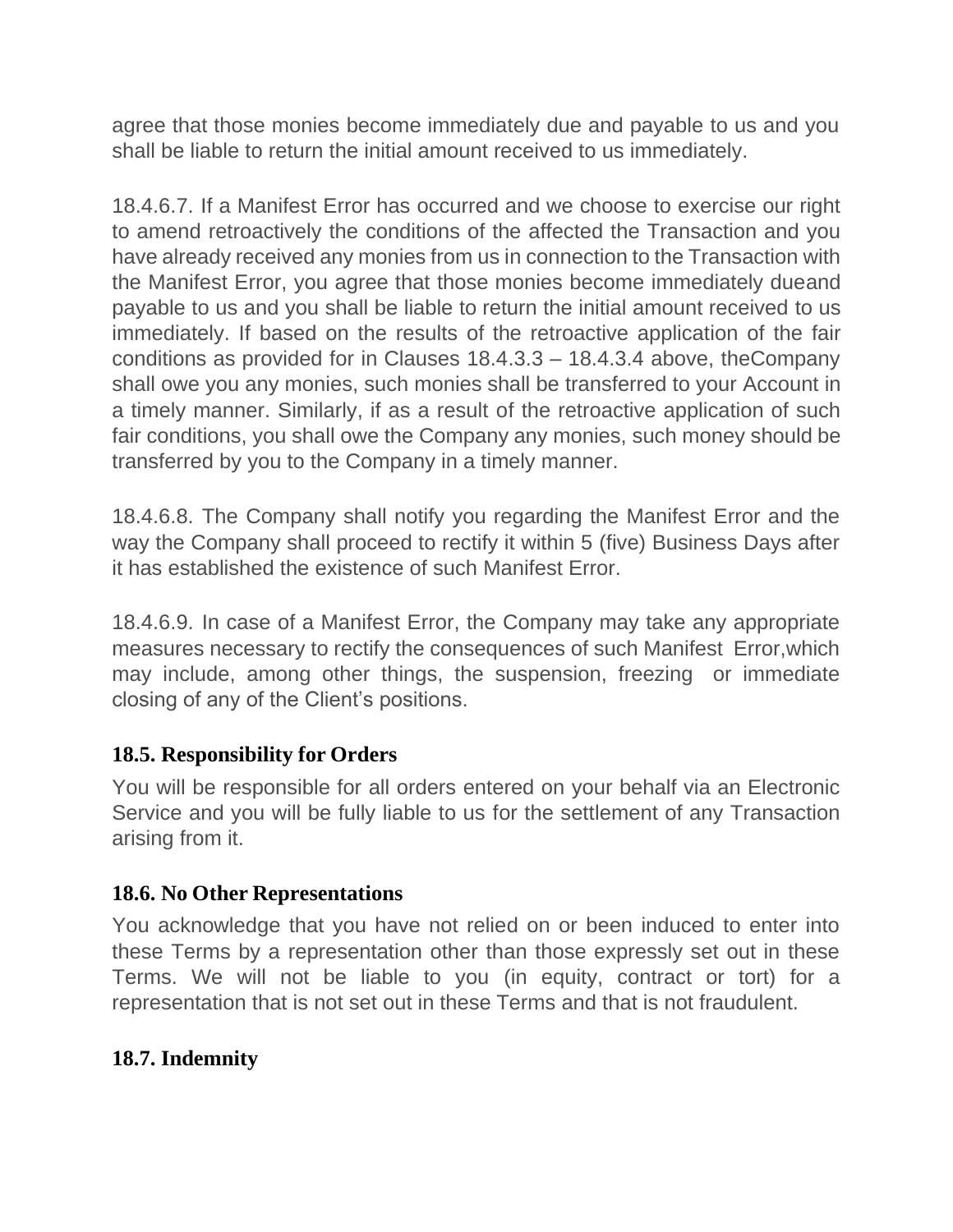agree that those monies become immediately due and payable to us and you shall be liable to return the initial amount received to us immediately.

18.4.6.7. If a Manifest Error has occurred and we choose to exercise our right to amend retroactively the conditions of the affected the Transaction and you have already received any monies from us in connection to the Transaction with the Manifest Error, you agree that those monies become immediately dueand payable to us and you shall be liable to return the initial amount received to us immediately. If based on the results of the retroactive application of the fair conditions as provided for in Clauses 18.4.3.3 – 18.4.3.4 above, theCompany shall owe you any monies, such monies shall be transferred to your Account in a timely manner. Similarly, if as a result of the retroactive application of such fair conditions, you shall owe the Company any monies, such money should be transferred by you to the Company in a timely manner.

18.4.6.8. The Company shall notify you regarding the Manifest Error and the way the Company shall proceed to rectify it within 5 (five) Business Days after it has established the existence of such Manifest Error.

18.4.6.9. In case of a Manifest Error, the Company may take any appropriate measures necessary to rectify the consequences of such Manifest Error,which may include, among other things, the suspension, freezing or immediate closing of any of the Client's positions.

### **18.5. Responsibility for Orders**

You will be responsible for all orders entered on your behalf via an Electronic Service and you will be fully liable to us for the settlement of any Transaction arising from it.

#### **18.6. No Other Representations**

You acknowledge that you have not relied on or been induced to enter into these Terms by a representation other than those expressly set out in these Terms. We will not be liable to you (in equity, contract or tort) for a representation that is not set out in these Terms and that is not fraudulent.

### **18.7. Indemnity**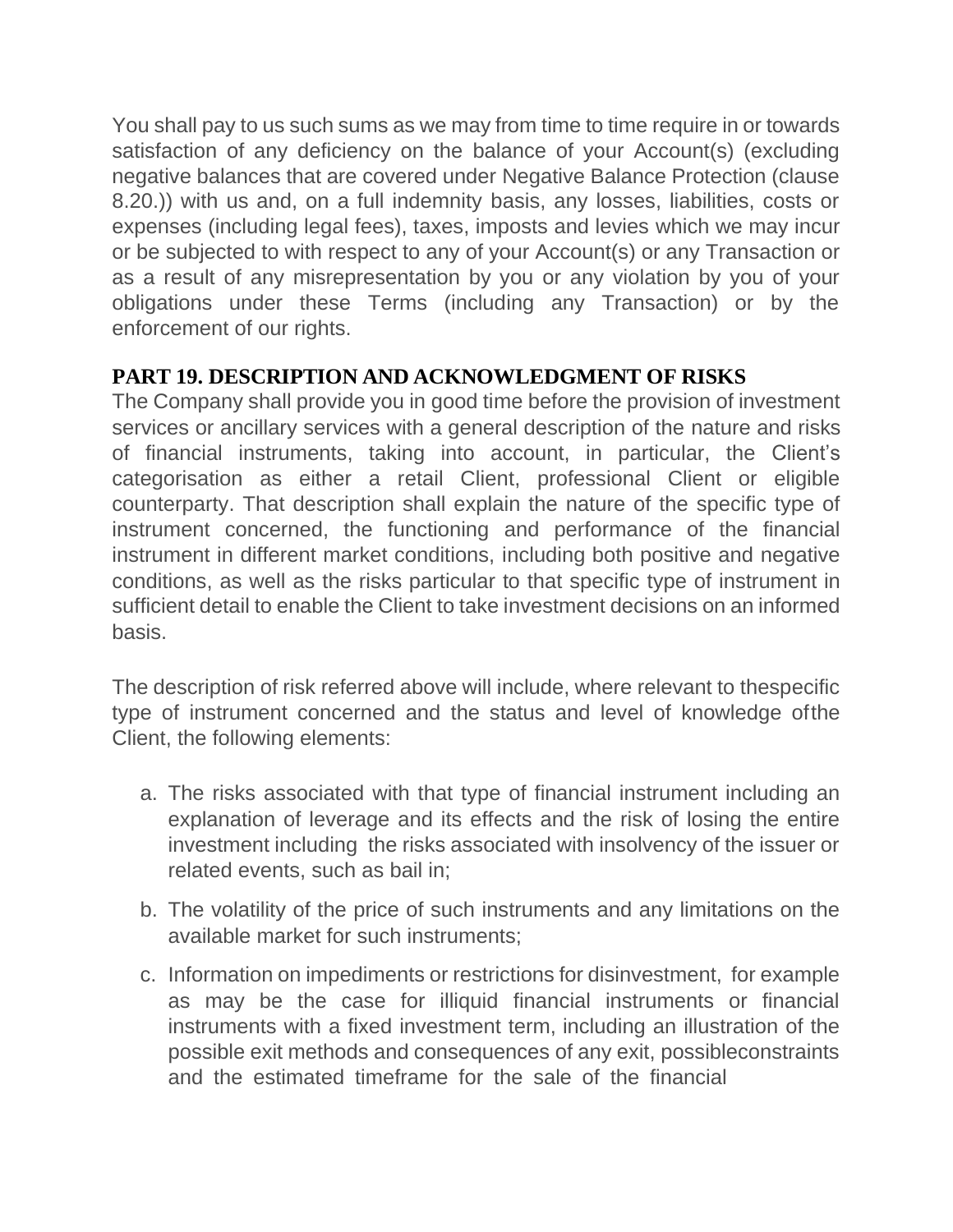You shall pay to us such sums as we may from time to time require in or towards satisfaction of any deficiency on the balance of your Account(s) (excluding negative balances that are covered under Negative Balance Protection (clause 8.20.)) with us and, on a full indemnity basis, any losses, liabilities, costs or expenses (including legal fees), taxes, imposts and levies which we may incur or be subjected to with respect to any of your Account(s) or any Transaction or as a result of any misrepresentation by you or any violation by you of your obligations under these Terms (including any Transaction) or by the enforcement of our rights.

#### **PART 19. DESCRIPTION AND ACKNOWLEDGMENT OF RISKS**

The Company shall provide you in good time before the provision of investment services or ancillary services with a general description of the nature and risks of financial instruments, taking into account, in particular, the Client's categorisation as either a retail Client, professional Client or eligible counterparty. That description shall explain the nature of the specific type of instrument concerned, the functioning and performance of the financial instrument in different market conditions, including both positive and negative conditions, as well as the risks particular to that specific type of instrument in sufficient detail to enable the Client to take investment decisions on an informed basis.

The description of risk referred above will include, where relevant to thespecific type of instrument concerned and the status and level of knowledge ofthe Client, the following elements:

- a. The risks associated with that type of financial instrument including an explanation of leverage and its effects and the risk of losing the entire investment including the risks associated with insolvency of the issuer or related events, such as bail in;
- b. The volatility of the price of such instruments and any limitations on the available market for such instruments;
- c. Information on impediments or restrictions for disinvestment, for example as may be the case for illiquid financial instruments or financial instruments with a fixed investment term, including an illustration of the possible exit methods and consequences of any exit, possibleconstraints and the estimated timeframe for the sale of the financial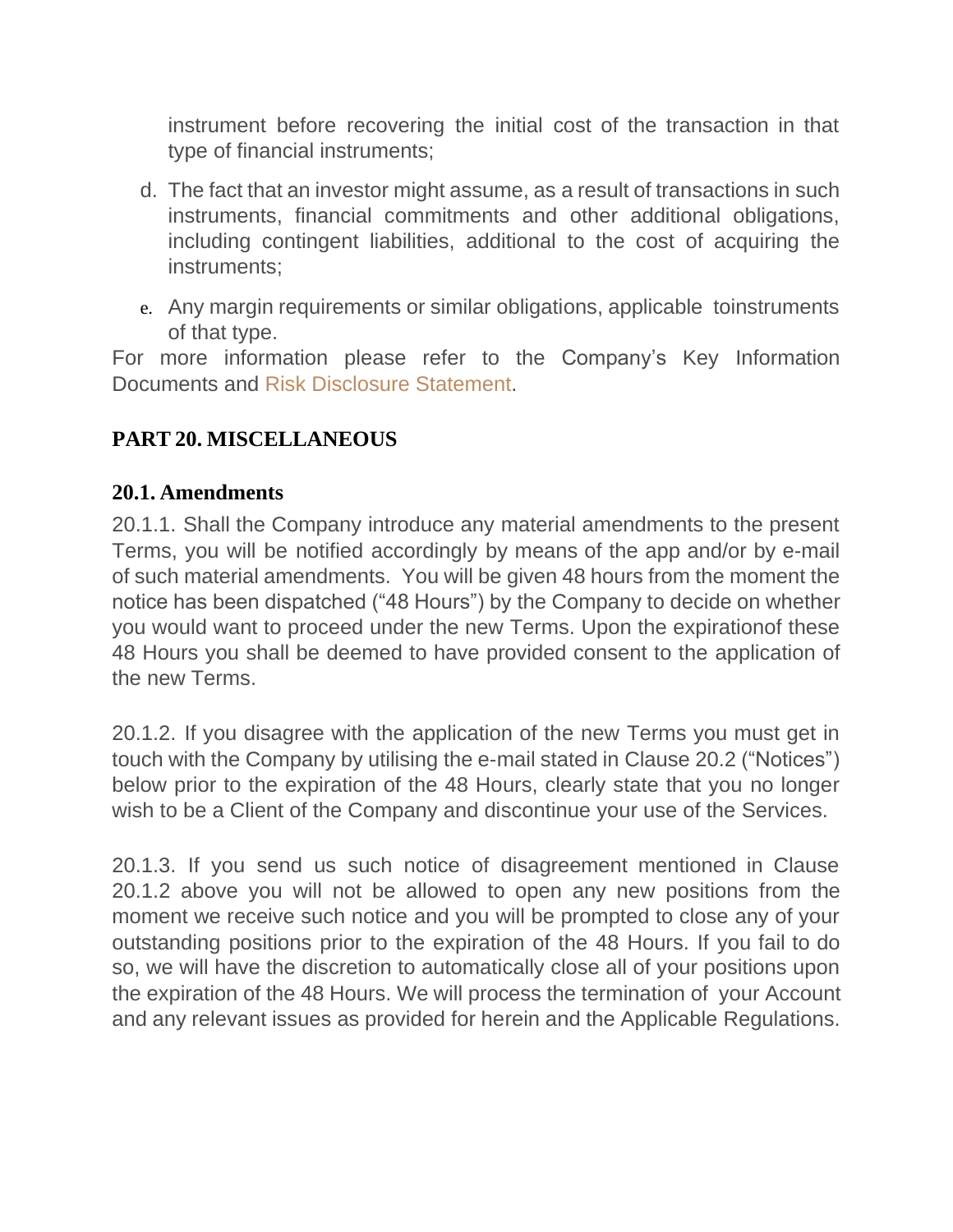instrument before recovering the initial cost of the transaction in that type of financial instruments;

- d. The fact that an investor might assume, as a result of transactions in such instruments, financial commitments and other additional obligations, including contingent liabilities, additional to the cost of acquiring the instruments;
- e. Any margin requirements or similar obligations, applicable toinstruments of that type.

For more information please refer to the Company's Key Information Documents and [Risk Disclosure Statement.](https://capital.com/risk-disclosure-policy)

## **PART 20. MISCELLANEOUS**

#### **20.1. Amendments**

20.1.1. Shall the Company introduce any material amendments to the present Terms, you will be notified accordingly by means of the app and/or by e-mail of such material amendments. You will be given 48 hours from the moment the notice has been dispatched ("48 Hours") by the Company to decide on whether you would want to proceed under the new Terms. Upon the expirationof these 48 Hours you shall be deemed to have provided consent to the application of the new Terms.

20.1.2. If you disagree with the application of the new Terms you must get in touch with the Company by utilising the e-mail stated in Clause 20.2 ("Notices") below prior to the expiration of the 48 Hours, clearly state that you no longer wish to be a Client of the Company and discontinue your use of the Services.

20.1.3. If you send us such notice of disagreement mentioned in Clause 20.1.2 above you will not be allowed to open any new positions from the moment we receive such notice and you will be prompted to close any of your outstanding positions prior to the expiration of the 48 Hours. If you fail to do so, we will have the discretion to automatically close all of your positions upon the expiration of the 48 Hours. We will process the termination of your Account and any relevant issues as provided for herein and the Applicable Regulations.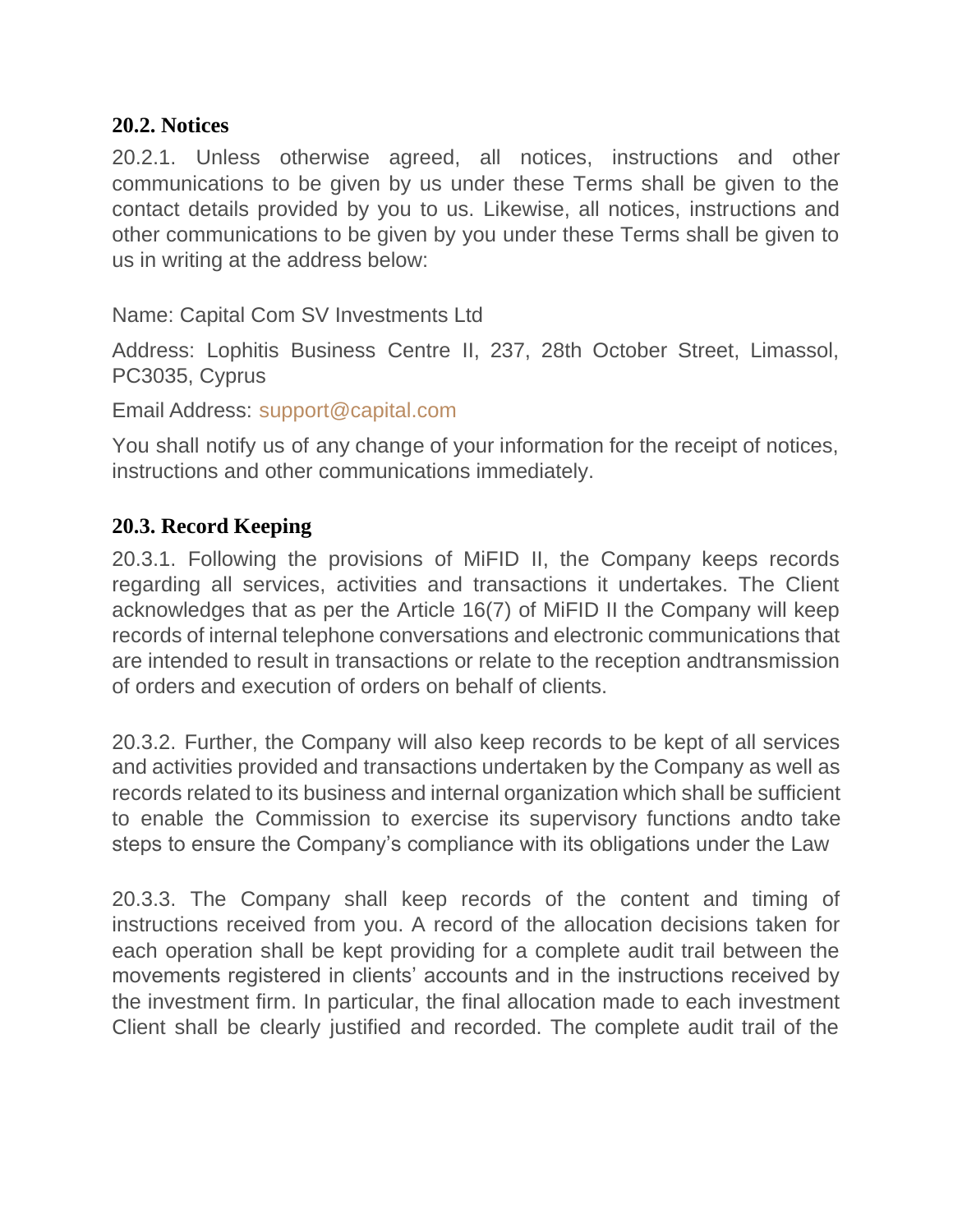#### **20.2. Notices**

20.2.1. Unless otherwise agreed, all notices, instructions and other communications to be given by us under these Terms shall be given to the contact details provided by you to us. Likewise, all notices, instructions and other communications to be given by you under these Terms shall be given to us in writing at the address below:

Name: Capital Com SV Investments Ltd

Address: Lophitis Business Centre II, 237, 28th October Street, Limassol, PC3035, Cyprus

Email Address: [support@capital.com](https://capital.com/contact-us)

You shall notify us of any change of your information for the receipt of notices, instructions and other communications immediately.

### **20.3. Record Keeping**

20.3.1. Following the provisions of MiFID II, the Company keeps records regarding all services, activities and transactions it undertakes. The Client acknowledges that as per the Article 16(7) of MiFID II the Company will keep records of internal telephone conversations and electronic communications that are intended to result in transactions or relate to the reception andtransmission of orders and execution of orders on behalf of clients.

20.3.2. Further, the Company will also keep records to be kept of all services and activities provided and transactions undertaken by the Company as well as records related to its business and internal organization which shall be sufficient to enable the Commission to exercise its supervisory functions andto take steps to ensure the Company's compliance with its obligations under the Law

20.3.3. The Company shall keep records of the content and timing of instructions received from you. A record of the allocation decisions taken for each operation shall be kept providing for a complete audit trail between the movements registered in clients' accounts and in the instructions received by the investment firm. In particular, the final allocation made to each investment Client shall be clearly justified and recorded. The complete audit trail of the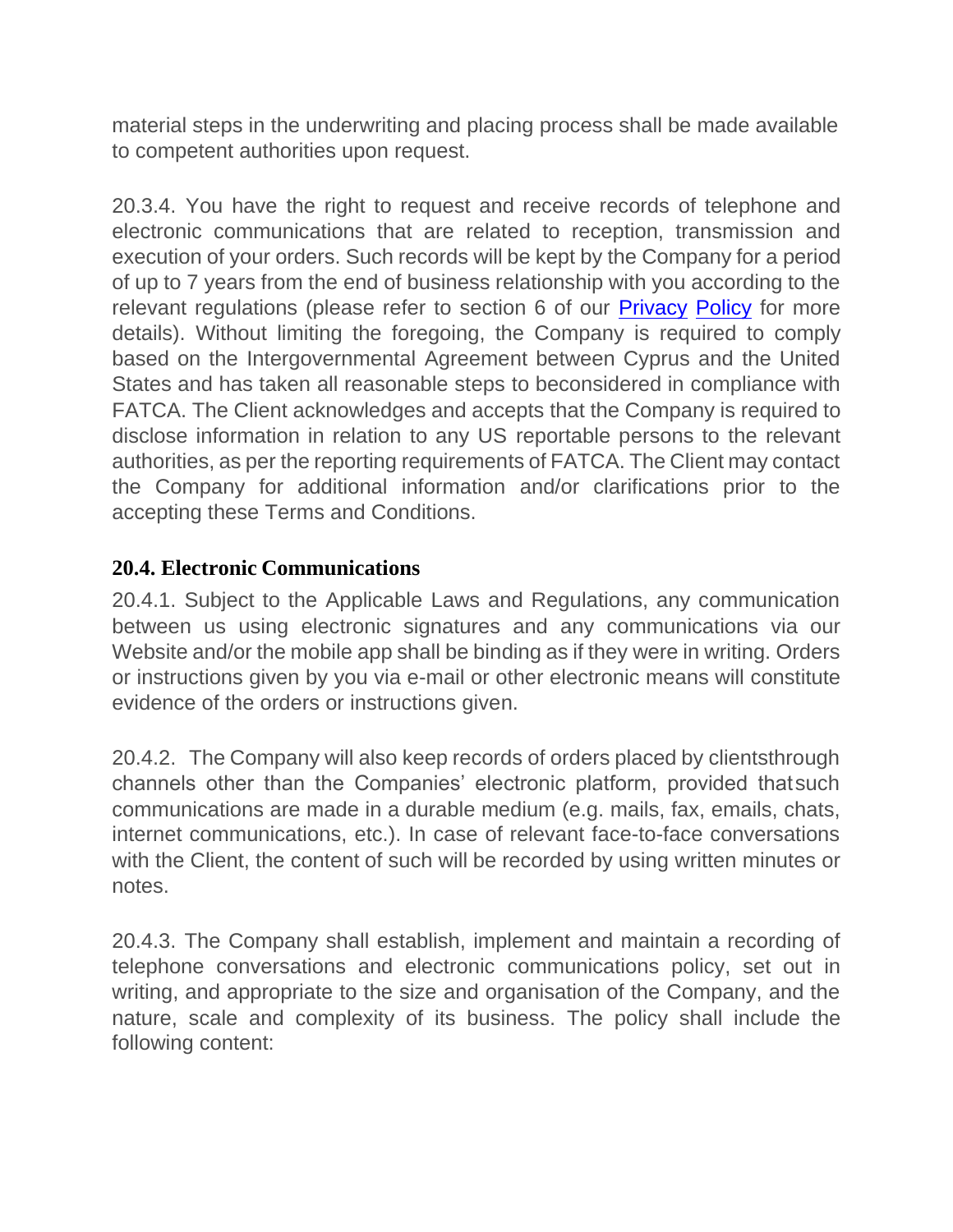material steps in the underwriting and placing process shall be made available to competent authorities upon request.

20.3.4. You have the right to request and receive records of telephone and electronic communications that are related to reception, transmission and execution of your orders. Such records will be kept by the Company for a period of up to 7 years from the end of business relationship with you according to the relevant regulations (please refer to section 6 of our [Privacy](https://trade.capital.com/docs/privacy_policy_cysec_20190826_capital_com.pdf) [Policy](https://trade.capital.com/docs/privacy_policy_cysec_20190826_capital_com.pdf) for more details). Without limiting the foregoing, the Company is required to comply based on the Intergovernmental Agreement between Cyprus and the United States and has taken all reasonable steps to beconsidered in compliance with FATCA. The Client acknowledges and accepts that the Company is required to disclose information in relation to any US reportable persons to the relevant authorities, as per the reporting requirements of FATCA. The Client may contact the Company for additional information and/or clarifications prior to the accepting these Terms and Conditions.

### **20.4. Electronic Communications**

20.4.1. Subject to the Applicable Laws and Regulations, any communication between us using electronic signatures and any communications via our Website and/or the mobile app shall be binding as if they were in writing. Orders or instructions given by you via e-mail or other electronic means will constitute evidence of the orders or instructions given.

20.4.2. The Company will also keep records of orders placed by clientsthrough channels other than the Companies' electronic platform, provided thatsuch communications are made in a durable medium (e.g. mails, fax, emails, chats, internet communications, etc.). In case of relevant face-to-face conversations with the Client, the content of such will be recorded by using written minutes or notes.

20.4.3. The Company shall establish, implement and maintain a recording of telephone conversations and electronic communications policy, set out in writing, and appropriate to the size and organisation of the Company, and the nature, scale and complexity of its business. The policy shall include the following content: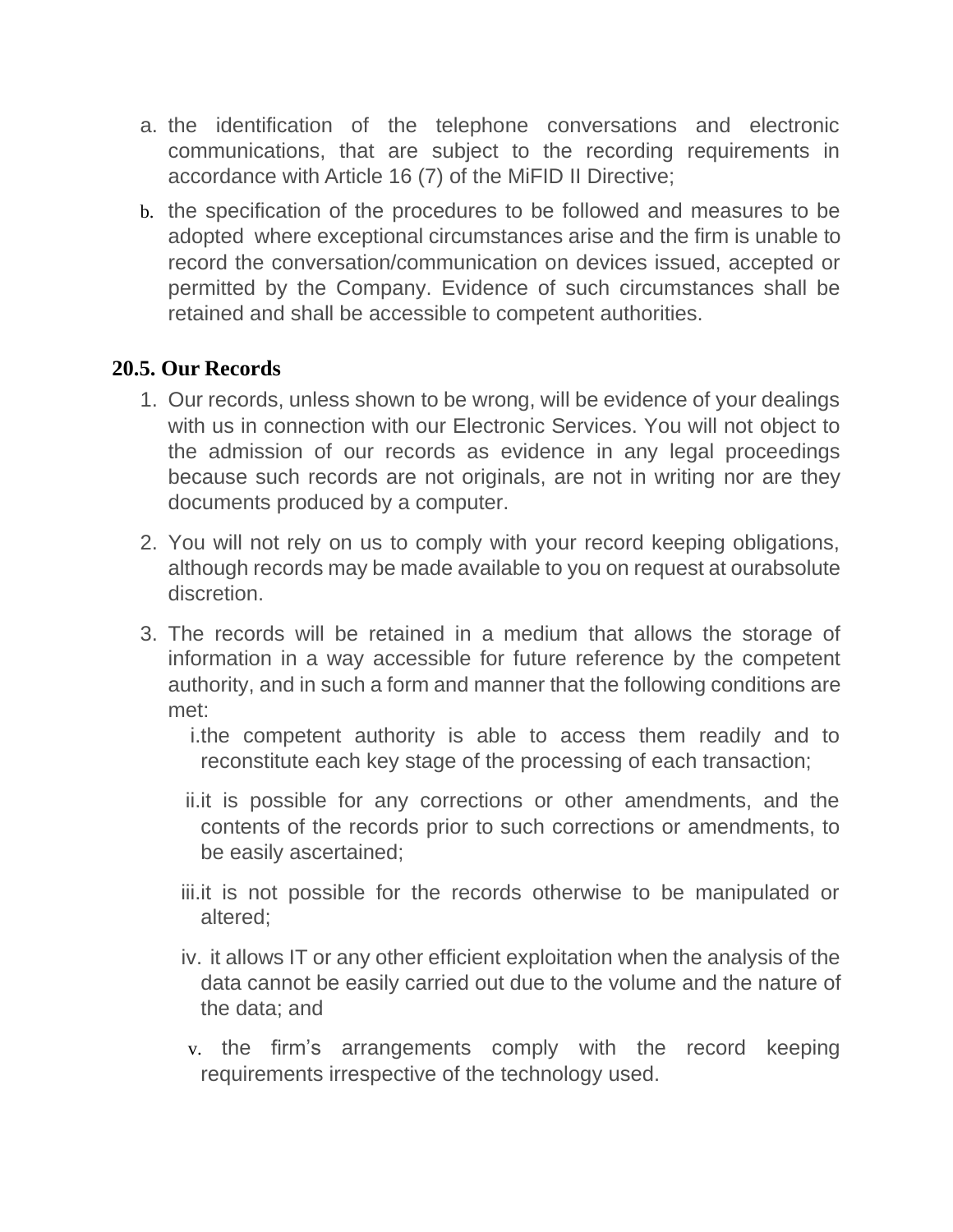- a. the identification of the telephone conversations and electronic communications, that are subject to the recording requirements in accordance with Article 16 (7) of the MiFID II Directive;
- b. the specification of the procedures to be followed and measures to be adopted where exceptional circumstances arise and the firm is unable to record the conversation/communication on devices issued, accepted or permitted by the Company. Evidence of such circumstances shall be retained and shall be accessible to competent authorities.

### **20.5. Our Records**

- 1. Our records, unless shown to be wrong, will be evidence of your dealings with us in connection with our Electronic Services. You will not object to the admission of our records as evidence in any legal proceedings because such records are not originals, are not in writing nor are they documents produced by a computer.
- 2. You will not rely on us to comply with your record keeping obligations, although records may be made available to you on request at ourabsolute discretion.
- 3. The records will be retained in a medium that allows the storage of information in a way accessible for future reference by the competent authority, and in such a form and manner that the following conditions are met:
	- i.the competent authority is able to access them readily and to reconstitute each key stage of the processing of each transaction;
	- ii.it is possible for any corrections or other amendments, and the contents of the records prior to such corrections or amendments, to be easily ascertained;
	- iii.it is not possible for the records otherwise to be manipulated or altered;
	- iv. it allows IT or any other efficient exploitation when the analysis of the data cannot be easily carried out due to the volume and the nature of the data; and
	- v. the firm's arrangements comply with the record keeping requirements irrespective of the technology used.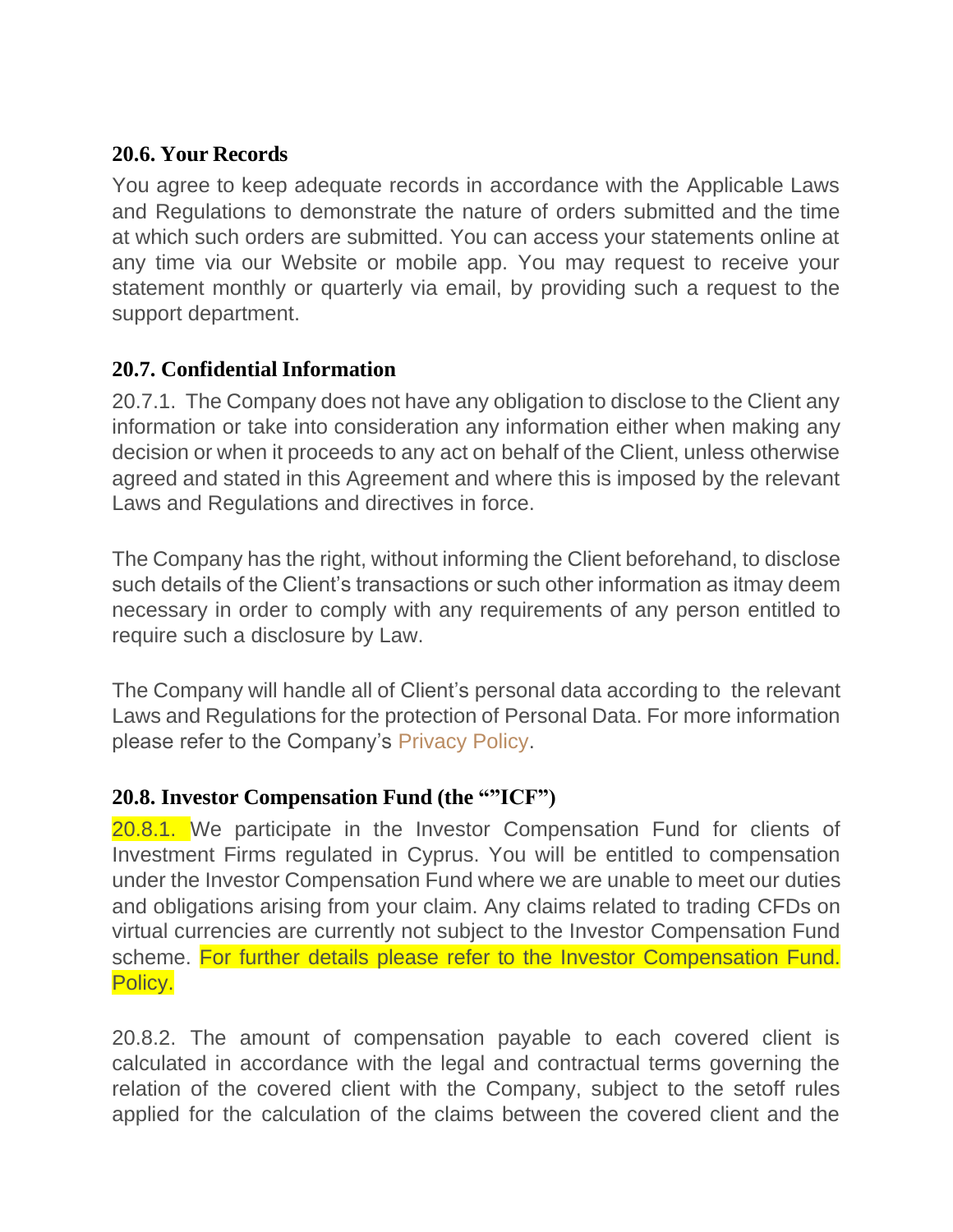### **20.6. Your Records**

You agree to keep adequate records in accordance with the Applicable Laws and Regulations to demonstrate the nature of orders submitted and the time at which such orders are submitted. You can access your statements online at any time via our Website or mobile app. You may request to receive your statement monthly or quarterly via email, by providing such a request to the support department.

### **20.7. Confidential Information**

20.7.1. The Company does not have any obligation to disclose to the Client any information or take into consideration any information either when making any decision or when it proceeds to any act on behalf of the Client, unless otherwise agreed and stated in this Agreement and where this is imposed by the relevant Laws and Regulations and directives in force.

The Company has the right, without informing the Client beforehand, to disclose such details of the Client's transactions or such other information as itmay deem necessary in order to comply with any requirements of any person entitled to require such a disclosure by Law.

The Company will handle all of Client's personal data according to the relevant Laws and Regulations for the protection of Personal Data. For more information please refer to the Company's [Privacy Policy.](https://capital.com/privacy-policy)

### **20.8. Investor Compensation Fund (the ""ICF")**

20.8.1. We participate in the Investor Compensation Fund for clients of Investment Firms regulated in Cyprus. You will be entitled to compensation under the Investor Compensation Fund where we are unable to meet our duties and obligations arising from your claim. Any claims related to trading CFDs on virtual currencies are currently not subject to the Investor Compensation Fund scheme. For further details please refer to the Investor Compensation Fund. Policy.

20.8.2. The amount of compensation payable to each covered client is calculated in accordance with the legal and contractual terms governing the relation of the covered client with the Company, subject to the setoff rules applied for the calculation of the claims between the covered client and the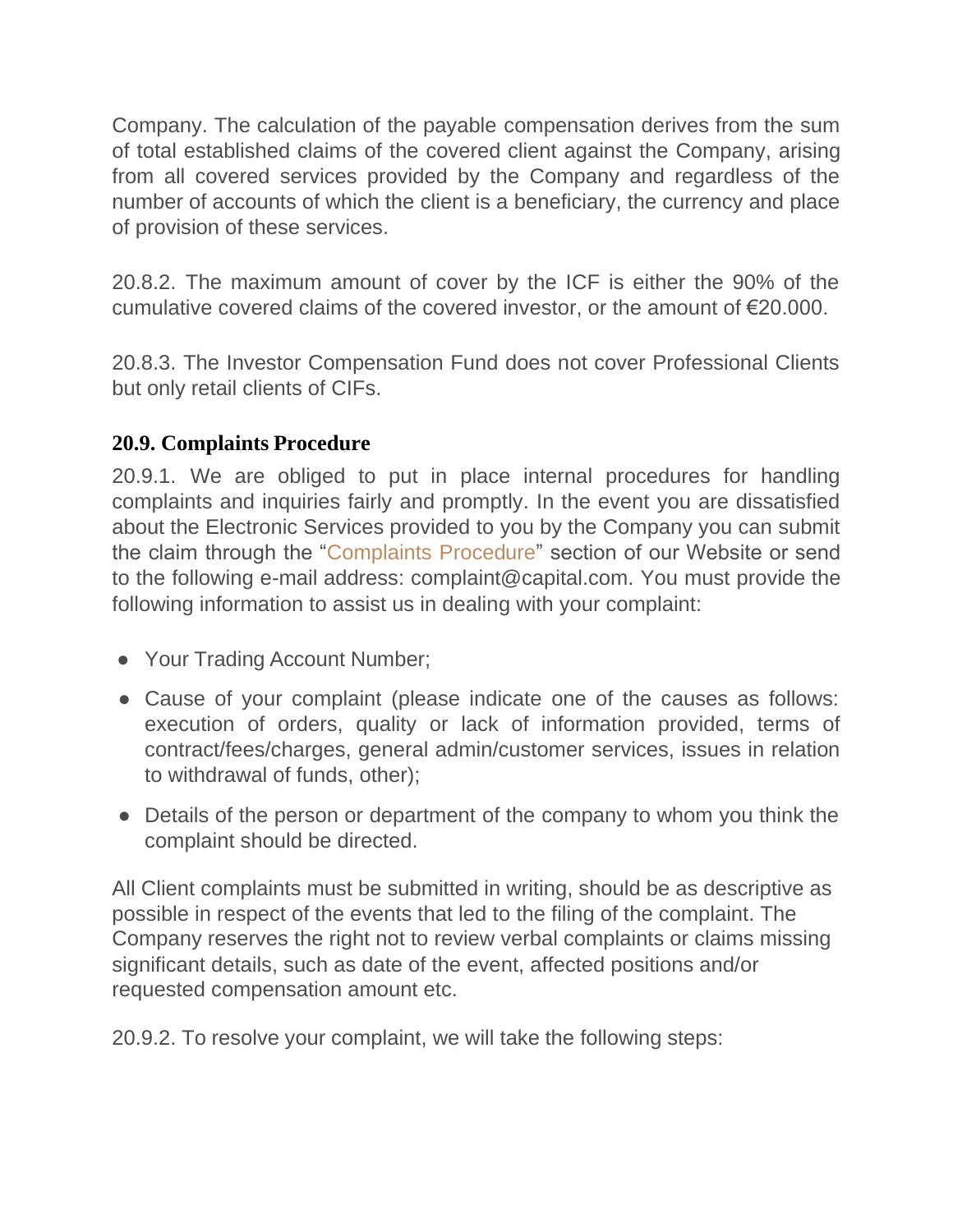Company. The calculation of the payable compensation derives from the sum of total established claims of the covered client against the Company, arising from all covered services provided by the Company and regardless of the number of accounts of which the client is a beneficiary, the currency and place of provision of these services.

20.8.2. The maximum amount of cover by the ICF is either the 90% of the cumulative covered claims of the covered investor, or the amount of €20.000.

20.8.3. The Investor Compensation Fund does not cover Professional Clients but only retail clients of CIFs.

## **20.9. Complaints Procedure**

20.9.1. We are obliged to put in place internal procedures for handling complaints and inquiries fairly and promptly. In the event you are dissatisfied about the Electronic Services provided to you by the Company you can submit the claim through the ["Complaints Procedure"](https://capital.com/complaints-procedure) section of our Website or send to the following e-mail address: [complaint@capital.com. Y](mailto:complaint@capital.com)ou must provide the following information to assist us in dealing with your complaint:

- Your Trading Account Number;
- Cause of your complaint (please indicate one of the causes as follows: execution of orders, quality or lack of information provided, terms of contract/fees/charges, general admin/customer services, issues in relation to withdrawal of funds, other);
- Details of the person or department of the company to whom you think the complaint should be directed.

All Client complaints must be submitted in writing, should be as descriptive as possible in respect of the events that led to the filing of the complaint. The Company reserves the right not to review verbal complaints or claims missing significant details, such as date of the event, affected positions and/or requested compensation amount etc.

20.9.2. To resolve your complaint, we will take the following steps: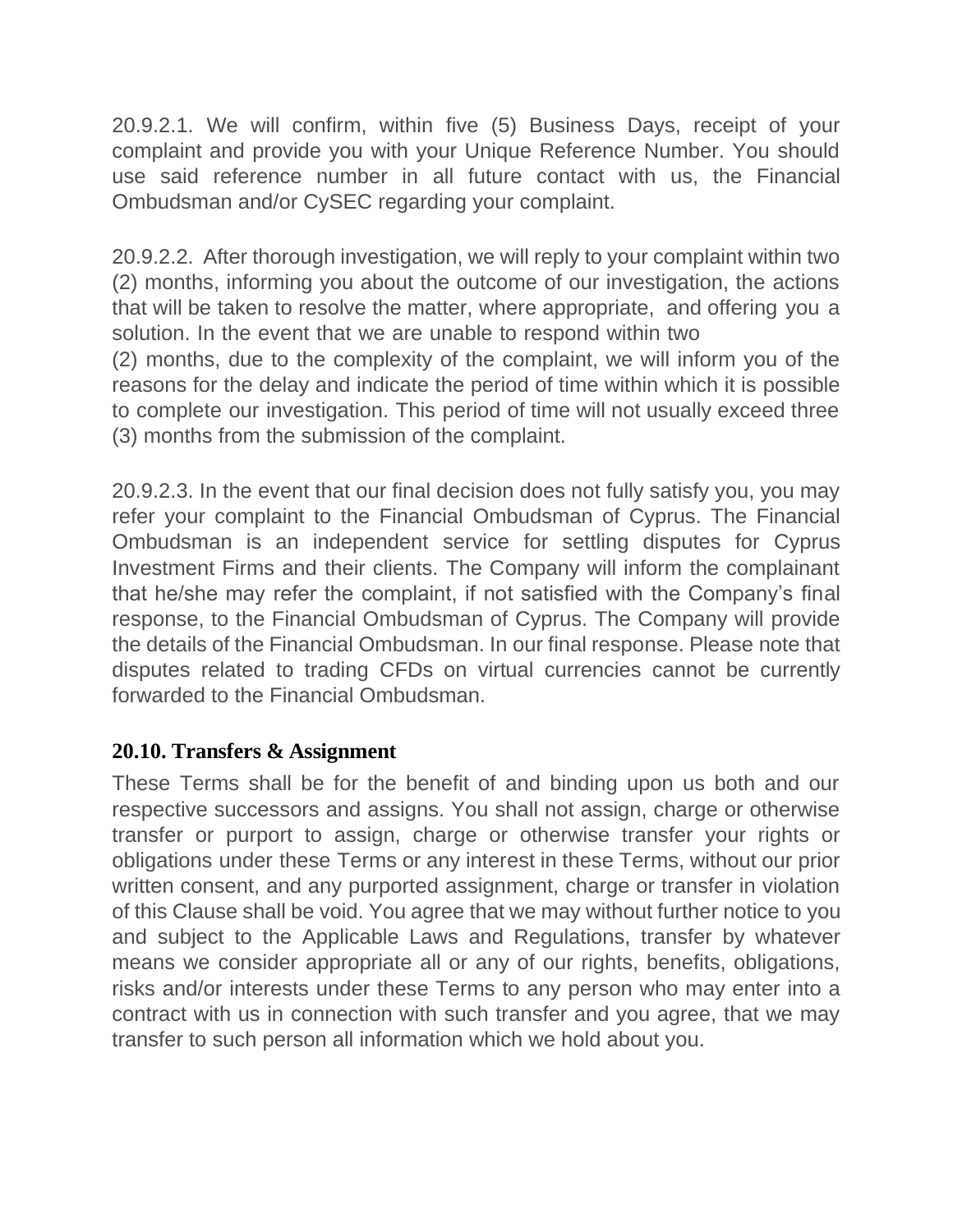20.9.2.1. We will confirm, within five (5) Business Days, receipt of your complaint and provide you with your Unique Reference Number. You should use said reference number in all future contact with us, the Financial Ombudsman and/or CySEC regarding your complaint.

20.9.2.2. After thorough investigation, we will reply to your complaint within two (2) months, informing you about the outcome of our investigation, the actions that will be taken to resolve the matter, where appropriate, and offering you a solution. In the event that we are unable to respond within two

(2) months, due to the complexity of the complaint, we will inform you of the reasons for the delay and indicate the period of time within which it is possible to complete our investigation. This period of time will not usually exceed three (3) months from the submission of the complaint.

20.9.2.3. In the event that our final decision does not fully satisfy you, you may refer your complaint to the Financial Ombudsman of Cyprus. The Financial Ombudsman is an independent service for settling disputes for Cyprus Investment Firms and their clients. The Company will inform the complainant that he/she may refer the complaint, if not satisfied with the Company's final response, to the Financial Ombudsman of Cyprus. The Company will provide the details of the Financial Ombudsman. In our final response. Please note that disputes related to trading CFDs on virtual currencies cannot be currently forwarded to the Financial Ombudsman.

### **20.10. Transfers & Assignment**

These Terms shall be for the benefit of and binding upon us both and our respective successors and assigns. You shall not assign, charge or otherwise transfer or purport to assign, charge or otherwise transfer your rights or obligations under these Terms or any interest in these Terms, without our prior written consent, and any purported assignment, charge or transfer in violation of this Clause shall be void. You agree that we may without further notice to you and subject to the Applicable Laws and Regulations, transfer by whatever means we consider appropriate all or any of our rights, benefits, obligations, risks and/or interests under these Terms to any person who may enter into a contract with us in connection with such transfer and you agree, that we may transfer to such person all information which we hold about you.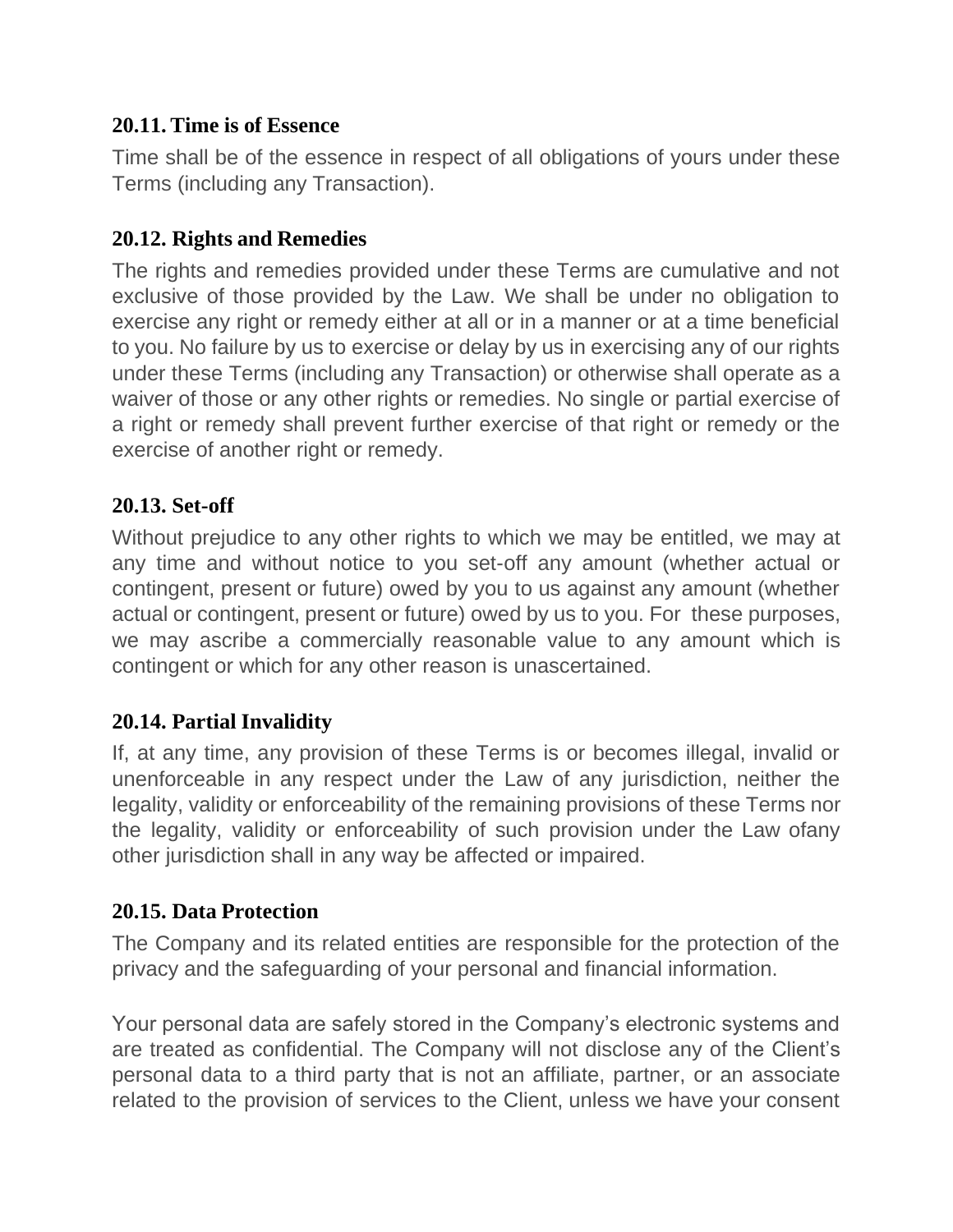### **20.11. Time is of Essence**

Time shall be of the essence in respect of all obligations of yours under these Terms (including any Transaction).

### **20.12. Rights and Remedies**

The rights and remedies provided under these Terms are cumulative and not exclusive of those provided by the Law. We shall be under no obligation to exercise any right or remedy either at all or in a manner or at a time beneficial to you. No failure by us to exercise or delay by us in exercising any of our rights under these Terms (including any Transaction) or otherwise shall operate as a waiver of those or any other rights or remedies. No single or partial exercise of a right or remedy shall prevent further exercise of that right or remedy or the exercise of another right or remedy.

### **20.13. Set-off**

Without prejudice to any other rights to which we may be entitled, we may at any time and without notice to you set-off any amount (whether actual or contingent, present or future) owed by you to us against any amount (whether actual or contingent, present or future) owed by us to you. For these purposes, we may ascribe a commercially reasonable value to any amount which is contingent or which for any other reason is unascertained.

### **20.14. Partial Invalidity**

If, at any time, any provision of these Terms is or becomes illegal, invalid or unenforceable in any respect under the Law of any jurisdiction, neither the legality, validity or enforceability of the remaining provisions of these Terms nor the legality, validity or enforceability of such provision under the Law ofany other jurisdiction shall in any way be affected or impaired.

### **20.15. Data Protection**

The Company and its related entities are responsible for the protection of the privacy and the safeguarding of your personal and financial information.

Your personal data are safely stored in the Company's electronic systems and are treated as confidential. The Company will not disclose any of the Client's personal data to a third party that is not an affiliate, partner, or an associate related to the provision of services to the Client, unless we have your consent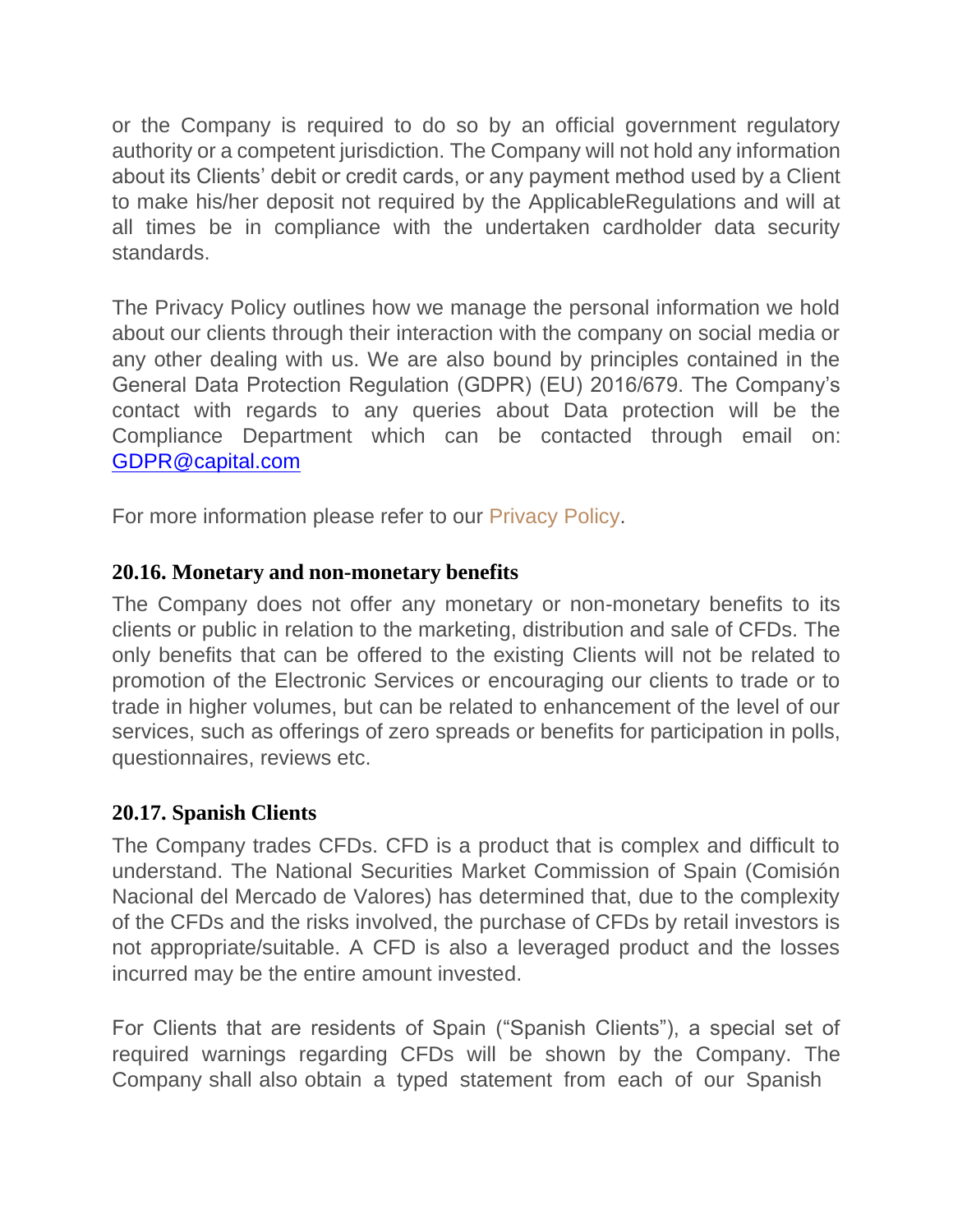or the Company is required to do so by an official government regulatory authority or a competent jurisdiction. The Company will not hold any information about its Clients' debit or credit cards, or any payment method used by a Client to make his/her deposit not required by the ApplicableRegulations and will at all times be in compliance with the undertaken cardholder data security standards.

The Privacy Policy outlines how we manage the personal information we hold about our clients through their interaction with the company on social media or any other dealing with us. We are also bound by principles contained in the General Data Protection Regulation (GDPR) (EU) 2016/679. The Company's contact with regards to any queries about Data protection will be the Compliance Department which can be contacted through email on: [GDPR@capital.com](mailto:GDPR@capital.com)

For more information please refer to our [Privacy Policy.](https://capital.com/privacy-policy)

## **20.16. Monetary and non-monetary benefits**

The Company does not offer any monetary or non-monetary benefits to its clients or public in relation to the marketing, distribution and sale of CFDs. The only benefits that can be offered to the existing Clients will not be related to promotion of the Electronic Services or encouraging our clients to trade or to trade in higher volumes, but can be related to enhancement of the level of our services, such as offerings of zero spreads or benefits for participation in polls, questionnaires, reviews etc.

### **20.17. Spanish Clients**

The Company trades CFDs. CFD is a product that is complex and difficult to understand. The National Securities Market Commission of Spain (Comisión Nacional del Mercado de Valores) has determined that, due to the complexity of the CFDs and the risks involved, the purchase of CFDs by retail investors is not appropriate/suitable. A CFD is also a leveraged product and the losses incurred may be the entire amount invested.

For Clients that are residents of Spain ("Spanish Clients"), a special set of required warnings regarding CFDs will be shown by the Company. The Company shall also obtain a typed statement from each of our Spanish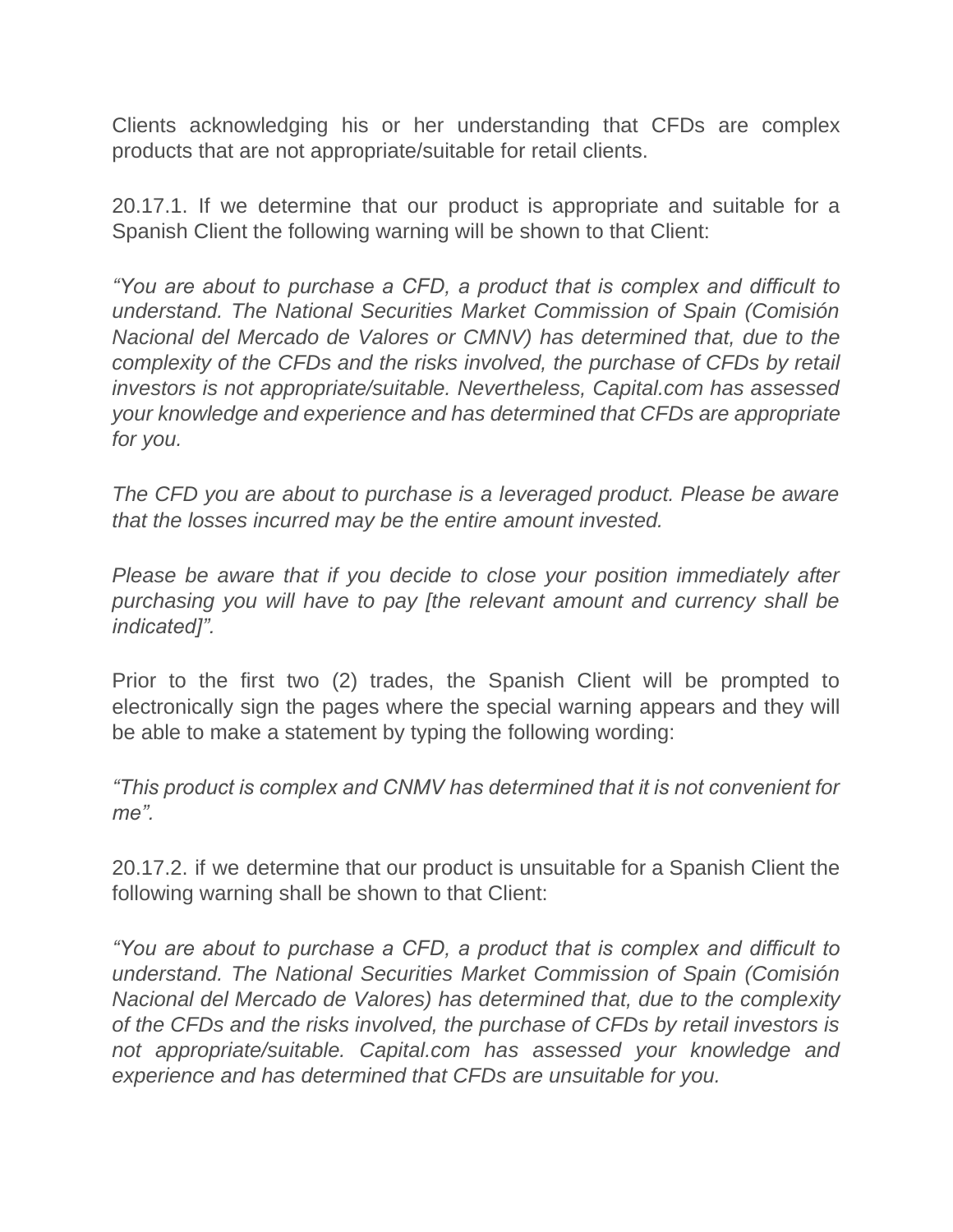Clients acknowledging his or her understanding that CFDs are complex products that are not appropriate/suitable for retail clients.

20.17.1. If we determine that our product is appropriate and suitable for a Spanish Client the following warning will be shown to that Client:

*"You are about to purchase a CFD, a product that is complex and difficult to understand. The National Securities Market Commission of Spain (Comisión Nacional del Mercado de Valores or CMNV) has determined that, due to the complexity of the CFDs and the risks involved, the purchase of CFDs by retail investors is not appropriate/suitable. Nevertheless, Capital.com has assessed your knowledge and experience and has determined that CFDs are appropriate for you.*

*The CFD you are about to purchase is a leveraged product. Please be aware that the losses incurred may be the entire amount invested.*

*Please be aware that if you decide to close your position immediately after purchasing you will have to pay [the relevant amount and currency shall be indicated]".*

Prior to the first two (2) trades, the Spanish Client will be prompted to electronically sign the pages where the special warning appears and they will be able to make a statement by typing the following wording:

*"This product is complex and CNMV has determined that it is not convenient for me".*

20.17.2. if we determine that our product is unsuitable for a Spanish Client the following warning shall be shown to that Client:

*"You are about to purchase a CFD, a product that is complex and difficult to understand. The National Securities Market Commission of Spain (Comisión Nacional del Mercado de Valores) has determined that, due to the complexity of the CFDs and the risks involved, the purchase of CFDs by retail investors is not appropriate/suitable. Capital.com has assessed your knowledge and experience and has determined that CFDs are unsuitable for you.*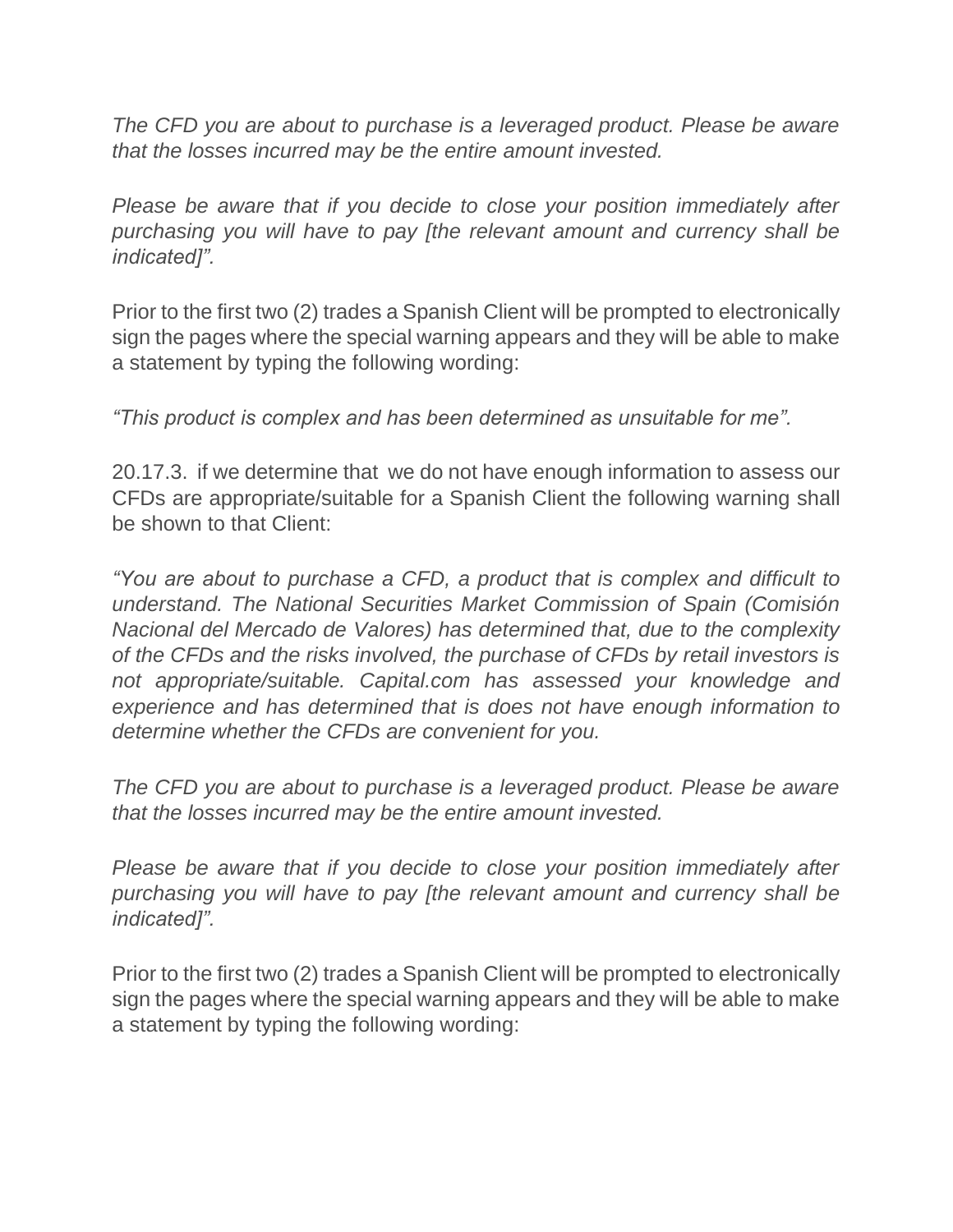*The CFD you are about to purchase is a leveraged product. Please be aware that the losses incurred may be the entire amount invested.*

*Please be aware that if you decide to close your position immediately after purchasing you will have to pay [the relevant amount and currency shall be indicated]".*

Prior to the first two (2) trades a Spanish Client will be prompted to electronically sign the pages where the special warning appears and they will be able to make a statement by typing the following wording:

*"This product is complex and has been determined as unsuitable for me".*

20.17.3. if we determine that we do not have enough information to assess our CFDs are appropriate/suitable for a Spanish Client the following warning shall be shown to that Client:

*"You are about to purchase a CFD, a product that is complex and difficult to understand. The National Securities Market Commission of Spain (Comisión Nacional del Mercado de Valores) has determined that, due to the complexity of the CFDs and the risks involved, the purchase of CFDs by retail investors is not appropriate/suitable. Capital.com has assessed your knowledge and experience and has determined that is does not have enough information to determine whether the CFDs are convenient for you.*

*The CFD you are about to purchase is a leveraged product. Please be aware that the losses incurred may be the entire amount invested.*

*Please be aware that if you decide to close your position immediately after purchasing you will have to pay [the relevant amount and currency shall be indicated]".*

Prior to the first two (2) trades a Spanish Client will be prompted to electronically sign the pages where the special warning appears and they will be able to make a statement by typing the following wording: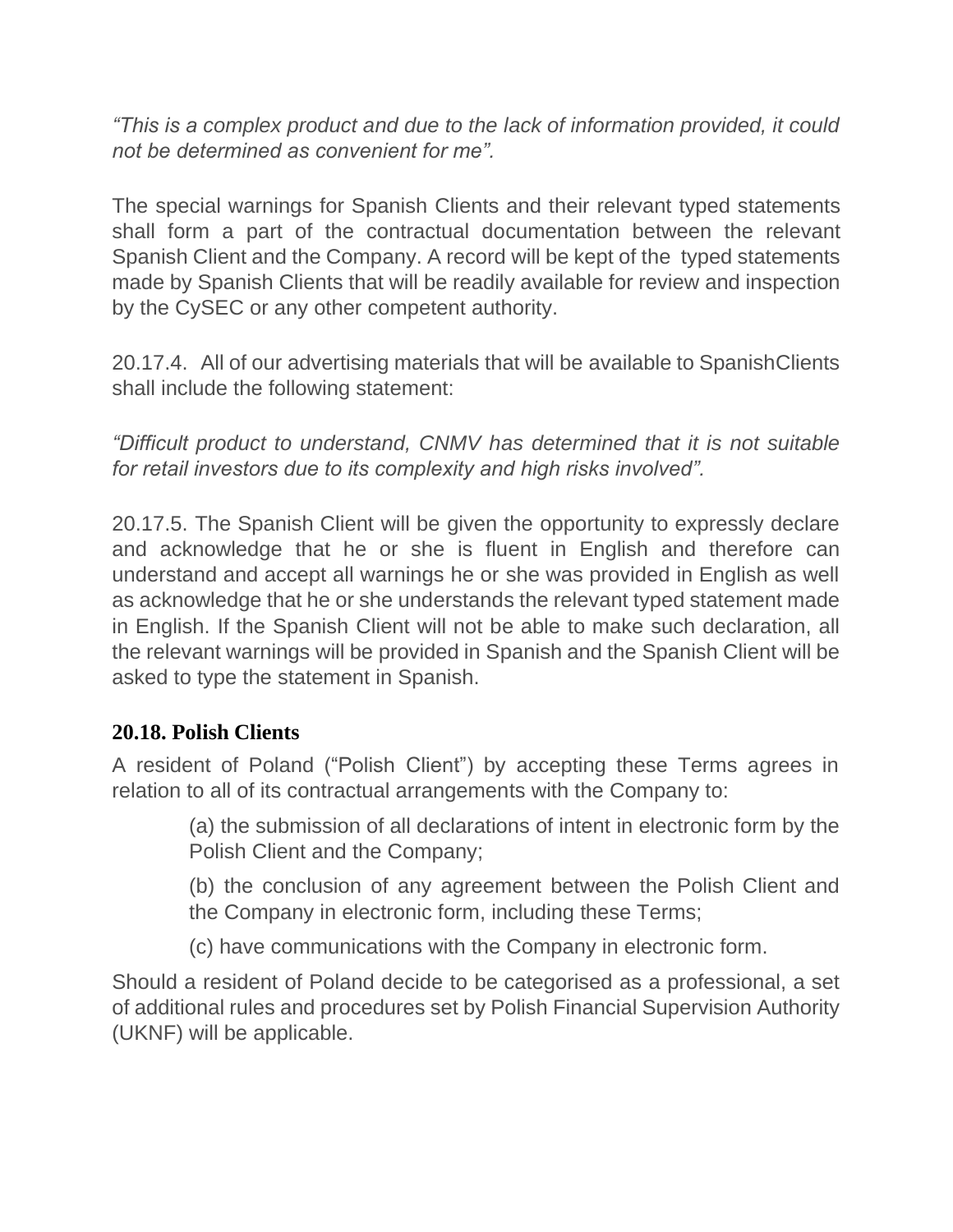*"This is a complex product and due to the lack of information provided, it could not be determined as convenient for me".*

The special warnings for Spanish Clients and their relevant typed statements shall form a part of the contractual documentation between the relevant Spanish Client and the Company. A record will be kept of the typed statements made by Spanish Clients that will be readily available for review and inspection by the CySEC or any other competent authority.

20.17.4. All of our advertising materials that will be available to SpanishClients shall include the following statement:

*"Difficult product to understand, CNMV has determined that it is not suitable for retail investors due to its complexity and high risks involved".*

20.17.5. The Spanish Client will be given the opportunity to expressly declare and acknowledge that he or she is fluent in English and therefore can understand and accept all warnings he or she was provided in English as well as acknowledge that he or she understands the relevant typed statement made in English. If the Spanish Client will not be able to make such declaration, all the relevant warnings will be provided in Spanish and the Spanish Client will be asked to type the statement in Spanish.

### **20.18. Polish Clients**

A resident of Poland ("Polish Client") by accepting these Terms agrees in relation to all of its contractual arrangements with the Company to:

> (a) the submission of all declarations of intent in electronic form by the Polish Client and the Company;

> (b) the conclusion of any agreement between the Polish Client and the Company in electronic form, including these Terms;

(c) have communications with the Company in electronic form.

Should a resident of Poland decide to be categorised as a professional, a set of additional rules and procedures set by Polish Financial Supervision Authority (UKNF) will be applicable.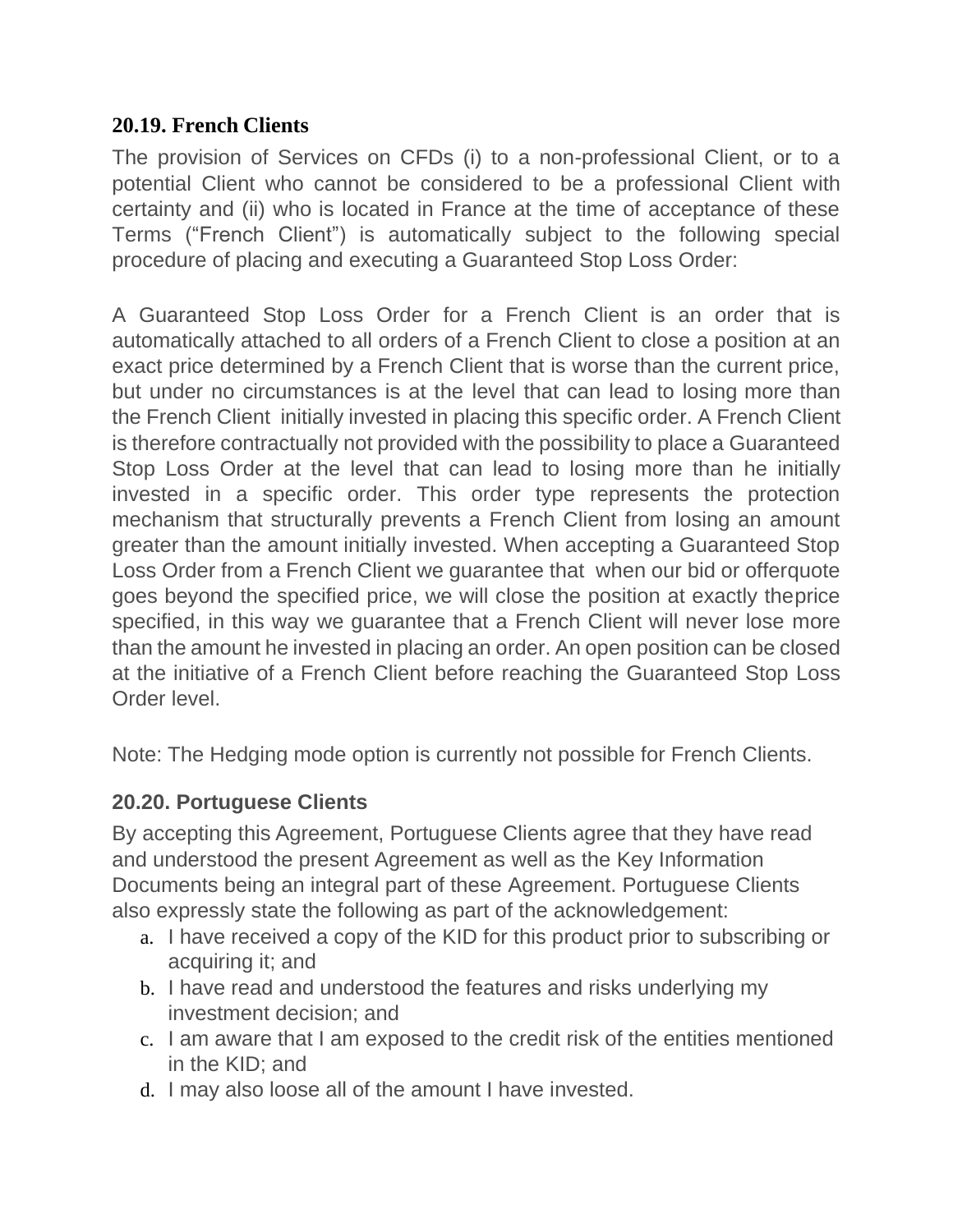### **20.19. French Clients**

The provision of Services on CFDs (i) to a non-professional Client, or to a potential Client who cannot be considered to be a professional Client with certainty and (ii) who is located in France at the time of acceptance of these Terms ("French Client") is automatically subject to the following special procedure of placing and executing a Guaranteed Stop Loss Order:

A Guaranteed Stop Loss Order for a French Client is an order that is automatically attached to all orders of a French Client to close a position at an exact price determined by a French Client that is worse than the current price, but under no circumstances is at the level that can lead to losing more than the French Client initially invested in placing this specific order. A French Client is therefore contractually not provided with the possibility to place a Guaranteed Stop Loss Order at the level that can lead to losing more than he initially invested in a specific order. This order type represents the protection mechanism that structurally prevents a French Client from losing an amount greater than the amount initially invested. When accepting a Guaranteed Stop Loss Order from a French Client we guarantee that when our bid or offerquote goes beyond the specified price, we will close the position at exactly theprice specified, in this way we guarantee that a French Client will never lose more than the amount he invested in placing an order. An open position can be closed at the initiative of a French Client before reaching the Guaranteed Stop Loss Order level.

Note: The Hedging mode option is currently not possible for French Clients.

## **20.20. Portuguese Clients**

By accepting this Agreement, Portuguese Clients agree that they have read and understood the present Agreement as well as the [Key Information](https://capital.com/publication) [Documents](https://capital.com/publication) being an integral part of these Agreement. Portuguese Clients also expressly state the following as part of the acknowledgement:

- a. I have received a copy of the KID for this product prior to subscribing or acquiring it; and
- b. I have read and understood the features and risks underlying my investment decision; and
- c. I am aware that I am exposed to the credit risk of the entities mentioned in the KID; and
- d. I may also loose all of the amount I have invested.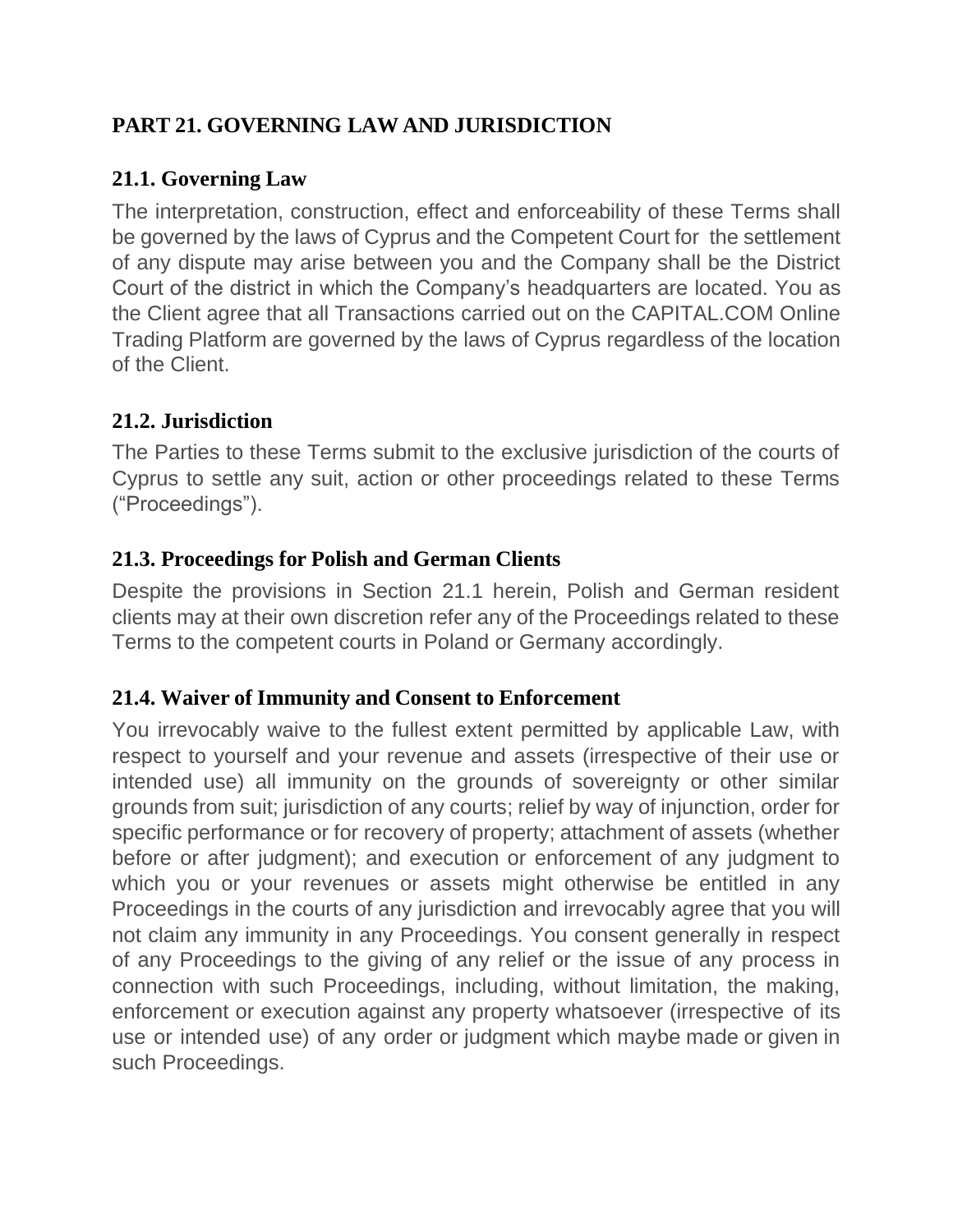# **PART 21. GOVERNING LAW AND JURISDICTION**

## **21.1. Governing Law**

The interpretation, construction, effect and enforceability of these Terms shall be governed by the laws of Cyprus and the Competent Court for the settlement of any dispute may arise between you and the Company shall be the District Court of the district in which the Company's headquarters are located. You as the Client agree that all Transactions carried out on the CAPITAL.COM Online Trading Platform are governed by the laws of Cyprus regardless of the location of the Client.

## **21.2. Jurisdiction**

The Parties to these Terms submit to the exclusive jurisdiction of the courts of Cyprus to settle any suit, action or other proceedings related to these Terms ("Proceedings").

## **21.3. Proceedings for Polish and German Clients**

Despite the provisions in Section 21.1 herein, Polish and German resident clients may at their own discretion refer any of the Proceedings related to these Terms to the competent courts in Poland or Germany accordingly.

## **21.4. Waiver of Immunity and Consent to Enforcement**

You irrevocably waive to the fullest extent permitted by applicable Law, with respect to yourself and your revenue and assets (irrespective of their use or intended use) all immunity on the grounds of sovereignty or other similar grounds from suit; jurisdiction of any courts; relief by way of injunction, order for specific performance or for recovery of property; attachment of assets (whether before or after judgment); and execution or enforcement of any judgment to which you or your revenues or assets might otherwise be entitled in any Proceedings in the courts of any jurisdiction and irrevocably agree that you will not claim any immunity in any Proceedings. You consent generally in respect of any Proceedings to the giving of any relief or the issue of any process in connection with such Proceedings, including, without limitation, the making, enforcement or execution against any property whatsoever (irrespective of its use or intended use) of any order or judgment which maybe made or given in such Proceedings.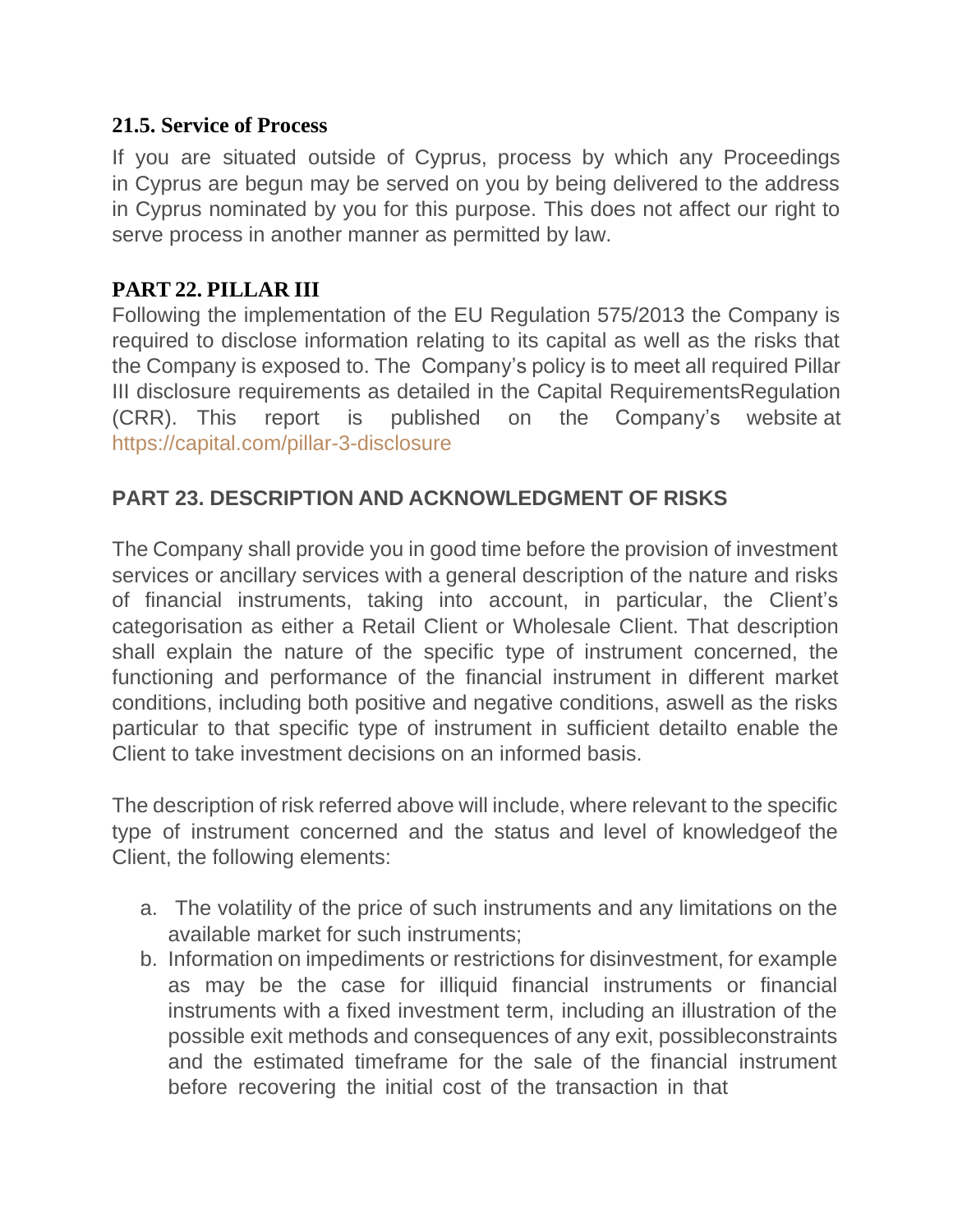### **21.5. Service of Process**

If you are situated outside of Cyprus, process by which any Proceedings in Cyprus are begun may be served on you by being delivered to the address in Cyprus nominated by you for this purpose. This does not affect our right to serve process in another manner as permitted by law.

### **PART 22. PILLAR III**

Following the implementation of the EU Regulation 575/2013 the Company is required to disclose information relating to its capital as well as the risks that the Company is exposed to. The Company's policy is to meet all required Pillar III disclosure requirements as detailed in the Capital RequirementsRegulation (CRR). This report is published on the Company's website at <https://capital.com/pillar-3-disclosure>

## **PART 23. DESCRIPTION AND ACKNOWLEDGMENT OF RISKS**

The Company shall provide you in good time before the provision of investment services or ancillary services with a general description of the nature and risks of financial instruments, taking into account, in particular, the Client's categorisation as either a Retail Client or Wholesale Client. That description shall explain the nature of the specific type of instrument concerned, the functioning and performance of the financial instrument in different market conditions, including both positive and negative conditions, aswell as the risks particular to that specific type of instrument in sufficient detailto enable the Client to take investment decisions on an informed basis.

The description of risk referred above will include, where relevant to the specific type of instrument concerned and the status and level of knowledgeof the Client, the following elements:

- a. The volatility of the price of such instruments and any limitations on the available market for such instruments;
- b. Information on impediments or restrictions for disinvestment, for example as may be the case for illiquid financial instruments or financial instruments with a fixed investment term, including an illustration of the possible exit methods and consequences of any exit, possibleconstraints and the estimated timeframe for the sale of the financial instrument before recovering the initial cost of the transaction in that